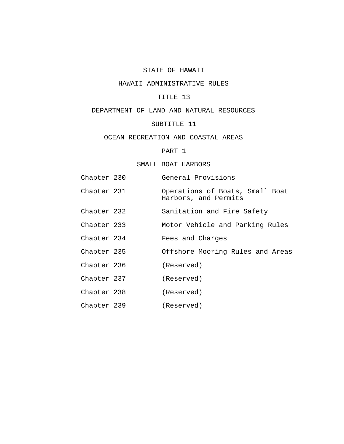## STATE OF HAWAII

## HAWAII ADMINISTRATIVE RULES

## TITLE 13

## DEPARTMENT OF LAND AND NATURAL RESOURCES

## SUBTITLE 11

## OCEAN RECREATION AND COASTAL AREAS

## PART 1

#### SMALL BOAT HARBORS

| Chapter 230 | General Provisions                                      |
|-------------|---------------------------------------------------------|
| Chapter 231 | Operations of Boats, Small Boat<br>Harbors, and Permits |
| Chapter 232 | Sanitation and Fire Safety                              |
| Chapter 233 | Motor Vehicle and Parking Rules                         |
| Chapter 234 | Fees and Charges                                        |
| Chapter 235 | Offshore Mooring Rules and Areas                        |
| Chapter 236 | (Reserved)                                              |
| Chapter 237 | (Reserved)                                              |
| Chapter 238 | (Reserved)                                              |
| Chapter 239 | (Reserved)                                              |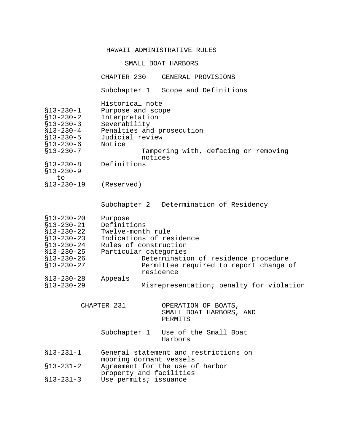## HAWAII ADMINISTRATIVE RULES

SMALL BOAT HARBORS

|                                                                                                                                                             | CHAPTER 230<br>GENERAL PROVISIONS                                                                                                                                                                                                   |
|-------------------------------------------------------------------------------------------------------------------------------------------------------------|-------------------------------------------------------------------------------------------------------------------------------------------------------------------------------------------------------------------------------------|
|                                                                                                                                                             | Subchapter 1<br>Scope and Definitions                                                                                                                                                                                               |
| $$13-230-1$<br>$$13 - 230 - 2$<br>$$13 - 230 - 3$<br>$$13-230-4$<br>$$13 - 230 - 5$<br>$$13-230-6$<br>$$13 - 230 - 7$                                       | Historical note<br>Purpose and scope<br>Interpretation<br>Severability<br>Penalties and prosecution<br>Judicial review<br>Notice<br>Tampering with, defacing or removing<br>notices                                                 |
| $$13 - 230 - 8$<br>$$13-230-9$<br>to                                                                                                                        | Definitions                                                                                                                                                                                                                         |
| $$13 - 230 - 19$                                                                                                                                            | (Reserved)                                                                                                                                                                                                                          |
|                                                                                                                                                             | Subchapter 2<br>Determination of Residency                                                                                                                                                                                          |
| \$13-230-20<br>$$13-230-21$<br>$$13-230-22$<br>$$13-230-23$<br>$$13-230-24$<br>$$13 - 230 - 25$<br>$$13 - 230 - 26$<br>$$13 - 230 - 27$<br>$$13 - 230 - 28$ | Purpose<br>Definitions<br>Twelve-month rule<br>Indications of residence<br>Rules of construction<br>Particular categories<br>Determination of residence procedure<br>Permittee required to report change of<br>residence<br>Appeals |
| $$13 - 230 - 29$                                                                                                                                            | Misrepresentation; penalty for violation                                                                                                                                                                                            |
|                                                                                                                                                             | CHAPTER 231<br>OPERATION OF BOATS,<br>SMALL BOAT HARBORS, AND<br>PERMITS                                                                                                                                                            |
|                                                                                                                                                             | Subchapter 1<br>Use of the Small Boat<br>Harbors                                                                                                                                                                                    |
| $$13 - 231 - 1$                                                                                                                                             | General statement and restrictions on<br>mooring dormant vessels                                                                                                                                                                    |
| $$13-231-2$                                                                                                                                                 | Agreement for the use of harbor<br>property and facilities                                                                                                                                                                          |
| $$13-231-3$                                                                                                                                                 | Use permits; issuance                                                                                                                                                                                                               |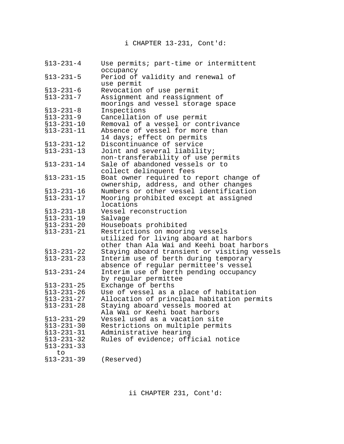i CHAPTER 13-231, Cont'd:

| $$13-231-4$      | Use permits; part-time or intermittent<br>occupancy |
|------------------|-----------------------------------------------------|
| $$13 - 231 - 5$  | Period of validity and renewal of<br>use permit     |
| $$13 - 231 - 6$  | Revocation of use permit                            |
| $$13-231-7$      | Assignment and reassignment of                      |
|                  |                                                     |
|                  | moorings and vessel storage space                   |
| $$13 - 231 - 8$  | Inspections                                         |
| $$13-231-9$      | Cancellation of use permit                          |
| $$13 - 231 - 10$ | Removal of a vessel or contrivance                  |
| $$13 - 231 - 11$ | Absence of vessel for more than                     |
|                  | 14 days; effect on permits                          |
| $$13-231-12$     | Discontinuance of service                           |
| $$13 - 231 - 13$ | Joint and several liability;                        |
|                  | non-transferability of use permits                  |
| $$13 - 231 - 14$ | Sale of abandoned vessels or to                     |
|                  | collect delinquent fees                             |
| $$13 - 231 - 15$ | Boat owner required to report change of             |
|                  | ownership, address, and other changes               |
| $$13 - 231 - 16$ | Numbers or other vessel identification              |
| $$13 - 231 - 17$ | Mooring prohibited except at assigned               |
|                  | locations                                           |
| $$13 - 231 - 18$ | Vessel reconstruction                               |
| $$13 - 231 - 19$ | Salvage                                             |
| $$13 - 231 - 20$ | Houseboats prohibited                               |
| $$13 - 231 - 21$ | Restrictions on mooring vessels                     |
|                  | utilized for living aboard at harbors               |
|                  | other than Ala Wai and Keehi boat harbors           |
| $$13 - 231 - 22$ | Staying aboard transient or visiting vessels        |
| $$13 - 231 - 23$ | Interim use of berth during temporary               |
|                  | absence of regular permittee's vessel               |
| $$13 - 231 - 24$ | Interim use of berth pending occupancy              |
|                  | by regular permittee                                |
| $$13 - 231 - 25$ | Exchange of berths                                  |
| $$13 - 231 - 26$ | Use of vessel as a place of habitation              |
| $$13-231-27$     | Allocation of principal habitation permits          |
| $$13 - 231 - 28$ |                                                     |
|                  | Staying aboard vessels moored at                    |
|                  | Ala Wai or Keehi boat harbors                       |
| $$13-231-29$     | Vessel used as a vacation site                      |
| $$13 - 231 - 30$ | Restrictions on multiple permits                    |
| $$13 - 231 - 31$ | Administrative hearing                              |
| $$13-231-32$     | Rules of evidence; official notice                  |
| $$13 - 231 - 33$ |                                                     |
| to               |                                                     |
| $$13 - 231 - 39$ | (Reserved)                                          |

ii CHAPTER 231, Cont'd: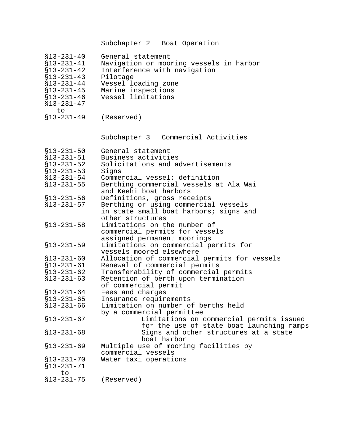# [Subchapter 2 Boat Operation](#page-58-0)

| $$13 - 231 - 40$<br>$$13 - 231 - 41$<br>$$13-231-42$ | General statement<br>Navigation or mooring vessels in harbor<br>Interference with navigation |
|------------------------------------------------------|----------------------------------------------------------------------------------------------|
| $$13 - 231 - 43$                                     | Pilotage                                                                                     |
| $$13 - 231 - 44$                                     | Vessel loading zone                                                                          |
| $$13 - 231 - 45$                                     | Marine inspections                                                                           |
| $$13 - 231 - 46$                                     | Vessel limitations                                                                           |
| $$13 - 231 - 47$                                     |                                                                                              |
| to                                                   |                                                                                              |
| $$13 - 231 - 49$                                     | (Reserved)                                                                                   |
|                                                      | Subchapter 3 Commercial Activities                                                           |
| $$13 - 231 - 50$                                     | General statement                                                                            |
| $$13 - 231 - 51$                                     | Business activities                                                                          |
| $$13 - 231 - 52$                                     | Solicitations and advertisements                                                             |
| $$13 - 231 - 53$                                     | Signs                                                                                        |
| $$13 - 231 - 54$                                     | Commercial vessel; definition                                                                |
| $$13 - 231 - 55$                                     | Berthing commercial vessels at Ala Wai                                                       |
|                                                      | and Keehi boat harbors                                                                       |
| $$13 - 231 - 56$                                     | Definitions, gross receipts                                                                  |
| $$13 - 231 - 57$                                     | Berthing or using commercial vessels                                                         |
|                                                      | in state small boat harbors; signs and                                                       |
|                                                      | other structures                                                                             |
| $$13 - 231 - 58$                                     | Limitations on the number of                                                                 |
|                                                      | commercial permits for vessels                                                               |
|                                                      | assigned permanent moorings                                                                  |
| $$13 - 231 - 59$                                     | Limitations on commercial permits for                                                        |
| $$13 - 231 - 60$                                     | vessels moored elsewhere                                                                     |
| $$13-231-61$                                         | Allocation of commercial permits for vessels<br>Renewal of commercial permits                |
| $$13-231-62$                                         | Transferability of commercial permits                                                        |
| $$13 - 231 - 63$                                     | Retention of berth upon termination                                                          |
|                                                      | of commercial permit                                                                         |
| $$13 - 231 - 64$                                     | Fees and charges                                                                             |
| $$13 - 231 - 65$                                     | Insurance requirements                                                                       |
| \$13-231-66                                          | Limitation on number of berths held                                                          |
|                                                      | by a commercial permittee                                                                    |
| $$13 - 231 - 67$                                     | Limitations on commercial permits issued                                                     |
|                                                      | for the use of state boat launching ramps                                                    |
| $$13 - 231 - 68$                                     | Signs and other structures at a state                                                        |
|                                                      | boat harbor                                                                                  |
| $$13 - 231 - 69$                                     | Multiple use of mooring facilities by                                                        |
|                                                      | commercial vessels                                                                           |
| $$13 - 231 - 70$                                     | Water taxi operations                                                                        |
| $$13 - 231 - 71$                                     |                                                                                              |
| to                                                   |                                                                                              |
| $$13 - 231 - 75$                                     | (Reserved)                                                                                   |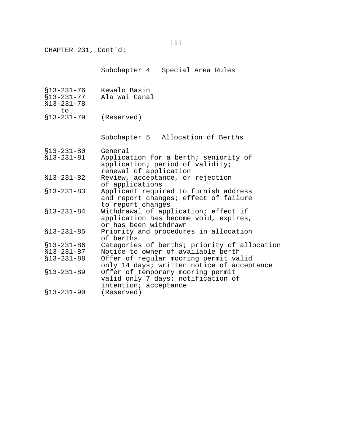CHAPTER 231, Cont'd:

|                                                        | Subchapter 4 Special Area Rules                                                                                |
|--------------------------------------------------------|----------------------------------------------------------------------------------------------------------------|
| $$13-231-76$<br>$$13-231-77$<br>$$13 - 231 - 78$<br>to | Kewalo Basin<br>Ala Wai Canal                                                                                  |
| $$13 - 231 - 79$                                       | (Reserved)                                                                                                     |
|                                                        | Subchapter 5 Allocation of Berths                                                                              |
| $$13-231-80$<br>$$13-231-81$                           | General<br>Application for a berth; seniority of<br>application; period of validity;<br>renewal of application |
| $$13-231-82$                                           | Review, acceptance, or rejection<br>of applications                                                            |
| $$13 - 231 - 83$                                       | Applicant required to furnish address<br>and report changes; effect of failure<br>to report changes            |
| $$13 - 231 - 84$                                       | Withdrawal of application; effect if<br>application has become void, expires,<br>or has been withdrawn         |
| $$13-231-85$                                           | Priority and procedures in allocation<br>of berths                                                             |
| $$13-231-86$                                           | Categories of berths; priority of allocation                                                                   |
| $$13 - 231 - 87$                                       | Notice to owner of available berth                                                                             |
| $$13 - 231 - 88$                                       | Offer of regular mooring permit valid<br>only 14 days; written notice of acceptance                            |
| $$13 - 231 - 89$                                       | Offer of temporary mooring permit<br>valid only 7 days; notification of<br>intention; acceptance               |
| $$13 - 231 - 90$                                       | (Reserved)                                                                                                     |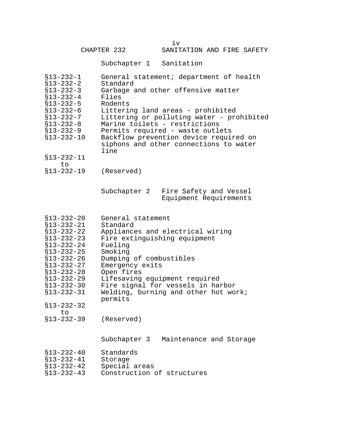iv [CHAPTER 232 SANITATION AND FIRE SAFETY](#page-102-0)

[Subchapter 1 Sanitation](#page-104-0)

| $$13-232-1$<br>$$13 - 232 - 2$<br>$$13 - 232 - 3$<br>$$13 - 232 - 4$<br>$$13 - 232 - 5$<br>$$13 - 232 - 6$<br>$$13 - 232 - 7$<br>$$13 - 232 - 8$<br>$$13 - 232 - 9$<br>$$13 - 232 - 10$<br>\$13-232-11                                                                             | General statement; department of health<br>Standard<br>Garbage and other offensive matter<br>Flies<br>Rodents<br>Littering land areas - prohibited<br>Littering or polluting water - prohibited<br>Marine toilets - restrictions<br>Permits required - waste outlets<br>Backflow prevention device required on<br>siphons and other connections to water<br>line |
|------------------------------------------------------------------------------------------------------------------------------------------------------------------------------------------------------------------------------------------------------------------------------------|------------------------------------------------------------------------------------------------------------------------------------------------------------------------------------------------------------------------------------------------------------------------------------------------------------------------------------------------------------------|
| to<br>$$13 - 232 - 19$                                                                                                                                                                                                                                                             | (Reserved)                                                                                                                                                                                                                                                                                                                                                       |
|                                                                                                                                                                                                                                                                                    | Subchapter 2<br>Fire Safety and Vessel<br>Equipment Requirements                                                                                                                                                                                                                                                                                                 |
| $$13 - 232 - 20$<br>$$13-232-21$<br>$$13-232-22$<br>$$13 - 232 - 23$<br>$$13 - 232 - 24$<br>$$13 - 232 - 25$<br>$$13 - 232 - 26$<br>$$13 - 232 - 27$<br>$$13 - 232 - 28$<br>$$13 - 232 - 29$<br>$$13 - 232 - 30$<br>$$13 - 232 - 31$<br>$$13 - 232 - 32$<br>to<br>$$13 - 232 - 39$ | General statement<br>Standard<br>Appliances and electrical wiring<br>Fire extinguishing equipment<br>Fueling<br>Smoking<br>Dumping of combustibles<br>Emergency exits<br>Open fires<br>Lifesaving equipment required<br>Fire signal for vessels in harbor<br>Welding, burning and other hot work;<br>permits<br>(Reserved)                                       |
|                                                                                                                                                                                                                                                                                    | Subchapter 3 Maintenance and Storage                                                                                                                                                                                                                                                                                                                             |
| $$13-232-40$<br>$$13 - 232 - 41$<br>$$13 - 232 - 42$<br>$$13 - 232 - 43$                                                                                                                                                                                                           | Standards<br>Storage<br>Special areas<br>Construction of structures                                                                                                                                                                                                                                                                                              |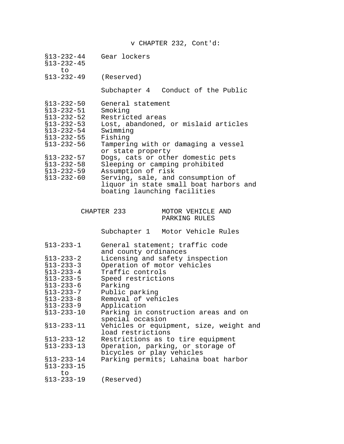| $$13-232-44$<br>$$13 - 232 - 45$                                                                                                                                                                                                                                                         | Gear lockers                                                                                                                                                                                                                                                                                                                                                                                                                                                                                                       |
|------------------------------------------------------------------------------------------------------------------------------------------------------------------------------------------------------------------------------------------------------------------------------------------|--------------------------------------------------------------------------------------------------------------------------------------------------------------------------------------------------------------------------------------------------------------------------------------------------------------------------------------------------------------------------------------------------------------------------------------------------------------------------------------------------------------------|
| to<br>$$13 - 232 - 49$                                                                                                                                                                                                                                                                   | (Reserved)                                                                                                                                                                                                                                                                                                                                                                                                                                                                                                         |
|                                                                                                                                                                                                                                                                                          | Subchapter 4 Conduct of the Public                                                                                                                                                                                                                                                                                                                                                                                                                                                                                 |
| $$13 - 232 - 50$<br>$$13 - 232 - 51$<br>$$13 - 232 - 52$<br>$$13 - 232 - 53$<br>$$13-232-54$<br>$$13 - 232 - 55$<br>$$13 - 232 - 56$<br>$$13 - 232 - 57$<br>$$13 - 232 - 58$<br>$$13 - 232 - 59$<br>$$13 - 232 - 60$                                                                     | General statement<br>Smoking<br>Restricted areas<br>Lost, abandoned, or mislaid articles<br>Swimming<br>Fishing<br>Tampering with or damaging a vessel<br>or state property<br>Dogs, cats or other domestic pets<br>Sleeping or camping prohibited<br>Assumption of risk<br>Serving, sale, and consumption of<br>liquor in state small boat harbors and<br>boating launching facilities                                                                                                                            |
|                                                                                                                                                                                                                                                                                          | CHAPTER 233<br>MOTOR VEHICLE AND<br>PARKING RULES                                                                                                                                                                                                                                                                                                                                                                                                                                                                  |
|                                                                                                                                                                                                                                                                                          | Subchapter 1 Motor Vehicle Rules                                                                                                                                                                                                                                                                                                                                                                                                                                                                                   |
| $$13 - 233 - 1$<br>$$13 - 233 - 2$<br>$$13 - 233 - 3$<br>$$13 - 233 - 4$<br>$$13 - 233 - 5$<br>$$13 - 233 - 6$<br>$$13 - 233 - 7$<br>$$13 - 233 - 8$<br>\$13-233-9<br>$$13 - 233 - 10$<br>$$13 - 233 - 11$<br>$$13-233-12$<br>$$13 - 233 - 13$<br>$$13-233-14$<br>$$13 - 233 - 15$<br>to | General statement; traffic code<br>and county ordinances<br>Licensing and safety inspection<br>Operation of motor vehicles<br>Traffic controls<br>Speed restrictions<br>Parking<br>Public parking<br>Removal of vehicles<br>Application<br>Parking in construction areas and on<br>special occasion<br>Vehicles or equipment, size, weight and<br>load restrictions<br>Restrictions as to tire equipment<br>Operation, parking, or storage of<br>bicycles or play vehicles<br>Parking permits; Lahaina boat harbor |
| $$13 - 233 - 19$                                                                                                                                                                                                                                                                         | (Reserved)                                                                                                                                                                                                                                                                                                                                                                                                                                                                                                         |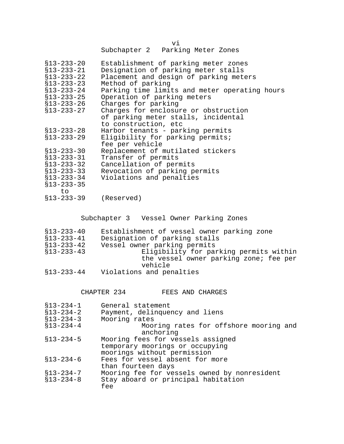[Subchapter 2 Parking Meter Zones](#page-134-0)

| $$13 - 233 - 21$               | Establishment of parking meter zones<br>Designation of parking meter stalls         |
|--------------------------------|-------------------------------------------------------------------------------------|
| $$13 - 233 - 22$               | Placement and design of parking meters                                              |
| $$13 - 233 - 23$               | Method of parking                                                                   |
| $$13 - 233 - 24$               | Parking time limits and meter operating hours                                       |
| $$13 - 233 - 25$               | Operation of parking meters                                                         |
| $$13 - 233 - 26$               |                                                                                     |
|                                | Charges for parking                                                                 |
| $$13 - 233 - 27$               | Charges for enclosure or obstruction                                                |
|                                | of parking meter stalls, incidental                                                 |
|                                | to construction, etc                                                                |
| $$13 - 233 - 28$               | Harbor tenants - parking permits                                                    |
| $$13 - 233 - 29$               | Eligibility for parking permits;                                                    |
|                                | fee per vehicle                                                                     |
| $$13 - 233 - 30$               | Replacement of mutilated stickers                                                   |
| $$13 - 233 - 31$               | Transfer of permits                                                                 |
| $$13 - 233 - 32$               | Cancellation of permits                                                             |
| $$13 - 233 - 33$               | Revocation of parking permits                                                       |
| $$13 - 233 - 34$               | Violations and penalties                                                            |
| $$13 - 233 - 35$               |                                                                                     |
| to                             |                                                                                     |
| $$13 - 233 - 39$               | (Reserved)                                                                          |
|                                |                                                                                     |
|                                | Subchapter 3 Vessel Owner Parking Zones                                             |
| $$13 - 233 - 40$               | Establishment of vessel owner parking zone                                          |
| $$13 - 233 - 41$               | Designation of parking stalls                                                       |
| $$13 - 233 - 42$               | Vessel owner parking permits                                                        |
|                                |                                                                                     |
| $$13 - 233 - 43$               | Eligibility for parking permits within                                              |
|                                | the vessel owner parking zone; fee per                                              |
|                                | vehicle                                                                             |
| $$13 - 233 - 44$               | Violations and penalties                                                            |
|                                |                                                                                     |
|                                | CHAPTER 234<br>FEES AND CHARGES                                                     |
|                                |                                                                                     |
| $$13 - 234 - 1$                | General statement                                                                   |
|                                |                                                                                     |
| $$13-234-2$                    | Payment, delinquency and liens                                                      |
| $$13 - 234 - 3$                | Mooring rates                                                                       |
| $$13-234-4$                    | Mooring rates for offshore mooring and                                              |
|                                | anchoring                                                                           |
| $$13 - 234 - 5$                | Mooring fees for vessels assigned<br>temporary moorings or occupying                |
|                                |                                                                                     |
| $$13 - 234 - 6$                | moorings without permission<br>Fees for vessel absent for more                      |
|                                |                                                                                     |
|                                | than fourteen days                                                                  |
| $$13-234-7$<br>$$13 - 234 - 8$ | Mooring fee for vessels owned by nonresident<br>Stay aboard or principal habitation |

vi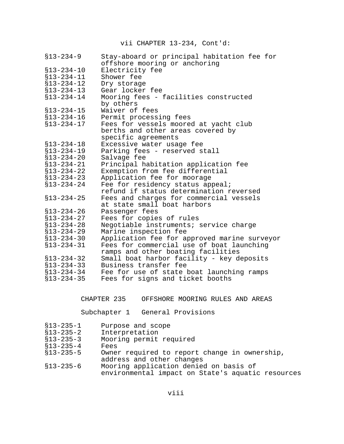vii CHAPTER 13-234, Cont'd:

| $$13-234-9$      | Stay-aboard or principal habitation fee for<br>offshore mooring or anchoring    |
|------------------|---------------------------------------------------------------------------------|
| $$13 - 234 - 10$ | Electricity fee                                                                 |
| $$13 - 234 - 11$ | Shower fee                                                                      |
| $$13 - 234 - 12$ | Dry storage                                                                     |
| $$13 - 234 - 13$ | Gear locker fee                                                                 |
| $$13 - 234 - 14$ | Mooring fees - facilities constructed<br>by others                              |
| $$13 - 234 - 15$ | Waiver of fees                                                                  |
| $$13 - 234 - 16$ | Permit processing fees                                                          |
| $$13 - 234 - 17$ | Fees for vessels moored at yacht club                                           |
|                  | berths and other areas covered by                                               |
|                  | specific agreements                                                             |
| $$13 - 234 - 18$ | Excessive water usage fee                                                       |
| $$13 - 234 - 19$ | Parking fees - reserved stall                                                   |
| $$13 - 234 - 20$ | Salvage fee                                                                     |
| $$13 - 234 - 21$ | Principal habitation application fee                                            |
| $$13-234-22$     | Exemption from fee differential                                                 |
| $$13 - 234 - 23$ | Application fee for moorage                                                     |
| $$13 - 234 - 24$ | Fee for residency status appeal;                                                |
|                  | refund if status determination reversed                                         |
| $$13 - 234 - 25$ | Fees and charges for commercial vessels                                         |
|                  | at state small boat harbors                                                     |
| $$13 - 234 - 26$ | Passenger fees                                                                  |
| $$13 - 234 - 27$ | Fees for copies of rules                                                        |
| $$13 - 234 - 28$ | Negotiable instruments; service charge                                          |
| $$13 - 234 - 29$ | Marine inspection fee                                                           |
| $$13 - 234 - 30$ | Application fee for approved marine surveyor                                    |
| $$13 - 234 - 31$ | Fees for commercial use of boat launching<br>ramps and other boating facilities |
| $$13 - 234 - 32$ | Small boat harbor facility - key deposits                                       |
| $$13 - 234 - 33$ | Business transfer fee                                                           |
| $$13 - 234 - 34$ | Fee for use of state boat launching ramps                                       |
| $$13 - 234 - 35$ | Fees for signs and ticket booths                                                |

[CHAPTER 235 OFFSHORE MOORING RULES AND AREAS](#page-171-0)

[Subchapter 1 General Provisions](#page-172-0)

- [§13-235-1 Purpose and scope](#page-173-0)
- [§13-235-2 Interpretation](#page-173-0)<br>§13-235-3 Mooring permit
- Mooring permit required
- [§13-235-4 Fees](#page-174-0)
- Owner required to report change in ownership, address and other changes
- [§13-235-6 Mooring application denied on basis of](#page-175-0) environmental impact on State's aquatic resources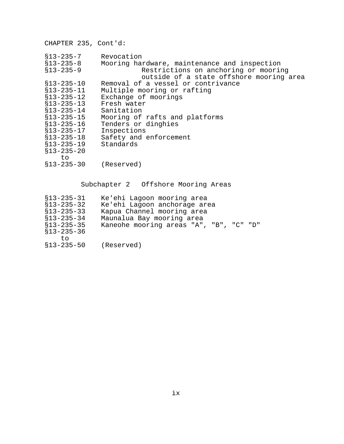| CHAPTER 235, Cont'd:                                  |                                                                                                                                                |
|-------------------------------------------------------|------------------------------------------------------------------------------------------------------------------------------------------------|
| $$13 - 235 - 7$<br>$$13 - 235 - 8$<br>$$13 - 235 - 9$ | Revocation<br>Mooring hardware, maintenance and inspection<br>Restrictions on anchoring or mooring<br>outside of a state offshore mooring area |
| $$13 - 235 - 10$                                      | Removal of a vessel or contrivance                                                                                                             |
| $$13 - 235 - 11$                                      | Multiple mooring or rafting                                                                                                                    |
| $$13 - 235 - 12$                                      | Exchange of moorings                                                                                                                           |
| $$13 - 235 - 13$                                      | Fresh water                                                                                                                                    |
| $$13-235-14$                                          | Sanitation                                                                                                                                     |
| $$13 - 235 - 15$                                      | Mooring of rafts and platforms                                                                                                                 |
| $$13 - 235 - 16$                                      | Tenders or dinghies                                                                                                                            |
| $$13 - 235 - 17$                                      | Inspections                                                                                                                                    |
| $$13 - 235 - 18$                                      | Safety and enforcement                                                                                                                         |
| $$13-235-19$                                          | Standards                                                                                                                                      |
| $$13 - 235 - 20$                                      |                                                                                                                                                |
| to.                                                   |                                                                                                                                                |
| $$13 - 235 - 30$                                      | (Reserved)                                                                                                                                     |
|                                                       |                                                                                                                                                |

## [Subchapter 2 Offshore Mooring Areas](#page-179-0)

| $$13 - 235 - 31$ | Ke'ehi Lagoon mooring area              |
|------------------|-----------------------------------------|
| $$13-235-32$     | Ke'ehi Lagoon anchorage area            |
| $$13 - 235 - 33$ | Kapua Channel mooring area              |
| $$13-235-34$     | Maunalua Bay mooring area               |
| $$13 - 235 - 35$ | Kaneohe mooring areas "A", "B", "C" "D" |
| $$13 - 235 - 36$ |                                         |
| to               |                                         |
| $$13 - 235 - 50$ | (Reserved)                              |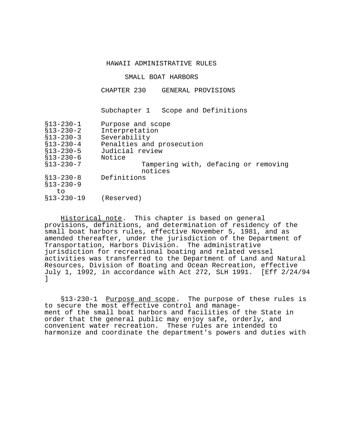#### <span id="page-10-0"></span>HAWAII ADMINISTRATIVE RULES

#### SMALL BOAT HARBORS

CHAPTER 230 GENERAL PROVISIONS

Subchapter 1 Scope and Definitions

| $$13 - 230 - 1$ | Purpose and scope                               |
|-----------------|-------------------------------------------------|
| $$13 - 230 - 2$ | Interpretation                                  |
| $$13 - 230 - 3$ | Severability                                    |
| $$13 - 230 - 4$ | Penalties and prosecution                       |
| $$13 - 230 - 5$ | Judicial review                                 |
| $$13 - 230 - 6$ | Notice                                          |
| $$13 - 230 - 7$ | Tampering with, defacing or removing<br>notices |
|                 |                                                 |
| $$13 - 230 - 8$ | Definitions                                     |
| $$13 - 230 - 9$ |                                                 |
| to              |                                                 |
| $$13-230-19$    | (Reserved)                                      |

Historical note. This chapter is based on general provisions, definitions, and determination of residency of the small boat harbors rules, effective November 5, 1981, and as amended thereafter, under the jurisdiction of the Department of Transportation, Harbors Division. The administrative jurisdiction for recreational boating and related vessel activities was transferred to the Department of Land and Natural Resources, Division of Boating and Ocean Recreation, effective July 1, 1992, in accordance with Act 272, SLH 1991. [Eff 2/24/94 ]

§13-230-1 Purpose and scope. The purpose of these rules is to secure the most effective control and management of the small boat harbors and facilities of the State in order that the general public may enjoy safe, orderly, and convenient water recreation. These rules are intended to harmonize and coordinate the department's powers and duties with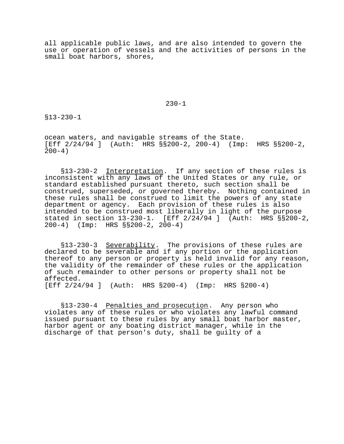<span id="page-11-0"></span>all applicable public laws, and are also intended to govern the use or operation of vessels and the activities of persons in the small boat harbors, shores,

230-1

§13-230-1

ocean waters, and navigable streams of the State. [Eff 2/24/94 ] (Auth: HRS §§200-2, 200-4) (Imp: HRS §§200-2,  $200 - 4$ 

§13-230-2 Interpretation. If any section of these rules is inconsistent with any laws of the United States or any rule, or standard established pursuant thereto, such section shall be construed, superseded, or governed thereby. Nothing contained in these rules shall be construed to limit the powers of any state department or agency. Each provision of these rules is also intended to be construed most liberally in light of the purpose stated in section 13-230-1. [Eff 2/24/94 ] (Auth: HRS §§200-2, 200-4) (Imp: HRS §§200-2, 200-4)

§13-230-3 Severability. The provisions of these rules are declared to be severable and if any portion or the application thereof to any person or property is held invalid for any reason, the validity of the remainder of these rules or the application of such remainder to other persons or property shall not be affected. [Eff 2/24/94 ] (Auth: HRS §200-4) (Imp: HRS §200-4)

§13-230-4 Penalties and prosecution. Any person who violates any of these rules or who violates any lawful command issued pursuant to these rules by any small boat harbor master, harbor agent or any boating district manager, while in the discharge of that person's duty, shall be guilty of a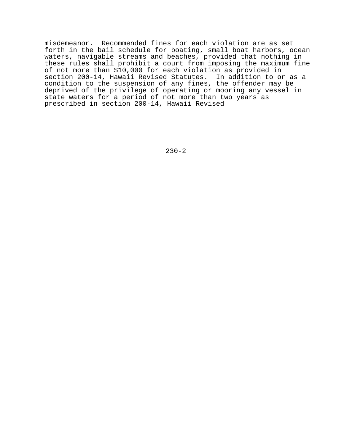misdemeanor. Recommended fines for each violation are as set forth in the bail schedule for boating, small boat harbors, ocean waters, navigable streams and beaches, provided that nothing in these rules shall prohibit a court from imposing the maximum fine of not more than \$10,000 for each violation as provided in section 200-14, Hawaii Revised Statutes. In addition to or as a condition to the suspension of any fines, the offender may be deprived of the privilege of operating or mooring any vessel in state waters for a period of not more than two years as prescribed in section 200-14, Hawaii Revised

230-2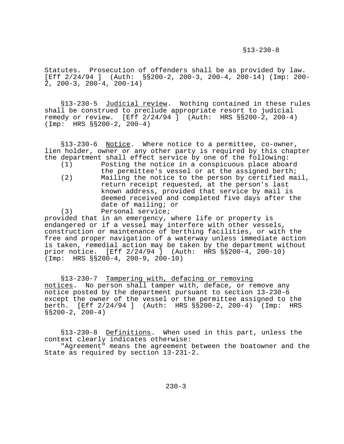<span id="page-13-0"></span>Statutes. Prosecution of offenders shall be as provided by law. [Eff 2/24/94 ] (Auth: §§200-2, 200-3, 200-4, 200-14) (Imp: 200- 2, 200-3, 200-4, 200-14)

§13-230-5 Judicial review. Nothing contained in these rules shall be construed to preclude appropriate resort to judicial remedy or review. [Eff 2/24/94 ] (Auth: HRS §§200-2, 200-4) (Imp: HRS §§200-2, 200-4)

§13-230-6 Notice. Where notice to a permittee, co-owner, lien holder, owner or any other party is required by this chapter the department shall effect service by one of the following:

(1) Posting the notice in a conspicuous place aboard the permittee's vessel or at the assigned berth; (2) Mailing the notice to the person by certified mail, return receipt requested, at the person's last known address, provided that service by mail is deemed received and completed five days after the date of mailing; or (3) Personal service;

provided that in an emergency, where life or property is endangered or if a vessel may interfere with other vessels, construction or maintenance of berthing facilities, or with the free and proper navigation of a waterway unless immediate action is taken, remedial action may be taken by the department without prior notice. [Eff 2/24/94 ] (Auth: HRS §§200-4, 200-10) (Imp: HRS §§200-4, 200-9, 200-10)

§13-230-7 Tampering with, defacing or removing notices. No person shall tamper with, deface, or remove any notice posted by the department pursuant to section 13-230-6 except the owner of the vessel or the permittee assigned to the berth. [Eff 2/24/94 ] (Auth: HRS §§200-2, 200-4) (Imp: HRS  $\S$ §200-2, 200-4)

§13-230-8 Definitions. When used in this part, unless the context clearly indicates otherwise:

"Agreement" means the agreement between the boatowner and the State as required by section 13-231-2.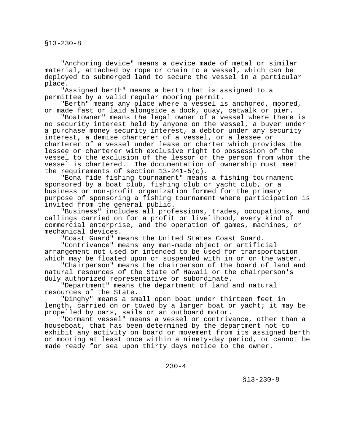"Anchoring device" means a device made of metal or similar material, attached by rope or chain to a vessel, which can be deployed to submerged land to secure the vessel in a particular place.

"Assigned berth" means a berth that is assigned to a permittee by a valid regular mooring permit.

"Berth" means any place where a vessel is anchored, moored, or made fast or laid alongside a dock, quay, catwalk or pier.

"Boatowner" means the legal owner of a vessel where there is no security interest held by anyone on the vessel, a buyer under a purchase money security interest, a debtor under any security interest, a demise charterer of a vessel, or a lessee or charterer of a vessel under lease or charter which provides the lessee or charterer with exclusive right to possession of the vessel to the exclusion of the lessor or the person from whom the vessel is chartered. The documentation of ownership must meet the requirements of section 13-241-5(c).

"Bona fide fishing tournament" means a fishing tournament sponsored by a boat club, fishing club or yacht club, or a business or non-profit organization formed for the primary purpose of sponsoring a fishing tournament where participation is invited from the general public.

"Business" includes all professions, trades, occupations, and callings carried on for a profit or livelihood, every kind of commercial enterprise, and the operation of games, machines, or mechanical devices.

"Coast Guard" means the United States Coast Guard.

"Contrivance" means any man-made object or artificial arrangement not used or intended to be used for transportation which may be floated upon or suspended with in or on the water.

"Chairperson" means the chairperson of the board of land and natural resources of the State of Hawaii or the chairperson's duly authorized representative or subordinate.

"Department" means the department of land and natural resources of the State.

"Dinghy" means a small open boat under thirteen feet in length, carried on or towed by a larger boat or yacht; it may be propelled by oars, sails or an outboard motor.

"Dormant vessel" means a vessel or contrivance, other than a houseboat, that has been determined by the department not to exhibit any activity on board or movement from its assigned berth or mooring at least once within a ninety-day period, or cannot be made ready for sea upon thirty days notice to the owner.

 $230 - 4$ 

§13-230-8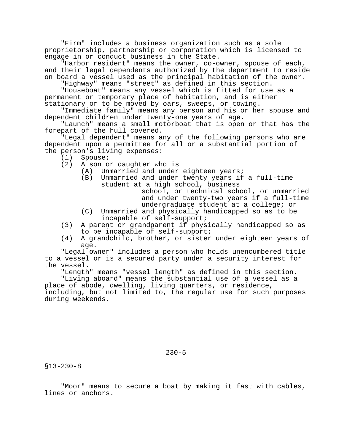"Firm" includes a business organization such as a sole proprietorship, partnership or corporation which is licensed to engage in or conduct business in the State.

"Harbor resident" means the owner, co-owner, spouse of each, and their legal dependents authorized by the department to reside on board a vessel used as the principal habitation of the owner.

"Highway" means "street" as defined in this section.

"Houseboat" means any vessel which is fitted for use as a permanent or temporary place of habitation, and is either stationary or to be moved by oars, sweeps, or towing.

"Immediate family" means any person and his or her spouse and dependent children under twenty-one years of age.

"Launch" means a small motorboat that is open or that has the forepart of the hull covered.

"Legal dependent" means any of the following persons who are dependent upon a permittee for all or a substantial portion of the person's living expenses:

- (1) Spouse;
- (2) A son or daughter who is
	- (A) Unmarried and under eighteen years;
	- (B) Unmarried and under twenty years if a full-time student at a high school, business

school, or technical school, or unmarried and under twenty-two years if a full-time undergraduate student at a college; or

- (C) Unmarried and physically handicapped so as to be incapable of self-support;
- (3) A parent or grandparent if physically handicapped so as to be incapable of self-support;
- (4) A grandchild, brother, or sister under eighteen years of age.

"Legal owner" includes a person who holds unencumbered title to a vessel or is a secured party under a security interest for the vessel.

"Length" means "vessel length" as defined in this section.

"Living aboard" means the substantial use of a vessel as a place of abode, dwelling, living quarters, or residence, including, but not limited to, the regular use for such purposes during weekends.

 $230 - 5$ 

§13-230-8

"Moor" means to secure a boat by making it fast with cables, lines or anchors.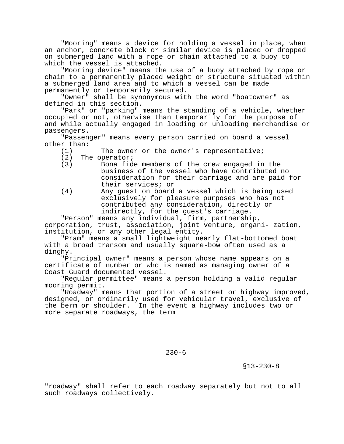"Mooring" means a device for holding a vessel in place, when an anchor, concrete block or similar device is placed or dropped on submerged land with a rope or chain attached to a buoy to which the vessel is attached.

"Mooring device" means the use of a buoy attached by rope or chain to a permanently placed weight or structure situated within a submerged land area and to which a vessel can be made permanently or temporarily secured.

"Owner" shall be synonymous with the word "boatowner" as defined in this section.

"Park" or "parking" means the standing of a vehicle, whether occupied or not, otherwise than temporarily for the purpose of and while actually engaged in loading or unloading merchandise or passengers.

"Passenger" means every person carried on board a vessel other than:

- (1) The owner or the owner's representative;
- (2) The operator;
- (3) Bona fide members of the crew engaged in the business of the vessel who have contributed no consideration for their carriage and are paid for their services; or
- (4) Any guest on board a vessel which is being used exclusively for pleasure purposes who has not contributed any consideration, directly or indirectly, for the guest's carriage.

"Person" means any individual, firm, partnership, corporation, trust, association, joint venture, organi- zation, institution, or any other legal entity.

"Pram" means a small lightweight nearly flat-bottomed boat with a broad transom and usually square-bow often used as a dinghy.

"Principal owner" means a person whose name appears on a certificate of number or who is named as managing owner of a Coast Guard documented vessel.

"Regular permittee" means a person holding a valid regular mooring permit.

"Roadway" means that portion of a street or highway improved, designed, or ordinarily used for vehicular travel, exclusive of the berm or shoulder. In the event a highway includes two or more separate roadways, the term

 $230 - 6$ 

§13-230-8

"roadway" shall refer to each roadway separately but not to all such roadways collectively.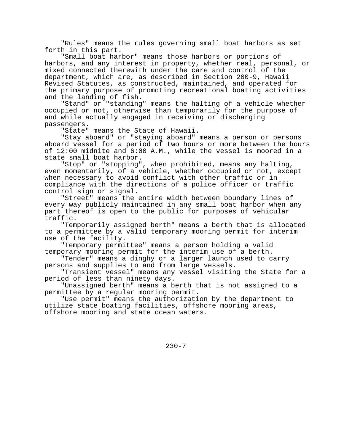"Rules" means the rules governing small boat harbors as set forth in this part.

"Small boat harbor" means those harbors or portions of harbors, and any interest in property, whether real, personal, or mixed connected therewith under the care and control of the department, which are, as described in Section 200-9, Hawaii Revised Statutes, as constructed, maintained, and operated for the primary purpose of promoting recreational boating activities and the landing of fish.

"Stand" or "standing" means the halting of a vehicle whether occupied or not, otherwise than temporarily for the purpose of and while actually engaged in receiving or discharging passengers.

"State" means the State of Hawaii.

"Stay aboard" or "staying aboard" means a person or persons aboard vessel for a period of two hours or more between the hours of 12:00 midnite and 6:00 A.M., while the vessel is moored in a state small boat harbor.

"Stop" or "stopping", when prohibited, means any halting, even momentarily, of a vehicle, whether occupied or not, except when necessary to avoid conflict with other traffic or in compliance with the directions of a police officer or traffic control sign or signal.

"Street" means the entire width between boundary lines of every way publicly maintained in any small boat harbor when any part thereof is open to the public for purposes of vehicular traffic.

"Temporarily assigned berth" means a berth that is allocated to a permittee by a valid temporary mooring permit for interim use of the facility.

"Temporary permittee" means a person holding a valid temporary mooring permit for the interim use of a berth.

"Tender" means a dinghy or a larger launch used to carry persons and supplies to and from large vessels.

"Transient vessel" means any vessel visiting the State for a period of less than ninety days.

"Unassigned berth" means a berth that is not assigned to a permittee by a regular mooring permit.

"Use permit" means the authorization by the department to utilize state boating facilities, offshore mooring areas, offshore mooring and state ocean waters.

 $230 - 7$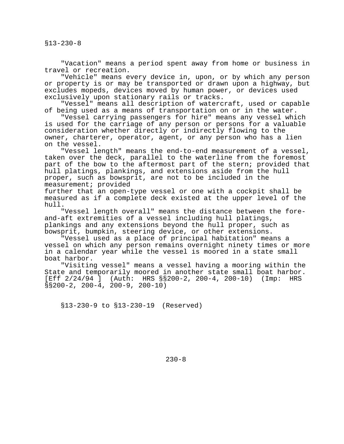<span id="page-18-0"></span>"Vacation" means a period spent away from home or business in travel or recreation.

"Vehicle" means every device in, upon, or by which any person or property is or may be transported or drawn upon a highway, but excludes mopeds, devices moved by human power, or devices used exclusively upon stationary rails or tracks.

"Vessel" means all description of watercraft, used or capable of being used as a means of transportation on or in the water.

"Vessel carrying passengers for hire" means any vessel which is used for the carriage of any person or persons for a valuable consideration whether directly or indirectly flowing to the owner, charterer, operator, agent, or any person who has a lien on the vessel.

"Vessel length" means the end-to-end measurement of a vessel, taken over the deck, parallel to the waterline from the foremost part of the bow to the aftermost part of the stern; provided that hull platings, plankings, and extensions aside from the hull proper, such as bowsprit, are not to be included in the measurement; provided

further that an open-type vessel or one with a cockpit shall be measured as if a complete deck existed at the upper level of the hull.

"Vessel length overall" means the distance between the foreand-aft extremities of a vessel including hull platings, plankings and any extensions beyond the hull proper, such as bowsprit, bumpkin, steering device, or other extensions.

"Vessel used as a place of principal habitation" means a vessel on which any person remains overnight ninety times or more in a calendar year while the vessel is moored in a state small boat harbor.

"Visiting vessel" means a vessel having a mooring within the State and temporarily moored in another state small boat harbor. [Eff 2/24/94 ] (Auth: HRS §§200-2, 200-4, 200-10) (Imp: HRS §§200-2, 200-4, 200-9, 200-10)

§13-230-9 to §13-230-19 (Reserved)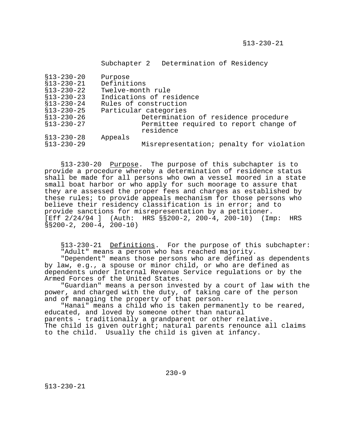<span id="page-19-0"></span>Subchapter 2 Determination of Residency §13-230-20 Purpose §13-230-21 Definitions [§13-230-22 Twelve-month rule](#page-20-0) Indications of residence [§13-230-24 Rules of construction](#page-21-0) [§13-230-25 Particular categories](#page-22-0) [§13-230-26 Determination of residence procedure](#page-24-0) Permittee required to report change of residence [§13-230-28 Appeals](#page-25-0) [§13-230-29 Misrepresentation; penalty for violation](#page-26-0)

§13-230-20 Purpose. The purpose of this subchapter is to provide a procedure whereby a determination of residence status shall be made for all persons who own a vessel moored in a state small boat harbor or who apply for such moorage to assure that they are assessed the proper fees and charges as established by these rules; to provide appeals mechanism for those persons who believe their residency classification is in error; and to provide sanctions for misrepresentation by a petitioner. [Eff 2/24/94 ] (Auth: HRS §§200-2, 200-4, 200-10) (Imp: HRS §§200-2, 200-4, 200-10)

§13-230-21 Definitions. For the purpose of this subchapter: "Adult" means a person who has reached majority.

"Dependent" means those persons who are defined as dependents by law, e.g., a spouse or minor child, or who are defined as dependents under Internal Revenue Service regulations or by the Armed Forces of the United States.

"Guardian" means a person invested by a court of law with the power, and charged with the duty, of taking care of the person and of managing the property of that person.

"Hanai" means a child who is taken permanently to be reared, educated, and loved by someone other than natural parents - traditionally a grandparent or other relative. The child is given outright; natural parents renounce all claims to the child. Usually the child is given at infancy.

§13-230-21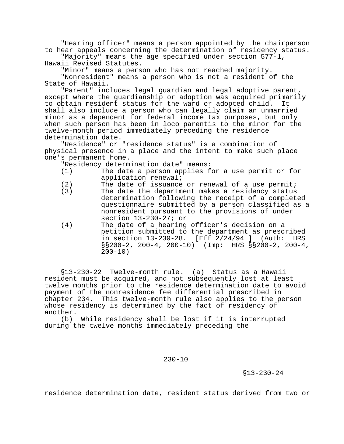<span id="page-20-0"></span>"Hearing officer" means a person appointed by the chairperson to hear appeals concerning the determination of residency status.

"Majority" means the age specified under section 577-1, Hawaii Revised Statutes.

"Minor" means a person who has not reached majority.

"Nonresident" means a person who is not a resident of the State of Hawaii.

"Parent" includes legal guardian and legal adoptive parent, except where the guardianship or adoption was acquired primarily to obtain resident status for the ward or adopted child. It shall also include a person who can legally claim an unmarried minor as a dependent for federal income tax purposes, but only when such person has been in loco parentis to the minor for the twelve-month period immediately preceding the residence determination date.

"Residence" or "residence status" is a combination of physical presence in a place and the intent to make such place one's permanent home.

"Residency determination date" means:

- (1) The date a person applies for a use permit or for application renewal;
- (2) The date of issuance or renewal of a use permit;<br>(3) The date the department makes a residency status
- The date the department makes a residency status determination following the receipt of a completed questionnaire submitted by a person classified as a nonresident pursuant to the provisions of under section 13-230-27; or
- (4) The date of a hearing officer's decision on a petition submitted to the department as prescribed in section 13-230-28. [Eff 2/24/94 ] (Auth: HRS §§200-2, 200-4, 200-10) (Imp: HRS §§200-2, 200-4,  $200 - 10$

§13-230-22 Twelve-month rule. (a) Status as a Hawaii resident must be acquired, and not subsequently lost at least twelve months prior to the residence determination date to avoid payment of the nonresidence fee differential prescribed in chapter 234. This twelve-month rule also applies to the person whose residency is determined by the fact of residency of another.

(b) While residency shall be lost if it is interrupted during the twelve months immediately preceding the

230-10

§13-230-24

residence determination date, resident status derived from two or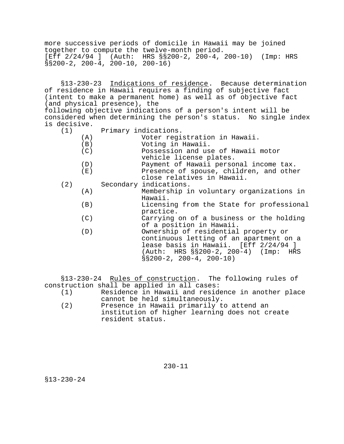<span id="page-21-0"></span>more successive periods of domicile in Hawaii may be joined together to compute the twelve-month period. [Eff 2/24/94 ] (Auth: HRS §§200-2, 200-4, 200-10) (Imp: HRS §§200-2, 200-4, 200-10, 200-16)

§13-230-23 Indications of residence. Because determination of residence in Hawaii requires a finding of subjective fact (intent to make a permanent home) as well as of objective fact (and physical presence), the

following objective indications of a person's intent will be considered when determining the person's status. No single index is decisive.

(1) Primary indications. (A) Voter registration in Hawaii. (B) Voting in Hawaii. (C) Possession and use of Hawaii motor vehicle license plates. (D) Payment of Hawaii personal income tax.<br>(E) Presence of spouse, children, and othe Presence of spouse, children, and other close relatives in Hawaii. (2) Secondary indications. (A) Membership in voluntary organizations in Hawaii. (B) Licensing from the State for professional practice. (C) Carrying on of a business or the holding of a position in Hawaii. (D) Ownership of residential property or continuous letting of an apartment on a lease basis in Hawaii. [Eff 2/24/94 ] (Auth: HRS §§200-2, 200-4) (Imp: HRS §§200-2, 200-4, 200-10)

§13-230-24 Rules of construction. The following rules of construction shall be applied in all cases:

- (1) Residence in Hawaii and residence in another place cannot be held simultaneously.
	- (2) Presence in Hawaii primarily to attend an institution of higher learning does not create resident status.

§13-230-24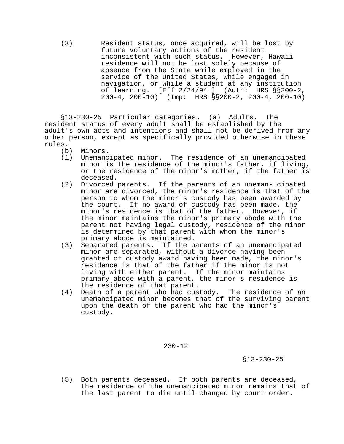<span id="page-22-0"></span>(3) Resident status, once acquired, will be lost by future voluntary actions of the resident inconsistent with such status. However, Hawaii residence will not be lost solely because of absence from the State while employed in the service of the United States, while engaged in navigation, or while a student at any institution of learning. [Eff 2/24/94 ] (Auth: HRS §§200-2, 200-4, 200-10) (Imp: HRS §§200-2, 200-4, 200-10)

§13-230-25 Particular categories. (a) Adults. The resident status of every adult shall be established by the adult's own acts and intentions and shall not be derived from any other person, except as specifically provided otherwise in these rules.

- (b) Minors.
- (1) Unemancipated minor. The residence of an unemancipated minor is the residence of the minor's father, if living, or the residence of the minor's mother, if the father is deceased.
- (2) Divorced parents. If the parents of an uneman- cipated minor are divorced, the minor's residence is that of the person to whom the minor's custody has been awarded by the court. If no award of custody has been made, the minor's residence is that of the father. However, if the minor maintains the minor's primary abode with the parent not having legal custody, residence of the minor is determined by that parent with whom the minor's primary abode is maintained.
- (3) Separated parents. If the parents of an unemancipated minor are separated, without a divorce having been granted or custody award having been made, the minor's residence is that of the father if the minor is not living with either parent. If the minor maintains primary abode with a parent, the minor's residence is the residence of that parent.
- (4) Death of a parent who had custody. The residence of an unemancipated minor becomes that of the surviving parent upon the death of the parent who had the minor's custody.

230-12

§13-230-25

(5) Both parents deceased. If both parents are deceased, the residence of the unemancipated minor remains that of the last parent to die until changed by court order.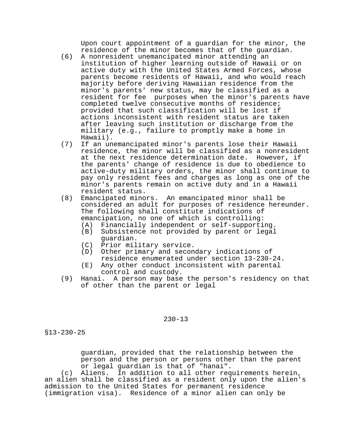Upon court appointment of a guardian for the minor, the residence of the minor becomes that of the guardian.

- (6) A nonresident unemancipated minor attending an institution of higher learning outside of Hawaii or on active duty with the United States Armed Forces, whose parents become residents of Hawaii, and who would reach majority before deriving Hawaiian residence from the minor's parents' new status, may be classified as a resident for fee purposes when the minor's parents have completed twelve consecutive months of residence; provided that such classification will be lost if actions inconsistent with resident status are taken after leaving such institution or discharge from the military (e.g., failure to promptly make a home in Hawaii).
- (7) If an unemancipated minor's parents lose their Hawaii residence, the minor will be classified as a nonresident at the next residence determination date. However, if the parents' change of residence is due to obedience to active-duty military orders, the minor shall continue to pay only resident fees and charges as long as one of the minor's parents remain on active duty and in a Hawaii resident status.
- (8) Emancipated minors. An emancipated minor shall be considered an adult for purposes of residence hereunder. The following shall constitute indications of emancipation, no one of which is controlling:
	- (A) Financially independent or self-supporting.
	- (B) Subsistence not provided by parent or legal guardian.
	- (C) Prior military service.
	- (D) Other primary and secondary indications of residence enumerated under section 13-230-24.
	- (E) Any other conduct inconsistent with parental control and custody.
- (9) Hanai. A person may base the person's residency on that of other than the parent or legal

#### 230-13

§13-230-25

guardian, provided that the relationship between the person and the person or persons other than the parent or legal guardian is that of "hanai".

(c) Aliens. In addition to all other requirements herein, an alien shall be classified as a resident only upon the alien's admission to the United States for permanent residence (immigration visa). Residence of a minor alien can only be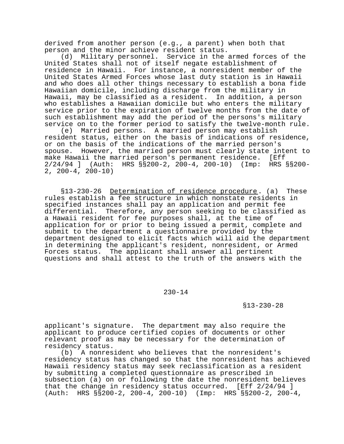<span id="page-24-0"></span>derived from another person (e.g., a parent) when both that person and the minor achieve resident status.

(d) Military personnel. Service in the armed forces of the United States shall not of itself negate establishment of residence in Hawaii. For instance, a nonresident member of the United States Armed Forces whose last duty station is in Hawaii and who does all other things necessary to establish a bona fide Hawaiian domicile, including discharge from the military in Hawaii, may be classified as a resident. In addition, a person who establishes a Hawaiian domicile but who enters the military service prior to the expiration of twelve months from the date of such establishment may add the period of the persons's military service on to the former period to satisfy the twelve-month rule.

(e) Married persons. A married person may establish resident status, either on the basis of indications of residence, or on the basis of the indications of the married person's spouse. However, the married person must clearly state intent to make Hawaii the married person's permanent residence. [Eff 2/24/94 ] (Auth: HRS §§200-2, 200-4, 200-10) (Imp: HRS §§200- 2, 200-4, 200-10)

§13-230-26 Determination of residence procedure. (a) These rules establish a fee structure in which nonstate residents in specified instances shall pay an application and permit fee differential. Therefore, any person seeking to be classified as a Hawaii resident for fee purposes shall, at the time of application for or prior to being issued a permit, complete and submit to the department a questionnaire provided by the department designed to elicit facts which will aid the department in determining the applicant's resident, nonresident, or Armed Forces status. The applicant shall answer all pertinent questions and shall attest to the truth of the answers with the

#### 230-14

## §13-230-28

applicant's signature. The department may also require the applicant to produce certified copies of documents or other relevant proof as may be necessary for the determination of residency status.

(b) A nonresident who believes that the nonresident's residency status has changed so that the nonresident has achieved Hawaii residency status may seek reclassification as a resident by submitting a completed questionnaire as prescribed in subsection (a) on or following the date the nonresident believes that the change in residency status occurred. [Eff 2/24/94 ] (Auth: HRS §§200-2, 200-4, 200-10) (Imp: HRS §§200-2, 200-4,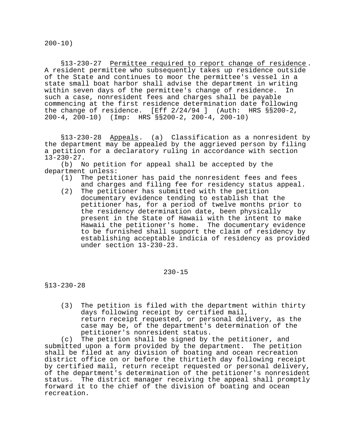<span id="page-25-0"></span> $200 - 10$ 

§13-230-27 Permittee required to report change of residence . A resident permittee who subsequently takes up residence outside of the State and continues to moor the permittee's vessel in a state small boat harbor shall advise the department in writing within seven days of the permittee's change of residence. In such a case, nonresident fees and charges shall be payable commencing at the first residence determination date following the change of residence. [Eff 2/24/94 ] (Auth: HRS §§200-2, 200-4, 200-10) (Imp: HRS §§200-2, 200-4, 200-10)

§13-230-28 Appeals. (a) Classification as a nonresident by the department may be appealed by the aggrieved person by filing a petition for a declaratory ruling in accordance with section 13-230-27.

(b) No petition for appeal shall be accepted by the department unless:

- (1) The petitioner has paid the nonresident fees and fees and charges and filing fee for residency status appeal.
- (2) The petitioner has submitted with the petition documentary evidence tending to establish that the petitioner has, for a period of twelve months prior to the residency determination date, been physically present in the State of Hawaii with the intent to make Hawaii the petitioner's home. The documentary evidence to be furnished shall support the claim of residency by establishing acceptable indicia of residency as provided under section 13-230-23.

230-15

§13-230-28

(3) The petition is filed with the department within thirty days following receipt by certified mail, return receipt requested, or personal delivery, as the case may be, of the department's determination of the petitioner's nonresident status.

(c) The petition shall be signed by the petitioner, and submitted upon a form provided by the department. The petition shall be filed at any division of boating and ocean recreation district office on or before the thirtieth day following receipt by certified mail, return receipt requested or personal delivery, of the department's determination of the petitioner's nonresident status. The district manager receiving the appeal shall promptly forward it to the chief of the division of boating and ocean recreation.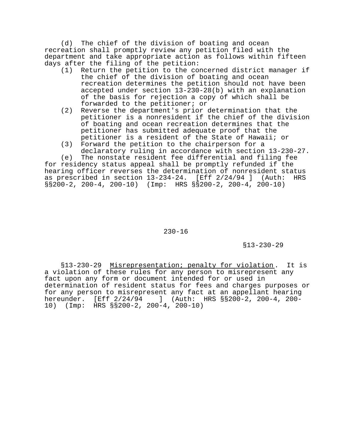<span id="page-26-0"></span>(d) The chief of the division of boating and ocean recreation shall promptly review any petition filed with the department and take appropriate action as follows within fifteen days after the filing of the petition:

- (1) Return the petition to the concerned district manager if the chief of the division of boating and ocean recreation determines the petition should not have been accepted under section 13-230-28(b) with an explanation of the basis for rejection a copy of which shall be forwarded to the petitioner; or
- (2) Reverse the department's prior determination that the petitioner is a nonresident if the chief of the division of boating and ocean recreation determines that the petitioner has submitted adequate proof that the petitioner is a resident of the State of Hawaii; or
- (3) Forward the petition to the chairperson for a declaratory ruling in accordance with section 13-230-27.

(e) The nonstate resident fee differential and filing fee for residency status appeal shall be promptly refunded if the hearing officer reverses the determination of nonresident status as prescribed in section 13-234-24. [Eff 2/24/94 ] (Auth: HRS §§200-2, 200-4, 200-10) (Imp: HRS §§200-2, 200-4, 200-10)

#### 230-16

#### §13-230-29

§13-230-29 Misrepresentation; penalty for violation . It is a violation of these rules for any person to misrepresent any fact upon any form or document intended for or used in determination of resident status for fees and charges purposes or for any person to misrepresent any fact at an appellant hearing hereunder. [Eff  $2/24/94$  ] (Auth: HRS §§200-2, 200-4, 200-10) (Imp: HRS §§200-2, 200-4, 200-10)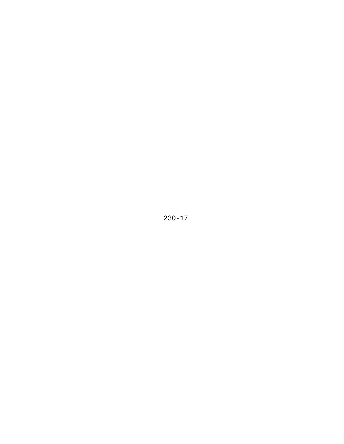230-17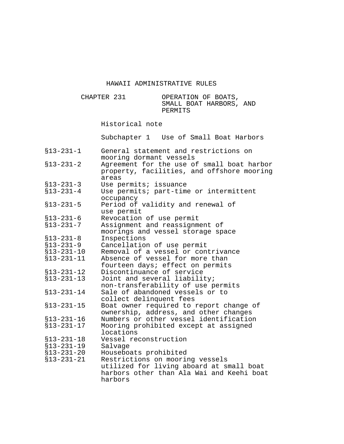## HAWAII ADMINISTRATIVE RULES

<span id="page-28-0"></span>CHAPTER 231 OPERATION OF BOATS, SMALL BOAT HARBORS, AND PERMITS

[Historical note](#page-31-0)

[Subchapter 1 Use of Small Boat Harbors](#page-31-0)

| $$13-231-1$      | General statement and restrictions on                                 |
|------------------|-----------------------------------------------------------------------|
| $$13 - 231 - 2$  | mooring dormant vessels<br>Agreement for the use of small boat harbor |
|                  | property, facilities, and offshore mooring                            |
|                  | areas                                                                 |
| $$13 - 231 - 3$  | Use permits; issuance                                                 |
| $$13 - 231 - 4$  | Use permits; part-time or intermittent<br>occupancy                   |
| $$13 - 231 - 5$  | Period of validity and renewal of                                     |
|                  | use permit                                                            |
| $$13 - 231 - 6$  |                                                                       |
| $$13 - 231 - 7$  | Revocation of use permit                                              |
|                  | Assignment and reassignment of                                        |
|                  | moorings and vessel storage space                                     |
| $$13 - 231 - 8$  | Inspections                                                           |
| $$13 - 231 - 9$  | Cancellation of use permit                                            |
| $$13-231-10$     | Removal of a vessel or contrivance                                    |
| $$13 - 231 - 11$ | Absence of vessel for more than                                       |
|                  | fourteen days; effect on permits                                      |
| $$13-231-12$     | Discontinuance of service                                             |
| $$13 - 231 - 13$ | Joint and several liability;                                          |
|                  | non-transferability of use permits                                    |
| $$13 - 231 - 14$ | Sale of abandoned vessels or to                                       |
|                  | collect delinquent fees                                               |
| $$13 - 231 - 15$ | Boat owner required to report change of                               |
|                  | ownership, address, and other changes                                 |
| $$13 - 231 - 16$ | Numbers or other vessel identification                                |
| $$13 - 231 - 17$ | Mooring prohibited except at assigned                                 |
|                  | locations                                                             |
| $$13 - 231 - 18$ | Vessel reconstruction                                                 |
| $$13 - 231 - 19$ | Salvage                                                               |
| $$13 - 231 - 20$ | Houseboats prohibited                                                 |
| $$13 - 231 - 21$ | Restrictions on mooring vessels                                       |
|                  | utilized for living aboard at small boat                              |
|                  | harbors other than Ala Wai and Keehi boat                             |
|                  | harbors                                                               |
|                  |                                                                       |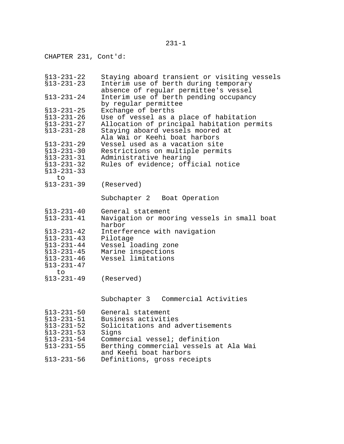## 231-1

CHAPTER 231, Cont'd:

| $$13-231-22$<br>$$13 - 231 - 23$                                                                   | Staying aboard transient or visiting vessels<br>Interim use of berth during temporary<br>absence of regular permittee's vessel     |
|----------------------------------------------------------------------------------------------------|------------------------------------------------------------------------------------------------------------------------------------|
| $$13 - 231 - 24$                                                                                   | Interim use of berth pending occupancy<br>by regular permittee                                                                     |
| $$13 - 231 - 25$<br>$$13 - 231 - 26$                                                               | Exchange of berths<br>Use of vessel as a place of habitation                                                                       |
| $$13 - 231 - 27$<br>$$13 - 231 - 28$                                                               | Allocation of principal habitation permits<br>Staying aboard vessels moored at<br>Ala Wai or Keehi boat harbors                    |
| $$13-231-29$<br>$$13 - 231 - 30$<br>$$13 - 231 - 31$<br>$$13 - 231 - 32$<br>$$13 - 231 - 33$<br>to | Vessel used as a vacation site<br>Restrictions on multiple permits<br>Administrative hearing<br>Rules of evidence; official notice |
| $$13 - 231 - 39$                                                                                   | (Reserved)                                                                                                                         |
|                                                                                                    | Subchapter 2 Boat Operation                                                                                                        |
| $$13 - 231 - 40$<br>$$13 - 231 - 41$                                                               | General statement<br>Navigation or mooring vessels in small boat<br>harbor                                                         |
| $$13-231-42$<br>$$13-231-43$                                                                       | Interference with navigation<br>Pilotage                                                                                           |
| $$13 - 231 - 44$<br>$$13 - 231 - 45$                                                               | Vessel loading zone<br>Marine inspections                                                                                          |
| $$13 - 231 - 46$<br>$$13 - 231 - 47$<br>to                                                         | Vessel limitations                                                                                                                 |
| $$13 - 231 - 49$                                                                                   | (Reserved)                                                                                                                         |
|                                                                                                    | Commercial Activities<br>Subchapter 3                                                                                              |
| $$13 - 231 - 50$<br>$$13-231-51$<br>$$13 - 231 - 52$<br>$$13 - 231 - 53$                           | General statement<br>Business activities<br>Solicitations and advertisements<br>Signs                                              |
| $$13 - 231 - 54$<br>$$13 - 231 - 55$                                                               | Commercial vessel; definition<br>Berthing commercial vessels at Ala Wai                                                            |
| $$13 - 231 - 56$                                                                                   | and Keehi boat harbors<br>Definitions, gross receipts                                                                              |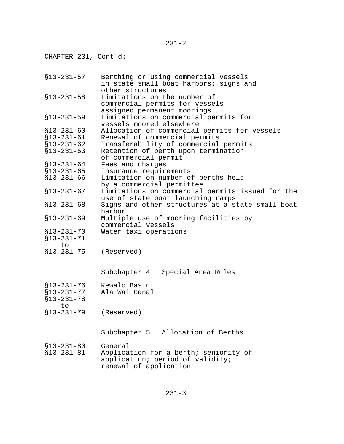## 231-2

CHAPTER 231, Cont'd:

| $$13 - 231 - 57$                | Berthing or using commercial vessels<br>in state small boat harbors; signs and<br>other structures  |
|---------------------------------|-----------------------------------------------------------------------------------------------------|
| $$13 - 231 - 58$                | Limitations on the number of<br>commercial permits for vessels<br>assigned permanent moorings       |
| $$13 - 231 - 59$                | Limitations on commercial permits for<br>vessels moored elsewhere                                   |
| \$13-231-60                     | Allocation of commercial permits for vessels                                                        |
| $$13 - 231 - 61$                | Renewal of commercial permits                                                                       |
| $$13 - 231 - 62$                | Transferability of commercial permits                                                               |
| $$13 - 231 - 63$                | Retention of berth upon termination<br>of commercial permit                                         |
| $$13 - 231 - 64$                | Fees and charges                                                                                    |
| $$13 - 231 - 65$                | Insurance requirements                                                                              |
| $$13 - 231 - 66$                | Limitation on number of berths held<br>by a commercial permittee                                    |
| $$13 - 231 - 67$                | Limitations on commercial permits issued for the<br>use of state boat launching ramps               |
| $$13 - 231 - 68$                | Signs and other structures at a state small boat<br>harbor                                          |
| $$13 - 231 - 69$                | Multiple use of mooring facilities by<br>commercial vessels                                         |
| \$13-231-70<br>$$13 - 231 - 71$ | Water taxi operations                                                                               |
| to                              |                                                                                                     |
| $$13 - 231 - 75$                | (Reserved)                                                                                          |
|                                 | Subchapter 4 Special Area Rules                                                                     |
| \$13-231-76                     | Kewalo Basin                                                                                        |
| $$13 - 231 - 77$                | Ala Wai Canal                                                                                       |
| $$13 - 231 - 78$                |                                                                                                     |
| to                              |                                                                                                     |
| $$13 - 231 - 79$                | (Reserved)                                                                                          |
|                                 | Subchapter 5 Allocation of Berths                                                                   |
| $$13 - 231 - 80$                | General                                                                                             |
| $$13 - 231 - 81$                | Application for a berth; seniority of<br>application; period of validity;<br>renewal of application |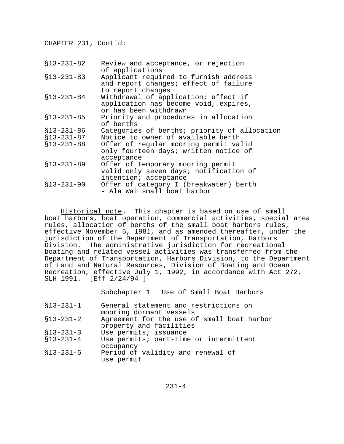<span id="page-31-0"></span>CHAPTER 231, Cont'd:

| $$13-231-82$     | Review and acceptance, or rejection<br>of applications                                                 |
|------------------|--------------------------------------------------------------------------------------------------------|
| $$13 - 231 - 83$ | Applicant required to furnish address<br>and report changes; effect of failure<br>to report changes    |
| $$13-231-84$     | Withdrawal of application; effect if<br>application has become void, expires,<br>or has been withdrawn |
| $$13 - 231 - 85$ | Priority and procedures in allocation<br>of berths                                                     |
| $$13 - 231 - 86$ | Categories of berths; priority of allocation                                                           |
| $$13-231-87$     | Notice to owner of available berth                                                                     |
| $$13 - 231 - 88$ | Offer of regular mooring permit valid<br>only fourteen days; written notice of<br>acceptance           |
| $$13 - 231 - 89$ | Offer of temporary mooring permit<br>valid only seven days; notification of<br>intention; acceptance   |
| $$13-231-90$     | Offer of category I (breakwater) berth<br>- Ala Wai small boat harbor                                  |

Historical note. This chapter is based on use of small boat harbors, boat operation, commercial activities, special area rules, allocation of berths of the small boat harbors rules, effective November 5, 1981, and as amended thereafter, under the jurisdiction of the Department of Transportation, Harbors Division. The administrative jurisdiction for recreational boating and related vessel activities was transferred from the Department of Transportation, Harbors Division, to the Department of Land and Natural Resources, Division of Boating and Ocean Recreation, effective July 1, 1992, in accordance with Act 272, SLH 1991. [Eff 2/24/94 ]

Subchapter 1 Use of Small Boat Harbors

| $$13 - 231 - 1$ | General statement and restrictions on      |
|-----------------|--------------------------------------------|
|                 | mooring dormant vessels                    |
| $$13 - 231 - 2$ | Agreement for the use of small boat harbor |
|                 | property and facilities                    |
| $$13 - 231 - 3$ | Use permits; issuance                      |
| $$13 - 231 - 4$ | Use permits; part-time or intermittent     |
|                 | occupancy                                  |
| $$13 - 231 - 5$ | Period of validity and renewal of          |
|                 | use permit                                 |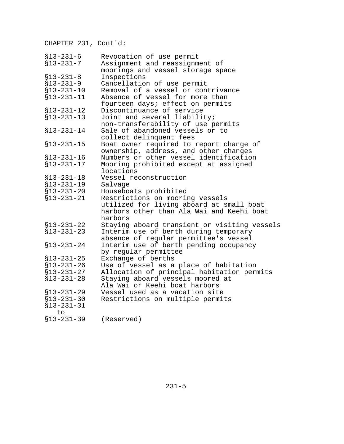CHAPTER 231, Cont'd: [§13-231-6 Revocation of use permit](#page-36-0) [§13-231-7 Assignment and reassignment of](#page-37-0) moorings and vessel storage space [§13-231-8 Inspections](#page-37-0) [§13-231-9 Cancellation of use permit](#page-37-0) [§13-231-10 Removal of a vessel or contrivance](#page-37-0) [§13-231-11 Absence of vessel for more than](#page-38-0) fourteen days; effect on permits §13-231-12 Discontinuance of service [§13-231-13 Joint and several liability;](#page-40-0) non-transferability of use permits [§13-231-14 Sale of abandoned vessels or to](#page-42-0) collect delinquent fees [§13-231-15 Boat owner required to report change of](#page-42-0) ownership, address, and other changes [§13-231-16 Numbers or other vessel identification](#page-43-0) [§13-231-17 Mooring prohibited except at assigned](#page-43-0) locations [§13-231-18 Vessel reconstruction](#page-45-0) [§13-231-19 Salvage](#page-45-0) [§13-231-20 Houseboats prohibited](#page-45-0) [§13-231-21 Restrictions on mooring vessels](#page-46-0) utilized for living aboard at small boat harbors other than Ala Wai and Keehi boat harbors [§13-231-22 Staying aboard transient or visiting vessels](#page-47-0) [§13-231-23 Interim use of berth during temporary](#page-47-0) absence of regular permittee's vessel [§13-231-24 Interim use of berth pending occupancy](#page-48-0) by regular permittee [§13-231-25 Exchange of berths](#page-49-0) [§13-231-26 Use of vessel as a place of habitation](#page-49-0) [§13-231-27 Allocation of principal habitation permits](#page-50-0)<br>§13-231-28 Staying aboard vessels moored at Staying aboard vessels moored at Ala Wai or Keehi boat harbors [§13-231-29 Vessel used as a vacation site](#page-56-0) [§13-231-30 Restrictions on multiple permits](#page-56-0) §13-231-31 to [§13-231-39 \(Reserved\)](#page-58-0)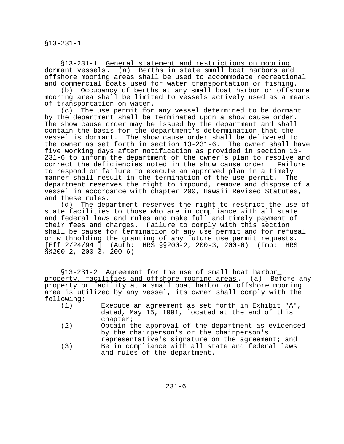<span id="page-33-0"></span>§13-231-1

§13-231-1 General statement and restrictions on mooring dormant vessels. (a) Berths in state small boat harbors and offshore mooring areas shall be used to accommodate recreational and commercial boats used for water transportation or fishing.

(b) Occupancy of berths at any small boat harbor or offshore mooring area shall be limited to vessels actively used as a means of transportation on water.

(c) The use permit for any vessel determined to be dormant by the department shall be terminated upon a show cause order. The show cause order may be issued by the department and shall contain the basis for the department's determination that the vessel is dormant. The show cause order shall be delivered to the owner as set forth in section 13-231-6. The owner shall have five working days after notification as provided in section 13- 231-6 to inform the department of the owner's plan to resolve and correct the deficiencies noted in the show cause order. Failure to respond or failure to execute an approved plan in a timely manner shall result in the termination of the use permit. The department reserves the right to impound, remove and dispose of a vessel in accordance with chapter 200, Hawaii Revised Statutes, and these rules.

(d) The department reserves the right to restrict the use of state facilities to those who are in compliance with all state and federal laws and rules and make full and timely payment of their fees and charges. Failure to comply with this section shall be cause for termination of any use permit and for refusal or withholding the granting of any future use permit requests. [Eff 2/24/94 ] (Auth: HRS §§200-2, 200-3, 200-6) (Imp: HRS §§200-2, 200-3, 200-6)

§13-231-2 Agreement for the use of small boat harbor\_ property, facilities and offshore mooring areas . (a) Before any property or facility at a small boat harbor or offshore mooring area is utilized by any vessel, its owner shall comply with the following:

- (1) Execute an agreement as set forth in Exhibit "A", dated, May 15, 1991, located at the end of this chapter;
- (2) Obtain the approval of the department as evidenced by the chairperson's or the chairperson's representative's signature on the agreement; and
- (3) Be in compliance with all state and federal laws and rules of the department.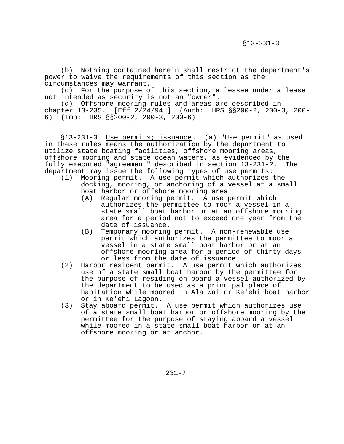<span id="page-34-0"></span>(b) Nothing contained herein shall restrict the department's power to waive the requirements of this section as the circumstances may warrant.

(c) For the purpose of this section, a lessee under a lease not intended as security is not an "owner".

(d) Offshore mooring rules and areas are described in chapter 13-235. [Eff 2/24/94 ] (Auth: HRS §§200-2, 200-3, 200- 6) (Imp: HRS §§200-2, 200-3, 200-6)

§13-231-3 Use permits; issuance. (a) "Use permit" as used in these rules means the authorization by the department to utilize state boating facilities, offshore mooring areas, offshore mooring and state ocean waters, as evidenced by the fully executed "agreement" described in section 13-231-2. The department may issue the following types of use permits:

- (1) Mooring permit. A use permit which authorizes the docking, mooring, or anchoring of a vessel at a small boat harbor or offshore mooring area.
	- (A) Regular mooring permit. A use permit which authorizes the permittee to moor a vessel in a state small boat harbor or at an offshore mooring area for a period not to exceed one year from the date of issuance.
	- (B) Temporary mooring permit. A non-renewable use permit which authorizes the permittee to moor a vessel in a state small boat harbor or at an offshore mooring area for a period of thirty days or less from the date of issuance.
- (2) Harbor resident permit. A use permit which authorizes use of a state small boat harbor by the permittee for the purpose of residing on board a vessel authorized by the department to be used as a principal place of habitation while moored in Ala Wai or Ke'ehi boat harbor or in Ke'ehi Lagoon.
- (3) Stay aboard permit. A use permit which authorizes use of a state small boat harbor or offshore mooring by the permittee for the purpose of staying aboard a vessel while moored in a state small boat harbor or at an offshore mooring or at anchor.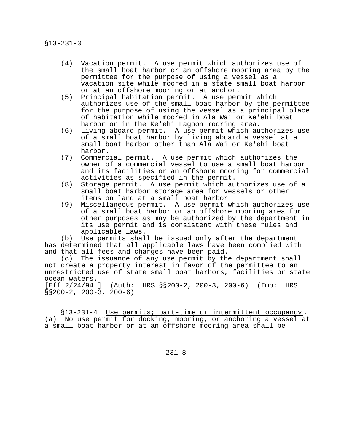<span id="page-35-0"></span>§13-231-3

- (4) Vacation permit. A use permit which authorizes use of the small boat harbor or an offshore mooring area by the permittee for the purpose of using a vessel as a vacation site while moored in a state small boat harbor or at an offshore mooring or at anchor.
- (5) Principal habitation permit. A use permit which authorizes use of the small boat harbor by the permittee for the purpose of using the vessel as a principal place of habitation while moored in Ala Wai or Ke'ehi boat harbor or in the Ke'ehi Lagoon mooring area.
- (6) Living aboard permit. A use permit which authorizes use of a small boat harbor by living aboard a vessel at a small boat harbor other than Ala Wai or Ke'ehi boat harbor.
- (7) Commercial permit. A use permit which authorizes the owner of a commercial vessel to use a small boat harbor and its facilities or an offshore mooring for commercial activities as specified in the permit.
- (8) Storage permit. A use permit which authorizes use of a small boat harbor storage area for vessels or other items on land at a small boat harbor.
- (9) Miscellaneous permit. A use permit which authorizes use of a small boat harbor or an offshore mooring area for other purposes as may be authorized by the department in its use permit and is consistent with these rules and applicable laws.

(b) Use permits shall be issued only after the department has determined that all applicable laws have been complied with and that all fees and charges have been paid.

(c) The issuance of any use permit by the department shall not create a property interest in favor of the permittee to an unrestricted use of state small boat harbors, facilities or state ocean waters.

[Eff 2/24/94 ] (Auth: HRS §§200-2, 200-3, 200-6) (Imp: HRS §§200-2, 200-3, 200-6)

§13-231-4 Use permits; part-time or intermittent occupancy . (a) No use permit for docking, mooring, or anchoring a vessel at a small boat harbor or at an offshore mooring area shall be

 $231 - 8$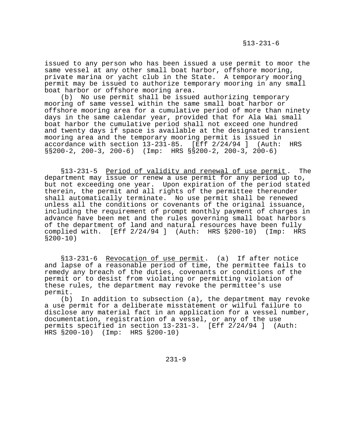issued to any person who has been issued a use permit to moor the same vessel at any other small boat harbor, offshore mooring, private marina or yacht club in the State. A temporary mooring permit may be issued to authorize temporary mooring in any small boat harbor or offshore mooring area.

(b) No use permit shall be issued authorizing temporary mooring of same vessel within the same small boat harbor or offshore mooring area for a cumulative period of more than ninety days in the same calendar year, provided that for Ala Wai small boat harbor the cumulative period shall not exceed one hundred and twenty days if space is available at the designated transient mooring area and the temporary mooring permit is issued in accordance with section 13-231-85. [Eff 2/24/94 ] (Auth: HRS §§200-2, 200-3, 200-6) (Imp: HRS §§200-2, 200-3, 200-6)

§13-231-5 Period of validity and renewal of use permit . The department may issue or renew a use permit for any period up to, but not exceeding one year. Upon expiration of the period stated therein, the permit and all rights of the permittee thereunder shall automatically terminate. No use permit shall be renewed unless all the conditions or covenants of the original issuance, including the requirement of prompt monthly payment of charges in advance have been met and the rules governing small boat harbors of the department of land and natural resources have been fully complied with. [Eff 2/24/94 ] (Auth: HRS §200-10) (Imp: HRS  $$200-10$ )

§13-231-6 Revocation of use permit. (a) If after notice and lapse of a reasonable period of time, the permittee fails to remedy any breach of the duties, covenants or conditions of the permit or to desist from violating or permitting violation of these rules, the department may revoke the permittee's use permit.

(b) In addition to subsection (a), the department may revoke a use permit for a deliberate misstatement or wilful failure to disclose any material fact in an application for a vessel number, documentation, registration of a vessel, or any of the use permits specified in section 13-231-3. [Eff 2/24/94 ] (Auth: HRS §200-10) (Imp: HRS §200-10)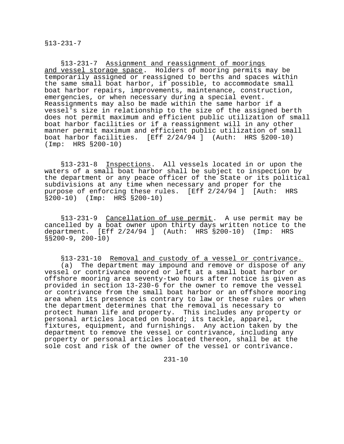§13-231-7 Assignment and reassignment of moorings and vessel storage space. Holders of mooring permits may be temporarily assigned or reassigned to berths and spaces within the same small boat harbor, if possible, to accommodate small boat harbor repairs, improvements, maintenance, construction, emergencies, or when necessary during a special event. Reassignments may also be made within the same harbor if a vessel's size in relationship to the size of the assigned berth does not permit maximum and efficient public utilization of small boat harbor facilities or if a reassignment will in any other manner permit maximum and efficient public utilization of small boat harbor facilities. [Eff 2/24/94 ] (Auth: HRS §200-10) (Imp: HRS §200-10)

§13-231-8 Inspections. All vessels located in or upon the waters of a small boat harbor shall be subject to inspection by the department or any peace officer of the State or its political subdivisions at any time when necessary and proper for the purpose of enforcing these rules. [Eff 2/24/94 ] [Auth: HRS §200-10) (Imp: HRS §200-10)

§13-231-9 Cancellation of use permit. A use permit may be cancelled by a boat owner upon thirty days written notice to the department. [Eff 2/24/94 ] (Auth: HRS §200-10) (Imp: HRS §§200-9, 200-10)

§13-231-10 Removal and custody of a vessel or contrivance.

(a) The department may impound and remove or dispose of any vessel or contrivance moored or left at a small boat harbor or offshore mooring area seventy-two hours after notice is given as provided in section 13-230-6 for the owner to remove the vessel or contrivance from the small boat harbor or an offshore mooring area when its presence is contrary to law or these rules or when the department determines that the removal is necessary to protect human life and property. This includes any property or personal articles located on board; its tackle, apparel, fixtures, equipment, and furnishings. Any action taken by the department to remove the vessel or contrivance, including any property or personal articles located thereon, shall be at the sole cost and risk of the owner of the vessel or contrivance.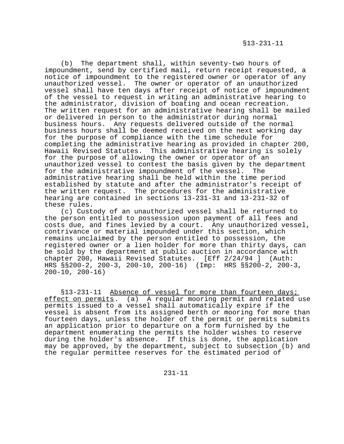(b) The department shall, within seventy-two hours of impoundment, send by certified mail, return receipt requested, a notice of impoundment to the registered owner or operator of any unauthorized vessel. The owner or operator of an unauthorized vessel shall have ten days after receipt of notice of impoundment of the vessel to request in writing an administrative hearing to the administrator, division of boating and ocean recreation. The written request for an administrative hearing shall be mailed or delivered in person to the administrator during normal business hours. Any requests delivered outside of the normal business hours shall be deemed received on the next working day for the purpose of compliance with the time schedule for completing the administrative hearing as provided in chapter 200, Hawaii Revised Statutes. This administrative hearing is solely for the purpose of allowing the owner or operator of an unauthorized vessel to contest the basis given by the department for the administrative impoundment of the vessel. The administrative hearing shall be held within the time period established by statute and after the administrator's receipt of the written request. The procedures for the administrative hearing are contained in sections 13-231-31 and 13-231-32 of these rules.

(c) Custody of an unauthorized vessel shall be returned to the person entitled to possession upon payment of all fees and costs due, and fines levied by a court. Any unauthorized vessel, contrivance or material impounded under this section, which remains unclaimed by the person entitled to possession, the registered owner or a lien holder for more than thirty days, can be sold by the department at public auction in accordance with chapter 200, Hawaii Revised Statutes. [Eff 2/24/94 ] (Auth: HRS §§200-2, 200-3, 200-10, 200-16) (Imp: HRS §§200-2, 200-3, 200-10, 200-16)

§13-231-11 Absence of vessel for more than fourteen days; effect on permits. (a) A regular mooring permit and related use permits issued to a vessel shall automatically expire if the vessel is absent from its assigned berth or mooring for more than fourteen days, unless the holder of the permit or permits submits an application prior to departure on a form furnished by the department enumerating the permits the holder wishes to reserve during the holder's absence. If this is done, the application may be approved, by the department, subject to subsection (b) and the regular permittee reserves for the estimated period of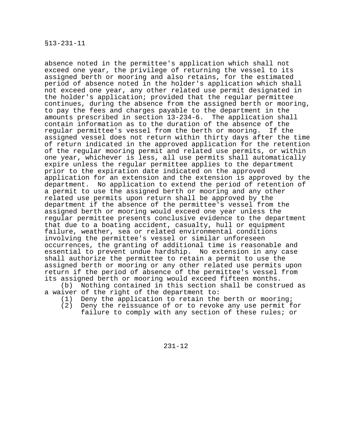absence noted in the permittee's application which shall not exceed one year, the privilege of returning the vessel to its assigned berth or mooring and also retains, for the estimated period of absence noted in the holder's application which shall not exceed one year, any other related use permit designated in the holder's application; provided that the regular permittee continues, during the absence from the assigned berth or mooring, to pay the fees and charges payable to the department in the amounts prescribed in section 13-234-6. The application shall contain information as to the duration of the absence of the regular permittee's vessel from the berth or mooring. If the assigned vessel does not return within thirty days after the time of return indicated in the approved application for the retention of the regular mooring permit and related use permits, or within one year, whichever is less, all use permits shall automatically expire unless the regular permittee applies to the department prior to the expiration date indicated on the approved application for an extension and the extension is approved by the department. No application to extend the period of retention of a permit to use the assigned berth or mooring and any other related use permits upon return shall be approved by the department if the absence of the permittee's vessel from the assigned berth or mooring would exceed one year unless the regular permittee presents conclusive evidence to the department that due to a boating accident, casualty, hull or equipment failure, weather, sea or related environmental conditions involving the permittee's vessel or similar unforeseen occurrences, the granting of additional time is reasonable and essential to prevent undue hardship. No extension in any case shall authorize the permittee to retain a permit to use the assigned berth or mooring or any other related use permits upon return if the period of absence of the permittee's vessel from its assigned berth or mooring would exceed fifteen months.

(b) Nothing contained in this section shall be construed as a waiver of the right of the department to:

- (1) Deny the application to retain the berth or mooring;
- (2) Deny the reissuance of or to revoke any use permit for failure to comply with any section of these rules; or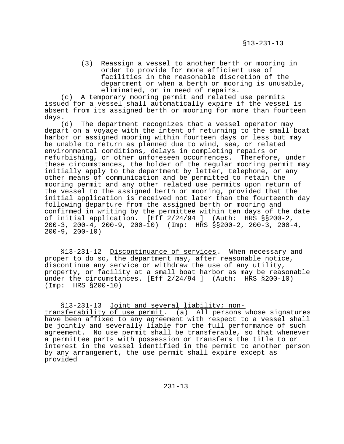(3) Reassign a vessel to another berth or mooring in order to provide for more efficient use of facilities in the reasonable discretion of the department or when a berth or mooring is unusable, eliminated, or in need of repairs.

(c) A temporary mooring permit and related use permits issued for a vessel shall automatically expire if the vessel is absent from its assigned berth or mooring for more than fourteen days.

(d) The department recognizes that a vessel operator may depart on a voyage with the intent of returning to the small boat harbor or assigned mooring within fourteen days or less but may be unable to return as planned due to wind, sea, or related environmental conditions, delays in completing repairs or refurbishing, or other unforeseen occurrences. Therefore, under these circumstances, the holder of the regular mooring permit may initially apply to the department by letter, telephone, or any other means of communication and be permitted to retain the mooring permit and any other related use permits upon return of the vessel to the assigned berth or mooring, provided that the initial application is received not later than the fourteenth day following departure from the assigned berth or mooring and confirmed in writing by the permittee within ten days of the date of initial application. [Eff 2/24/94 ] (Auth: HRS §§200-2, 200-3, 200-4, 200-9, 200-10) (Imp: HRS §§200-2, 200-3, 200-4,  $200-9, 200-10)$ 

§13-231-12 Discontinuance of services. When necessary and proper to do so, the department may, after reasonable notice, discontinue any service or withdraw the use of any utility, property, or facility at a small boat harbor as may be reasonable under the circumstances. [Eff 2/24/94 ] (Auth: HRS §200-10) (Imp: HRS §200-10)

§13-231-13 Joint and several liability; non-

transferability of use permit. (a) All persons whose signatures have been affixed to any agreement with respect to a vessel shall be jointly and severally liable for the full performance of such agreement. No use permit shall be transferable, so that whenever a permittee parts with possession or transfers the title to or interest in the vessel identified in the permit to another person by any arrangement, the use permit shall expire except as provided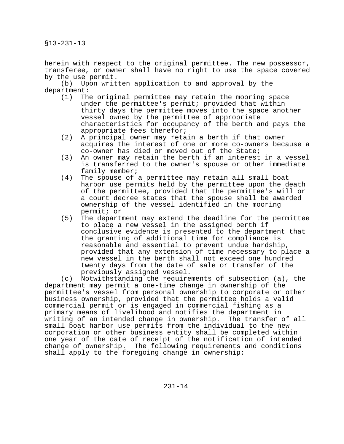herein with respect to the original permittee. The new possessor, transferee, or owner shall have no right to use the space covered by the use permit.

(b) Upon written application to and approval by the department:

- (1) The original permittee may retain the mooring space under the permittee's permit; provided that within thirty days the permittee moves into the space another vessel owned by the permittee of appropriate characteristics for occupancy of the berth and pays the appropriate fees therefor;
- (2) A principal owner may retain a berth if that owner acquires the interest of one or more co-owners because a co-owner has died or moved out of the State;
- (3) An owner may retain the berth if an interest in a vessel is transferred to the owner's spouse or other immediate family member;
- (4) The spouse of a permittee may retain all small boat harbor use permits held by the permittee upon the death of the permittee, provided that the permittee's will or a court decree states that the spouse shall be awarded ownership of the vessel identified in the mooring permit; or
- (5) The department may extend the deadline for the permittee to place a new vessel in the assigned berth if conclusive evidence is presented to the department that the granting of additional time for compliance is reasonable and essential to prevent undue hardship, provided that any extension of time necessary to place a new vessel in the berth shall not exceed one hundred twenty days from the date of sale or transfer of the previously assigned vessel.

(c) Notwithstanding the requirements of subsection (a), the department may permit a one-time change in ownership of the permittee's vessel from personal ownership to corporate or other business ownership, provided that the permittee holds a valid commercial permit or is engaged in commercial fishing as a primary means of livelihood and notifies the department in writing of an intended change in ownership. The transfer of all small boat harbor use permits from the individual to the new corporation or other business entity shall be completed within one year of the date of receipt of the notification of intended change of ownership. The following requirements and conditions shall apply to the foregoing change in ownership: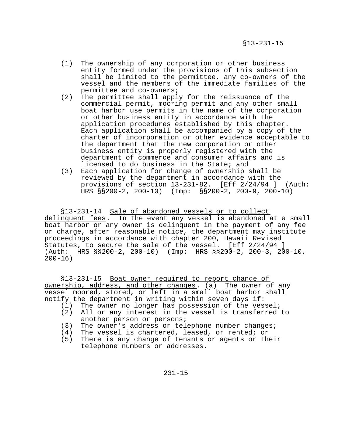- (1) The ownership of any corporation or other business entity formed under the provisions of this subsection shall be limited to the permittee, any co-owners of the vessel and the members of the immediate families of the permittee and co-owners;
- (2) The permittee shall apply for the reissuance of the commercial permit, mooring permit and any other small boat harbor use permits in the name of the corporation or other business entity in accordance with the application procedures established by this chapter. Each application shall be accompanied by a copy of the charter of incorporation or other evidence acceptable to the department that the new corporation or other business entity is properly registered with the department of commerce and consumer affairs and is licensed to do business in the State; and
- (3) Each application for change of ownership shall be reviewed by the department in accordance with the provisions of section 13-231-82. [Eff 2/24/94 ] (Auth: HRS §§200-2, 200-10) (Imp: §§200-2, 200-9, 200-10)

§13-231-14 Sale of abandoned vessels or to collect delinquent fees. In the event any vessel is abandoned at a small boat harbor or any owner is delinquent in the payment of any fee or charge, after reasonable notice, the department may institute proceedings in accordance with chapter 200, Hawaii Revised Statutes, to secure the sale of the vessel. [Eff 2/24/94 ] (Auth: HRS §§200-2, 200-10) (Imp: HRS §§200-2, 200-3, 200-10,  $200 - 16$ 

§13-231-15 Boat owner required to report change of ownership, address, and other changes. (a) The owner of any vessel moored, stored, or left in a small boat harbor shall notify the department in writing within seven days if:

- (1) The owner no longer has possession of the vessel;
- (2) All or any interest in the vessel is transferred to another person or persons;
- (3) The owner's address or telephone number changes;
- (4) The vessel is chartered, leased, or rented; or
- (5) There is any change of tenants or agents or their telephone numbers or addresses.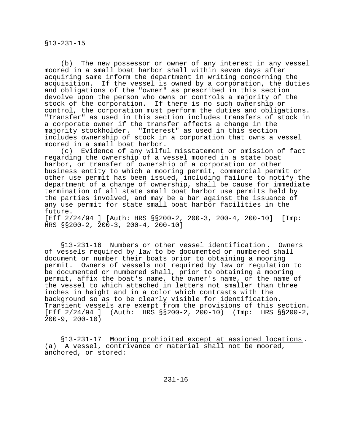(b) The new possessor or owner of any interest in any vessel moored in a small boat harbor shall within seven days after acquiring same inform the department in writing concerning the acquisition. If the vessel is owned by a corporation, the duties and obligations of the "owner" as prescribed in this section devolve upon the person who owns or controls a majority of the stock of the corporation. If there is no such ownership or control, the corporation must perform the duties and obligations. "Transfer" as used in this section includes transfers of stock in a corporate owner if the transfer affects a change in the majority stockholder. "Interest" as used in this section includes ownership of stock in a corporation that owns a vessel moored in a small boat harbor.

(c) Evidence of any wilful misstatement or omission of fact regarding the ownership of a vessel moored in a state boat harbor, or transfer of ownership of a corporation or other business entity to which a mooring permit, commercial permit or other use permit has been issued, including failure to notify the department of a change of ownership, shall be cause for immediate termination of all state small boat harbor use permits held by the parties involved, and may be a bar against the issuance of any use permit for state small boat harbor facilities in the future.

[Eff 2/24/94 ] [Auth: HRS §§200-2, 200-3, 200-4, 200-10] [Imp: HRS §§200-2, 200-3, 200-4, 200-10]

§13-231-16 Numbers or other vessel identification . Owners of vessels required by law to be documented or numbered shall document or number their boats prior to obtaining a mooring permit. Owners of vessels not required by law or regulation to be documented or numbered shall, prior to obtaining a mooring permit, affix the boat's name, the owner's name, or the name of the vessel to which attached in letters not smaller than three inches in height and in a color which contrasts with the background so as to be clearly visible for identification. Transient vessels are exempt from the provisions of this section. [Eff 2/24/94 ] (Auth: HRS §§200-2, 200-10) (Imp: HRS §§200-2, 200-9, 200-10)

§13-231-17 Mooring prohibited except at assigned locations.<br>(a) A vessel, contrivance or material shall not be moored, anchored, or stored: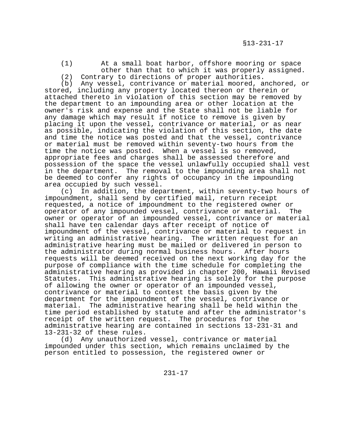(1) At a small boat harbor, offshore mooring or space other than that to which it was properly assigned.

(2) Contrary to directions of proper authorities.

(b) Any vessel, contrivance or material moored, anchored, or stored, including any property located thereon or therein or attached thereto in violation of this section may be removed by the department to an impounding area or other location at the owner's risk and expense and the State shall not be liable for any damage which may result if notice to remove is given by placing it upon the vessel, contrivance or material, or as near as possible, indicating the violation of this section, the date and time the notice was posted and that the vessel, contrivance or material must be removed within seventy-two hours from the time the notice was posted. When a vessel is so removed, appropriate fees and charges shall be assessed therefore and possession of the space the vessel unlawfully occupied shall vest in the department. The removal to the impounding area shall not be deemed to confer any rights of occupancy in the impounding area occupied by such vessel.

(c) In addition, the department, within seventy-two hours of impoundment, shall send by certified mail, return receipt requested, a notice of impoundment to the registered owner or operator of any impounded vessel, contrivance or material. The owner or operator of an impounded vessel, contrivance or material shall have ten calendar days after receipt of notice of impoundment of the vessel, contrivance or material to request in writing an administrative hearing. The written request for an administrative hearing must be mailed or delivered in person to the administrator during normal business hours. After hours requests will be deemed received on the next working day for the purpose of compliance with the time schedule for completing the administrative hearing as provided in chapter 200, Hawaii Revised Statutes. This administrative hearing is solely for the purpose of allowing the owner or operator of an impounded vessel, contrivance or material to contest the basis given by the department for the impoundment of the vessel, contrivance or material. The administrative hearing shall be held within the time period established by statute and after the administrator's receipt of the written request. The procedures for the administrative hearing are contained in sections 13-231-31 and 13-231-32 of these rules.

(d) Any unauthorized vessel, contrivance or material impounded under this section, which remains unclaimed by the person entitled to possession, the registered owner or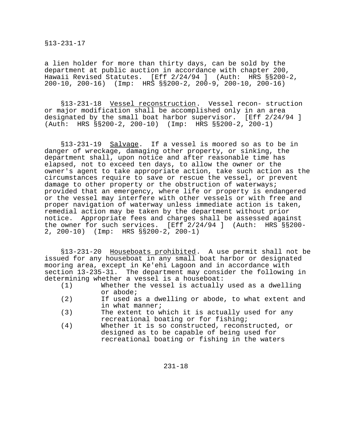a lien holder for more than thirty days, can be sold by the department at public auction in accordance with chapter 200, Hawaii Revised Statutes. [Eff 2/24/94 ] (Auth: HRS §§200-2, 200-10, 200-16) (Imp: HRS §§200-2, 200-9, 200-10, 200-16)

§13-231-18 Vessel reconstruction. Vessel recon- struction or major modification shall be accomplished only in an area designated by the small boat harbor supervisor. [Eff 2/24/94 ] (Auth: HRS §§200-2, 200-10) (Imp: HRS §§200-2, 200-1)

§13-231-19 Salvage. If a vessel is moored so as to be in danger of wreckage, damaging other property, or sinking, the department shall, upon notice and after reasonable time has elapsed, not to exceed ten days, to allow the owner or the owner's agent to take appropriate action, take such action as the circumstances require to save or rescue the vessel, or prevent damage to other property or the obstruction of waterways; provided that an emergency, where life or property is endangered or the vessel may interfere with other vessels or with free and proper navigation of waterway unless immediate action is taken, remedial action may be taken by the department without prior notice. Appropriate fees and charges shall be assessed against the owner for such services. [Eff 2/24/94 ] (Auth: HRS §§200-2, 200-10) (Imp: HRS §§200-2, 200-1)

§13-231-20 Houseboats prohibited. A use permit shall not be issued for any houseboat in any small boat harbor or designated mooring area, except in Ke'ehi Lagoon and in accordance with section 13-235-31. The department may consider the following in determining whether a vessel is a houseboat:

- (1) Whether the vessel is actually used as a dwelling or abode;
- (2) If used as a dwelling or abode, to what extent and in what manner;
- (3) The extent to which it is actually used for any recreational boating or for fishing;
- (4) Whether it is so constructed, reconstructed, or designed as to be capable of being used for recreational boating or fishing in the waters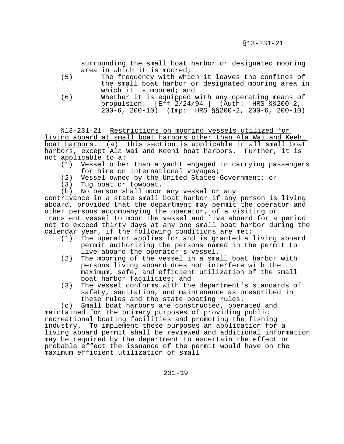surrounding the small boat harbor or designated mooring area in which it is moored;

- (5) The frequency with which it leaves the confines of the small boat harbor or designated mooring area in which it is moored; and
- (6) Whether it is equipped with any operating means of propulsion. [Eff 2/24/94 ] (Auth: HRS §§200-2, 200-6, 200-10) (Imp: HRS §§200-2, 200-6, 200-10)

§13-231-21 Restrictions on mooring vessels utilized for

living aboard at small boat harbors other than Ala Wai and Keehi boat harbors. (a) This section is applicable in all small boat harbors, except Ala Wai and Keehi boat harbors. Further, it is not applicable to a:

- (1) Vessel other than a yacht engaged in carrying passengers for hire on international voyages;
- (2) Vessel owned by the United States Government; or
- (3) Tug boat or towboat.
- (b) No person shall moor any vessel or any

contrivance in a state small boat harbor if any person is living aboard, provided that the department may permit the operator and other persons accompanying the operator, of a visiting or transient vessel to moor the vessel and live aboard for a period not to exceed thirty days at any one small boat harbor during the calendar year, if the following conditions are met:

- (1) The operator applies for and is granted a living aboard permit authorizing the persons named in the permit to live aboard the operator's vessel.
- (2) The mooring of the vessel in a small boat harbor with persons living aboard does not interfere with the maximum, safe, and efficient utilization of the small boat harbor facilities; and
- (3) The vessel conforms with the department's standards of safety, sanitation, and maintenance as prescribed in these rules and the state boating rules.

(c) Small boat harbors are constructed, operated and maintained for the primary purposes of providing public recreational boating facilities and promoting the fishing industry. To implement these purposes an application for a living aboard permit shall be reviewed and additional information may be required by the department to ascertain the effect or probable effect the issuance of the permit would have on the maximum efficient utilization of small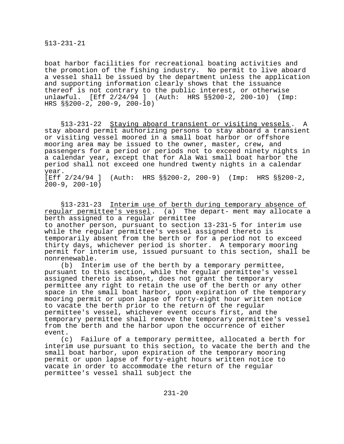boat harbor facilities for recreational boating activities and the promotion of the fishing industry. No permit to live aboard a vessel shall be issued by the department unless the application and supporting information clearly shows that the issuance thereof is not contrary to the public interest, or otherwise unlawful. [Eff 2/24/94 ] (Auth: HRS §§200-2, 200-10) (Imp: HRS §§200-2, 200-9, 200-10)

§13-231-22 Staying aboard transient or visiting vessels . A stay aboard permit authorizing persons to stay aboard a transient or visiting vessel moored in a small boat harbor or offshore mooring area may be issued to the owner, master, crew, and passengers for a period or periods not to exceed ninety nights in a calendar year, except that for Ala Wai small boat harbor the period shall not exceed one hundred twenty nights in a calendar year. [Eff 2/24/94 ] (Auth: HRS §§200-2, 200-9) (Imp: HRS §§200-2,  $200-9, 200-10)$ 

§13-231-23 Interim use of berth during temporary absence of regular permittee's vessel. (a) The depart- ment may allocate a berth assigned to a regular permittee to another person, pursuant to section 13-231-5 for interim use while the regular permittee's vessel assigned thereto is temporarily absent from the berth or for a period not to exceed thirty days, whichever period is shorter. A temporary mooring permit for interim use, issued pursuant to this section, shall be nonrenewable.

(b) Interim use of the berth by a temporary permittee, pursuant to this section, while the regular permittee's vessel assigned thereto is absent, does not grant the temporary permittee any right to retain the use of the berth or any other space in the small boat harbor, upon expiration of the temporary mooring permit or upon lapse of forty-eight hour written notice to vacate the berth prior to the return of the regular permittee's vessel, whichever event occurs first, and the temporary permittee shall remove the temporary permittee's vessel from the berth and the harbor upon the occurrence of either event.

(c) Failure of a temporary permittee, allocated a berth for interim use pursuant to this section, to vacate the berth and the small boat harbor, upon expiration of the temporary mooring permit or upon lapse of forty-eight hours written notice to vacate in order to accommodate the return of the regular permittee's vessel shall subject the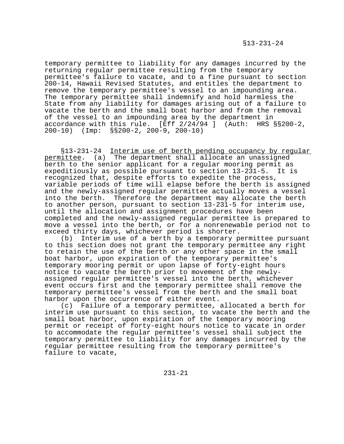temporary permittee to liability for any damages incurred by the returning regular permittee resulting from the temporary permittee's failure to vacate, and to a fine pursuant to section 200-14, Hawaii Revised Statutes, and entitles the department to remove the temporary permittee's vessel to an impounding area. The temporary permittee shall indemnify and hold harmless the State from any liability for damages arising out of a failure to vacate the berth and the small boat harbor and from the removal of the vessel to an impounding area by the department in accordance with this rule. [Eff 2/24/94 ] (Auth: HRS §§200-2, 200-10) (Imp: §§200-2, 200-9, 200-10)

§13-231-24 Interim use of berth pending occupancy by regular permittee. (a) The department shall allocate an unassigned berth to the senior applicant for a regular mooring permit as expeditiously as possible pursuant to section 13-231-5. It is recognized that, despite efforts to expedite the process, variable periods of time will elapse before the berth is assigned and the newly-assigned regular permittee actually moves a vessel into the berth. Therefore the department may allocate the berth to another person, pursuant to section 13-231-5 for interim use, until the allocation and assignment procedures have been completed and the newly-assigned regular permittee is prepared to move a vessel into the berth, or for a nonrenewable period not to exceed thirty days, whichever period is shorter.

(b) Interim use of a berth by a temporary permittee pursuant to this section does not grant the temporary permittee any right to retain the use of the berth or any other space in the small boat harbor, upon expiration of the temporary permittee's temporary mooring permit or upon lapse of forty-eight hours notice to vacate the berth prior to movement of the newlyassigned regular permittee's vessel into the berth, whichever event occurs first and the temporary permittee shall remove the temporary permittee's vessel from the berth and the small boat harbor upon the occurrence of either event.

(c) Failure of a temporary permittee, allocated a berth for interim use pursuant to this section, to vacate the berth and the small boat harbor, upon expiration of the temporary mooring permit or receipt of forty-eight hours notice to vacate in order to accommodate the regular permittee's vessel shall subject the temporary permittee to liability for any damages incurred by the regular permittee resulting from the temporary permittee's failure to vacate,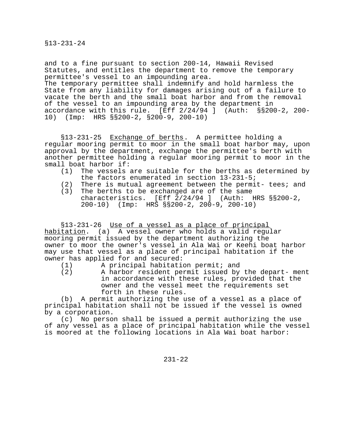and to a fine pursuant to section 200-14, Hawaii Revised Statutes, and entitles the department to remove the temporary permittee's vessel to an impounding area. The temporary permittee shall indemnify and hold harmless the State from any liability for damages arising out of a failure to vacate the berth and the small boat harbor and from the removal of the vessel to an impounding area by the department in accordance with this rule. [Eff 2/24/94 ] (Auth: §§200-2, 200- 10) (Imp: HRS §§200-2, §200-9, 200-10)

§13-231-25 Exchange of berths. A permittee holding a regular mooring permit to moor in the small boat harbor may, upon approval by the department, exchange the permittee's berth with another permittee holding a regular mooring permit to moor in the small boat harbor if:

- (1) The vessels are suitable for the berths as determined by the factors enumerated in section 13-231-5;
- (2) There is mutual agreement between the permit- tees; and
- (3) The berths to be exchanged are of the same characteristics.  $[Eff 2/24/94]$  (Auth: HRS §§200-2, 200-10) (Imp: HRS §§200-2, 200-9, 200-10)

§13-231-26 Use of a vessel as a place of principal habitation. (a) A vessel owner who holds a valid regular mooring permit issued by the department authorizing the owner to moor the owner's vessel in Ala Wai or Keehi boat harbor may use that vessel as a place of principal habitation if the owner has applied for and secured:

- (1) A principal habitation permit; and
- (2) A harbor resident permit issued by the depart- ment in accordance with these rules, provided that the owner and the vessel meet the requirements set forth in these rules.

(b) A permit authorizing the use of a vessel as a place of principal habitation shall not be issued if the vessel is owned by a corporation.

(c) No person shall be issued a permit authorizing the use of any vessel as a place of principal habitation while the vessel is moored at the following locations in Ala Wai boat harbor: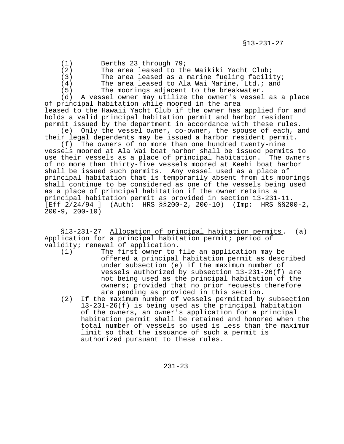- (1) Berths 23 through 79;
- (2) The area leased to the Waikiki Yacht Club;
- (3) The area leased as a marine fueling facility;
- (4) The area leased to Ala Wai Marine, Ltd.; and
- (5) The moorings adjacent to the breakwater.

(d) A vessel owner may utilize the owner's vessel as a place of principal habitation while moored in the area leased to the Hawaii Yacht Club if the owner has applied for and holds a valid principal habitation permit and harbor resident permit issued by the department in accordance with these rules.

(e) Only the vessel owner, co-owner, the spouse of each, and their legal dependents may be issued a harbor resident permit.

(f) The owners of no more than one hundred twenty-nine vessels moored at Ala Wai boat harbor shall be issued permits to use their vessels as a place of principal habitation. The owners of no more than thirty-five vessels moored at Keehi boat harbor shall be issued such permits. Any vessel used as a place of principal habitation that is temporarily absent from its moorings shall continue to be considered as one of the vessels being used as a place of principal habitation if the owner retains a principal habitation permit as provided in section 13-231-11. [Eff 2/24/94 ] (Auth: HRS §§200-2, 200-10) (Imp: HRS §§200-2, 200-9, 200-10)

§13-231-27 Allocation of principal habitation permits . (a) Application for a principal habitation permit; period of validity; renewal of application.

- (1) The first owner to file an application may be offered a principal habitation permit as described under subsection (e) if the maximum number of vessels authorized by subsection 13-231-26(f) are not being used as the principal habitation of the owners; provided that no prior requests therefore are pending as provided in this section.
- (2) If the maximum number of vessels permitted by subsection 13-231-26(f) is being used as the principal habitation of the owners, an owner's application for a principal habitation permit shall be retained and honored when the total number of vessels so used is less than the maximum limit so that the issuance of such a permit is authorized pursuant to these rules.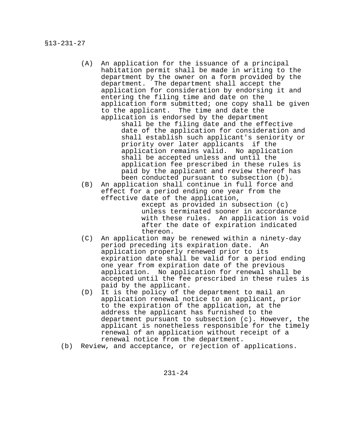(A) An application for the issuance of a principal habitation permit shall be made in writing to the department by the owner on a form provided by the department. The department shall accept the application for consideration by endorsing it and entering the filing time and date on the application form submitted; one copy shall be given to the applicant. The time and date the application is endorsed by the department

shall be the filing date and the effective date of the application for consideration and shall establish such applicant's seniority or priority over later applicants if the application remains valid. No application shall be accepted unless and until the application fee prescribed in these rules is paid by the applicant and review thereof has been conducted pursuant to subsection (b).

(B) An application shall continue in full force and effect for a period ending one year from the effective date of the application,

> except as provided in subsection (c) unless terminated sooner in accordance with these rules. An application is void after the date of expiration indicated thereon.

- (C) An application may be renewed within a ninety-day period preceding its expiration date. An application properly renewed prior to its expiration date shall be valid for a period ending one year from expiration date of the previous application. No application for renewal shall be accepted until the fee prescribed in these rules is paid by the applicant.
- (D) It is the policy of the department to mail an application renewal notice to an applicant, prior to the expiration of the application, at the address the applicant has furnished to the department pursuant to subsection (c). However, the applicant is nonetheless responsible for the timely renewal of an application without receipt of a renewal notice from the department.
- (b) Review, and acceptance, or rejection of applications.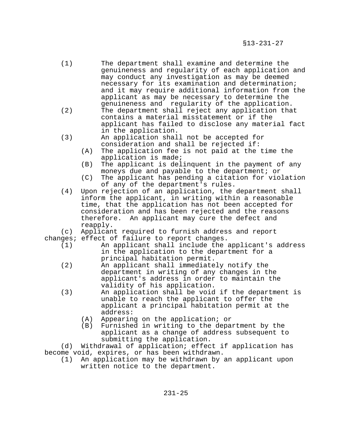- (1) The department shall examine and determine the genuineness and regularity of each application and may conduct any investigation as may be deemed necessary for its examination and determination; and it may require additional information from the applicant as may be necessary to determine the genuineness and regularity of the application.
- (2) The department shall reject any application that contains a material misstatement or if the applicant has failed to disclose any material fact in the application.
- (3) An application shall not be accepted for consideration and shall be rejected if:
	- (A) The application fee is not paid at the time the application is made;
	- (B) The applicant is delinquent in the payment of any moneys due and payable to the department; or
	- (C) The applicant has pending a citation for violation of any of the department's rules.
- (4) Upon rejection of an application, the department shall inform the applicant, in writing within a reasonable time, that the application has not been accepted for consideration and has been rejected and the reasons therefore. An applicant may cure the defect and reapply.

(c) Applicant required to furnish address and report

- changes; effect of failure to report changes.
	- (1) An applicant shall include the applicant's address in the application to the department for a principal habitation permit.
	- (2) An applicant shall immediately notify the department in writing of any changes in the applicant's address in order to maintain the validity of his application.
	- (3) An application shall be void if the department is unable to reach the applicant to offer the applicant a principal habitation permit at the address:
		- (A) Appearing on the application; or
		- (B) Furnished in writing to the department by the applicant as a change of address subsequent to submitting the application.

(d) Withdrawal of application; effect if application has become void, expires, or has been withdrawn.

(1) An application may be withdrawn by an applicant upon written notice to the department.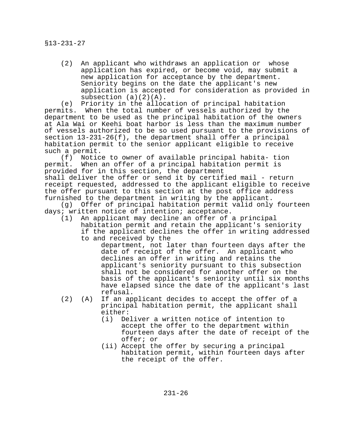(2) An applicant who withdraws an application or whose application has expired, or become void, may submit a new application for acceptance by the department. Seniority begins on the date the applicant's new application is accepted for consideration as provided in subsection  $(a)(2)(A)$ .

(e) Priority in the allocation of principal habitation permits. When the total number of vessels authorized by the department to be used as the principal habitation of the owners at Ala Wai or Keehi boat harbor is less than the maximum number of vessels authorized to be so used pursuant to the provisions of section 13-231-26(f), the department shall offer a principal habitation permit to the senior applicant eligible to receive such a permit.

(f) Notice to owner of available principal habita- tion permit. When an offer of a principal habitation permit is provided for in this section, the department shall deliver the offer or send it by certified mail - return receipt requested, addressed to the applicant eligible to receive the offer pursuant to this section at the post office address furnished to the department in writing by the applicant.

(g) Offer of principal habitation permit valid only fourteen days; written notice of intention; acceptance.

- (1) An applicant may decline an offer of a principal
	- habitation permit and retain the applicant's seniority if the applicant declines the offer in writing addressed to and received by the

department, not later than fourteen days after the date of receipt of the offer. An applicant who declines an offer in writing and retains the applicant's seniority pursuant to this subsection shall not be considered for another offer on the basis of the applicant's seniority until six months have elapsed since the date of the applicant's last refusal.

- (2) (A) If an applicant decides to accept the offer of a principal habitation permit, the applicant shall either:
	- (i) Deliver a written notice of intention to accept the offer to the department within fourteen days after the date of receipt of the offer; or
	- (ii) Accept the offer by securing a principal habitation permit, within fourteen days after the receipt of the offer.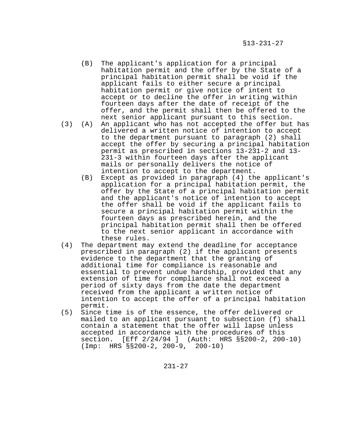- (B) The applicant's application for a principal habitation permit and the offer by the State of a principal habitation permit shall be void if the applicant fails to either secure a principal habitation permit or give notice of intent to accept or to decline the offer in writing within fourteen days after the date of receipt of the offer, and the permit shall then be offered to the next senior applicant pursuant to this section.
- (3) (A) An applicant who has not accepted the offer but has delivered a written notice of intention to accept to the department pursuant to paragraph (2) shall accept the offer by securing a principal habitation permit as prescribed in sections 13-231-2 and 13- 231-3 within fourteen days after the applicant mails or personally delivers the notice of intention to accept to the department.
	- (B) Except as provided in paragraph (4) the applicant's application for a principal habitation permit, the offer by the State of a principal habitation permit and the applicant's notice of intention to accept the offer shall be void if the applicant fails to secure a principal habitation permit within the fourteen days as prescribed herein, and the principal habitation permit shall then be offered to the next senior applicant in accordance with these rules.
- (4) The department may extend the deadline for acceptance prescribed in paragraph (2) if the applicant presents evidence to the department that the granting of additional time for compliance is reasonable and essential to prevent undue hardship, provided that any extension of time for compliance shall not exceed a period of sixty days from the date the department received from the applicant a written notice of intention to accept the offer of a principal habitation permit.
- (5) Since time is of the essence, the offer delivered or mailed to an applicant pursuant to subsection (f) shall contain a statement that the offer will lapse unless accepted in accordance with the procedures of this section. [Eff 2/24/94 ] (Auth: HRS §§200-2, 200-10) (Imp: HRS §§200-2, 200-9, 200-10)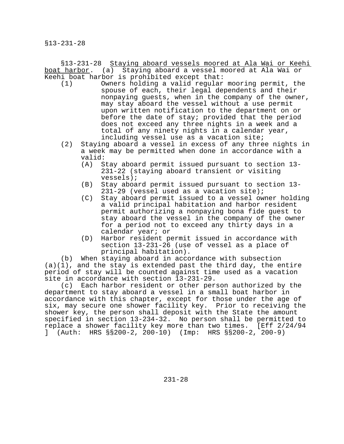§13-231-28 Staying aboard vessels moored at Ala Wai or Keehi boat harbor. (a) Staying aboard a vessel moored at Ala Wai or Keehi boat harbor is prohibited except that:

- (1) Owners holding a valid regular mooring permit, the spouse of each, their legal dependents and their nonpaying guests, when in the company of the owner, may stay aboard the vessel without a use permit upon written notification to the department on or before the date of stay; provided that the period does not exceed any three nights in a week and a total of any ninety nights in a calendar year, including vessel use as a vacation site;
- (2) Staying aboard a vessel in excess of any three nights in a week may be permitted when done in accordance with a valid:
	- (A) Stay aboard permit issued pursuant to section 13- 231-22 (staying aboard transient or visiting vessels);
	- (B) Stay aboard permit issued pursuant to section 13- 231-29 (vessel used as a vacation site);
	- (C) Stay aboard permit issued to a vessel owner holding a valid principal habitation and harbor resident permit authorizing a nonpaying bona fide guest to stay aboard the vessel in the company of the owner for a period not to exceed any thirty days in a calendar year; or
	- (D) Harbor resident permit issued in accordance with section 13-231-26 (use of vessel as a place of principal habitation).

(b) When staying aboard in accordance with subsection  $(a)(1)$ , and the stay is extended past the third day, the entire period of stay will be counted against time used as a vacation site in accordance with section 13-231-29.

(c) Each harbor resident or other person authorized by the department to stay aboard a vessel in a small boat harbor in accordance with this chapter, except for those under the age of six, may secure one shower facility key. Prior to receiving the shower key, the person shall deposit with the State the amount specified in section 13-234-32. No person shall be permitted to replace a shower facility key more than two times. [Eff 2/24/94 ] (Auth: HRS §§200-2, 200-10) (Imp: HRS §§200-2, 200-9)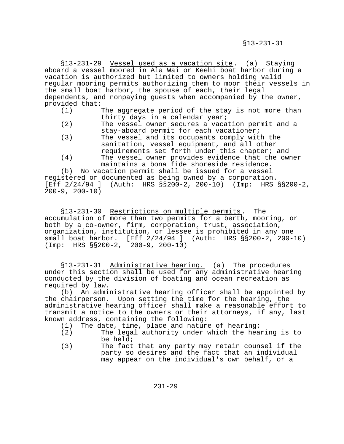§13-231-29 Vessel used as a vacation site. (a) Staying aboard a vessel moored in Ala Wai or Keehi boat harbor during a vacation is authorized but limited to owners holding valid regular mooring permits authorizing them to moor their vessels in the small boat harbor, the spouse of each, their legal dependents, and nonpaying guests when accompanied by the owner, provided that:

- (1) The aggregate period of the stay is not more than thirty days in a calendar year;
- (2) The vessel owner secures a vacation permit and a stay-aboard permit for each vacationer;
- (3) The vessel and its occupants comply with the sanitation, vessel equipment, and all other requirements set forth under this chapter; and
- (4) The vessel owner provides evidence that the owner maintains a bona fide shoreside residence.

(b) No vacation permit shall be issued for a vessel registered or documented as being owned by a corporation. [Eff 2/24/94 ] (Auth: HRS §§200-2, 200-10) (Imp: HRS §§200-2, 200-9, 200-10)

§13-231-30 Restrictions on multiple permits. The accumulation of more than two permits for a berth, mooring, or both by a co-owner, firm, corporation, trust, association, organization, institution, or lessee is prohibited in any one small boat harbor. [Eff 2/24/94 ] (Auth: HRS §§200-2, 200-10) (Imp: HRS §§200-2, 200-9, 200-10)

§13-231-31 Administrative hearing. (a) The procedures under this section shall be used for any administrative hearing conducted by the division of boating and ocean recreation as required by law.

(b) An administrative hearing officer shall be appointed by the chairperson. Upon setting the time for the hearing, the administrative hearing officer shall make a reasonable effort to transmit a notice to the owners or their attorneys, if any, last known address, containing the following:

- (1) The date, time, place and nature of hearing;
- (2) The legal authority under which the hearing is to be held;
- (3) The fact that any party may retain counsel if the party so desires and the fact that an individual may appear on the individual's own behalf, or a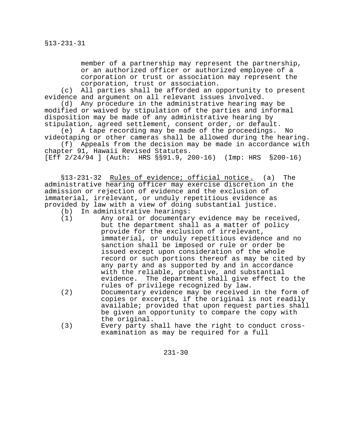member of a partnership may represent the partnership, or an authorized officer or authorized employee of a corporation or trust or association may represent the corporation, trust or association.

(c) All parties shall be afforded an opportunity to present evidence and argument on all relevant issues involved.

(d) Any procedure in the administrative hearing may be modified or waived by stipulation of the parties and informal disposition may be made of any administrative hearing by stipulation, agreed settlement, consent order, or default.

(e) A tape recording may be made of the proceedings. No videotaping or other cameras shall be allowed during the hearing.

(f) Appeals from the decision may be made in accordance with chapter 91, Hawaii Revised Statutes.

[Eff 2/24/94 ] (Auth: HRS §§91.9, 200-16) (Imp: HRS §200-16)

§13-231-32 Rules of evidence; official notice. (a) The administrative hearing officer may exercise discretion in the admission or rejection of evidence and the exclusion of immaterial, irrelevant, or unduly repetitious evidence as provided by law with a view of doing substantial justice. (b) In administrative hearings:

(1) Any oral or documentary evidence may be received, but the department shall as a matter of policy provide for the exclusion of irrelevant, immaterial, or unduly repetitious evidence and no sanction shall be imposed or rule or order be issued except upon consideration of the whole record or such portions thereof as may be cited by any party and as supported by and in accordance with the reliable, probative, and substantial evidence. The department shall give effect to the rules of privilege recognized by law.

- (2) Documentary evidence may be received in the form of copies or excerpts, if the original is not readily available; provided that upon request parties shall be given an opportunity to compare the copy with the original.
- (3) Every party shall have the right to conduct crossexamination as may be required for a full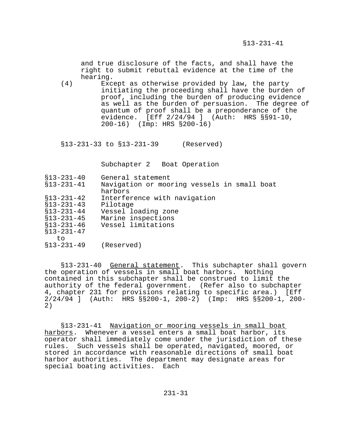and true disclosure of the facts, and shall have the right to submit rebuttal evidence at the time of the hearing.

(4) Except as otherwise provided by law, the party initiating the proceeding shall have the burden of proof, including the burden of producing evidence as well as the burden of persuasion. The degree of quantum of proof shall be a preponderance of the evidence. [Eff 2/24/94 ] (Auth: HRS §§91-10, 200-16) (Imp: HRS §200-16)

§13-231-33 to §13-231-39 (Reserved)

Subchapter 2 Boat Operation

§13-231-40 General statement<br>§13-231-41 Navigation or moo: Navigation or mooring vessels in small boat harbors [§13-231-42 Interference with navigation](#page-59-0)<br>§13-231-43 Pilotage  $$13-231-43$ [§13-231-44 Vessel loading zone](#page-59-0) [§13-231-45 Marine inspections](#page-59-0) [§13-231-46 Vessel limitations](#page-67-0) §13-231-47 to [§13-231-49 \(Reserved\)](#page-67-0)

§13-231-40 General statement. This subchapter shall govern the operation of vessels in small boat harbors. Nothing contained in this subchapter shall be construed to limit the authority of the federal government. (Refer also to subchapter 4, chapter 231 for provisions relating to specific area.) [Eff 2/24/94 ] (Auth: HRS §§200-1, 200-2) (Imp: HRS §§200-1, 200- 2)

§13-231-41 Navigation or mooring vessels in small boat harbors. Whenever a vessel enters a small boat harbor, its operator shall immediately come under the jurisdiction of these rules. Such vessels shall be operated, navigated, moored, or stored in accordance with reasonable directions of small boat harbor authorities. The department may designate areas for special boating activities. Each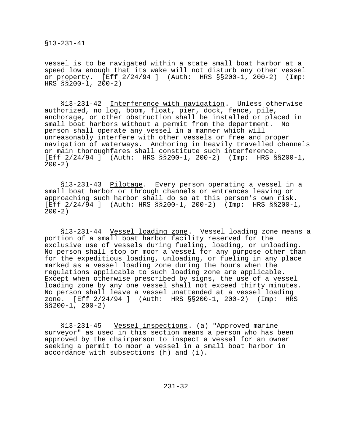<span id="page-59-0"></span>vessel is to be navigated within a state small boat harbor at a speed low enough that its wake will not disturb any other vessel or property. [Eff 2/24/94 ] (Auth: HRS §§200-1, 200-2) (Imp: HRS §§200-1, 200-2)

§13-231-42 Interference with navigation. Unless otherwise authorized, no log, boom, float, pier, dock, fence, pile, anchorage, or other obstruction shall be installed or placed in small boat harbors without a permit from the department. No person shall operate any vessel in a manner which will unreasonably interfere with other vessels or free and proper navigation of waterways. Anchoring in heavily travelled channels or main thoroughfares shall constitute such interference. [Eff 2/24/94 ] (Auth: HRS §§200-1, 200-2) (Imp: HRS §§200-1,  $200 - 2)$ 

§13-231-43 Pilotage. Every person operating a vessel in a small boat harbor or through channels or entrances leaving or approaching such harbor shall do so at this person's own risk. [Eff 2/24/94 ] (Auth: HRS §§200-1, 200-2) (Imp: HRS §§200-1,  $200 - 2)$ 

§13-231-44 Vessel loading zone. Vessel loading zone means a portion of a small boat harbor facility reserved for the exclusive use of vessels during fueling, loading, or unloading. No person shall stop or moor a vessel for any purpose other than for the expeditious loading, unloading, or fueling in any place marked as a vessel loading zone during the hours when the regulations applicable to such loading zone are applicable. Except when otherwise prescribed by signs, the use of a vessel loading zone by any one vessel shall not exceed thirty minutes. No person shall leave a vessel unattended at a vessel loading zone. [Eff 2/24/94 ] (Auth: HRS §§200-1, 200-2) (Imp: HRS §§200-1, 200-2)

§13-231-45 Vessel inspections. (a) "Approved marine surveyor" as used in this section means a person who has been approved by the chairperson to inspect a vessel for an owner seeking a permit to moor a vessel in a small boat harbor in accordance with subsections (h) and (i).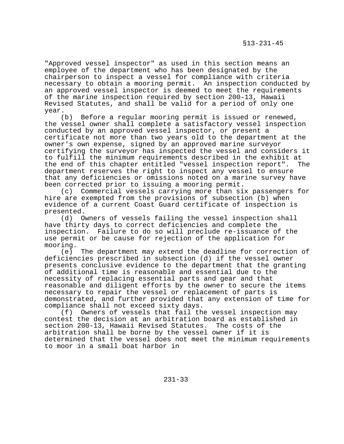"Approved vessel inspector" as used in this section means an employee of the department who has been designated by the chairperson to inspect a vessel for compliance with criteria necessary to obtain a mooring permit. An inspection conducted by an approved vessel inspector is deemed to meet the requirements of the marine inspection required by section 200-13, Hawaii Revised Statutes, and shall be valid for a period of only one year.

(b) Before a regular mooring permit is issued or renewed, the vessel owner shall complete a satisfactory vessel inspection conducted by an approved vessel inspector, or present a certificate not more than two years old to the department at the owner's own expense, signed by an approved marine surveyor certifying the surveyor has inspected the vessel and considers it to fulfill the minimum requirements described in the exhibit at the end of this chapter entitled "vessel inspection report". The department reserves the right to inspect any vessel to ensure that any deficiencies or omissions noted on a marine survey have been corrected prior to issuing a mooring permit.

(c) Commercial vessels carrying more than six passengers for hire are exempted from the provisions of subsection (b) when evidence of a current Coast Guard certificate of inspection is presented.

(d) Owners of vessels failing the vessel inspection shall have thirty days to correct deficiencies and complete the inspection. Failure to do so will preclude re-issuance of the use permit or be cause for rejection of the application for mooring.

(e) The department may extend the deadline for correction of deficiencies prescribed in subsection (d) if the vessel owner presents conclusive evidence to the department that the granting of additional time is reasonable and essential due to the necessity of replacing essential parts and gear and that reasonable and diligent efforts by the owner to secure the items necessary to repair the vessel or replacement of parts is demonstrated, and further provided that any extension of time for compliance shall not exceed sixty days.

(f) Owners of vessels that fail the vessel inspection may contest the decision at an arbitration board as established in section 200-13, Hawaii Revised Statutes. The costs of the arbitration shall be borne by the vessel owner if it is determined that the vessel does not meet the minimum requirements to moor in a small boat harbor in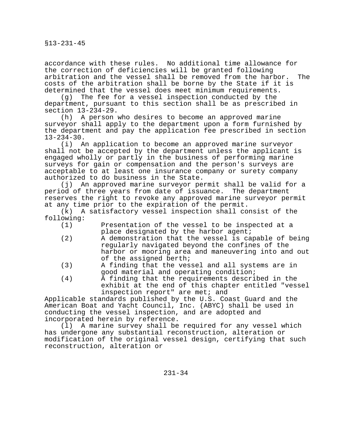accordance with these rules. No additional time allowance for the correction of deficiencies will be granted following arbitration and the vessel shall be removed from the harbor. The costs of the arbitration shall be borne by the State if it is determined that the vessel does meet minimum requirements.

(g) The fee for a vessel inspection conducted by the department, pursuant to this section shall be as prescribed in section 13-234-29.

(h) A person who desires to become an approved marine surveyor shall apply to the department upon a form furnished by the department and pay the application fee prescribed in section 13-234-30.

(i) An application to become an approved marine surveyor shall not be accepted by the department unless the applicant is engaged wholly or partly in the business of performing marine surveys for gain or compensation and the person's surveys are acceptable to at least one insurance company or surety company authorized to do business in the State.

(j) An approved marine surveyor permit shall be valid for a period of three years from date of issuance. The department reserves the right to revoke any approved marine surveyor permit at any time prior to the expiration of the permit.

(k) A satisfactory vessel inspection shall consist of the following:

(1) Presentation of the vessel to be inspected at a place designated by the harbor agent;

- (2) A demonstration that the vessel is capable of being regularly navigated beyond the confines of the harbor or mooring area and maneuvering into and out of the assigned berth;
- (3) A finding that the vessel and all systems are in good material and operating condition;
- (4) A finding that the requirements described in the exhibit at the end of this chapter entitled "vessel inspection report" are met; and

Applicable standards published by the U.S. Coast Guard and the American Boat and Yacht Council, Inc. (ABYC) shall be used in conducting the vessel inspection, and are adopted and incorporated herein by reference.

(l) A marine survey shall be required for any vessel which has undergone any substantial reconstruction, alteration or modification of the original vessel design, certifying that such reconstruction, alteration or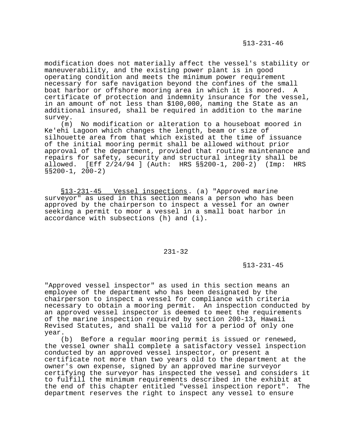modification does not materially affect the vessel's stability or maneuverability, and the existing power plant is in good operating condition and meets the minimum power requirement necessary for safe navigation beyond the confines of the small boat harbor or offshore mooring area in which it is moored. A certificate of protection and indemnity insurance for the vessel, in an amount of not less than \$100,000, naming the State as an additional insured, shall be required in addition to the marine survey.

(m) No modification or alteration to a houseboat moored in Ke'ehi Lagoon which changes the length, beam or size of silhouette area from that which existed at the time of issuance of the initial mooring permit shall be allowed without prior approval of the department, provided that routine maintenance and repairs for safety, security and structural integrity shall be allowed. [Eff 2/24/94 ] (Auth: HRS §§200-1, 200-2) (Imp: HRS §§200-1, 200-2)

§13-231-45 Vessel inspections. (a) "Approved marine surveyor" as used in this section means a person who has been approved by the chairperson to inspect a vessel for an owner seeking a permit to moor a vessel in a small boat harbor in accordance with subsections (h) and (i).

231-32

# §13-231-45

"Approved vessel inspector" as used in this section means an employee of the department who has been designated by the chairperson to inspect a vessel for compliance with criteria necessary to obtain a mooring permit. An inspection conducted by an approved vessel inspector is deemed to meet the requirements of the marine inspection required by section 200-13, Hawaii Revised Statutes, and shall be valid for a period of only one year.

(b) Before a regular mooring permit is issued or renewed, the vessel owner shall complete a satisfactory vessel inspection conducted by an approved vessel inspector, or present a certificate not more than two years old to the department at the owner's own expense, signed by an approved marine surveyor certifying the surveyor has inspected the vessel and considers it to fulfill the minimum requirements described in the exhibit at the end of this chapter entitled "vessel inspection report". The department reserves the right to inspect any vessel to ensure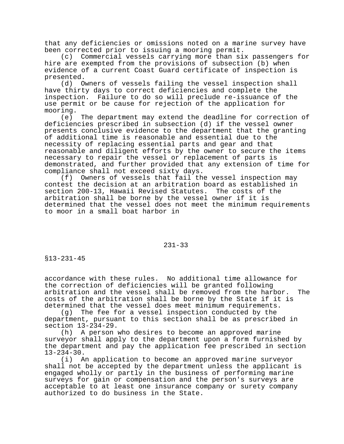that any deficiencies or omissions noted on a marine survey have been corrected prior to issuing a mooring permit.

(c) Commercial vessels carrying more than six passengers for hire are exempted from the provisions of subsection (b) when evidence of a current Coast Guard certificate of inspection is presented.

(d) Owners of vessels failing the vessel inspection shall have thirty days to correct deficiencies and complete the inspection. Failure to do so will preclude re-issuance of the use permit or be cause for rejection of the application for mooring.

(e) The department may extend the deadline for correction of deficiencies prescribed in subsection (d) if the vessel owner presents conclusive evidence to the department that the granting of additional time is reasonable and essential due to the necessity of replacing essential parts and gear and that reasonable and diligent efforts by the owner to secure the items necessary to repair the vessel or replacement of parts is demonstrated, and further provided that any extension of time for compliance shall not exceed sixty days.

(f) Owners of vessels that fail the vessel inspection may contest the decision at an arbitration board as established in section 200-13, Hawaii Revised Statutes. The costs of the arbitration shall be borne by the vessel owner if it is determined that the vessel does not meet the minimum requirements to moor in a small boat harbor in

# 231-33

§13-231-45

accordance with these rules. No additional time allowance for the correction of deficiencies will be granted following arbitration and the vessel shall be removed from the harbor. The costs of the arbitration shall be borne by the State if it is determined that the vessel does meet minimum requirements.

(g) The fee for a vessel inspection conducted by the department, pursuant to this section shall be as prescribed in section 13-234-29.

(h) A person who desires to become an approved marine surveyor shall apply to the department upon a form furnished by the department and pay the application fee prescribed in section 13-234-30.

(i) An application to become an approved marine surveyor shall not be accepted by the department unless the applicant is engaged wholly or partly in the business of performing marine surveys for gain or compensation and the person's surveys are acceptable to at least one insurance company or surety company authorized to do business in the State.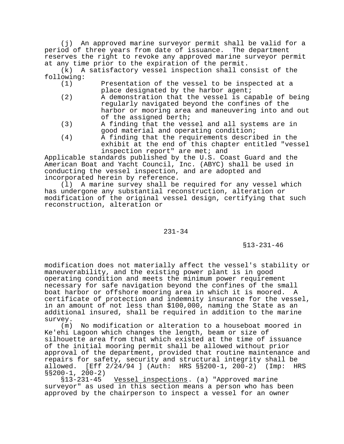(j) An approved marine surveyor permit shall be valid for a period of three years from date of issuance. The department reserves the right to revoke any approved marine surveyor permit at any time prior to the expiration of the permit.

(k) A satisfactory vessel inspection shall consist of the following:

- (1) Presentation of the vessel to be inspected at a place designated by the harbor agent;
- (2) A demonstration that the vessel is capable of being regularly navigated beyond the confines of the harbor or mooring area and maneuvering into and out of the assigned berth;
- (3) A finding that the vessel and all systems are in good material and operating condition;
- (4) A finding that the requirements described in the exhibit at the end of this chapter entitled "vessel inspection report" are met; and

Applicable standards published by the U.S. Coast Guard and the American Boat and Yacht Council, Inc. (ABYC) shall be used in conducting the vessel inspection, and are adopted and incorporated herein by reference.

(l) A marine survey shall be required for any vessel which has undergone any substantial reconstruction, alteration or modification of the original vessel design, certifying that such reconstruction, alteration or

# 231-34

# §13-231-46

modification does not materially affect the vessel's stability or maneuverability, and the existing power plant is in good operating condition and meets the minimum power requirement necessary for safe navigation beyond the confines of the small boat harbor or offshore mooring area in which it is moored. A certificate of protection and indemnity insurance for the vessel, in an amount of not less than \$100,000, naming the State as an additional insured, shall be required in addition to the marine survey.

(m) No modification or alteration to a houseboat moored in Ke'ehi Lagoon which changes the length, beam or size of silhouette area from that which existed at the time of issuance of the initial mooring permit shall be allowed without prior approval of the department, provided that routine maintenance and repairs for safety, security and structural integrity shall be allowed. [Eff 2/24/94 ] (Auth: HRS §§200-1, 200-2) (Imp: HRS  $$88200-1, 200-2$ <br> $$13-231-45$ 

Vessel inspections. (a) "Approved marine surveyor" as used in this section means a person who has been approved by the chairperson to inspect a vessel for an owner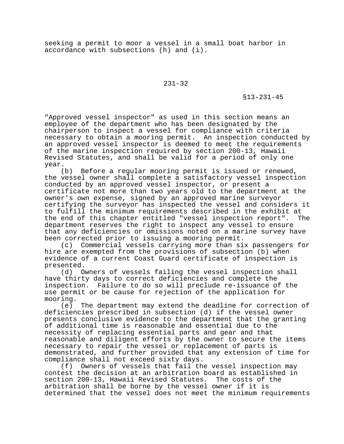seeking a permit to moor a vessel in a small boat harbor in accordance with subsections (h) and (i).

231-32

# §13-231-45

"Approved vessel inspector" as used in this section means an employee of the department who has been designated by the chairperson to inspect a vessel for compliance with criteria necessary to obtain a mooring permit. An inspection conducted by an approved vessel inspector is deemed to meet the requirements of the marine inspection required by section 200-13, Hawaii Revised Statutes, and shall be valid for a period of only one year.

(b) Before a regular mooring permit is issued or renewed, the vessel owner shall complete a satisfactory vessel inspection conducted by an approved vessel inspector, or present a certificate not more than two years old to the department at the owner's own expense, signed by an approved marine surveyor certifying the surveyor has inspected the vessel and considers it to fulfill the minimum requirements described in the exhibit at the end of this chapter entitled "vessel inspection report". The department reserves the right to inspect any vessel to ensure that any deficiencies or omissions noted on a marine survey have been corrected prior to issuing a mooring permit.

(c) Commercial vessels carrying more than six passengers for hire are exempted from the provisions of subsection (b) when evidence of a current Coast Guard certificate of inspection is presented.

(d) Owners of vessels failing the vessel inspection shall have thirty days to correct deficiencies and complete the inspection. Failure to do so will preclude re-issuance of the use permit or be cause for rejection of the application for mooring.

(e) The department may extend the deadline for correction of deficiencies prescribed in subsection (d) if the vessel owner presents conclusive evidence to the department that the granting of additional time is reasonable and essential due to the necessity of replacing essential parts and gear and that reasonable and diligent efforts by the owner to secure the items necessary to repair the vessel or replacement of parts is demonstrated, and further provided that any extension of time for compliance shall not exceed sixty days.

(f) Owners of vessels that fail the vessel inspection may contest the decision at an arbitration board as established in section 200-13, Hawaii Revised Statutes. The costs of the arbitration shall be borne by the vessel owner if it is determined that the vessel does not meet the minimum requirements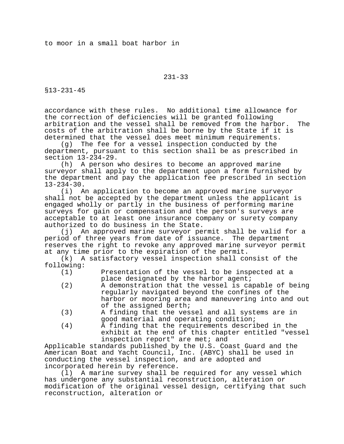# 231-33

§13-231-45

accordance with these rules. No additional time allowance for the correction of deficiencies will be granted following arbitration and the vessel shall be removed from the harbor. The costs of the arbitration shall be borne by the State if it is determined that the vessel does meet minimum requirements.

(g) The fee for a vessel inspection conducted by the department, pursuant to this section shall be as prescribed in section 13-234-29.

(h) A person who desires to become an approved marine surveyor shall apply to the department upon a form furnished by the department and pay the application fee prescribed in section 13-234-30.

(i) An application to become an approved marine surveyor shall not be accepted by the department unless the applicant is engaged wholly or partly in the business of performing marine surveys for gain or compensation and the person's surveys are acceptable to at least one insurance company or surety company authorized to do business in the State.

(j) An approved marine surveyor permit shall be valid for a period of three years from date of issuance. The department reserves the right to revoke any approved marine surveyor permit at any time prior to the expiration of the permit.

(k) A satisfactory vessel inspection shall consist of the following:

(1) Presentation of the vessel to be inspected at a place designated by the harbor agent;

- (2) A demonstration that the vessel is capable of being regularly navigated beyond the confines of the harbor or mooring area and maneuvering into and out of the assigned berth;
- (3) A finding that the vessel and all systems are in good material and operating condition;
- (4) A finding that the requirements described in the exhibit at the end of this chapter entitled "vessel inspection report" are met; and

Applicable standards published by the U.S. Coast Guard and the American Boat and Yacht Council, Inc. (ABYC) shall be used in conducting the vessel inspection, and are adopted and incorporated herein by reference.

(l) A marine survey shall be required for any vessel which has undergone any substantial reconstruction, alteration or modification of the original vessel design, certifying that such reconstruction, alteration or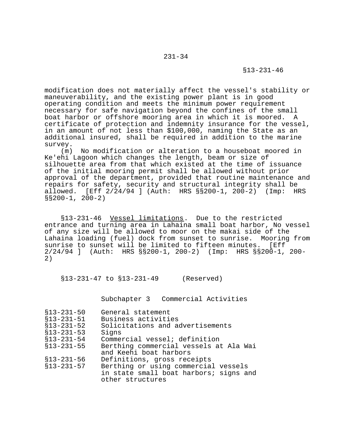<span id="page-67-0"></span>modification does not materially affect the vessel's stability or maneuverability, and the existing power plant is in good operating condition and meets the minimum power requirement necessary for safe navigation beyond the confines of the small boat harbor or offshore mooring area in which it is moored. A certificate of protection and indemnity insurance for the vessel, in an amount of not less than \$100,000, naming the State as an additional insured, shall be required in addition to the marine survey.

(m) No modification or alteration to a houseboat moored in Ke'ehi Lagoon which changes the length, beam or size of silhouette area from that which existed at the time of issuance of the initial mooring permit shall be allowed without prior approval of the department, provided that routine maintenance and repairs for safety, security and structural integrity shall be allowed. [Eff 2/24/94 ] (Auth: HRS §§200-1, 200-2) (Imp: HRS §§200-1, 200-2)

§13-231-46 Vessel limitations. Due to the restricted entrance and turning area in Lahaina small boat harbor, No vessel of any size will be allowed to moor on the makai side of the Lahaina loading (fuel) dock from sunset to sunrise. Mooring from sunrise to sunset will be limited to fifteen minutes. [Eff 2/24/94 ] (Auth: HRS §§200-1, 200-2) (Imp: HRS §§200-1, 200- 2)

§13-231-47 to §13-231-49 (Reserved)

Subchapter 3 Commercial Activities

- [§13-231-50 General statement](#page-68-0)<br>§13-231-51 Business activiti
- 
- §13-231-51 Business activities Solicitations and advertisements
- [§13-231-53 Signs](#page-69-0)
- [§13-231-54 Commercial vessel; definition](#page-69-0)
- [§13-231-55 Berthing commercial vessels at Ala Wai](#page-69-0) and Keehi boat harbors
- [§13-231-56 Definitions, gross receipts](#page-70-0)
- [§13-231-57 Berthing or using commercial vessels](#page-70-0) in state small boat harbors; signs and other structures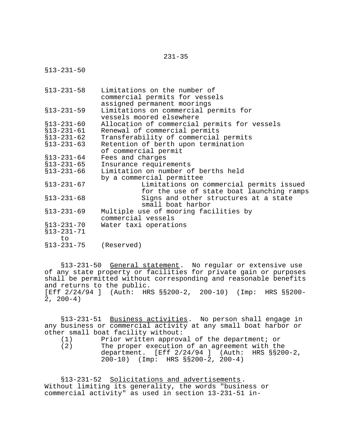# 231-35

<span id="page-68-0"></span>§13-231-50

| $$13 - 231 - 58$ | Limitations on the number of                 |  |  |
|------------------|----------------------------------------------|--|--|
|                  | commercial permits for vessels               |  |  |
|                  | assigned permanent moorings                  |  |  |
| $$13 - 231 - 59$ | Limitations on commercial permits for        |  |  |
|                  | vessels moored elsewhere                     |  |  |
| \$13-231-60      | Allocation of commercial permits for vessels |  |  |
| $$13-231-61$     | Renewal of commercial permits                |  |  |
| \$13-231-62      | Transferability of commercial permits        |  |  |
| $$13-231-63$     | Retention of berth upon termination          |  |  |
|                  | of commercial permit                         |  |  |
| $$13-231-64$     | Fees and charges                             |  |  |
| $$13-231-65$     | Insurance requirements                       |  |  |
| $$13-231-66$     | Limitation on number of berths held          |  |  |
|                  | by a commercial permittee                    |  |  |
| $$13-231-67$     | Limitations on commercial permits issued     |  |  |
|                  | for the use of state boat launching ramps    |  |  |
| $$13-231-68$     | Signs and other structures at a state        |  |  |
|                  | small boat harbor                            |  |  |
| $$13 - 231 - 69$ | Multiple use of mooring facilities by        |  |  |
|                  | commercial vessels                           |  |  |
| $$13-231-70$     | Water taxi operations                        |  |  |
| $$13-231-71$     |                                              |  |  |
| to.              |                                              |  |  |
| $$13-231-75$     | (Reserved)                                   |  |  |
|                  |                                              |  |  |

§13-231-50 General statement. No regular or extensive use of any state property or facilities for private gain or purposes shall be permitted without corresponding and reasonable benefits and returns to the public. [Eff 2/24/94 ] (Auth: HRS §§200-2, 200-10) (Imp: HRS §§200-  $2, 200-4)$ 

§13-231-51 Business activities. No person shall engage in any business or commercial activity at any small boat harbor or other small boat facility without:

(1) Prior written approval of the department; or<br>(2) The proper execution of an agreement with the

The proper execution of an agreement with the department. [Eff 2/24/94 ] (Auth: HRS §§200-2, 200-10) (Imp: HRS §§200-2, 200-4)

§13-231-52 Solicitations and advertisements.<br>Without limiting its generality, the words "business or commercial activity" as used in section 13-231-51 in-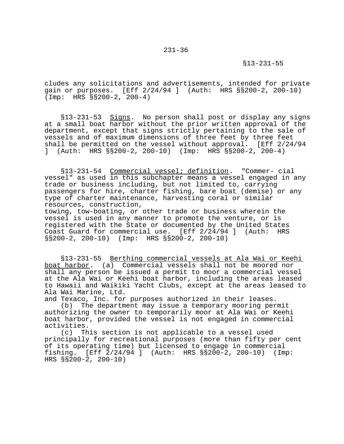<span id="page-69-0"></span>cludes any solicitations and advertisements, intended for private gain or purposes. [Eff 2/24/94 ] (Auth: HRS §§200-2, 200-10) (Imp: HRS §§200-2, 200-4)

§13-231-53 Signs. No person shall post or display any signs at a small boat harbor without the prior written approval of the department, except that signs strictly pertaining to the sale of vessels and of maximum dimensions of three feet by three feet shall be permitted on the vessel without approval. [Eff 2/24/94 ] (Auth: HRS §§200-2, 200-10) (Imp: HRS §§200-2, 200-4)

§13-231-54 Commercial vessel; definition. "Commer- cial vessel" as used in this subchapter means a vessel engaged in any trade or business including, but not limited to, carrying passengers for hire, charter fishing, bare boat (demise) or any type of charter maintenance, harvesting coral or similar resources, construction,

towing, tow-boating, or other trade or business wherein the vessel is used in any manner to promote the venture, or is registered with the State or documented by the United States Coast Guard for commercial use. [Eff 2/24/94 ] (Auth: HRS §§200-2, 200-10) (Imp: HRS §§200-2, 200-10)

§13-231-55 Berthing commercial vessels at Ala Wai or Keehi boat harbor. (a) Commercial vessels shall not be moored nor shall any person be issued a permit to moor a commercial vessel at the Ala Wai or Keehi boat harbor, including the areas leased to Hawaii and Waikiki Yacht Clubs, except at the areas leased to Ala Wai Marine, Ltd.

and Texaco, Inc. for purposes authorized in their leases.

(b) The department may issue a temporary mooring permit authorizing the owner to temporarily moor at Ala Wai or Keehi boat harbor, provided the vessel is not engaged in commercial activities.

(c) This section is not applicable to a vessel used principally for recreational purposes (more than fifty per cent of its operating time) but licensed to engage in commercial fishing. [Eff 2/24/94 ] (Auth: HRS §§200-2, 200-10) (Imp: HRS §§200-2, 200-10)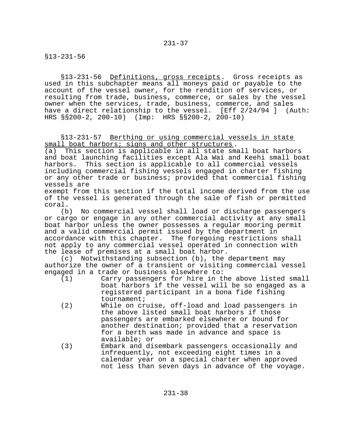<span id="page-70-0"></span>§13-231-56 Definitions, gross receipts. Gross receipts as used in this subchapter means all moneys paid or payable to the account of the vessel owner, for the rendition of services, or resulting from trade, business, commerce, or sales by the vessel owner when the services, trade, business, commerce, and sales have a direct relationship to the vessel. [Eff 2/24/94 ] (Auth: HRS §§200-2, 200-10) (Imp: HRS §§200-2, 200-10)

# §13-231-57 Berthing or using commercial vessels in state

small boat harbors; signs and other structures . (a) This section is applicable in all state small boat harbors and boat launching facilities except Ala Wai and Keehi small boat harbors. This section is applicable to all commercial vessels including commercial fishing vessels engaged in charter fishing or any other trade or business; provided that commercial fishing vessels are

exempt from this section if the total income derived from the use of the vessel is generated through the sale of fish or permitted coral.

(b) No commercial vessel shall load or discharge passengers or cargo or engage in any other commercial activity at any small boat harbor unless the owner possesses a regular mooring permit and a valid commercial permit issued by the department in accordance with this chapter. The foregoing restrictions shall not apply to any commercial vessel operated in connection with the lease of premises at a small boat harbor.

(c) Notwithstanding subsection (b), the department may authorize the owner of a transient or visiting commercial vessel engaged in a trade or business elsewhere to:

- (1) Carry passengers for hire in the above listed small boat harbors if the vessel will be so engaged as a registered participant in a bona fide fishing tournament;
- (2) While on cruise, off-load and load passengers in the above listed small boat harbors if those passengers are embarked elsewhere or bound for another destination; provided that a reservation for a berth was made in advance and space is available; or
- (3) Embark and disembark passengers occasionally and infrequently, not exceeding eight times in a calendar year on a special charter when approved not less than seven days in advance of the voyage.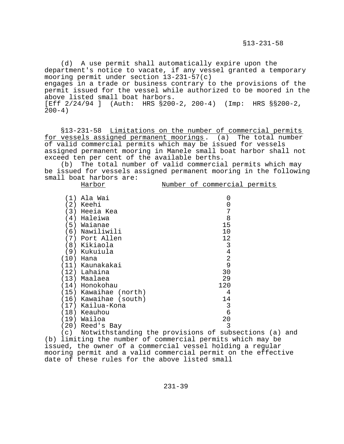<span id="page-71-0"></span>(d) A use permit shall automatically expire upon the department's notice to vacate, if any vessel granted a temporary mooring permit under section 13-231-57(c) engages in a trade or business contrary to the provisions of the permit issued for the vessel while authorized to be moored in the above listed small boat harbors. [Eff 2/24/94 ] (Auth: HRS §200-2, 200-4) (Imp: HRS §§200-2,  $200 - 4$ 

§13-231-58 Limitations on the number of commercial permits for vessels assigned permanent moorings. (a) The total number of valid commercial permits which may be issued for vessels assigned permanent mooring in Manele small boat harbor shall not exceed ten per cent of the available berths.

(b) The total number of valid commercial permits which may be issued for vessels assigned permanent mooring in the following small boat harbors are:

| arnc |  |
|------|--|

Number of commercial permits

| (1) | Ala Wai               | 0              |
|-----|-----------------------|----------------|
|     | (2) Keehi             | 0              |
|     | (3) Heeia Kea         | 7              |
|     | (4) Haleiwa           | 8              |
|     | (5) Waianae           | 15             |
|     | (6) Nawiliwili        | 10             |
|     | (7) Port Allen        | 12             |
|     | (8) Kikiaola          | 3              |
|     | (9) Kukuiula          | $\overline{4}$ |
|     | $(10)$ Hana           | $\overline{2}$ |
|     | (11) Kaunakakai       | 9              |
|     | $(12)$ Lahaina        | 30             |
|     | (13) Maalaea          | 29             |
|     | (14) Honokohau        | 120            |
|     | (15) Kawaihae (north) | 4              |
|     | (16) Kawaihae (south) | 14             |
|     | (17) Kailua-Kona      | 3              |
|     | (18) Keauhou          | 6              |
|     | (19) Wailoa           | 20             |
|     | (20) Reed's Bay       | 3              |

(c) Notwithstanding the provisions of subsections (a) and (b) limiting the number of commercial permits which may be issued, the owner of a commercial vessel holding a regular mooring permit and a valid commercial permit on the effective date of these rules for the above listed small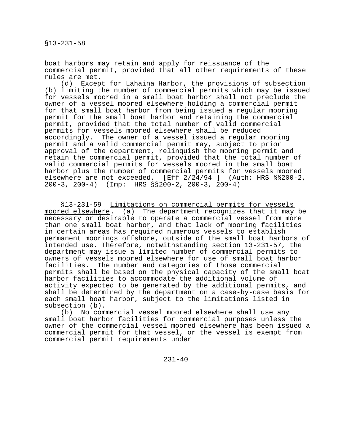boat harbors may retain and apply for reissuance of the commercial permit, provided that all other requirements of these rules are met.

(d) Except for Lahaina Harbor, the provisions of subsection (b) limiting the number of commercial permits which may be issued for vessels moored in a small boat harbor shall not preclude the owner of a vessel moored elsewhere holding a commercial permit for that small boat harbor from being issued a regular mooring permit for the small boat harbor and retaining the commercial permit, provided that the total number of valid commercial permits for vessels moored elsewhere shall be reduced accordingly. The owner of a vessel issued a regular mooring permit and a valid commercial permit may, subject to prior approval of the department, relinquish the mooring permit and retain the commercial permit, provided that the total number of valid commercial permits for vessels moored in the small boat harbor plus the number of commercial permits for vessels moored elsewhere are not exceeded. [Eff 2/24/94 ] (Auth: HRS §§200-2, 200-3, 200-4) (Imp: HRS §§200-2, 200-3, 200-4)

§13-231-59 Limitations on commercial permits for vessels moored elsewhere. (a) The department recognizes that it may be necessary or desirable to operate a commercial vessel from more than one small boat harbor, and that lack of mooring facilities in certain areas has required numerous vessels to establish permanent moorings offshore, outside of the small boat harbors of intended use. Therefore, notwithstanding section 13-231-57, the department may issue a limited number of commercial permits to owners of vessels moored elsewhere for use of small boat harbor facilities. The number and categories of those commercial permits shall be based on the physical capacity of the small boat harbor facilities to accommodate the additional volume of activity expected to be generated by the additional permits, and shall be determined by the department on a case-by-case basis for each small boat harbor, subject to the limitations listed in subsection (b).

(b) No commercial vessel moored elsewhere shall use any small boat harbor facilities for commercial purposes unless the owner of the commercial vessel moored elsewhere has been issued a commercial permit for that vessel, or the vessel is exempt from commercial permit requirements under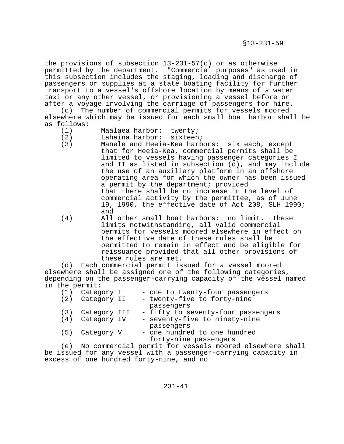the provisions of subsection  $13-231-57(c)$  or as otherwise permitted by the department. "Commercial purposes" as used in this subsection includes the staging, loading and discharge of passengers or supplies at a state boating facility for further transport to a vessel's offshore location by means of a water taxi or any other vessel, or provisioning a vessel before or after a voyage involving the carriage of passengers for hire.

(c) The number of commercial permits for vessels moored elsewhere which may be issued for each small boat harbor shall be as follows:

- (1) Maalaea harbor: twenty;
- (2) Lahaina harbor: sixteen;
- (3) Manele and Heeia-Kea harbors: six each, except that for Heeia-Kea, commercial permits shall be limited to vessels having passenger categories I and II as listed in subsection (d), and may include the use of an auxiliary platform in an offshore operating area for which the owner has been issued a permit by the department; provided that there shall be no increase in the level of commercial activity by the permittee, as of June 19, 1990, the effective date of Act 208, SLH 1990; and
- (4) All other small boat harbors: no limit. These limits notwithstanding, all valid commercial permits for vessels moored elsewhere in effect on the effective date of these rules shall be permitted to remain in effect and be eligible for reissuance provided that all other provisions of these rules are met.

(d) Each commercial permit issued for a vessel moored elsewhere shall be assigned one of the following categories, depending on the passenger-carrying capacity of the vessel named in the permit:

| (1) | Category I     | - one to twenty-four passengers    |
|-----|----------------|------------------------------------|
| (2) | Category II    | - twenty-five to forty-nine        |
|     |                | passengers                         |
| (3) | Category III   | - fifty to seventy-four passengers |
| (4) | Category IV    | - seventy-five to ninety-nine      |
|     |                | passengers                         |
|     | (5) Category V | - one hundred to one hundred       |
|     |                | forty-nine passengers              |

(e) No commercial permit for vessels moored elsewhere shall be issued for any vessel with a passenger-carrying capacity in excess of one hundred forty-nine, and no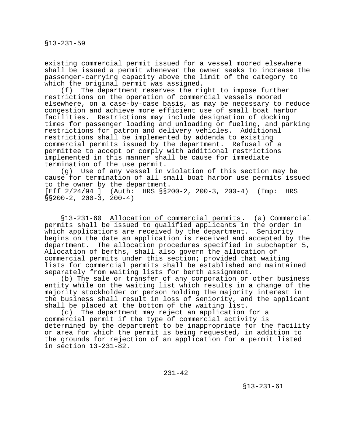§13-231-59

existing commercial permit issued for a vessel moored elsewhere shall be issued a permit whenever the owner seeks to increase the passenger-carrying capacity above the limit of the category to which the original permit was assigned.

(f) The department reserves the right to impose further restrictions on the operation of commercial vessels moored elsewhere, on a case-by-case basis, as may be necessary to reduce congestion and achieve more efficient use of small boat harbor facilities. Restrictions may include designation of docking times for passenger loading and unloading or fueling, and parking restrictions for patron and delivery vehicles. Additional restrictions shall be implemented by addenda to existing commercial permits issued by the department. Refusal of a permittee to accept or comply with additional restrictions implemented in this manner shall be cause for immediate termination of the use permit.

(g) Use of any vessel in violation of this section may be cause for termination of all small boat harbor use permits issued to the owner by the department. [Eff 2/24/94 ] (Auth: HRS §§200-2, 200-3, 200-4) (Imp: HRS  $\S$ §200-2, 200-3, 200-4)

§13-231-60 Allocation of commercial permits. (a) Commercial permits shall be issued to qualified applicants in the order in which applications are received by the department. Seniority begins on the date an application is received and accepted by the department. The allocation procedures specified in subchapter 5, Allocation of berths, shall also govern the allocation of commercial permits under this section; provided that waiting lists for commercial permits shall be established and maintained separately from waiting lists for berth assignment.

(b) The sale or transfer of any corporation or other business entity while on the waiting list which results in a change of the majority stockholder or person holding the majority interest in the business shall result in loss of seniority, and the applicant shall be placed at the bottom of the waiting list.

(c) The department may reject an application for a commercial permit if the type of commercial activity is determined by the department to be inappropriate for the facility or area for which the permit is being requested, in addition to the grounds for rejection of an application for a permit listed in section 13-231-82.

231-42

§13-231-61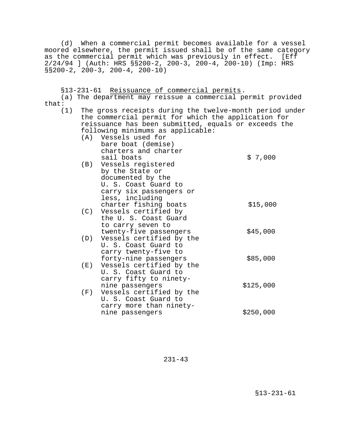(d) When a commercial permit becomes available for a vessel moored elsewhere, the permit issued shall be of the same category as the commercial permit which was previously in effect. [Eff 2/24/94 ] (Auth: HRS §§200-2, 200-3, 200-4, 200-10) (Imp: HRS §§200-2, 200-3, 200-4, 200-10)

§13-231-61 <u>Reissuance of commercial permits</u>.<br>(a) The department may reissue a commercial permit provided that:

| (1) |         | The gross receipts during the twelve-month period under<br>the commercial permit for which the application for<br>reissuance has been submitted, equals or exceeds the<br>following minimums as applicable:<br>Vessels used for |           |
|-----|---------|---------------------------------------------------------------------------------------------------------------------------------------------------------------------------------------------------------------------------------|-----------|
|     | (A)     | bare boat (demise)<br>charters and charter<br>sail boats                                                                                                                                                                        | \$7,000   |
|     |         | (B) Vessels registered<br>by the State or<br>documented by the<br>U. S. Coast Guard to                                                                                                                                          |           |
|     |         | carry six passengers or<br>less, including<br>charter fishing boats                                                                                                                                                             | \$15,000  |
|     | (C)     | Vessels certified by<br>the U. S. Coast Guard<br>to carry seven to<br>twenty-five passengers                                                                                                                                    | \$45,000  |
|     | (D)     | Vessels certified by the<br>U. S. Coast Guard to<br>carry twenty-five to                                                                                                                                                        |           |
|     | ( $E$ ) | forty-nine passengers<br>Vessels certified by the<br>U. S. Coast Guard to<br>carry fifty to ninety-                                                                                                                             | \$85,000  |
|     |         | nine passengers<br>(F) Vessels certified by the<br>U. S. Coast Guard to                                                                                                                                                         | \$125,000 |
|     |         | carry more than ninety-<br>nine passengers                                                                                                                                                                                      | \$250,000 |
|     |         |                                                                                                                                                                                                                                 |           |

231-43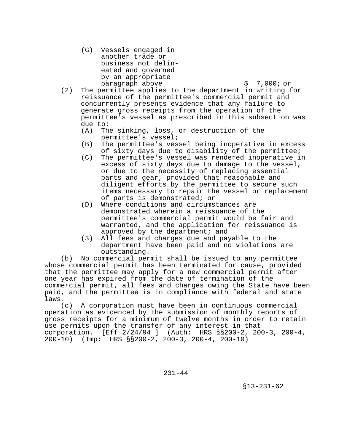- (G) Vessels engaged in another trade or business not delineated and governed by an appropriate paragraph above  $\frac{1}{2}$  7,000; or
- (2) The permittee applies to the department in writing for reissuance of the permittee's commercial permit and concurrently presents evidence that any failure to generate gross receipts from the operation of the permittee's vessel as prescribed in this subsection was due to:
	- (A) The sinking, loss, or destruction of the permittee's vessel;
	- (B) The permittee's vessel being inoperative in excess of sixty days due to disability of the permittee;
	- (C) The permittee's vessel was rendered inoperative in excess of sixty days due to damage to the vessel, or due to the necessity of replacing essential parts and gear, provided that reasonable and diligent efforts by the permittee to secure such items necessary to repair the vessel or replacement of parts is demonstrated; or
	- (D) Where conditions and circumstances are demonstrated wherein a reissuance of the permittee's commercial permit would be fair and warranted, and the application for reissuance is approved by the department; and
	- (3) All fees and charges due and payable to the department have been paid and no violations are outstanding.

(b) No commercial permit shall be issued to any permittee whose commercial permit has been terminated for cause, provided that the permittee may apply for a new commercial permit after one year has expired from the date of termination of the commercial permit, all fees and charges owing the State have been paid, and the permittee is in compliance with federal and state laws.

(c) A corporation must have been in continuous commercial operation as evidenced by the submission of monthly reports of gross receipts for a minimum of twelve months in order to retain use permits upon the transfer of any interest in that corporation. [Eff 2/24/94 ] (Auth: HRS §§200-2, 200-3, 200-4, 200-10) (Imp: HRS §§200-2, 200-3, 200-4, 200-10)

231-44

§13-231-62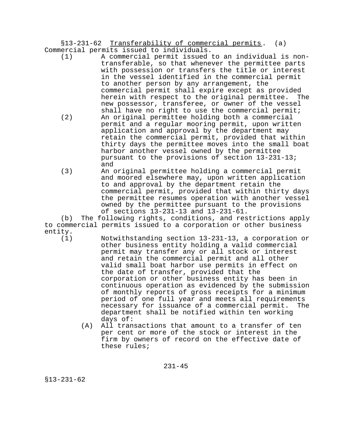§13-231-62 Transferability of commercial permits. (a) Commercial permits issued to individuals.

- (1) A commercial permit issued to an individual is nontransferable, so that whenever the permittee parts with possession or transfers the title or interest in the vessel identified in the commercial permit to another person by any arrangement, the commercial permit shall expire except as provided herein with respect to the original permittee. The new possessor, transferee, or owner of the vessel shall have no right to use the commercial permit; (2) An original permittee holding both a commercial
	- permit and a regular mooring permit, upon written application and approval by the department may retain the commercial permit, provided that within thirty days the permittee moves into the small boat harbor another vessel owned by the permittee pursuant to the provisions of section 13-231-13; and
	- (3) An original permittee holding a commercial permit and moored elsewhere may, upon written application to and approval by the department retain the commercial permit, provided that within thirty days the permittee resumes operation with another vessel owned by the permittee pursuant to the provisions of sections 13-231-13 and 13-231-61.

(b) The following rights, conditions, and restrictions apply to commercial permits issued to a corporation or other business entity.

- (1) Notwithstanding section 13-231-13, a corporation or other business entity holding a valid commercial permit may transfer any or all stock or interest and retain the commercial permit and all other valid small boat harbor use permits in effect on the date of transfer, provided that the corporation or other business entity has been in continuous operation as evidenced by the submission of monthly reports of gross receipts for a minimum period of one full year and meets all requirements necessary for issuance of a commercial permit. The department shall be notified within ten working days of:
	- (A) All transactions that amount to a transfer of ten per cent or more of the stock or interest in the firm by owners of record on the effective date of these rules;

§13-231-62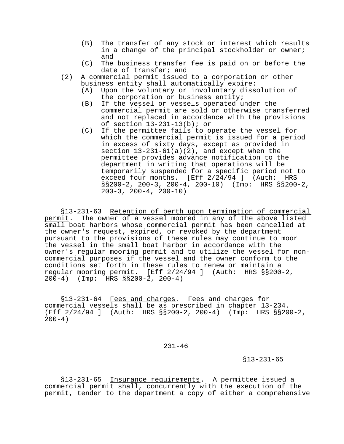- (B) The transfer of any stock or interest which results in a change of the principal stockholder or owner; and
- (C) The business transfer fee is paid on or before the date of transfer; and
- (2) A commercial permit issued to a corporation or other business entity shall automatically expire:
	- (A) Upon the voluntary or involuntary dissolution of the corporation or business entity;
	- (B) If the vessel or vessels operated under the commercial permit are sold or otherwise transferred and not replaced in accordance with the provisions of section 13-231-13(b); or
	- (C) If the permittee fails to operate the vessel for which the commercial permit is issued for a period in excess of sixty days, except as provided in section  $13-231-61(a)(2)$ , and except when the permittee provides advance notification to the department in writing that operations will be temporarily suspended for a specific period not to exceed four months. [Eff 2/24/94 ] (Auth: HRS §§200-2, 200-3, 200-4, 200-10) (Imp: HRS §§200-2, 200-3, 200-4, 200-10)

§13-231-63 Retention of berth upon termination of commercial permit. The owner of a vessel moored in any of the above listed small boat harbors whose commercial permit has been cancelled at the owner's request, expired, or revoked by the department pursuant to the provisions of these rules may continue to moor the vessel in the small boat harbor in accordance with the owner's regular mooring permit and to utilize the vessel for noncommercial purposes if the vessel and the owner conform to the conditions set forth in these rules to renew or maintain a regular mooring permit. [Eff 2/24/94 ] (Auth: HRS §§200-2, 200-4) (Imp: HRS §§200-2, 200-4)

§13-231-64 Fees and charges. Fees and charges for commercial vessels shall be as prescribed in chapter 13-234. (Eff 2/24/94 ] (Auth: HRS §§200-2, 200-4) (Imp: HRS §§200-2,  $200 - 4$ 

231-46

## §13-231-65

§13-231-65 Insurance requirements. A permittee issued a commercial permit shall, concurrently with the execution of the permit, tender to the department a copy of either a comprehensive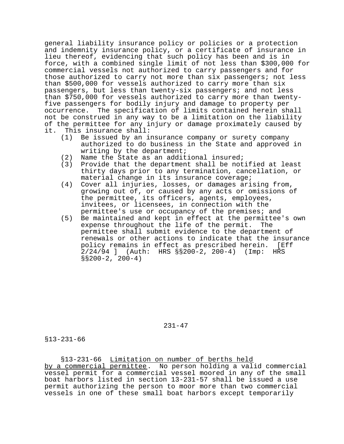general liability insurance policy or policies or a protection and indemnity insurance policy, or a certificate of insurance in lieu thereof, evidencing that such policy has been and is in force, with a combined single limit of not less than \$300,000 for commercial vessels not authorized to carry passengers and for those authorized to carry not more than six passengers; not less than \$500,000 for vessels authorized to carry more than six passengers, but less than twenty-six passengers; and not less than \$750,000 for vessels authorized to carry more than twentyfive passengers for bodily injury and damage to property per occurrence. The specification of limits contained herein shall not be construed in any way to be a limitation on the liability of the permittee for any injury or damage proximately caused by it. This insurance shall:

- (1) Be issued by an insurance company or surety company authorized to do business in the State and approved in writing by the department;
- (2) Name the State as an additional insured;
- (3) Provide that the department shall be notified at least thirty days prior to any termination, cancellation, or material change in its insurance coverage;
- (4) Cover all injuries, losses, or damages arising from, growing out of, or caused by any acts or omissions of the permittee, its officers, agents, employees, invitees, or licensees, in connection with the permittee's use or occupancy of the premises; and
- (5) Be maintained and kept in effect at the permittee's own expense throughout the life of the permit. The permittee shall submit evidence to the department of renewals or other actions to indicate that the insurance policy remains in effect as prescribed herein. [Eff 2/24/94 ] (Auth: HRS §§200-2, 200-4) (Imp: HRS §§200-2, 200-4)

231-47

§13-231-66

§13-231-66 Limitation on number of berths held by a commercial permittee. No person holding a valid commercial vessel permit for a commercial vessel moored in any of the small boat harbors listed in section 13-231-57 shall be issued a use permit authorizing the person to moor more than two commercial vessels in one of these small boat harbors except temporarily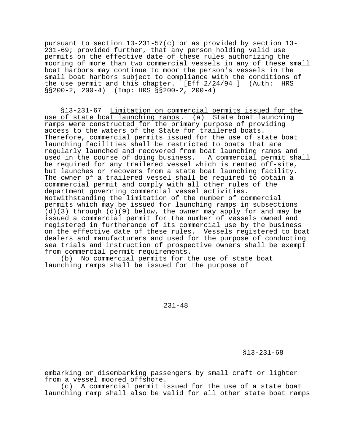pursuant to section 13-231-57(c) or as provided by section 13- 231-69; provided further, that any person holding valid use permits on the effective date of these rules authorizing the mooring of more than two commercial vessels in any of these small boat harbors may continue to moor the person's vessels in the small boat harbors subject to compliance with the conditions of the use permit and this chapter. [Eff 2/24/94 ] (Auth: HRS §§200-2, 200-4) (Imp: HRS §§200-2, 200-4)

§13-231-67 Limitation on commercial permits issued for the use of state boat launching ramps. (a) State boat launching ramps were constructed for the primary purpose of providing access to the waters of the State for trailered boats. Therefore, commercial permits issued for the use of state boat launching facilities shall be restricted to boats that are regularly launched and recovered from boat launching ramps and used in the course of doing business. A commercial permit shall be required for any trailered vessel which is rented off-site, but launches or recovers from a state boat launching facility. The owner of a trailered vessel shall be required to obtain a commmercial permit and comply with all other rules of the department governing commercial vessel activities. Notwithstanding the limitation of the number of commercial permits which may be issued for launching ramps in subsections (d)(3) through (d)(9) below, the owner may apply for and may be issued a commercial permit for the number of vessels owned and registered in furtherance of its commercial use by the business on the effective date of these rules. Vessels registered to boat dealers and manufacturers and used for the purpose of conducting sea trials and instruction of prospective owners shall be exempt from commercial permit requirements.

(b) No commercial permits for the use of state boat launching ramps shall be issued for the purpose of

## 231-48

§13-231-68

embarking or disembarking passengers by small craft or lighter from a vessel moored offshore.

(c) A commercial permit issued for the use of a state boat launching ramp shall also be valid for all other state boat ramps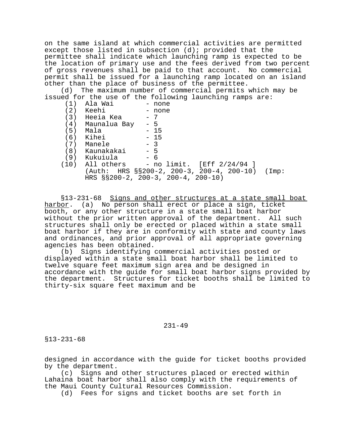on the same island at which commercial activities are permitted except those listed in subsection  $(d)$ ; provided that the permittee shall indicate which launching ramp is expected to be the location of primary use and the fees derived from two percent of gross revenues shall be paid to that account. No commercial permit shall be issued for a launching ramp located on an island other than the place of business of the permittee.

(d) The maximum number of commercial permits which may be issued for the use of the following launching ramps are:

| (1) Ala Wai        | - none                                             |  |
|--------------------|----------------------------------------------------|--|
| (2) Keehi          | – none                                             |  |
| (3) Heeia Kea      | - 7                                                |  |
| (4) Maunalua Bay   | $-5$                                               |  |
| (5) Mala           | $-15$                                              |  |
| $(6)$ Kihei        | $-15$                                              |  |
| (7) Manele         | $-3$                                               |  |
| (8) Kaunakakai - 5 |                                                    |  |
| (9) Kukuiula       | $-6$                                               |  |
|                    | $(10)$ All others - no limit. [Eff $2/24/94$ ]     |  |
|                    | $(Auth: HRS \S$200-2, 200-3, 200-4, 200-10)$ (Imp: |  |
|                    | HRS $\S$ S200-2, 200-3, 200-4, 200-10)             |  |
|                    |                                                    |  |

§13-231-68 Signs and other structures at a state small boat harbor. (a) No person shall erect or place a sign, ticket booth, or any other structure in a state small boat harbor without the prior written approval of the department. All such structures shall only be erected or placed within a state small boat harbor if they are in conformity with state and county laws and ordinances, and prior approval of all appropriate governing agencies has been obtained.

(b) Signs identifying commercial activities posted or displayed within a state small boat harbor shall be limited to twelve square feet maximum sign area and be designed in accordance with the guide for small boat harbor signs provided by the department. Structures for ticket booths shall be limited to thirty-six square feet maximum and be

### 231-49

§13-231-68

designed in accordance with the guide for ticket booths provided by the department.

(c) Signs and other structures placed or erected within Lahaina boat harbor shall also comply with the requirements of the Maui County Cultural Resources Commission.

(d) Fees for signs and ticket booths are set forth in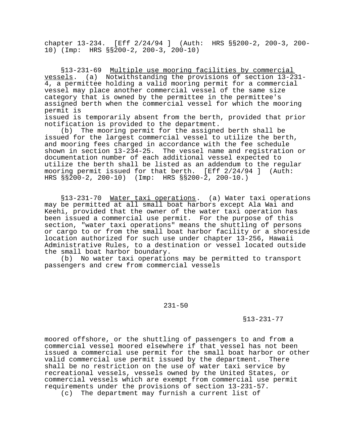chapter 13-234. [Eff 2/24/94 ] (Auth: HRS §§200-2, 200-3, 200- 10) (Imp: HRS §§200-2, 200-3, 200-10)

§13-231-69 Multiple use mooring facilities by commercial vessels. (a) Notwithstanding the provisions of section 13-231- 4, a permittee holding a valid mooring permit for a commercial vessel may place another commercial vessel of the same size category that is owned by the permittee in the permittee's assigned berth when the commercial vessel for which the mooring permit is

issued is temporarily absent from the berth, provided that prior notification is provided to the department.

(b) The mooring permit for the assigned berth shall be issued for the largest commercial vessel to utilize the berth, and mooring fees charged in accordance with the fee schedule shown in section 13-234-25. The vessel name and registration or documentation number of each additional vessel expected to utilize the berth shall be listed as an addendum to the regular mooring permit issued for that berth. [Eff 2/24/94 ] (Auth: HRS §§200-2, 200-10) (Imp: HRS §§200-2, 200-10.)

§13-231-70 Water taxi operations. (a) Water taxi operations may be permitted at all small boat harbors except Ala Wai and Keehi, provided that the owner of the water taxi operation has been issued a commercial use permit. For the purpose of this section, "water taxi operations" means the shuttling of persons or cargo to or from the small boat harbor facility or a shoreside location authorized for such use under chapter 13-256, Hawaii Administrative Rules, to a destination or vessel located outside the small boat harbor boundary.

(b) No water taxi operations may be permitted to transport passengers and crew from commercial vessels

231-50

#### §13-231-77

moored offshore, or the shuttling of passengers to and from a commercial vessel moored elsewhere if that vessel has not been issued a commercial use permit for the small boat harbor or other valid commercial use permit issued by the department. There shall be no restriction on the use of water taxi service by recreational vessels, vessels owned by the United States, or commercial vessels which are exempt from commercial use permit requirements under the provisions of section 13-231-57.

(c) The department may furnish a current list of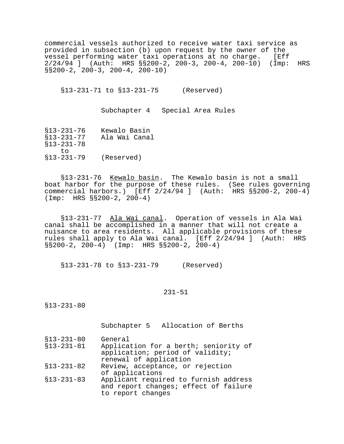commercial vessels authorized to receive water taxi service as provided in subsection (b) upon request by the owner of the vessel performing water taxi operations at no charge. [Eff 2/24/94 ] (Auth: HRS §§200-2, 200-3, 200-4, 200-10) (Imp: HRS §§200-2, 200-3, 200-4, 200-10)

§13-231-71 to §13-231-75 (Reserved)

Subchapter 4 Special Area Rules

| $$13-231-76$     | Kewalo Basin  |
|------------------|---------------|
| $$13-231-77$     | Ala Wai Canal |
| $$13-231-78$     |               |
| t.o              |               |
| $$13 - 231 - 79$ | (Reserved)    |

§13-231-76 Kewalo basin. The Kewalo basin is not a small boat harbor for the purpose of these rules. (See rules governing commercial harbors.) [Eff 2/24/94 ] (Auth: HRS §§200-2, 200-4) (Imp: HRS §§200-2, 200-4)

§13-231-77 Ala Wai canal. Operation of vessels in Ala Wai canal shall be accomplished in a manner that will not create a nuisance to area residents. All applicable provisions of these rules shall apply to Ala Wai canal. [Eff 2/24/94 ] (Auth: HRS §§200-2, 200-4) (Imp: HRS §§200-2, 200-4)

§13-231-78 to §13-231-79 (Reserved)

#### 231-51

§13-231-80

| Subchapter 5 | Allocation of Berths |
|--------------|----------------------|
|--------------|----------------------|

- [§13-231-80 General](#page-84-0)
- [§13-231-81 Application for a berth; seniority of](#page-85-0) application; period of validity; renewal of application
- [§13-231-82 Review, acceptance, or rejection](#page-87-0) of applications
- [§13-231-83 Applicant required to furnish address](#page-88-0) and report changes; effect of failure to report changes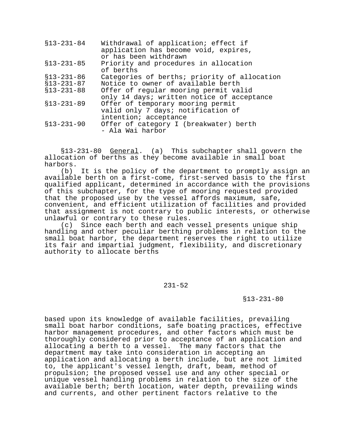<span id="page-84-0"></span>

| $$13-231-84$     | Withdrawal of application; effect if<br>application has become void, expires,<br>or has been withdrawn |
|------------------|--------------------------------------------------------------------------------------------------------|
| $$13 - 231 - 85$ | Priority and procedures in allocation<br>of berths                                                     |
| $$13 - 231 - 86$ | Categories of berths; priority of allocation                                                           |
| $$13 - 231 - 87$ | Notice to owner of available berth                                                                     |
| $$13 - 231 - 88$ | Offer of regular mooring permit valid<br>only 14 days; written notice of acceptance                    |
| $$13-231-89$     | Offer of temporary mooring permit<br>valid only 7 days; notification of                                |
| $$13-231-90$     | intention; acceptance<br>Offer of category I (breakwater) berth<br>- Ala Wai harbor                    |

§13-231-80 General. (a) This subchapter shall govern the allocation of berths as they become available in small boat harbors.

(b) It is the policy of the department to promptly assign an available berth on a first-come, first-served basis to the first qualified applicant, determined in accordance with the provisions of this subchapter, for the type of mooring requested provided that the proposed use by the vessel affords maximum, safe, convenient, and efficient utilization of facilities and provided that assignment is not contrary to public interests, or otherwise unlawful or contrary to these rules.

(c) Since each berth and each vessel presents unique ship handling and other peculiar berthing problems in relation to the small boat harbor, the department reserves the right to utilize its fair and impartial judgment, flexibility, and discretionary authority to allocate berths

#### 231-52

### §13-231-80

based upon its knowledge of available facilities, prevailing small boat harbor conditions, safe boating practices, effective harbor management procedures, and other factors which must be thoroughly considered prior to acceptance of an application and allocating a berth to a vessel. The many factors that the department may take into consideration in accepting an application and allocating a berth include, but are not limited to, the applicant's vessel length, draft, beam, method of propulsion; the proposed vessel use and any other special or unique vessel handling problems in relation to the size of the available berth; berth location, water depth, prevailing winds and currents, and other pertinent factors relative to the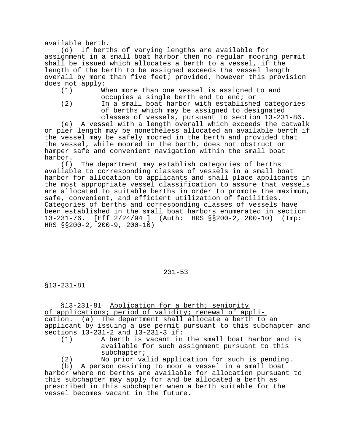<span id="page-85-0"></span>available berth.

(d) If berths of varying lengths are available for assignment in a small boat harbor then no regular mooring permit shall be issued which allocates a berth to a vessel, if the length of the berth to be assigned exceeds the vessel length overall by more than five feet; provided, however this provision does not apply:

- (1) When more than one vessel is assigned to and occupies a single berth end to end; or
- (2) In a small boat harbor with established categories of berths which may be assigned to designated classes of vessels, pursuant to section 13-231-86.

(e) A vessel with a length overall which exceeds the catwalk or pier length may be nonetheless allocated an available berth if the vessel may be safely moored in the berth and provided that the vessel, while moored in the berth, does not obstruct or hamper safe and convenient navigation within the small boat harbor.

(f) The department may establish categories of berths available to corresponding classes of vessels in a small boat harbor for allocation to applicants and shall place applicants in the most appropriate vessel classification to assure that vessels are allocated to suitable berths in order to promote the maximum, safe, convenient, and efficient utilization of facilities. Categories of berths and corresponding classes of vessels have been established in the small boat harbors enumerated in section 13-231-76. [Eff 2/24/94 ] (Auth: HRS §§200-2, 200-10) (Imp: HRS §§200-2, 200-9, 200-10)

# 231-53

§13-231-81

§13-231-81 Application for a berth; seniority of applications; period of validity; renewal of application. (a) The department shall allocate a berth to an applicant by issuing a use permit pursuant to this subchapter and sections 13-231-2 and 13-231-3 if:

(1) A berth is vacant in the small boat harbor and is available for such assignment pursuant to this subchapter;

(2) No prior valid application for such is pending. (b) A person desiring to moor a vessel in a small boat harbor where no berths are available for allocation pursuant to this subchapter may apply for and be allocated a berth as prescribed in this subchapter when a berth suitable for the vessel becomes vacant in the future.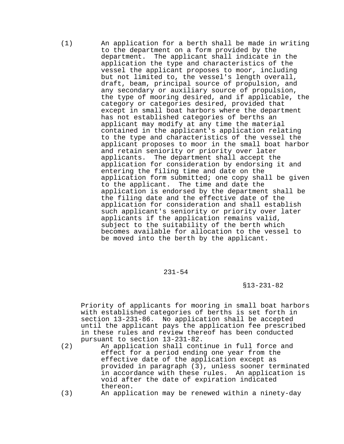(1) An application for a berth shall be made in writing to the department on a form provided by the department. The applicant shall indicate in the application the type and characteristics of the vessel the applicant proposes to moor, including but not limited to, the vessel's length overall, draft, beam, principal source of propulsion, and any secondary or auxiliary source of propulsion, the type of mooring desired, and if applicable, the category or categories desired, provided that except in small boat harbors where the department has not established categories of berths an applicant may modify at any time the material contained in the applicant's application relating to the type and characteristics of the vessel the applicant proposes to moor in the small boat harbor and retain seniority or priority over later applicants. The department shall accept the application for consideration by endorsing it and entering the filing time and date on the application form submitted; one copy shall be given to the applicant. The time and date the application is endorsed by the department shall be the filing date and the effective date of the application for consideration and shall establish such applicant's seniority or priority over later applicants if the application remains valid, subject to the suitability of the berth which becomes available for allocation to the vessel to be moved into the berth by the applicant.

## 231-54

#### §13-231-82

Priority of applicants for mooring in small boat harbors with established categories of berths is set forth in section 13-231-86. No application shall be accepted until the applicant pays the application fee prescribed in these rules and review thereof has been conducted pursuant to section 13-231-82.

- (2) An application shall continue in full force and effect for a period ending one year from the effective date of the application except as provided in paragraph (3), unless sooner terminated in accordance with these rules. An application is void after the date of expiration indicated thereon.
- (3) An application may be renewed within a ninety-day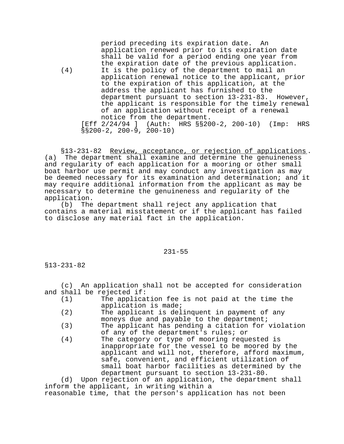period preceding its expiration date. An application renewed prior to its expiration date shall be valid for a period ending one year from the expiration date of the previous application.

<span id="page-87-0"></span>(4) It is the policy of the department to mail an application renewal notice to the applicant, prior to the expiration of this application, at the address the applicant has furnished to the department pursuant to section 13-231-83. However, the applicant is responsible for the timely renewal of an application without receipt of a renewal notice from the department.

[Eff 2/24/94 ] (Auth: HRS §§200-2, 200-10) (Imp: HRS §§200-2, 200-9, 200-10)

§13-231-82 Review, acceptance, or rejection of applications.<br>(a) The department shall examine and determine the genuineness and regularity of each application for a mooring or other small boat harbor use permit and may conduct any investigation as may be deemed necessary for its examination and determination; and it may require additional information from the applicant as may be necessary to determine the genuineness and regularity of the application.

(b) The department shall reject any application that contains a material misstatement or if the applicant has failed to disclose any material fact in the application.

## 231-55

§13-231-82

(c) An application shall not be accepted for consideration and shall be rejected if:

- (1) The application fee is not paid at the time the application is made;
- (2) The applicant is delinquent in payment of any moneys due and payable to the department;
- (3) The applicant has pending a citation for violation of any of the department's rules; or
- (4) The category or type of mooring requested is inappropriate for the vessel to be moored by the applicant and will not, therefore, afford maximum, safe, convenient, and efficient utilization of small boat harbor facilities as determined by the department pursuant to section 13-231-80.

(d) Upon rejection of an application, the department shall inform the applicant, in writing within a

reasonable time, that the person's application has not been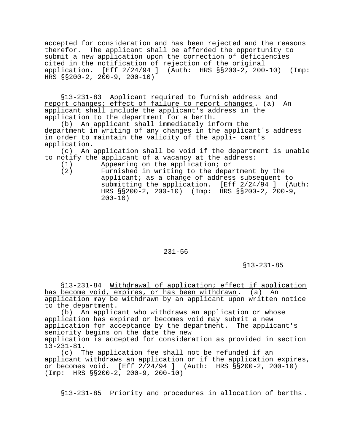<span id="page-88-0"></span>accepted for consideration and has been rejected and the reasons therefor. The applicant shall be afforded the opportunity to submit a new application upon the correction of deficiencies cited in the notification of rejection of the original application. [Eff 2/24/94 ] (Auth: HRS §§200-2, 200-10) (Imp: HRS §§200-2, 200-9, 200-10)

§13-231-83 Applicant required to furnish address and report changes; effect of failure to report changes. (a) An applicant shall include the applicant's address in the application to the department for a berth.

(b) An applicant shall immediately inform the department in writing of any changes in the applicant's address in order to maintain the validity of the appli- cant's application.

(c) An application shall be void if the department is unable to notify the applicant of a vacancy at the address:

(1) Appearing on the application; or<br>(2) Furnished in writing to the depa: Furnished in writing to the department by the applicant; as a change of address subsequent to submitting the application. [Eff 2/24/94 ] (Auth: HRS §§200-2, 200-10) (Imp: HRS §§200-2, 200-9,  $200 - 10$ 

## 231-56

## §13-231-85

§13-231-84 Withdrawal of application; effect if application has become void, expires, or has been withdrawn. (a) An application may be withdrawn by an applicant upon written notice to the department.

(b) An applicant who withdraws an application or whose application has expired or becomes void may submit a new application for acceptance by the department. The applicant's seniority begins on the date the new application is accepted for consideration as provided in section 13-231-81.

(c) The application fee shall not be refunded if an applicant withdraws an application or if the application expires, or becomes void. [Eff 2/24/94 ] (Auth: HRS §§200-2, 200-10) (Imp: HRS §§200-2, 200-9, 200-10)

§13-231-85 Priority and procedures in allocation of berths .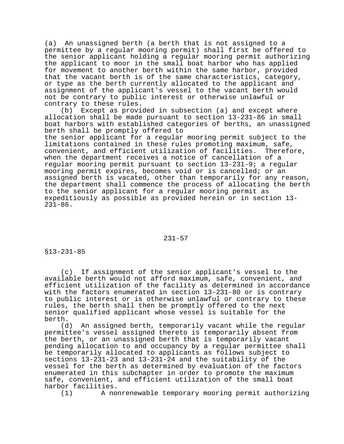(a) An unassigned berth (a berth that is not assigned to a permittee by a regular mooring permit) shall first be offered to the senior applicant holding a regular mooring permit authorizing the applicant to moor in the small boat harbor who has applied for movement to another berth within the same harbor, provided that the vacant berth is of the same characteristics, category, or type as the berth currently allocated to the applicant and assignment of the applicant's vessel to the vacant berth would not be contrary to public interest or otherwise unlawful or contrary to these rules.

(b) Except as provided in subsection (a) and except where allocation shall be made pursuant to section 13-231-86 in small boat harbors with established categories of berths, an unassigned berth shall be promptly offered to the senior applicant for a regular mooring permit subject to the limitations contained in these rules promoting maximum, safe, convenient, and efficient utilization of facilities. Therefore, when the department receives a notice of cancellation of a regular mooring permit pursuant to section 13-231-9; a regular mooring permit expires, becomes void or is cancelled; or an assigned berth is vacated, other than temporarily for any reason, the department shall commence the process of allocating the berth to the senior applicant for a regular mooring permit as expeditiously as possible as provided herein or in section 13- 231-86.

#### 231-57

§13-231-85

(c) If assignment of the senior applicant's vessel to the available berth would not afford maximum, safe, convenient, and efficient utilization of the facility as determined in accordance with the factors enumerated in section 13-231-80 or is contrary to public interest or is otherwise unlawful or contrary to these rules, the berth shall then be promptly offered to the next senior qualified applicant whose vessel is suitable for the berth.

(d) An assigned berth, temporarily vacant while the regular permittee's vessel assigned thereto is temporarily absent from the berth, or an unassigned berth that is temporarily vacant pending allocation to and occupancy by a regular permittee shall be temporarily allocated to applicants as follows subject to sections 13-231-23 and 13-231-24 and the suitability of the vessel for the berth as determined by evaluation of the factors enumerated in this subchapter in order to promote the maximum safe, convenient, and efficient utilization of the small boat harbor facilities.

(1) A nonrenewable temporary mooring permit authorizing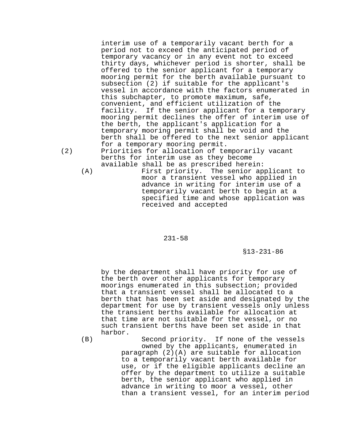interim use of a temporarily vacant berth for a period not to exceed the anticipated period of temporary vacancy or in any event not to exceed thirty days, whichever period is shorter, shall be offered to the senior applicant for a temporary mooring permit for the berth available pursuant to subsection (2) if suitable for the applicant's vessel in accordance with the factors enumerated in this subchapter, to promote maximum, safe, convenient, and efficient utilization of the facility. If the senior applicant for a temporary mooring permit declines the offer of interim use of the berth, the applicant's application for a temporary mooring permit shall be void and the berth shall be offered to the next senior applicant for a temporary mooring permit.

(2) Priorities for allocation of temporarily vacant berths for interim use as they become available shall be as prescribed herein:

(A) First priority. The senior applicant to moor a transient vessel who applied in advance in writing for interim use of a temporarily vacant berth to begin at a specified time and whose application was received and accepted

#### 231-58

#### §13-231-86

by the department shall have priority for use of the berth over other applicants for temporary moorings enumerated in this subsection; provided that a transient vessel shall be allocated to a berth that has been set aside and designated by the department for use by transient vessels only unless the transient berths available for allocation at that time are not suitable for the vessel, or no such transient berths have been set aside in that harbor.

(B) Second priority. If none of the vessels owned by the applicants, enumerated in paragraph (2)(A) are suitable for allocation to a temporarily vacant berth available for use, or if the eligible applicants decline an offer by the department to utilize a suitable berth, the senior applicant who applied in advance in writing to moor a vessel, other than a transient vessel, for an interim period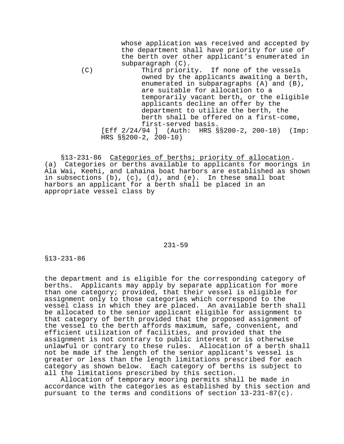whose application was received and accepted by the department shall have priority for use of the berth over other applicant's enumerated in subparagraph (C).

<span id="page-91-0"></span>(C) Third priority. If none of the vessels owned by the applicants awaiting a berth, enumerated in subparagraphs (A) and (B), are suitable for allocation to a temporarily vacant berth, or the eligible applicants decline an offer by the department to utilize the berth, the berth shall be offered on a first-come, first-served basis. [Eff 2/24/94 ] (Auth: HRS §§200-2, 200-10) (Imp: HRS §§200-2, 200-10)

§13-231-86 Categories of berths; priority of allocation . (a) Categories or berths available to applicants for moorings in Ala Wai, Keehi, and Lahaina boat harbors are established as shown in subsections (b), (c), (d), and (e). In these small boat harbors an applicant for a berth shall be placed in an appropriate vessel class by

231-59

§13-231-86

the department and is eligible for the corresponding category of berths. Applicants may apply by separate application for more than one category; provided, that their vessel is eligible for assignment only to those categories which correspond to the vessel class in which they are placed. An available berth shall be allocated to the senior applicant eligible for assignment to that category of berth provided that the proposed assignment of the vessel to the berth affords maximum, safe, convenient, and efficient utilization of facilities, and provided that the assignment is not contrary to public interest or is otherwise unlawful or contrary to these rules. Allocation of a berth shall not be made if the length of the senior applicant's vessel is greater or less than the length limitations prescribed for each category as shown below. Each category of berths is subject to all the limitations prescribed by this section.

Allocation of temporary mooring permits shall be made in accordance with the categories as established by this section and pursuant to the terms and conditions of section 13-231-87(c).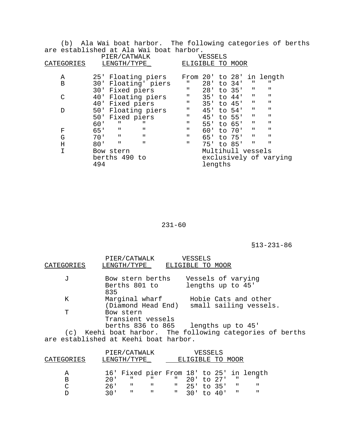(b) Ala Wai boat harbor. The following categories of berths are established at Ala Wai boat harbor.

|            | PIER/CATWALK                        | VESSELS                                                              |
|------------|-------------------------------------|----------------------------------------------------------------------|
| CATEGORIES | LENGTH/TYPE                         | ELIGIBLE TO MOOR                                                     |
|            |                                     |                                                                      |
| Α          | 25' Floating piers                  | From 20' to 28' in length                                            |
| B          | 30' Floating' piers                 | 28' to 34'<br>$\mathbf{H}$<br>ш<br>Ш                                 |
|            | 30' Fixed piers                     | 28'<br>to 35'<br>$\mathbf{H}$<br>П<br>$\mathbf{u}$                   |
| C          | 40' Floating piers                  | 35' to 44'<br>$\mathbf{H}$<br>$\mathbf{H}$<br>$\mathbf{u}$           |
|            | 40' Fixed piers                     | 35' to 45'<br>$\mathbf{H}$<br>$\mathbf{u}$<br>$\mathbf{H}_\parallel$ |
| D          | 50' Floating piers                  | $\mathbf{H}$<br>$\mathbf{H}$<br>45'<br>to 54'<br>$\mathbf{u}$        |
|            | 50' Fixed piers                     | 45' to 55'<br>$\mathbf{H}$<br>$\mathbf{H}$<br>$\mathbf{H}$           |
|            | 60'<br>$\mathbf{H}$<br>$\mathbf{u}$ | 55'<br>to 65'<br>$\mathbf{H}$<br>$\mathbf{H}$<br>$\mathbf{H}$        |
| F          | 65'<br>$\mathbf{H}$<br>$\mathbf{H}$ | 60' to 70'<br>$\mathbf{H}$<br>$\mathbf{H}$<br>$\mathbf{H}$           |
| G          | 70'<br>$\mathbf{H}$<br>$\mathbf{H}$ | $\mathbf{H}$<br>65' to 75'<br>$\mathbf{u}$<br>$\mathbf{H}$           |
| H          | 80'<br>$\mathbf H$<br>$\mathbf{H}$  | 75' to 85'<br>$\mathbf{H}$<br>$\mathbf{u}$<br>$\mathbf{H}$           |
| I          | Bow stern                           | Multihull vessels                                                    |
|            | berths 490 to                       | exclusively of varying                                               |
|            | 494                                 | lengths                                                              |

231-60

§13-231-86

| CATEGORIES | PIER/CATWALK<br>LENGTH/TYPE              | VESSELS<br>ELIGIBLE TO MOOR                                                                      |
|------------|------------------------------------------|--------------------------------------------------------------------------------------------------|
| J          | Bow stern berths<br>Berths 801 to<br>835 | Vessels of varying<br>lengths up to 45'                                                          |
| K          | Marginal wharf<br>(Diamond Head End)     | Hobie Cats and other<br>small sailing vessels.                                                   |
| т          | Bow stern<br>Transient vessels           |                                                                                                  |
|            | are established at Keehi boat harbor.    | berths 836 to 865 lengths up to 45'<br>(c) Keehi boat harbor. The following categories of berths |

|                    |     | PIER/CATWALK |                                                                                                                                                                                                                                      |              |                  | VESSELS |   |                                          |
|--------------------|-----|--------------|--------------------------------------------------------------------------------------------------------------------------------------------------------------------------------------------------------------------------------------|--------------|------------------|---------|---|------------------------------------------|
| CATEGORIES         |     | LENGTH/TYPE  |                                                                                                                                                                                                                                      |              | ELIGIBLE TO MOOR |         |   |                                          |
| A                  |     |              |                                                                                                                                                                                                                                      |              |                  |         |   | 16' Fixed pier From 18' to 25' in length |
| B                  | 20' | ш            | $\mathbf{H}$                                                                                                                                                                                                                         | $\mathbf{H}$ | 20' to 27'       |         | ш | $\mathbf{u}$                             |
| $\curvearrowright$ | 26' |              | <b>Illing the Contract of the Contract of the Contract of the Contract of the Contract of the Contract of the Contract of the Contract of the Contract of the Contract of the Contract of the Contract of the Contract of the Co</b> | $\mathbf{H}$ | - 25' to 35'     |         | ш | $\mathbf{u}$                             |
|                    | マリ・ | ш            | - 11                                                                                                                                                                                                                                 | ш            | 30' to 40'       |         | ш | $\mathbf{u}$                             |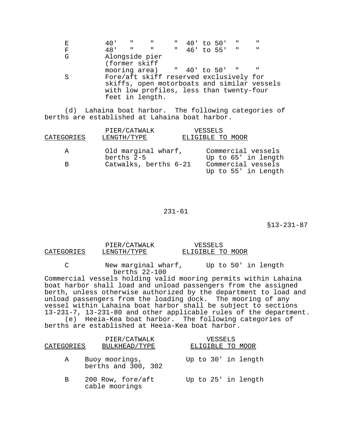| 40' |  | $\mathbf{H}$                                                                                                                           |  |  | $\blacksquare$                                                                                                                                                                                       |
|-----|--|----------------------------------------------------------------------------------------------------------------------------------------|--|--|------------------------------------------------------------------------------------------------------------------------------------------------------------------------------------------------------|
| 48' |  |                                                                                                                                        |  |  | <b>Contract Manager</b>                                                                                                                                                                              |
|     |  |                                                                                                                                        |  |  |                                                                                                                                                                                                      |
|     |  |                                                                                                                                        |  |  |                                                                                                                                                                                                      |
|     |  |                                                                                                                                        |  |  |                                                                                                                                                                                                      |
|     |  |                                                                                                                                        |  |  |                                                                                                                                                                                                      |
|     |  |                                                                                                                                        |  |  |                                                                                                                                                                                                      |
|     |  |                                                                                                                                        |  |  |                                                                                                                                                                                                      |
|     |  |                                                                                                                                        |  |  |                                                                                                                                                                                                      |
|     |  | $\mathbf{H}$ and $\mathbf{H}$ and $\mathbf{H}$<br><b><i>Contract Manager</i></b><br>Alongside pier<br>(former skiff<br>feet in length. |  |  | 40' to 50' "<br>" 46' to 55' "<br>mooring area) " 40' to 50' "<br>Fore/aft skiff reserved exclusively for<br>skiffs, open motorboats and similar vessels<br>with low profiles, less than twenty-four |

(d) Lahaina boat harbor. The following categories of berths are established at Lahaina boat harbor.

| CATEGORIES   | PIER/CATWALK<br>LENGTH/TYPE       | VESSELS<br>ELIGIBLE TO MOOR               |  |
|--------------|-----------------------------------|-------------------------------------------|--|
| A            | Old marginal wharf,<br>berths 2-5 | Commercial vessels<br>Up to 65' in length |  |
| <sub>B</sub> | Catwalks, berths 6-21             | Commercial vessels<br>Up to 55' in Length |  |

#### 231-61

§13-231-87

|            | PIER/CATWALK | VESSELS          |
|------------|--------------|------------------|
| CATEGORIES | LENGTH/TYPE  | ELIGIBLE TO MOOR |

C New marginal wharf, Up to 50' in length berths 22-100

Commercial vessels holding valid mooring permits within Lahaina boat harbor shall load and unload passengers from the assigned berth, unless otherwise authorized by the department to load and unload passengers from the loading dock. The mooring of any vessel within Lahaina boat harbor shall be subject to sections 13-231-7, 13-231-80 and other applicable rules of the department.

(e) Heeia-Kea boat harbor. The following categories of berths are established at Heeia-Kea boat harbor.

|              | PIER/CATWALK                          |  | VESSELS |                     |
|--------------|---------------------------------------|--|---------|---------------------|
| CATEGORIES   | BULKHEAD/TYPE                         |  |         | ELIGIBLE TO MOOR    |
| A            | Buoy moorings,<br>berths and 300, 302 |  |         | Up to 30' in length |
| $\mathbf{B}$ | 200 Row, fore/aft<br>cable moorings   |  |         | Up to 25' in length |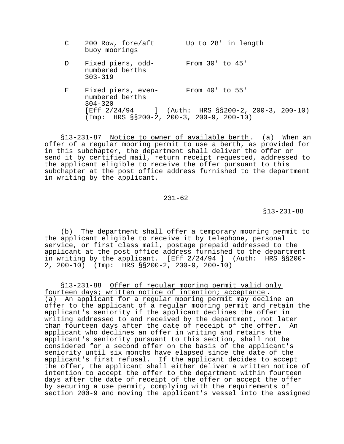<span id="page-94-0"></span>

|   | C 200 Row, fore/aft<br>buoy moorings                 | Up to 28' in length                                                                                              |
|---|------------------------------------------------------|------------------------------------------------------------------------------------------------------------------|
| D | Fixed piers, odd-<br>numbered berths<br>$303 - 319$  | From 30' to 45'                                                                                                  |
| Е | Fixed piers, even-<br>numbered berths<br>$304 - 320$ | From 40' to 55'<br>[Eff 2/24/94 ] (Auth: HRS §§200-2, 200-3, 200-10)<br>(Imp: HRS §§200-2, 200-3, 200-9, 200-10) |

§13-231-87 Notice to owner of available berth. (a) When an offer of a regular mooring permit to use a berth, as provided for in this subchapter, the department shall deliver the offer or send it by certified mail, return receipt requested, addressed to the applicant eligible to receive the offer pursuant to this subchapter at the post office address furnished to the department in writing by the applicant.

231-62

§13-231-88

(b) The department shall offer a temporary mooring permit to the applicant eligible to receive it by telephone, personal service, or first class mail, postage prepaid addressed to the applicant at the post office address furnished to the department in writing by the applicant. [Eff 2/24/94 ] (Auth: HRS §§200- 2, 200-10) (Imp: HRS §§200-2, 200-9, 200-10)

§13-231-88 Offer of regular mooring permit valid only<br>fourteen days; written notice of intention; acceptance. (a) An applicant for a regular mooring permit may decline an offer to the applicant of a regular mooring permit and retain the applicant's seniority if the applicant declines the offer in writing addressed to and received by the department, not later than fourteen days after the date of receipt of the offer. An applicant who declines an offer in writing and retains the applicant's seniority pursuant to this section, shall not be considered for a second offer on the basis of the applicant's seniority until six months have elapsed since the date of the applicant's first refusal. If the applicant decides to accept the offer, the applicant shall either deliver a written notice of intention to accept the offer to the department within fourteen days after the date of receipt of the offer or accept the offer by securing a use permit, complying with the requirements of section 200-9 and moving the applicant's vessel into the assigned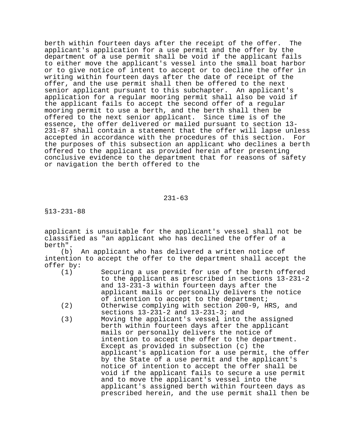berth within fourteen days after the receipt of the offer. The applicant's application for a use permit and the offer by the department of a use permit shall be void if the applicant fails to either move the applicant's vessel into the small boat harbor or to give notice of intent to accept or to decline the offer in writing within fourteen days after the date of receipt of the offer, and the use permit shall then be offered to the next senior applicant pursuant to this subchapter. An applicant's application for a regular mooring permit shall also be void if the applicant fails to accept the second offer of a regular mooring permit to use a berth, and the berth shall then be offered to the next senior applicant. Since time is of the essence, the offer delivered or mailed pursuant to section 13- 231-87 shall contain a statement that the offer will lapse unless accepted in accordance with the procedures of this section. For the purposes of this subsection an applicant who declines a berth offered to the applicant as provided herein after presenting conclusive evidence to the department that for reasons of safety or navigation the berth offered to the

### 231-63

§13-231-88

applicant is unsuitable for the applicant's vessel shall not be classified as "an applicant who has declined the offer of a berth".

(b) An applicant who has delivered a written notice of intention to accept the offer to the department shall accept the offer by:

| (1) | Securing a use permit for use of the berth offered  |
|-----|-----------------------------------------------------|
|     | to the applicant as prescribed in sections 13-231-2 |
|     | and 13-231-3 within fourteen days after the         |
|     | applicant mails or personally delivers the notice   |
|     | of intention to accept to the department;           |
| (2) | Otherwise complying with section 200-9, HRS, and    |
|     | sections $13-231-2$ and $13-231-3$ ; and            |
| (3) | Moving the applicant's vessel into the assigned     |
|     | berth within fourteen days after the applicant      |
|     | mails or personally delivers the notice of          |
|     | intention to accept the offer to the department.    |
|     | Except as provided in subsection (c) the            |
|     | applicant's application for a use permit, the offer |
|     | by the State of a use permit and the applicant's    |
|     | notice of intention to accept the offer shall be    |
|     | void if the applicant fails to secure a use permit  |
|     |                                                     |
|     | and to move the applicant's vessel into the         |
|     | applicant's assigned berth within fourteen days as  |
|     | prescribed herein, and the use permit shall then be |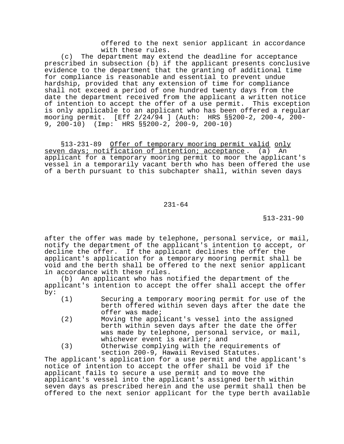offered to the next senior applicant in accordance with these rules.

<span id="page-96-0"></span>(c) The department may extend the deadline for acceptance prescribed in subsection (b) if the applicant presents conclusive evidence to the department that the granting of additional time for compliance is reasonable and essential to prevent undue hardship, provided that any extension of time for compliance shall not exceed a period of one hundred twenty days from the date the department received from the applicant a written notice of intention to accept the offer of a use permit. This exception is only applicable to an applicant who has been offered a regular mooring permit. [Eff 2/24/94 ] (Auth: HRS §§200-2, 200-4, 200- 9, 200-10) (Imp: HRS §§200-2, 200-9, 200-10)

§13-231-89 Offer of temporary mooring permit valid only seven days; notification of intention; acceptance. (a) An applicant for a temporary mooring permit to moor the applicant's vessel in a temporarily vacant berth who has been offered the use of a berth pursuant to this subchapter shall, within seven days

## 231-64

§13-231-90

after the offer was made by telephone, personal service, or mail, notify the department of the applicant's intention to accept, or decline the offer. If the applicant declines the offer the applicant's application for a temporary mooring permit shall be void and the berth shall be offered to the next senior applicant in accordance with these rules.

(b) An applicant who has notified the department of the applicant's intention to accept the offer shall accept the offer by:

- (1) Securing a temporary mooring permit for use of the berth offered within seven days after the date the offer was made;
- (2) Moving the applicant's vessel into the assigned berth within seven days after the date the offer was made by telephone, personal service, or mail, whichever event is earlier; and
- (3) Otherwise complying with the requirements of section 200-9, Hawaii Revised Statutes.

The applicant's application for a use permit and the applicant's notice of intention to accept the offer shall be void if the applicant fails to secure a use permit and to move the applicant's vessel into the applicant's assigned berth within seven days as prescribed herein and the use permit shall then be offered to the next senior applicant for the type berth available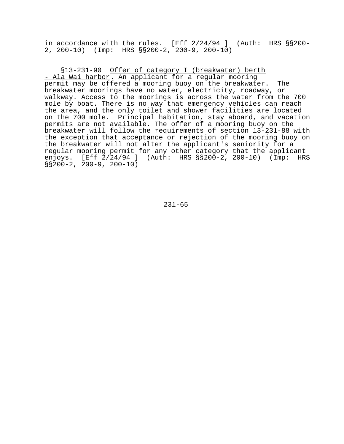<span id="page-97-0"></span>in accordance with the rules. [Eff 2/24/94 ] (Auth: HRS §§200- 2, 200-10) (Imp: HRS §§200-2, 200-9, 200-10)

§13-231-90 Offer of category I (breakwater) berth - Ala Wai harbor. An applicant for a regular mooring permit may be offered a mooring buoy on the breakwater. The breakwater moorings have no water, electricity, roadway, or walkway. Access to the moorings is across the water from the 700 mole by boat. There is no way that emergency vehicles can reach the area, and the only toilet and shower facilities are located on the 700 mole. Principal habitation, stay aboard, and vacation permits are not available. The offer of a mooring buoy on the breakwater will follow the requirements of section 13-231-88 with the exception that acceptance or rejection of the mooring buoy on the breakwater will not alter the applicant's seniority for a regular mooring permit for any other category that the applicant enjoys. [Eff 2/24/94 ] (Auth: HRS §§200-2, 200-10) (Imp: HRS §§200-2, 200-9, 200-10)

231-65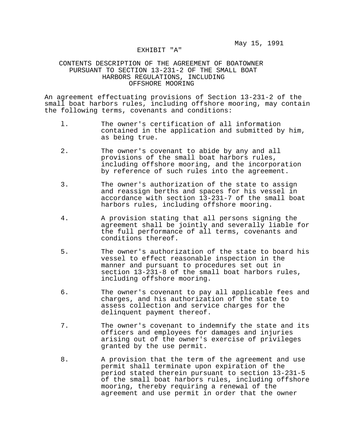May 15, 1991

### EXHIBIT "A"

## CONTENTS DESCRIPTION OF THE AGREEMENT OF BOATOWNER PURSUANT TO SECTION 13-231-2 OF THE SMALL BOAT HARBORS REGULATIONS, INCLUDING OFFSHORE MOORING

An agreement effectuating provisions of Section 13-231-2 of the small boat harbors rules, including offshore mooring, may contain the following terms, covenants and conditions:

- l. The owner's certification of all information contained in the application and submitted by him, as being true.
- 2. The owner's covenant to abide by any and all provisions of the small boat harbors rules, including offshore mooring, and the incorporation by reference of such rules into the agreement.
- 3. The owner's authorization of the state to assign and reassign berths and spaces for his vessel in accordance with section 13-231-7 of the small boat harbors rules, including offshore mooring.
- 4. A provision stating that all persons signing the agreement shall be jointly and severally liable for the full performance of all terms, covenants and conditions thereof.
- 5. The owner's authorization of the state to board his vessel to effect reasonable inspection in the manner and pursuant to procedures set out in section 13-231-8 of the small boat harbors rules, including offshore mooring.
- 6. The owner's covenant to pay all applicable fees and charges, and his authorization of the state to assess collection and service charges for the delinquent payment thereof.
- 7. The owner's covenant to indemnify the state and its officers and employees for damages and injuries arising out of the owner's exercise of privileges granted by the use permit.
- 8. A provision that the term of the agreement and use permit shall terminate upon expiration of the period stated therein pursuant to section 13-231-5 of the small boat harbors rules, including offshore mooring, thereby requiring a renewal of the agreement and use permit in order that the owner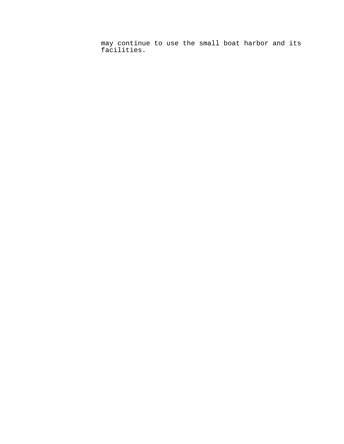may continue to use the small boat harbor and its facilities.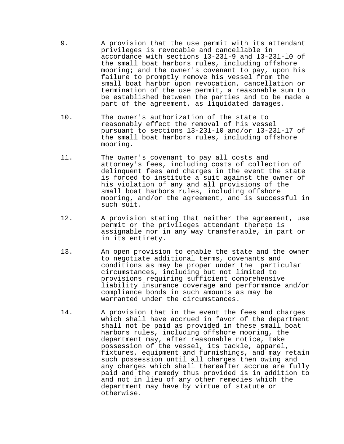- 9. A provision that the use permit with its attendant privileges is revocable and cancellable in accordance with sections 13-231-9 and 13-231-l0 of the small boat harbors rules, including offshore mooring; and the owner's covenant to pay, upon his failure to promptly remove his vessel from the small boat harbor upon revocation, cancellation or termination of the use permit, a reasonable sum to be established between the parties and to be made a part of the agreement, as liquidated damages.
- 10. The owner's authorization of the state to reasonably effect the removal of his vessel pursuant to sections 13-231-10 and/or 13-231-17 of the small boat harbors rules, including offshore mooring.
- 11. The owner's covenant to pay all costs and attorney's fees, including costs of collection of delinquent fees and charges in the event the state is forced to institute a suit against the owner of his violation of any and all provisions of the small boat harbors rules, including offshore mooring, and/or the agreement, and is successful in such suit.
- 12. A provision stating that neither the agreement, use permit or the privileges attendant thereto is assignable nor in any way transferable, in part or in its entirety.
- 13. An open provision to enable the state and the owner to negotiate additional terms, covenants and conditions as may be proper under the particular circumstances, including but not limited to provisions requiring sufficient comprehensive liability insurance coverage and performance and/or compliance bonds in such amounts as may be warranted under the circumstances.
- 14. A provision that in the event the fees and charges which shall have accrued in favor of the department shall not be paid as provided in these small boat harbors rules, including offshore mooring, the department may, after reasonable notice, take possession of the vessel, its tackle, apparel, fixtures, equipment and furnishings, and may retain such possession until all charges then owing and any charges which shall thereafter accrue are fully paid and the remedy thus provided is in addition to and not in lieu of any other remedies which the department may have by virtue of statute or otherwise.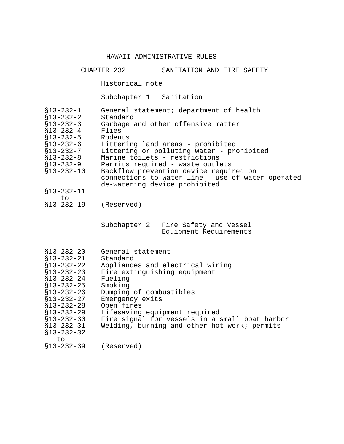## HAWAII ADMINISTRATIVE RULES

|                                                                                                                                                                                                                                                                | CHAPTER 232                                                                                                                                                                                                                                                                                                                                                                                                        | SANITATION AND FIRE SAFETY                       |  |
|----------------------------------------------------------------------------------------------------------------------------------------------------------------------------------------------------------------------------------------------------------------|--------------------------------------------------------------------------------------------------------------------------------------------------------------------------------------------------------------------------------------------------------------------------------------------------------------------------------------------------------------------------------------------------------------------|--------------------------------------------------|--|
|                                                                                                                                                                                                                                                                | Historical note                                                                                                                                                                                                                                                                                                                                                                                                    |                                                  |  |
|                                                                                                                                                                                                                                                                | Subchapter 1                                                                                                                                                                                                                                                                                                                                                                                                       | Sanitation                                       |  |
| $$13 - 232 - 1$<br>$$13 - 232 - 2$<br>$$13 - 232 - 3$<br>$$13-232-4$<br>$$13 - 232 - 5$<br>$$13 - 232 - 6$<br>$$13 - 232 - 7$<br>$$13 - 232 - 8$<br>$$13 - 232 - 9$<br>$$13 - 232 - 10$<br>$$13 - 232 - 11$<br>to<br>$$13 - 232 - 19$                          | General statement; department of health<br>Standard<br>Garbage and other offensive matter<br>Flies<br>Rodents<br>Littering land areas - prohibited<br>Littering or polluting water - prohibited<br>Marine toilets - restrictions<br>Permits required - waste outlets<br>Backflow prevention device required on<br>connections to water line - use of water operated<br>de-watering device prohibited<br>(Reserved) |                                                  |  |
|                                                                                                                                                                                                                                                                | Subchapter 2                                                                                                                                                                                                                                                                                                                                                                                                       | Fire Safety and Vessel<br>Equipment Requirements |  |
| $$13 - 232 - 20$<br>$$13 - 232 - 21$<br>$$13-232-22$<br>$$13 - 232 - 23$<br>$$13 - 232 - 24$<br>$$13 - 232 - 25$<br>$$13 - 232 - 26$<br>$$13 - 232 - 27$<br>$$13 - 232 - 28$<br>$$13-232-29$<br>$$13 - 232 - 30$<br>$$13 - 232 - 31$<br>$$13 - 232 - 32$<br>to | General statement<br>Standard<br>Appliances and electrical wiring<br>Fire extinguishing equipment<br>Fueling<br>Smoking<br>Dumping of combustibles<br>Emergency exits<br>Open fires<br>Lifesaving equipment required<br>Fire signal for vessels in a small boat harbor<br>Welding, burning and other hot work; permits                                                                                             |                                                  |  |
| $$13 - 232 - 39$                                                                                                                                                                                                                                               | (Reserved)                                                                                                                                                                                                                                                                                                                                                                                                         |                                                  |  |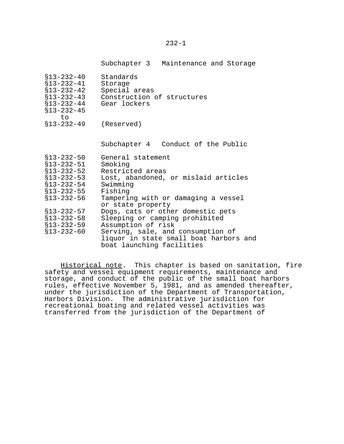<span id="page-103-0"></span>

|                                                                                                                        | Subchapter 3 Maintenance and Storage                                                                                                                                                                  |
|------------------------------------------------------------------------------------------------------------------------|-------------------------------------------------------------------------------------------------------------------------------------------------------------------------------------------------------|
| $$13 - 232 - 40$<br>$$13-232-41$<br>\$13-232-42<br>$$13 - 232 - 43$<br>$$13-232-44$<br>$$13 - 232 - 45$<br>to.         | Standards<br>Storage<br>Special areas<br>Construction of structures<br>Gear lockers                                                                                                                   |
| $$13 - 232 - 49$                                                                                                       | (Reserved)                                                                                                                                                                                            |
|                                                                                                                        | Subchapter 4 Conduct of the Public                                                                                                                                                                    |
| $$13 - 232 - 50$<br>$$13-232-51$<br>$$13-232-52$<br>\$13-232-53<br>\$13-232-54<br>$$13 - 232 - 55$<br>$$13 - 232 - 56$ | General statement<br>Smoking<br>Restricted areas<br>Lost, abandoned, or mislaid articles<br>Swimming<br>Fishing<br>Tampering with or damaging a vessel<br>or state property                           |
| $$13 - 232 - 57$<br>$$13 - 232 - 58$<br>$$13 - 232 - 59$<br>$$13 - 232 - 60$                                           | Dogs, cats or other domestic pets<br>Sleeping or camping prohibited<br>Assumption of risk<br>Serving, sale, and consumption of<br>liquor in state small boat harbors and<br>boat launching facilities |

Historical note. This chapter is based on sanitation, fire safety and vessel equipment requirements, maintenance and storage, and conduct of the public of the small boat harbors rules, effective November 5, 1981, and as amended thereafter, under the jurisdiction of the Department of Transportation, Harbors Division. The administrative jurisdiction for recreational boating and related vessel activities was transferred from the jurisdiction of the Department of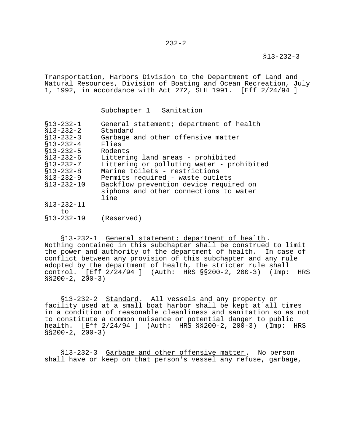# 232-2

§13-232-3

<span id="page-104-0"></span>Transportation, Harbors Division to the Department of Land and Natural Resources, Division of Boating and Ocean Recreation, July 1, 1992, in accordance with Act 272, SLH 1991. [Eff 2/24/94 ]

## Subchapter 1 Sanitation

| General statement; department of health   |
|-------------------------------------------|
| Standard                                  |
| Garbage and other offensive matter        |
| Flies                                     |
| Rodents                                   |
| Littering land areas - prohibited         |
| Littering or polluting water - prohibited |
| Marine toilets - restrictions             |
| Permits required - waste outlets          |
| Backflow prevention device required on    |
| siphons and other connections to water    |
| line                                      |
|                                           |
|                                           |
| (Reserved)                                |
|                                           |

§13-232-1 <u>General statement; department of health</u>.<br>Nothing contained in this subchapter shall be construed to limit the power and authority of the department of health. In case of conflict between any provision of this subchapter and any rule adopted by the department of health, the stricter rule shall control. [Eff 2/24/94 ] (Auth: HRS §§200-2, 200-3) (Imp: HRS §§200-2, 200-3)

§13-232-2 Standard. All vessels and any property or facility used at a small boat harbor shall be kept at all times in a condition of reasonable cleanliness and sanitation so as not to constitute a common nuisance or potential danger to public health. [Eff 2/24/94 ] (Auth: HRS §§200-2, 200-3) (Imp: HRS §§200-2, 200-3)

§13-232-3 Garbage and other offensive matter. No person shall have or keep on that person's vessel any refuse, garbage,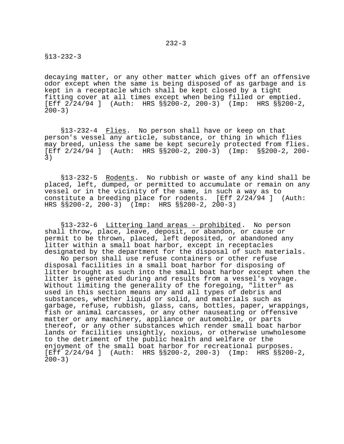<span id="page-105-0"></span>§13-232-3

decaying matter, or any other matter which gives off an offensive odor except when the same is being disposed of as garbage and is kept in a receptacle which shall be kept closed by a tight fitting cover at all times except when being filled or emptied. [Eff 2/24/94 ] (Auth: HRS §§200-2, 200-3) (Imp: HRS §§200-2,  $200 - 3$ 

§13-232-4 Flies. No person shall have or keep on that person's vessel any article, substance, or thing in which flies may breed, unless the same be kept securely protected from flies. [Eff 2/24/94 ] (Auth: HRS §§200-2, 200-3) (Imp: §§200-2, 200- 3)

§13-232-5 Rodents. No rubbish or waste of any kind shall be placed, left, dumped, or permitted to accumulate or remain on any vessel or in the vicinity of the same, in such a way as to constitute a breeding place for rodents. [Eff 2/24/94 ] (Auth: HRS §§200-2, 200-3) (Imp: HRS §§200-2, 200-3)

§13-232-6 Littering land areas - prohibited. No person shall throw, place, leave, deposit, or abandon, or cause or permit to be thrown, placed, left deposited, or abandoned any litter within a small boat harbor, except in receptacles designated by the department for the disposal of such materials.

No person shall use refuse containers or other refuse disposal facilities in a small boat harbor for disposing of litter brought as such into the small boat harbor except when the litter is generated during and results from a vessel's voyage. Without limiting the generality of the foregoing, "litter" as used in this section means any and all types of debris and substances, whether liquid or solid, and materials such as garbage, refuse, rubbish, glass, cans, bottles, paper, wrappings, fish or animal carcasses, or any other nauseating or offensive matter or any machinery, appliance or automobile, or parts thereof, or any other substances which render small boat harbor lands or facilities unsightly, noxious, or otherwise unwholesome to the detriment of the public health and welfare or the enjoyment of the small boat harbor for recreational purposes. [Eff 2/24/94 ] (Auth: HRS §§200-2, 200-3) (Imp: HRS §§200-2,  $200 - 3)$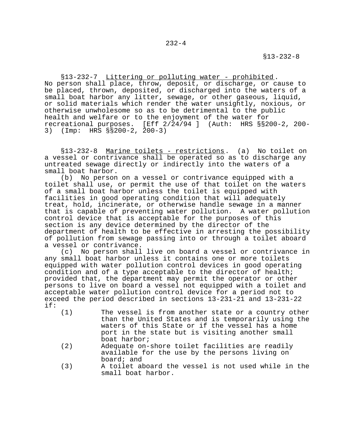## §13-232-8

<span id="page-106-0"></span>§13-232-7 Littering or polluting water - prohibited.<br>No person shall place, throw, deposit, or discharge, or cause to be placed, thrown, deposited, or discharged into the waters of a small boat harbor any litter, sewage, or other gaseous, liquid, or solid materials which render the water unsightly, noxious, or otherwise unwholesome so as to be detrimental to the public health and welfare or to the enjoyment of the water for recreational purposes. [Eff 2/24/94 ] (Auth: HRS §§200-2, 200- 3) (Imp: HRS §§200-2, 200-3)

§13-232-8 Marine toilets - restrictions. (a) No toilet on a vessel or contrivance shall be operated so as to discharge any untreated sewage directly or indirectly into the waters of a small boat harbor.

(b) No person on a vessel or contrivance equipped with a toilet shall use, or permit the use of that toilet on the waters of a small boat harbor unless the toilet is equipped with facilities in good operating condition that will adequately treat, hold, incinerate, or otherwise handle sewage in a manner that is capable of preventing water pollution. A water pollution control device that is acceptable for the purposes of this section is any device determined by the director of the department of health to be effective in arresting the possibility of pollution from sewage passing into or through a toilet aboard a vessel or contrivance.

(c) No person shall live on board a vessel or contrivance in any small boat harbor unless it contains one or more toilets equipped with water pollution control devices in good operating condition and of a type acceptable to the director of health; provided that, the department may permit the operator or other persons to live on board a vessel not equipped with a toilet and acceptable water pollution control device for a period not to exceed the period described in sections 13-231-21 and 13-231-22 if:

- (1) The vessel is from another state or a country other than the United States and is temporarily using the waters of this State or if the vessel has a home port in the state but is visiting another small boat harbor;
- (2) Adequate on-shore toilet facilities are readily available for the use by the persons living on board; and
- (3) A toilet aboard the vessel is not used while in the small boat harbor.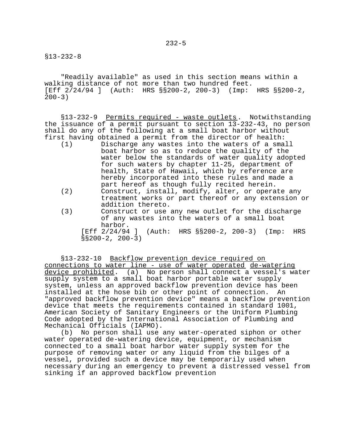<span id="page-107-0"></span>§13-232-8

"Readily available" as used in this section means within a walking distance of not more than two hundred feet. [Eff 2/24/94 ] (Auth: HRS §§200-2, 200-3) (Imp: HRS §§200-2,  $200 - 3)$ 

§13-232-9 Permits required - waste outlets. Notwithstanding the issuance of a permit pursuant to section 13-232-43, no person shall do any of the following at a small boat harbor without first having obtained a permit from the director of health:

- (1) Discharge any wastes into the waters of a small boat harbor so as to reduce the quality of the water below the standards of water quality adopted for such waters by chapter 11-25, department of health, State of Hawaii, which by reference are hereby incorporated into these rules and made a part hereof as though fully recited herein.
- (2) Construct, install, modify, alter, or operate any treatment works or part thereof or any extension or addition thereto.
- (3) Construct or use any new outlet for the discharge of any wastes into the waters of a small boat harbor.
	- [Eff 2/24/94 ] (Auth: HRS §§200-2, 200-3) (Imp: HRS §§200-2, 200-3)

§13-232-10 Backflow prevention device required on connections to water line - use of water operated de-watering device prohibited. (a) No person shall connect a vessel's water supply system to a small boat harbor portable water supply system, unless an approved backflow prevention device has been installed at the hose bib or other point of connection. An "approved backflow prevention device" means a backflow prevention device that meets the requirements contained in standard 1001, American Society of Sanitary Engineers or the Uniform Plumbing Code adopted by the International Association of Plumbing and Mechanical Officials (IAPMO).

(b) No person shall use any water-operated siphon or other water operated de-watering device, equipment, or mechanism connected to a small boat harbor water supply system for the purpose of removing water or any liquid from the bilges of a vessel, provided such a device may be temporarily used when necessary during an emergency to prevent a distressed vessel from sinking if an approved backflow prevention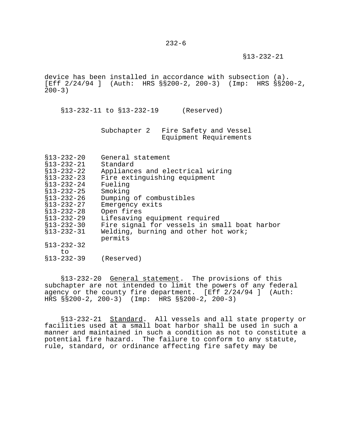device has been installed in accordance with subsection (a). [Eff 2/24/94 ] (Auth: HRS §§200-2, 200-3) (Imp: HRS §§200-2,  $200 - 3)$ 

§13-232-11 to §13-232-19 (Reserved)

Subchapter 2 Fire Safety and Vessel Equipment Requirements

| $$13-232-20$     | General statement                            |
|------------------|----------------------------------------------|
| $$13 - 232 - 21$ | Standard                                     |
| $$13-232-22$     | Appliances and electrical wiring             |
| $$13 - 232 - 23$ | Fire extinguishing equipment                 |
| $$13-232-24$     | Fueling                                      |
| $$13 - 232 - 25$ | Smoking                                      |
| $$13-232-26$     | Dumping of combustibles                      |
| $$13 - 232 - 27$ | Emergency exits                              |
| $$13-232-28$     | Open fires                                   |
| $$13-232-29$     | Lifesaving equipment required                |
| $$13 - 232 - 30$ | Fire signal for vessels in small boat harbor |
| $$13 - 232 - 31$ | Welding, burning and other hot work;         |
|                  | permits                                      |
| $$13-232-32$     |                                              |
| to               |                                              |
| $$13 - 232 - 39$ | (Reserved)                                   |

§13-232-20 General statement. The provisions of this subchapter are not intended to limit the powers of any federal agency or the county fire department. [Eff 2/24/94 ] (Auth: HRS §§200-2, 200-3) (Imp: HRS §§200-2, 200-3)

§13-232-21 Standard. All vessels and all state property or facilities used at a small boat harbor shall be used in such a manner and maintained in such a condition as not to constitute a potential fire hazard. The failure to conform to any statute, rule, standard, or ordinance affecting fire safety may be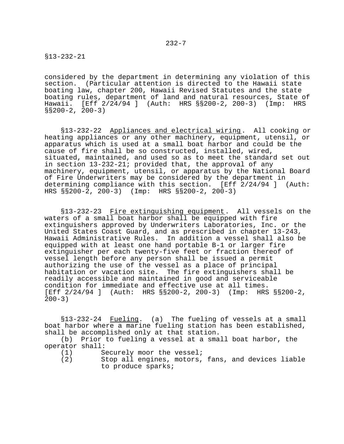considered by the department in determining any violation of this section. (Particular attention is directed to the Hawaii state boating law, chapter 200, Hawaii Revised Statutes and the state boating rules, department of land and natural resources, State of Hawaii. [Eff 2/24/94 ] (Auth: HRS §§200-2, 200-3) (Imp: HRS §§200-2, 200-3)

§13-232-22 Appliances and electrical wiring. All cooking or heating appliances or any other machinery, equipment, utensil, or apparatus which is used at a small boat harbor and could be the cause of fire shall be so constructed, installed, wired, situated, maintained, and used so as to meet the standard set out in section 13-232-21; provided that, the approval of any machinery, equipment, utensil, or apparatus by the National Board of Fire Underwriters may be considered by the department in determining compliance with this section. [Eff 2/24/94 ] (Auth: HRS §§200-2, 200-3) (Imp: HRS §§200-2, 200-3)

§13-232-23 Fire extinguishing equipment. All vessels on the waters of a small boat harbor shall be equipped with fire extinguishers approved by Underwriters Laboratories, Inc. or the United States Coast Guard, and as prescribed in chapter 13-243, Hawaii Administrative Rules. In addition a vessel shall also be equipped with at least one hand portable B-1 or larger fire extinguisher per each twenty-five feet or fraction thereof of vessel length before any person shall be issued a permit authorizing the use of the vessel as a place of principal habitation or vacation site. The fire extinguishers shall be readily accessible and maintained in good and serviceable condition for immediate and effective use at all times. [Eff 2/24/94 ] (Auth: HRS §§200-2, 200-3) (Imp: HRS §§200-2,  $200 - 3$ 

§13-232-24 Fueling. (a) The fueling of vessels at a small boat harbor where a marine fueling station has been established, shall be accomplished only at that station.

(b) Prior to fueling a vessel at a small boat harbor, the operator shall:

- (1) Securely moor the vessel;
- (2) Stop all engines, motors, fans, and devices liable to produce sparks;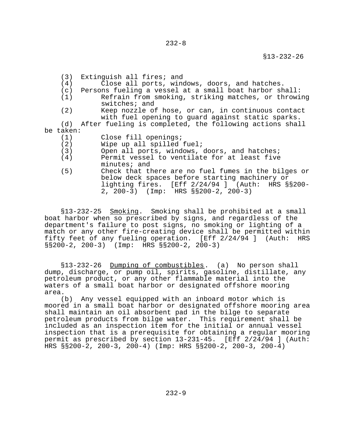- (3) Extinguish all fires; and
- (4) Close all ports, windows, doors, and hatches.
- (c) Persons fueling a vessel at a small boat harbor shall:
- (1) Refrain from smoking, striking matches, or throwing switches; and
- (2) Keep nozzle of hose, or can, in continuous contact with fuel opening to guard against static sparks.

(d) After fueling is completed, the following actions shall be taken:

- (1) Close fill openings;
- (2) Wipe up all spilled fuel;
- (3) Open all ports, windows, doors, and hatches;
- (4) Permit vessel to ventilate for at least five
- minutes; and
- (5) Check that there are no fuel fumes in the bilges or below deck spaces before starting machinery or lighting fires. [Eff 2/24/94 ] (Auth: HRS §§200- 2, 200-3) (Imp: HRS §§200-2, 200-3)

§13-232-25 Smoking. Smoking shall be prohibited at a small boat harbor when so prescribed by signs, and regardless of the department's failure to post signs, no smoking or lighting of a match or any other fire-creating device shall be permitted within fifty feet of any fueling operation. [Eff 2/24/94 ] (Auth: HRS §§200-2, 200-3) (Imp: HRS §§200-2, 200-3)

§13-232-26 Dumping of combustibles. (a) No person shall dump, discharge, or pump oil, spirits, gasoline, distillate, any petroleum product, or any other flammable material into the waters of a small boat harbor or designated offshore mooring area.

(b) Any vessel equipped with an inboard motor which is moored in a small boat harbor or designated offshore mooring area shall maintain an oil absorbent pad in the bilge to separate petroleum products from bilge water. This requirement shall be included as an inspection item for the initial or annual vessel inspection that is a prerequisite for obtaining a regular mooring permit as prescribed by section 13-231-45. [Eff 2/24/94 ] (Auth: HRS §§200-2, 200-3, 200-4) (Imp: HRS §§200-2, 200-3, 200-4)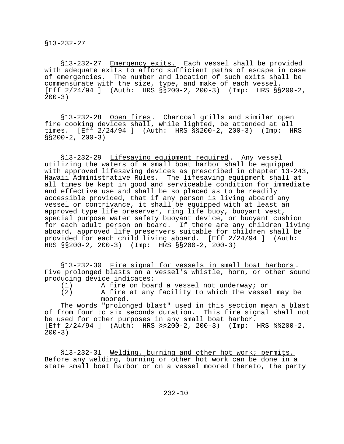§13-232-27 Emergency exits. Each vessel shall be provided with adequate exits to afford sufficient paths of escape in case of emergencies. The number and location of such exits shall be commensurate with the size, type, and make of each vessel. [Eff 2/24/94 ] (Auth: HRS §§200-2, 200-3) (Imp: HRS §§200-2,  $200 - 3$ 

§13-232-28 Open fires. Charcoal grills and similar open fire cooking devices shall, while lighted, be attended at all times. [Eff 2/24/94 ] (Auth: HRS §§200-2, 200-3) (Imp: HRS §§200-2, 200-3)

§13-232-29 Lifesaving equipment required. Any vessel utilizing the waters of a small boat harbor shall be equipped with approved lifesaving devices as prescribed in chapter 13-243, Hawaii Administrative Rules. The lifesaving equipment shall at all times be kept in good and serviceable condition for immediate and effective use and shall be so placed as to be readily accessible provided, that if any person is living aboard any vessel or contrivance, it shall be equipped with at least an approved type life preserver, ring life buoy, buoyant vest, special purpose water safety buoyant device, or buoyant cushion for each adult person on board. If there are any children living aboard, approved life preservers suitable for children shall be provided for each child living aboard. [Eff 2/24/94 ] (Auth: HRS §§200-2, 200-3) (Imp: HRS §§200-2, 200-3)

§13-232-30 Fire signal for vessels in small boat harbors.<br>Five prolonged blasts on a vessel's whistle, horn, or other sound producing device indicates:

| (1) |  |  | A fire on board a vessel not underway; or |  |
|-----|--|--|-------------------------------------------|--|
|     |  |  |                                           |  |

(2) A fire at any facility to which the vessel may be moored.

The words "prolonged blast" used in this section mean a blast of from four to six seconds duration. This fire signal shall not be used for other purposes in any small boat harbor. [Eff 2/24/94 ] (Auth: HRS §§200-2, 200-3) (Imp: HRS §§200-2,  $200 - 3)$ 

§13-232-31 Welding, burning and other hot work; permits. Before any welding, burning or other hot work can be done in a state small boat harbor or on a vessel moored thereto, the party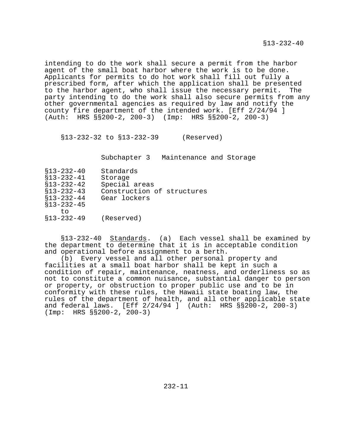intending to do the work shall secure a permit from the harbor agent of the small boat harbor where the work is to be done. Applicants for permits to do hot work shall fill out fully a prescribed form, after which the application shall be presented to the harbor agent, who shall issue the necessary permit. The party intending to do the work shall also secure permits from any other governmental agencies as required by law and notify the county fire department of the intended work. [Eff 2/24/94 ] (Auth: HRS §§200-2, 200-3) (Imp: HRS §§200-2, 200-3)

§13-232-32 to §13-232-39 (Reserved)

Subchapter 3 Maintenance and Storage

| $$13 - 232 - 40$<br>$$13 - 232 - 41$<br>$$13-232-42$<br>$$13-232-43$<br>$$13-232-44$<br>$$13 - 232 - 45$<br>tο | Standards<br>Storage<br>Special areas<br>Construction of structures<br>Gear lockers |
|----------------------------------------------------------------------------------------------------------------|-------------------------------------------------------------------------------------|
| $$13 - 232 - 49$                                                                                               | (Reserved)                                                                          |

§13-232-40 Standards. (a) Each vessel shall be examined by the department to determine that it is in acceptable condition and operational before assignment to a berth.

(b) Every vessel and all other personal property and facilities at a small boat harbor shall be kept in such a condition of repair, maintenance, neatness, and orderliness so as not to constitute a common nuisance, substantial danger to person or property, or obstruction to proper public use and to be in conformity with these rules, the Hawaii state boating law, the rules of the department of health, and all other applicable state and federal laws. [Eff 2/24/94 ] (Auth: HRS §§200-2, 200-3) (Imp: HRS §§200-2, 200-3)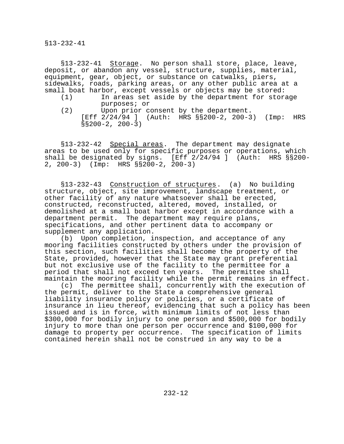<span id="page-113-0"></span>§13-232-41 Storage. No person shall store, place, leave, deposit, or abandon any vessel, structure, supplies, material, equipment, gear, object, or substance on catwalks, piers, sidewalks, roads, parking areas, or any other public area at a small boat harbor, except vessels or objects may be stored:

- (1) In areas set aside by the department for storage purposes; or
- (2) Upon prior consent by the department. [Eff 2/24/94 ] (Auth: HRS §§200-2, 200-3) (Imp: HRS §§200-2, 200-3)

§13-232-42 Special areas. The department may designate areas to be used only for specific purposes or operations, which shall be designated by signs. [Eff 2/24/94 ] (Auth: HRS §§200- 2, 200-3) (Imp: HRS §§200-2, 200-3)

§13-232-43 Construction of structures. (a) No building structure, object, site improvement, landscape treatment, or other facility of any nature whatsoever shall be erected, constructed, reconstructed, altered, moved, installed, or demolished at a small boat harbor except in accordance with a department permit. The department may require plans, specifications, and other pertinent data to accompany or supplement any application.

(b) Upon completion, inspection, and acceptance of any mooring facilities constructed by others under the provision of this section, such facilities shall become the property of the State, provided, however that the State may grant preferential but not exclusive use of the facility to the permittee for a period that shall not exceed ten years. The permittee shall maintain the mooring facility while the permit remains in effect.

(c) The permittee shall, concurrently with the execution of the permit, deliver to the State a comprehensive general liability insurance policy or policies, or a certificate of insurance in lieu thereof, evidencing that such a policy has been issued and is in force, with minimum limits of not less than \$300,000 for bodily injury to one person and \$500,000 for bodily injury to more than one person per occurrence and \$100,000 for damage to property per occurrence. The specification of limits contained herein shall not be construed in any way to be a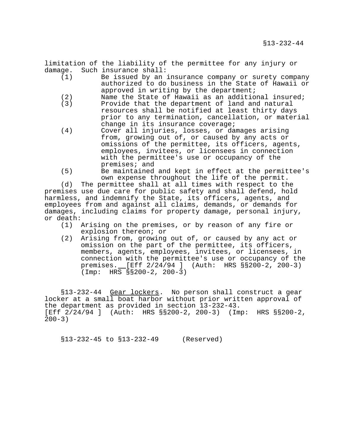<span id="page-114-0"></span>limitation of the liability of the permittee for any injury or damage. Such insurance shall:

- (1) Be issued by an insurance company or surety company authorized to do business in the State of Hawaii or approved in writing by the department;
- (2) Name the State of Hawaii as an additional insured;
- (3) Provide that the department of land and natural resources shall be notified at least thirty days prior to any termination, cancellation, or material change in its insurance coverage;
- (4) Cover all injuries, losses, or damages arising from, growing out of, or caused by any acts or omissions of the permittee, its officers, agents, employees, invitees, or licensees in connection with the permittee's use or occupancy of the premises; and
- (5) Be maintained and kept in effect at the permittee's own expense throughout the life of the permit.

(d) The permittee shall at all times with respect to the premises use due care for public safety and shall defend, hold harmless, and indemnify the State, its officers, agents, and employees from and against all claims, demands, or demands for damages, including claims for property damage, personal injury, or death:

- (1) Arising on the premises, or by reason of any fire or explosion thereon; or
- (2) Arising from, growing out of, or caused by any act or omission on the part of the permittee, its officers, members, agents, employees, invitees, or licensees, in connection with the permittee's use or occupancy of the premises. [Eff 2/24/94 ] (Auth: HRS §§200-2, 200-3) (Imp: HRS §§200-2, 200-3)

§13-232-44 Gear lockers. No person shall construct a gear locker at a small boat harbor without prior written approval of the department as provided in section 13-232-43. [Eff 2/24/94 ] (Auth: HRS §§200-2, 200-3) (Imp: HRS §§200-2,  $200 - 3)$ 

§13-232-45 to §13-232-49 (Reserved)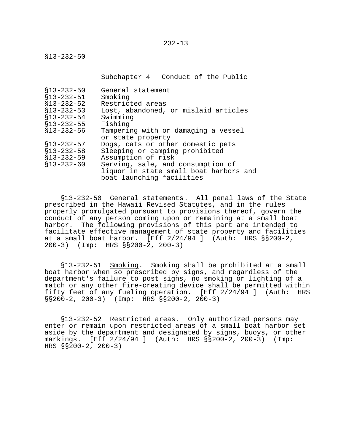|                                 | Subchapter 4 Conduct of the Public     |
|---------------------------------|----------------------------------------|
| \$13-232-50<br>$$13 - 232 - 51$ | General statement<br>Smoking           |
| $$13 - 232 - 52$                | Restricted areas                       |
| $$13 - 232 - 53$                | Lost, abandoned, or mislaid articles   |
| $$13-232-54$                    | Swimming                               |
| \$13-232-55                     | Fishing                                |
| $$13 - 232 - 56$                | Tampering with or damaging a vessel    |
|                                 | or state property                      |
| $$13 - 232 - 57$                | Dogs, cats or other domestic pets      |
| $$13 - 232 - 58$                | Sleeping or camping prohibited         |
| $$13 - 232 - 59$                | Assumption of risk                     |
| \$13-232-60                     | Serving, sale, and consumption of      |
|                                 | liquor in state small boat harbors and |
|                                 | boat launching facilities              |

§13-232-50 General statements. All penal laws of the State prescribed in the Hawaii Revised Statutes, and in the rules properly promulgated pursuant to provisions thereof, govern the conduct of any person coming upon or remaining at a small boat harbor. The following provisions of this part are intended to facilitate effective management of state property and facilities at a small boat harbor. [Eff 2/24/94 ] (Auth: HRS §§200-2, 200-3) (Imp: HRS §§200-2, 200-3)

§13-232-51 Smoking. Smoking shall be prohibited at a small boat harbor when so prescribed by signs, and regardless of the department's failure to post signs, no smoking or lighting of a match or any other fire-creating device shall be permitted within fifty feet of any fueling operation. [Eff 2/24/94 ] (Auth: HRS §§200-2, 200-3) (Imp: HRS §§200-2, 200-3)

§13-232-52 Restricted areas. Only authorized persons may enter or remain upon restricted areas of a small boat harbor set aside by the department and designated by signs, buoys, or other markings. [Eff 2/24/94 ] (Auth: HRS §§200-2, 200-3) (Imp: HRS §§200-2, 200-3)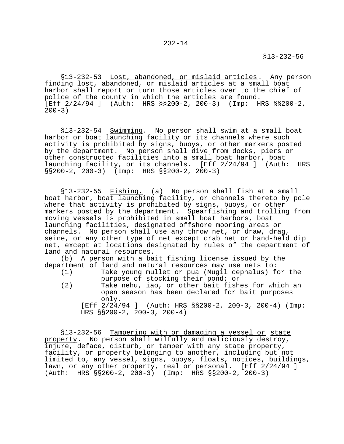<span id="page-116-0"></span>§13-232-53 Lost, abandoned, or mislaid articles. Any person finding lost, abandoned, or mislaid articles at a small boat harbor shall report or turn those articles over to the chief of police of the county in which the articles are found. [Eff 2/24/94 ] (Auth: HRS §§200-2, 200-3) (Imp: HRS §§200-2,  $200 - 3)$ 

§13-232-54 Swimming. No person shall swim at a small boat harbor or boat launching facility or its channels where such activity is prohibited by signs, buoys, or other markers posted by the department. No person shall dive from docks, piers or other constructed facilities into a small boat harbor, boat launching facility, or its channels. [Eff 2/24/94 ] (Auth: HRS §§200-2, 200-3) (Imp: HRS §§200-2, 200-3)

§13-232-55 Fishing. (a) No person shall fish at a small boat harbor, boat launching facility, or channels thereto by pole where that activity is prohibited by signs, buoys, or other markers posted by the department. Spearfishing and trolling from moving vessels is prohibited in small boat harbors, boat launching facilities, designated offshore mooring areas or channels. No person shall use any throw net, or draw, drag, seine, or any other type of net except crab net or hand-held dip net, except at locations designated by rules of the department of land and natural resources.

(b) A person with a bait fishing license issued by the department of land and natural resources may use nets to:

- (1) Take young mullet or pua (Mugil cephalus) for the purpose of stocking their pond; or
- (2) Take nehu, iao, or other bait fishes for which an open season has been declared for bait purposes only.
	- [Eff 2/24/94 ] (Auth: HRS §§200-2, 200-3, 200-4) (Imp: HRS §§200-2, 200-3, 200-4)

§13-232-56 Tampering with or damaging a vessel or state property. No person shall wilfully and maliciously destroy, injure, deface, disturb, or tamper with any state property, facility, or property belonging to another, including but not limited to, any vessel, signs, buoys, floats, notices, buildings, lawn, or any other property, real or personal. [Eff 2/24/94 ] (Auth: HRS §§200-2, 200-3) (Imp: HRS §§200-2, 200-3)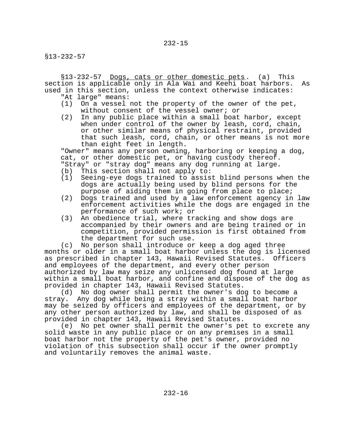<span id="page-117-0"></span>§13-232-57 Dogs, cats or other domestic pets. (a) This section is applicable only in Ala Wai and Keehi boat harbors. As used in this section, unless the context otherwise indicates:

- "At large" means:
- (1) On a vessel not the property of the owner of the pet, without consent of the vessel owner; or
- (2) In any public place within a small boat harbor, except when under control of the owner by leash, cord, chain, or other similar means of physical restraint, provided that such leash, cord, chain, or other means is not more than eight feet in length.

"Owner" means any person owning, harboring or keeping a dog, cat, or other domestic pet, or having custody thereof.

- "Stray" or "stray dog" means any dog running at large.
- (b) This section shall not apply to:
- (1) Seeing-eye dogs trained to assist blind persons when the dogs are actually being used by blind persons for the purpose of aiding them in going from place to place;
- (2) Dogs trained and used by a law enforcement agency in law enforcement activities while the dogs are engaged in the performance of such work; or
- (3) An obedience trial, where tracking and show dogs are accompanied by their owners and are being trained or in competition, provided permission is first obtained from the department for such use.

(c) No person shall introduce or keep a dog aged three months or older in a small boat harbor unless the dog is licensed as prescribed in chapter 143, Hawaii Revised Statutes. Officers and employees of the department, and every other person authorized by law may seize any unlicensed dog found at large within a small boat harbor, and confine and dispose of the dog as provided in chapter 143, Hawaii Revised Statutes.

(d) No dog owner shall permit the owner's dog to become a stray. Any dog while being a stray within a small boat harbor may be seized by officers and employees of the department, or by any other person authorized by law, and shall be disposed of as provided in chapter 143, Hawaii Revised Statutes.

(e) No pet owner shall permit the owner's pet to excrete any solid waste in any public place or on any premises in a small boat harbor not the property of the pet's owner, provided no violation of this subsection shall occur if the owner promptly and voluntarily removes the animal waste.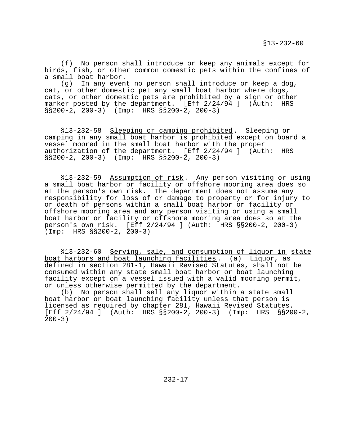<span id="page-118-0"></span>(f) No person shall introduce or keep any animals except for birds, fish, or other common domestic pets within the confines of a small boat harbor.

(g) In any event no person shall introduce or keep a dog, cat, or other domestic pet any small boat harbor where dogs, cats, or other domestic pets are prohibited by a sign or other marker posted by the department. [Eff 2/24/94 ] (Auth: HRS §§200-2, 200-3) (Imp: HRS §§200-2, 200-3)

§13-232-58 Sleeping or camping prohibited. Sleeping or camping in any small boat harbor is prohibited except on board a vessel moored in the small boat harbor with the proper authorization of the department. [Eff 2/24/94 ] (Auth: HRS §§200-2, 200-3) (Imp: HRS §§200-2, 200-3)

§13-232-59 Assumption of risk. Any person visiting or using a small boat harbor or facility or offshore mooring area does so at the person's own risk. The department does not assume any responsibility for loss of or damage to property or for injury to or death of persons within a small boat harbor or facility or offshore mooring area and any person visiting or using a small boat harbor or facility or offshore mooring area does so at the person's own risk. [Eff 2/24/94 ] (Auth: HRS §§200-2, 200-3) (Imp: HRS §§200-2, 200-3)

§13-232-60 Serving, sale, and consumption of liquor in state boat harbors and boat launching facilities . (a) Liquor, as defined in section 281-1, Hawaii Revised Statutes, shall not be consumed within any state small boat harbor or boat launching facility except on a vessel issued with a valid mooring permit, or unless otherwise permitted by the department.

(b) No person shall sell any liquor within a state small boat harbor or boat launching facility unless that person is licensed as required by chapter 281, Hawaii Revised Statutes. [Eff 2/24/94 ] (Auth: HRS §§200-2, 200-3) (Imp: HRS §§200-2,  $200 - 3)$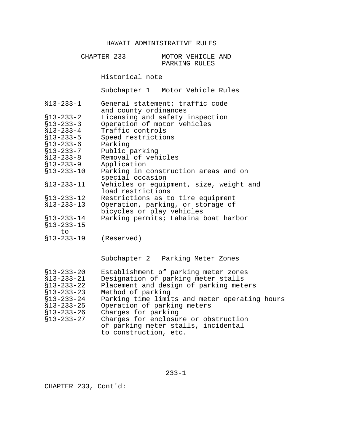## HAWAII ADMINISTRATIVE RULES

CHAPTER 233 MOTOR VEHICLE AND PARKING RULES

[Historical note](#page-120-0)

[Subchapter 1 Motor Vehicle Rules](#page-120-0)

| $$13 - 233 - 1$  | General statement; traffic code         |
|------------------|-----------------------------------------|
|                  | and county ordinances                   |
| $$13 - 233 - 2$  | Licensing and safety inspection         |
| $$13 - 233 - 3$  | Operation of motor vehicles             |
| $$13 - 233 - 4$  | Traffic controls                        |
| $$13 - 233 - 5$  | Speed restrictions                      |
| $$13 - 233 - 6$  | Parking                                 |
| $$13 - 233 - 7$  | Public parking                          |
| $$13 - 233 - 8$  | Removal of vehicles                     |
| $$13-233-9$      | Application                             |
| \$13-233-10      | Parking in construction areas and on    |
|                  | special occasion                        |
| $$13 - 233 - 11$ | Vehicles or equipment, size, weight and |
|                  | load restrictions                       |
| $$13-233-12$     | Restrictions as to tire equipment       |
| $$13 - 233 - 13$ | Operation, parking, or storage of       |
|                  | bicycles or play vehicles               |
| $$13-233-14$     | Parking permits; Lahaina boat harbor    |
| $$13 - 233 - 15$ |                                         |
| to               |                                         |
| $$13 - 233 - 19$ | (Reserved)                              |
|                  |                                         |
|                  |                                         |
|                  | Subchapter 2 Parking Meter Zones        |
|                  |                                         |
| $$13 - 233 - 20$ | Establishment of parking meter zones    |
| $$13 - 233 - 21$ | Designation of parking meter stalls     |
| $$13 - 233 - 22$ | Placement and design of parking meters  |
| $$13 - 233 - 23$ | Method of parking                       |

- [§13-233-24 Parking time limits and meter operating hours](#page-135-0)
- [§13-233-25 Operation of parking meters](#page-136-0)
- [§13-233-26 Charges for parking](#page-137-0)

| \$13-233-27 |                       | Charges for enclosure or obstruction |  |
|-------------|-----------------------|--------------------------------------|--|
|             |                       | of parking meter stalls, incidental  |  |
|             | to construction, etc. |                                      |  |

CHAPTER 233, Cont'd: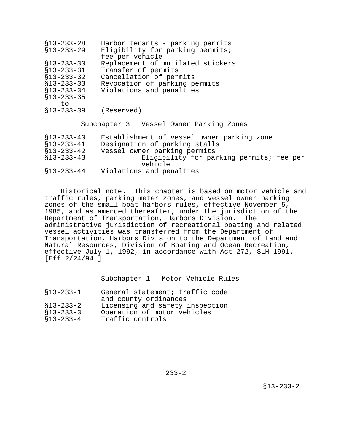<span id="page-120-0"></span>

| $$13 - 233 - 28$ | Harbor tenants - parking permits  |
|------------------|-----------------------------------|
| $$13-233-29$     | Eligibility for parking permits;  |
|                  | fee per vehicle                   |
| $$13 - 233 - 30$ | Replacement of mutilated stickers |
| $$13 - 233 - 31$ | Transfer of permits               |
| $$13 - 233 - 32$ | Cancellation of permits           |
| $$13 - 233 - 33$ | Revocation of parking permits     |
| $$13 - 233 - 34$ | Violations and penalties          |
| $$13 - 233 - 35$ |                                   |
| to               |                                   |
| $$13 - 233 - 39$ | (Reserved)                        |
|                  |                                   |

[Subchapter 3 Vessel Owner Parking Zones](#page-142-0)

| $$13-233-40$<br>$$13-233-41$ | Establishment of vessel owner parking zone<br>Designation of parking stalls |
|------------------------------|-----------------------------------------------------------------------------|
| $$13-233-42$                 | Vessel owner parking permits                                                |
| $$13-233-43$                 | Eligibility for parking permits; fee per<br>vehicle                         |
| $$13 - 233 - 44$             | Violations and penalties                                                    |

Historical note. This chapter is based on motor vehicle and traffic rules, parking meter zones, and vessel owner parking zones of the small boat harbors rules, effective November 5, 1985, and as amended thereafter, under the jurisdiction of the Department of Transportation, Harbors Division. The administrative jurisdiction of recreational boating and related vessel activities was transferred from the Department of Transportation, Harbors Division to the Department of Land and Natural Resources, Division of Boating and Ocean Recreation, effective July 1, 1992, in accordance with Act 272, SLH 1991. [Eff 2/24/94 ]

Subchapter 1 Motor Vehicle Rules

| $$13 - 233 - 1$ | General statement; traffic code |
|-----------------|---------------------------------|
|                 | and county ordinances           |
| $$13 - 233 - 2$ | Licensing and safety inspection |
| $$13 - 233 - 3$ | Operation of motor vehicles     |

[§13-233-4 Traffic controls](#page-122-0)

§13-233-2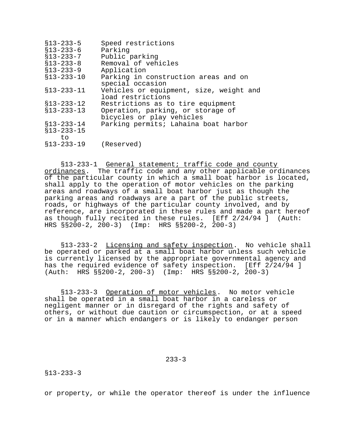<span id="page-121-0"></span>

| Speed restrictions                      |
|-----------------------------------------|
| Parking                                 |
| Public parking                          |
| Removal of vehicles                     |
| Application                             |
| Parking in construction areas and on    |
| special occasion                        |
| Vehicles or equipment, size, weight and |
| load restrictions                       |
| Restrictions as to tire equipment       |
| Operation, parking, or storage of       |
| bicycles or play vehicles               |
| Parking permits; Lahaina boat harbor    |
|                                         |
|                                         |
| (Reserved)                              |
|                                         |

§13-233-1 General statement; traffic code and county ordinances. The traffic code and any other applicable ordinances of the particular county in which a small boat harbor is located, shall apply to the operation of motor vehicles on the parking areas and roadways of a small boat harbor just as though the parking areas and roadways are a part of the public streets, roads, or highways of the particular county involved, and by reference, are incorporated in these rules and made a part hereof as though fully recited in these rules. [Eff 2/24/94 ] (Auth: HRS §§200-2, 200-3) (Imp: HRS §§200-2, 200-3)

§13-233-2 Licensing and safety inspection. No vehicle shall be operated or parked at a small boat harbor unless such vehicle is currently licensed by the appropriate governmental agency and has the required evidence of safety inspection. [Eff 2/24/94 ] (Auth: HRS §§200-2, 200-3) (Imp: HRS §§200-2, 200-3)

§13-233-3 Operation of motor vehicles. No motor vehicle shall be operated in a small boat harbor in a careless or negligent manner or in disregard of the rights and safety of others, or without due caution or circumspection, or at a speed or in a manner which endangers or is likely to endanger person

233-3

§13-233-3

or property, or while the operator thereof is under the influence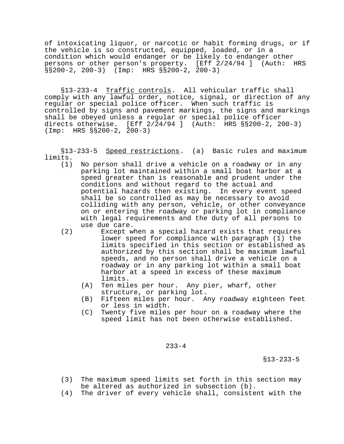<span id="page-122-0"></span>of intoxicating liquor, or narcotic or habit forming drugs, or if the vehicle is so constructed, equipped, loaded, or in a condition which would endanger or be likely to endanger other persons or other person's property. [Eff 2/24/94 ] (Auth: HRS §§200-2, 200-3) (Imp: HRS §§200-2, 200-3)

§13-233-4 Traffic controls. All vehicular traffic shall comply with any lawful order, notice, signal, or direction of any regular or special police officer. When such traffic is controlled by signs and pavement markings, the signs and markings shall be obeyed unless a regular or special police officer directs otherwise. [Eff 2/24/94 ] (Auth: HRS §§200-2, 200-3) (Imp: HRS §§200-2, 200-3)

§13-233-5 Speed restrictions. (a) Basic rules and maximum limits.

- (1) No person shall drive a vehicle on a roadway or in any parking lot maintained within a small boat harbor at a speed greater than is reasonable and prudent under the conditions and without regard to the actual and potential hazards then existing. In every event speed shall be so controlled as may be necessary to avoid colliding with any person, vehicle, or other conveyance on or entering the roadway or parking lot in compliance with legal requirements and the duty of all persons to use due care.
- (2) Except when a special hazard exists that requires lower speed for compliance with paragraph (1) the limits specified in this section or established as authorized by this section shall be maximum lawful speeds, and no person shall drive a vehicle on a roadway or in any parking lot within a small boat harbor at a speed in excess of these maximum limits.
	- (A) Ten miles per hour. Any pier, wharf, other structure, or parking lot.
	- (B) Fifteen miles per hour. Any roadway eighteen feet or less in width.
	- (C) Twenty five miles per hour on a roadway where the speed limit has not been otherwise established.

 $233 - 4$ 

§13-233-5

- (3) The maximum speed limits set forth in this section may be altered as authorized in subsection (b).
- (4) The driver of every vehicle shall, consistent with the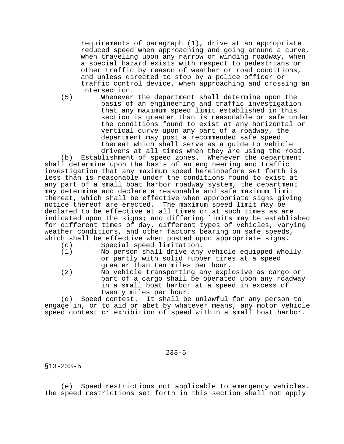requirements of paragraph (1), drive at an appropriate reduced speed when approaching and going around a curve, when traveling upon any narrow or winding roadway, when a special hazard exists with respect to pedestrians or other traffic by reason of weather or road conditions, and unless directed to stop by a police officer or traffic control device, when approaching and crossing an intersection.

(5) Whenever the department shall determine upon the basis of an engineering and traffic investigation that any maximum speed limit established in this section is greater than is reasonable or safe under the conditions found to exist at any horizontal or vertical curve upon any part of a roadway, the department may post a recommended safe speed thereat which shall serve as a guide to vehicle drivers at all times when they are using the road.

(b) Establishment of speed zones. Whenever the department shall determine upon the basis of an engineering and traffic investigation that any maximum speed hereinbefore set forth is less than is reasonable under the conditions found to exist at any part of a small boat harbor roadway system, the department may determine and declare a reasonable and safe maximum limit thereat, which shall be effective when appropriate signs giving notice thereof are erected. The maximum speed limit may be declared to be effective at all times or at such times as are indicated upon the signs; and differing limits may be established for different times of day, different types of vehicles, varying weather conditions, and other factors bearing on safe speeds, which shall be effective when posted upon appropriate signs.

- (c) Special speed limitation.
- (1) No person shall drive any vehicle equipped wholly or partly with solid rubber tires at a speed greater than ten miles per hour.
- (2) No vehicle transporting any explosive as cargo or part of a cargo shall be operated upon any roadway in a small boat harbor at a speed in excess of

twenty miles per hour.<br>(d) Speed contest. It shall be It shall be unlawful for any person to engage in, or to aid or abet by whatever means, any motor vehicle speed contest or exhibition of speed within a small boat harbor.

# $233 - 5$

### §13-233-5

(e) Speed restrictions not applicable to emergency vehicles. The speed restrictions set forth in this section shall not apply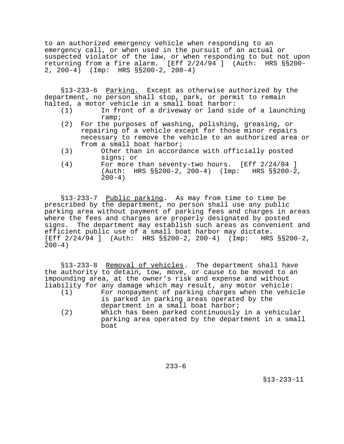<span id="page-124-0"></span>to an authorized emergency vehicle when responding to an emergency call, or when used in the pursuit of an actual or suspected violator of the law, or when responding to but not upon returning from a fire alarm. [Eff 2/24/94 ] (Auth: HRS §§200- 2, 200-4) (Imp: HRS §§200-2, 200-4)

§13-233-6 Parking. Except as otherwise authorized by the department, no person shall stop, park, or permit to remain halted, a motor vehicle in a small boat harbor:

- (1) In front of a driveway or land side of a launching ramp;
- (2) For the purposes of washing, polishing, greasing, or repairing of a vehicle except for those minor repairs necessary to remove the vehicle to an authorized area or from a small boat harbor;
- (3) Other than in accordance with officially posted signs; or
- (4) For more than seventy-two hours. [Eff 2/24/94 ] (Auth: HRS §§200-2, 200-4) (Imp: HRS §§200-2,  $200 - 4)$

§13-233-7 Public parking. As may from time to time be prescribed by the department, no person shall use any public parking area without payment of parking fees and charges in areas where the fees and charges are properly designated by posted signs. The department may establish such areas as convenient and efficient public use of a small boat harbor may dictate. [Eff 2/24/94 ] (Auth: HRS §§200-2, 200-4) (Imp: HRS §§200-2,  $200-4)$ 

§13-233-8 Removal of vehicles. The department shall have the authority to detain, tow, move, or cause to be moved to an impounding area, at the owner's risk and expense and without liability for any damage which may result, any motor vehicle:

(1) For nonpayment of parking charges when the vehicle

boat

is parked in parking areas operated by the department in a small boat harbor; (2) Which has been parked continuously in a vehicular parking area operated by the department in a small

 $233 - 6$ 

§13-233-11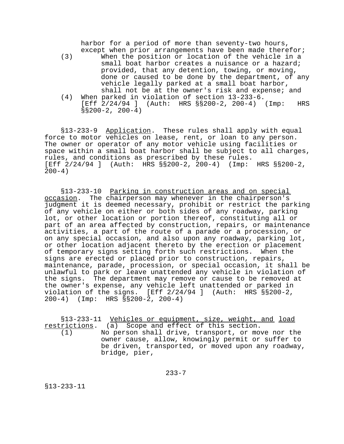<span id="page-125-0"></span>harbor for a period of more than seventy-two hours, except when prior arrangements have been made therefor; (3) When the position or location of the vehicle in a small boat harbor creates a nuisance or a hazard; provided, that any detention, towing, or moving, done or caused to be done by the department, of any vehicle legally parked at a small boat harbor, shall not be at the owner's risk and expense; and

(4) When parked in violation of section 13-233-6. [Eff 2/24/94 ] (Auth: HRS §§200-2, 200-4) (Imp: HRS  $\S$ §200-2, 200-4)

§13-233-9 Application. These rules shall apply with equal force to motor vehicles on lease, rent, or loan to any person. The owner or operator of any motor vehicle using facilities or space within a small boat harbor shall be subject to all charges, rules, and conditions as prescribed by these rules. [Eff 2/24/94 ] (Auth: HRS §§200-2, 200-4) (Imp: HRS §§200-2,  $200 - 4$ 

§13-233-10 Parking in construction areas and on special occasion. The chairperson may whenever in the chairperson's judgment it is deemed necessary, prohibit or restrict the parking of any vehicle on either or both sides of any roadway, parking lot, or other location or portion thereof, constituting all or part of an area affected by construction, repairs, or maintenance activities, a part of the route of a parade or a procession, or on any special occasion, and also upon any roadway, parking lot, or other location adjacent thereto by the erection or placement of temporary signs setting forth such restrictions. When the signs are erected or placed prior to construction, repairs, maintenance, parade, procession, or special occasion, it shall be unlawful to park or leave unattended any vehicle in violation of the signs. The department may remove or cause to be removed at the owner's expense, any vehicle left unattended or parked in violation of the signs. [Eff 2/24/94 ] (Auth: HRS §§200-2, 200-4) (Imp: HRS §§200-2, 200-4)

§13-233-11 Vehicles or equipment, size, weight, and load restrictions. (a) Scope and effect of this section.

(1) No person shall drive, transport, or move nor the owner cause, allow, knowingly permit or suffer to be driven, transported, or moved upon any roadway, bridge, pier,

 $233 - 7$ 

§13-233-11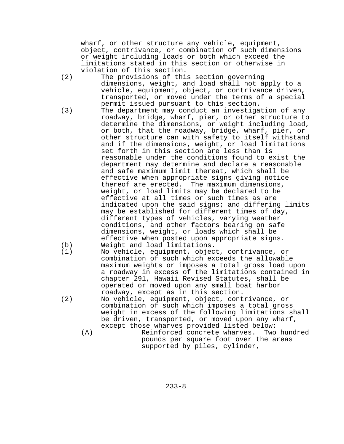wharf, or other structure any vehicle, equipment, object, contrivance, or combination of such dimensions or weight including loads or both which exceed the limitations stated in this section or otherwise in violation of this section.

- (2) The provisions of this section governing dimensions, weight, and load shall not apply to a vehicle, equipment, object, or contrivance driven, transported, or moved under the terms of a special permit issued pursuant to this section.
- (3) The department may conduct an investigation of any roadway, bridge, wharf, pier, or other structure to determine the dimensions, or weight including load, or both, that the roadway, bridge, wharf, pier, or other structure can with safety to itself withstand and if the dimensions, weight, or load limitations set forth in this section are less than is reasonable under the conditions found to exist the department may determine and declare a reasonable and safe maximum limit thereat, which shall be effective when appropriate signs giving notice thereof are erected. The maximum dimensions, weight, or load limits may be declared to be effective at all times or such times as are indicated upon the said signs; and differing limits may be established for different times of day, different types of vehicles, varying weather conditions, and other factors bearing on safe dimensions, weight, or loads which shall be effective when posted upon appropriate signs.
- (b) Weight and load limitations.
- (1) No vehicle, equipment, object, contrivance, or combination of such which exceeds the allowable maximum weights or imposes a total gross load upon a roadway in excess of the limitations contained in chapter 291, Hawaii Revised Statutes, shall be operated or moved upon any small boat harbor roadway, except as in this section.
- (2) No vehicle, equipment, object, contrivance, or combination of such which imposes a total gross weight in excess of the following limitations shall be driven, transported, or moved upon any wharf, except those wharves provided listed below:
	- (A) Reinforced concrete wharves. Two hundred pounds per square foot over the areas supported by piles, cylinder,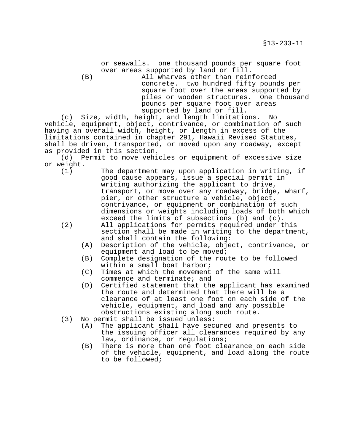or seawalls. one thousand pounds per square foot over areas supported by land or fill.

(B) All wharves other than reinforced concrete. two hundred fifty pounds per square foot over the areas supported by piles or wooden structures. One thousand pounds per square foot over areas supported by land or fill.

(c) Size, width, height, and length limitations. No vehicle, equipment, object, contrivance, or combination of such having an overall width, height, or length in excess of the limitations contained in chapter 291, Hawaii Revised Statutes, shall be driven, transported, or moved upon any roadway, except as provided in this section.

(d) Permit to move vehicles or equipment of excessive size or weight.

- (1) The department may upon application in writing, if good cause appears, issue a special permit in writing authorizing the applicant to drive, transport, or move over any roadway, bridge, wharf, pier, or other structure a vehicle, object, contrivance, or equipment or combination of such dimensions or weights including loads of both which exceed the limits of subsections (b) and (c).
- (2) All applications for permits required under this section shall be made in writing to the department, and shall contain the following:
	- (A) Description of the vehicle, object, contrivance, or equipment and load to be moved;
	- (B) Complete designation of the route to be followed within a small boat harbor;
	- (C) Times at which the movement of the same will commence and terminate; and
	- (D) Certified statement that the applicant has examined the route and determined that there will be a clearance of at least one foot on each side of the vehicle, equipment, and load and any possible obstructions existing along such route.
- (3) No permit shall be issued unless:
	- (A) The applicant shall have secured and presents to the issuing officer all clearances required by any law, ordinance, or regulations;
	- (B) There is more than one foot clearance on each side of the vehicle, equipment, and load along the route to be followed;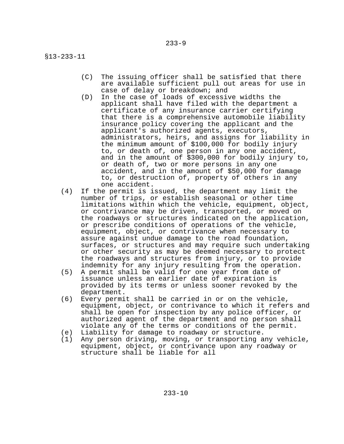§13-233-11

- (C) The issuing officer shall be satisfied that there are available sufficient pull out areas for use in case of delay or breakdown; and
- (D) In the case of loads of excessive widths the applicant shall have filed with the department a certificate of any insurance carrier certifying that there is a comprehensive automobile liability insurance policy covering the applicant and the applicant's authorized agents, executors, administrators, heirs, and assigns for liability in the minimum amount of \$100,000 for bodily injury to, or death of, one person in any one accident, and in the amount of \$300,000 for bodily injury to, or death of, two or more persons in any one accident, and in the amount of \$50,000 for damage to, or destruction of, property of others in any one accident.
- (4) If the permit is issued, the department may limit the number of trips, or establish seasonal or other time limitations within which the vehicle, equipment, object, or contrivance may be driven, transported, or moved on the roadways or structures indicated on the application, or prescribe conditions of operations of the vehicle, equipment, object, or contrivance when necessary to assure against undue damage to the road foundation, surfaces, or structures and may require such undertaking or other security as may be deemed necessary to protect the roadways and structures from injury, or to provide indemnity for any injury resulting from the operation.
- (5) A permit shall be valid for one year from date of issuance unless an earlier date of expiration is provided by its terms or unless sooner revoked by the department.
- (6) Every permit shall be carried in or on the vehicle, equipment, object, or contrivance to which it refers and shall be open for inspection by any police officer, or authorized agent of the department and no person shall violate any of the terms or conditions of the permit.
- (e) Liability for damage to roadway or structure.
- (1) Any person driving, moving, or transporting any vehicle, equipment, object, or contrivance upon any roadway or structure shall be liable for all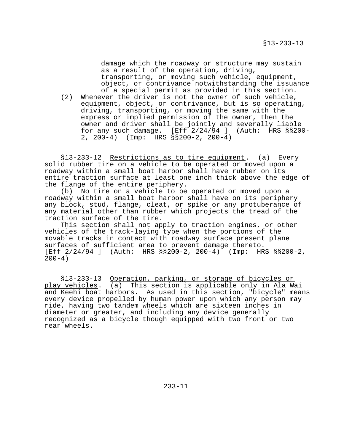damage which the roadway or structure may sustain as a result of the operation, driving, transporting, or moving such vehicle, equipment, object, or contrivance notwithstanding the issuance of a special permit as provided in this section.

<span id="page-129-0"></span>(2) Whenever the driver is not the owner of such vehicle, equipment, object, or contrivance, but is so operating, driving, transporting, or moving the same with the express or implied permission of the owner, then the owner and driver shall be jointly and severally liable for any such damage. [Eff 2/24/94 ] (Auth: HRS §§200- 2, 200-4) (Imp: HRS §§200-2, 200-4)

§13-233-12 Restrictions as to tire equipment. (a) Every solid rubber tire on a vehicle to be operated or moved upon a roadway within a small boat harbor shall have rubber on its entire traction surface at least one inch thick above the edge of the flange of the entire periphery.

(b) No tire on a vehicle to be operated or moved upon a roadway within a small boat harbor shall have on its periphery any block, stud, flange, cleat, or spike or any protuberance of any material other than rubber which projects the tread of the traction surface of the tire.

This section shall not apply to traction engines, or other vehicles of the track-laying type when the portions of the movable tracks in contact with roadway surface present plane surfaces of sufficient area to prevent damage thereto. [Eff 2/24/94 ] (Auth: HRS §§200-2, 200-4) (Imp: HRS §§200-2,  $200-4)$ 

§13-233-13 Operation, parking, or storage of bicycles or play vehicles. (a) This section is applicable only in Ala Wai and Keehi boat harbors. As used in this section, "bicycle" means every device propelled by human power upon which any person may ride, having two tandem wheels which are sixteen inches in diameter or greater, and including any device generally recognized as a bicycle though equipped with two front or two rear wheels.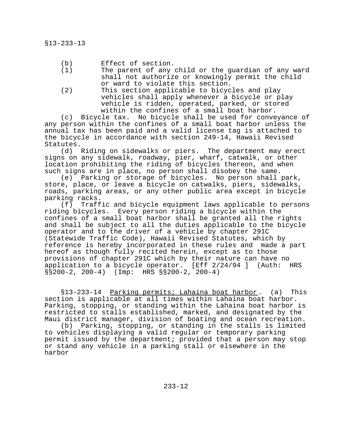- <span id="page-130-0"></span>(b) Effect of section.
- (1) The parent of any child or the guardian of any ward shall not authorize or knowingly permit the child or ward to violate this section.
- (2) This section applicable to bicycles and play vehicles shall apply whenever a bicycle or play vehicle is ridden, operated, parked, or stored within the confines of a small boat harbor.

(c) Bicycle tax. No bicycle shall be used for conveyance of any person within the confines of a small boat harbor unless the annual tax has been paid and a valid license tag is attached to the bicycle in accordance with section 249-14, Hawaii Revised Statutes.

(d) Riding on sidewalks or piers. The department may erect signs on any sidewalk, roadway, pier, wharf, catwalk, or other location prohibiting the riding of bicycles thereon, and when such signs are in place, no person shall disobey the same.

(e) Parking or storage of bicycles. No person shall park, store, place, or leave a bicycle on catwalks, piers, sidewalks, roads, parking areas, or any other public area except in bicycle parking racks.

(f) Traffic and bicycle equipment laws applicable to persons riding bicycles. Every person riding a bicycle within the confines of a small boat harbor shall be granted all the rights and shall be subject to all the duties applicable to the bicycle operator and to the driver of a vehicle by chapter 291C (Statewide Traffic Code), Hawaii Revised Statutes, which by reference is hereby incorporated in these rules and made a part hereof as though fully recited herein, except as to those provisions of chapter 291C which by their nature can have no application to a bicycle operator. [Eff 2/24/94 ] (Auth: HRS §§200-2, 200-4) (Imp: HRS §§200-2, 200-4)

§13-233-14 Parking permits; Lahaina boat harbor. (a) This section is applicable at all times within Lahaina boat harbor. Parking, stopping, or standing within the Lahaina boat harbor is restricted to stalls established, marked, and designated by the Maui district manager, division of boating and ocean recreation.

(b) Parking, stopping, or standing in the stalls is limited to vehicles displaying a valid regular or temporary parking permit issued by the department; provided that a person may stop or stand any vehicle in a parking stall or elsewhere in the harbor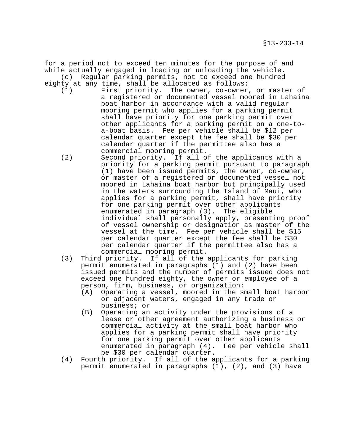for a period not to exceed ten minutes for the purpose of and while actually engaged in loading or unloading the vehicle. (c) Regular parking permits, not to exceed one hundred eighty at any time, shall be allocated as follows:

(1) First priority. The owner, co-owner, or master of a registered or documented vessel moored in Lahaina boat harbor in accordance with a valid regular mooring permit who applies for a parking permit shall have priority for one parking permit over other applicants for a parking permit on a one-toa-boat basis. Fee per vehicle shall be \$12 per calendar quarter except the fee shall be \$30 per calendar quarter if the permittee also has a commercial mooring permit.

- (2) Second priority. If all of the applicants with a priority for a parking permit pursuant to paragraph (1) have been issued permits, the owner, co-owner, or master of a registered or documented vessel not moored in Lahaina boat harbor but principally used in the waters surrounding the Island of Maui, who applies for a parking permit, shall have priority for one parking permit over other applicants enumerated in paragraph (3). The eligible individual shall personally apply, presenting proof of vessel ownership or designation as master of the vessel at the time. Fee per vehicle shall be \$15 per calendar quarter except the fee shall be \$30 per calendar quarter if the permittee also has a commercial mooring permit.
- (3) Third priority. If all of the applicants for parking permit enumerated in paragraphs (1) and (2) have been issued permits and the number of permits issued does not exceed one hundred eighty, the owner or employee of a person, firm, business, or organization:
	- (A) Operating a vessel, moored in the small boat harbor or adjacent waters, engaged in any trade or business; or
	- (B) Operating an activity under the provisions of a lease or other agreement authorizing a business or commercial activity at the small boat harbor who applies for a parking permit shall have priority for one parking permit over other applicants enumerated in paragraph (4). Fee per vehicle shall be \$30 per calendar quarter.
- (4) Fourth priority. If all of the applicants for a parking permit enumerated in paragraphs (1), (2), and (3) have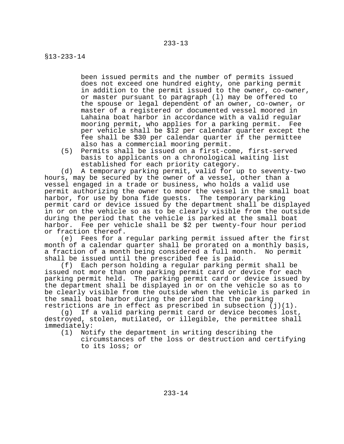§13-233-14

been issued permits and the number of permits issued does not exceed one hundred eighty, one parking permit in addition to the permit issued to the owner, co-owner, or master pursuant to paragraph (l) may be offered to the spouse or legal dependent of an owner, co-owner, or master of a registered or documented vessel moored in Lahaina boat harbor in accordance with a valid regular mooring permit, who applies for a parking permit. Fee per vehicle shall be \$12 per calendar quarter except the fee shall be \$30 per calendar quarter if the permittee also has a commercial mooring permit.

(5) Permits shall be issued on a first-come, first-served basis to applicants on a chronological waiting list established for each priority category.

(d) A temporary parking permit, valid for up to seventy-two hours, may be secured by the owner of a vessel, other than a vessel engaged in a trade or business, who holds a valid use permit authorizing the owner to moor the vessel in the small boat harbor, for use by bona fide guests. The temporary parking permit card or device issued by the department shall be displayed in or on the vehicle so as to be clearly visible from the outside during the period that the vehicle is parked at the small boat harbor. Fee per vehicle shall be \$2 per twenty-four hour period or fraction thereof.

(e) Fees for a regular parking permit issued after the first month of a calendar quarter shall be prorated on a monthly basis, a fraction of a month being considered a full month. No permit shall be issued until the prescribed fee is paid.

(f) Each person holding a regular parking permit shall be issued not more than one parking permit card or device for each parking permit held. The parking permit card or device issued by the department shall be displayed in or on the vehicle so as to be clearly visible from the outside when the vehicle is parked in the small boat harbor during the period that the parking restrictions are in effect as prescribed in subsection  $(j)(1)$ .

(g) If a valid parking permit card or device becomes lost, destroyed, stolen, mutilated, or illegible, the permittee shall immediately:

(1) Notify the department in writing describing the circumstances of the loss or destruction and certifying to its loss; or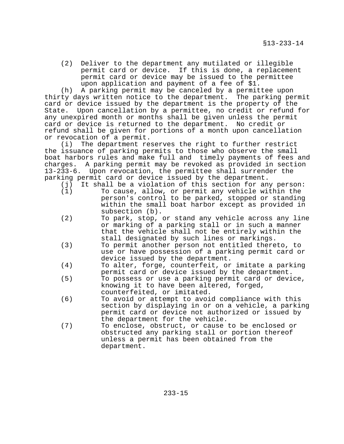(2) Deliver to the department any mutilated or illegible permit card or device. If this is done, a replacement permit card or device may be issued to the permittee upon application and payment of a fee of \$1.

(h) A parking permit may be canceled by a permittee upon thirty days written notice to the department. The parking permit card or device issued by the department is the property of the State. Upon cancellation by a permittee, no credit or refund for any unexpired month or months shall be given unless the permit card or device is returned to the department. No credit or refund shall be given for portions of a month upon cancellation or revocation of a permit.

(i) The department reserves the right to further restrict the issuance of parking permits to those who observe the small boat harbors rules and make full and timely payments of fees and charges. A parking permit may be revoked as provided in section 13-233-6. Upon revocation, the permittee shall surrender the parking permit card or device issued by the department.

- (j) It shall be a violation of this section for any person:
- (1) To cause, allow, or permit any vehicle within the person's control to be parked, stopped or standing within the small boat harbor except as provided in subsection (b).
- (2) To park, stop, or stand any vehicle across any line or marking of a parking stall or in such a manner that the vehicle shall not be entirely within the stall designated by such lines or markings.
- (3) To permit another person not entitled thereto, to use or have possession of a parking permit card or device issued by the department.
- (4) To alter, forge, counterfeit, or imitate a parking permit card or device issued by the department.
- (5) To possess or use a parking permit card or device, knowing it to have been altered, forged, counterfeited, or imitated.
- (6) To avoid or attempt to avoid compliance with this section by displaying in or on a vehicle, a parking permit card or device not authorized or issued by the department for the vehicle.
- (7) To enclose, obstruct, or cause to be enclosed or obstructed any parking stall or portion thereof unless a permit has been obtained from the department.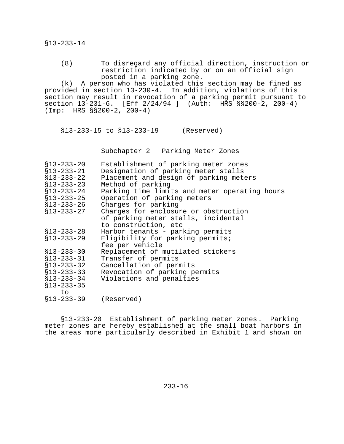<span id="page-134-0"></span>(8) To disregard any official direction, instruction or restriction indicated by or on an official sign posted in a parking zone.

(k) A person who has violated this section may be fined as provided in section 13-230-4. In addition, violations of this section may result in revocation of a parking permit pursuant to section 13-231-6. [Eff 2/24/94 ] (Auth: HRS §§200-2, 200-4) (Imp: HRS §§200-2, 200-4)

§13-233-15 to §13-233-19 (Reserved)

Subchapter 2 Parking Meter Zones

| Establishment of parking meter zones          |
|-----------------------------------------------|
| Designation of parking meter stalls           |
| Placement and design of parking meters        |
| Method of parking                             |
| Parking time limits and meter operating hours |
| Operation of parking meters                   |
| Charges for parking                           |
| Charges for enclosure or obstruction          |
| of parking meter stalls, incidental           |
| to construction, etc                          |
| Harbor tenants - parking permits              |
| Eligibility for parking permits;              |
| fee per vehicle                               |
| Replacement of mutilated stickers             |
| Transfer of permits                           |
| Cancellation of permits                       |
| Revocation of parking permits                 |
| Violations and penalties                      |
|                                               |
|                                               |
| $$13-233-39$ (Reserved)                       |
|                                               |

§13-233-20 Establishment of parking meter zones. Parking meter zones are hereby established at the small boat harbors in the areas more particularly described in Exhibit 1 and shown on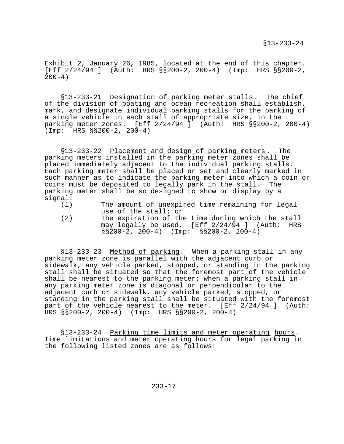<span id="page-135-0"></span>Exhibit 2, January 26, 1985, located at the end of this chapter. [Eff 2/24/94 ] (Auth: HRS §§200-2, 200-4) (Imp: HRS §§200-2,  $200 - 4$ 

§13-233-21 Designation of parking meter stalls. The chief of the division of boating and ocean recreation shall establish, mark, and designate individual parking stalls for the parking of a single vehicle in each stall of appropriate size, in the parking meter zones. [Eff 2/24/94 ] (Auth: HRS §§200-2, 200-4) (Imp: HRS §§200-2, 200-4)

§13-233-22 Placement and design of parking meters . The parking meters installed in the parking meter zones shall be placed immediately adjacent to the individual parking stalls. Each parking meter shall be placed or set and clearly marked in such manner as to indicate the parking meter into which a coin or coins must be deposited to legally park in the stall. The parking meter shall be so designed to show or display by a signal:

- (1) The amount of unexpired time remaining for legal use of the stall; or
- (2) The expiration of the time during which the stall may legally be used. [Eff 2/24/94 ] (Auth: HRS §§200-2, 200-4) (Imp: §§200-2, 200-4)

§13-233-23 Method of parking. When a parking stall in any parking meter zone is parallel with the adjacent curb or sidewalk, any vehicle parked, stopped, or standing in the parking stall shall be situated so that the foremost part of the vehicle shall be nearest to the parking meter; when a parking stall in any parking meter zone is diagonal or perpendicular to the adjacent curb or sidewalk, any vehicle parked, stopped, or standing in the parking stall shall be situated with the foremost part of the vehicle nearest to the meter. [Eff 2/24/94 ] (Auth: HRS §§200-2, 200-4) (Imp: HRS §§200-2, 200-4)

§13-233-24 <u>Parking time limits and meter operating hours</u>.<br>Time limitations and meter operating hours for legal parking in the following listed zones are as follows: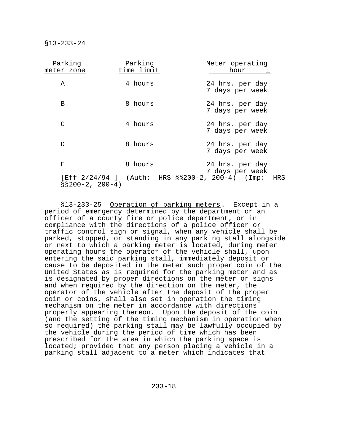<span id="page-136-0"></span>

|     | Meter operating<br>hour                                                  | Parking<br>time limit |                     | Parking<br>meter zone |  |
|-----|--------------------------------------------------------------------------|-----------------------|---------------------|-----------------------|--|
|     | 24 hrs. per day<br>7 days per week                                       | 4 hours               |                     | A                     |  |
|     | 24 hrs. per day<br>7 days per week                                       | 8 hours               |                     | B                     |  |
|     | 24 hrs. per day<br>7 days per week                                       | 4 hours               |                     | C                     |  |
|     | 24 hrs. per day<br>7 days per week                                       | 8 hours               |                     | D                     |  |
|     | 24 hrs. per day                                                          | 8 hours               |                     | Е                     |  |
| HRS | 7 days per week<br>[Eff $2/24/94$ ] (Auth: HRS $\S 200-2$ , 200-4) (Imp: |                       | $\S$ §200-2, 200-4) |                       |  |

§13-233-25 Operation of parking meters. Except in a period of emergency determined by the department or an officer of a county fire or police department, or in compliance with the directions of a police officer or traffic control sign or signal, when any vehicle shall be parked, stopped, or standing in any parking stall alongside or next to which a parking meter is located, during meter operating hours the operator of the vehicle shall, upon entering the said parking stall, immediately deposit or cause to be deposited in the meter such proper coin of the United States as is required for the parking meter and as is designated by proper directions on the meter or signs and when required by the direction on the meter, the operator of the vehicle after the deposit of the proper coin or coins, shall also set in operation the timing mechanism on the meter in accordance with directions properly appearing thereon. Upon the deposit of the coin (and the setting of the timing mechanism in operation when so required) the parking stall may be lawfully occupied by the vehicle during the period of time which has been prescribed for the area in which the parking space is located; provided that any person placing a vehicle in a parking stall adjacent to a meter which indicates that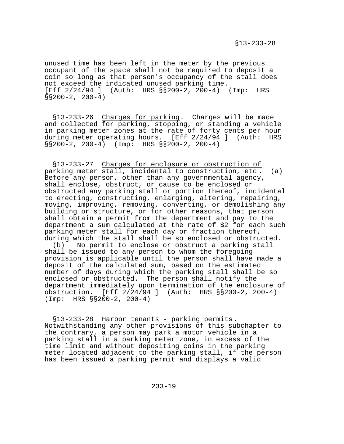<span id="page-137-0"></span>unused time has been left in the meter by the previous occupant of the space shall not be required to deposit a coin so long as that person's occupancy of the stall does not exceed the indicated unused parking time. [Eff 2/24/94 ] (Auth: HRS §§200-2, 200-4) (Imp: HRS  $\S$ §200-2, 200-4)

§13-233-26 Charges for parking. Charges will be made and collected for parking, stopping, or standing a vehicle in parking meter zones at the rate of forty cents per hour during meter operating hours. [Eff 2/24/94 ] (Auth: HRS §§200-2, 200-4) (Imp: HRS §§200-2, 200-4)

§13-233-27 Charges for enclosure or obstruction of parking meter stall, incidental to construction, etc. (a) Before any person, other than any governmental agency, shall enclose, obstruct, or cause to be enclosed or obstructed any parking stall or portion thereof, incidental to erecting, constructing, enlarging, altering, repairing, moving, improving, removing, converting, or demolishing any building or structure, or for other reasons, that person shall obtain a permit from the department and pay to the department a sum calculated at the rate of \$2 for each such parking meter stall for each day or fraction thereof, during which the stall shall be so enclosed or obstructed.

(b) No permit to enclose or obstruct a parking stall shall be issued to any person to whom the foregoing provision is applicable until the person shall have made a deposit of the calculated sum, based on the estimated number of days during which the parking stall shall be so enclosed or obstructed. The person shall notify the department immediately upon termination of the enclosure of obstruction. [Eff 2/24/94 ] (Auth: HRS §§200-2, 200-4) (Imp: HRS §§200-2, 200-4)

§13-233-28 Harbor tenants - parking permits. Notwithstanding any other provisions of this subchapter to the contrary, a person may park a motor vehicle in a parking stall in a parking meter zone, in excess of the time limit and without depositing coins in the parking meter located adjacent to the parking stall, if the person has been issued a parking permit and displays a valid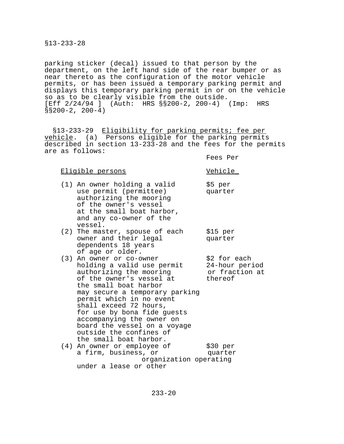## <span id="page-138-0"></span>§13-233-28

parking sticker (decal) issued to that person by the department, on the left hand side of the rear bumper or as near thereto as the configuration of the motor vehicle permits, or has been issued a temporary parking permit and displays this temporary parking permit in or on the vehicle so as to be clearly visible from the outside. [Eff 2/24/94 ] (Auth: HRS §§200-2, 200-4) (Imp: HRS  $$8200-2, 200-4)$ 

§13-233-29 Eligibility for parking permits; fee per vehicle. (a) Persons eligible for the parking permits described in section 13-233-28 and the fees for the permits are as follows:

Fees Per

#### Eligible persons vehicle

- $(1)$  An owner holding a valid  $$5$  per use permit (permittee) quarter authorizing the mooring of the owner's vessel at the small boat harbor, and any co-owner of the vessel.  $(2)$  The master, spouse of each  $$15$  per
- owner and their legal quarter dependents 18 years of age or older.
- (3) An owner or co-owner  $$2$  for each holding a valid use permit 24-hour period authorizing the mooring or fraction at of the owner's vessel at thereof the small boat harbor may secure a temporary parking permit which in no event shall exceed 72 hours, for use by bona fide guests accompanying the owner on board the vessel on a voyage outside the confines of the small boat harbor.
- (4) An owner or employee of \$30 per a firm, business, or quarter organization operating under a lease or other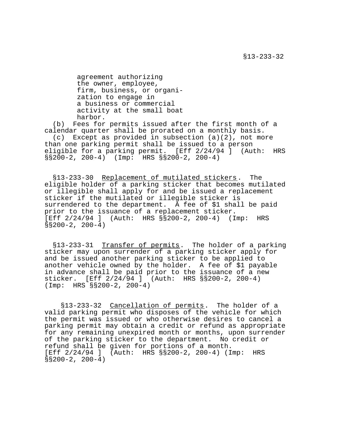<span id="page-139-0"></span>agreement authorizing the owner, employee, firm, business, or organization to engage in a business or commercial activity at the small boat harbor.

(b) Fees for permits issued after the first month of a calendar quarter shall be prorated on a monthly basis.  $(c)$  Except as provided in subsection  $(a)(2)$ , not more than one parking permit shall be issued to a person eligible for a parking permit. [Eff 2/24/94 ] (Auth: HRS §§200-2, 200-4) (Imp: HRS §§200-2, 200-4)

§13-233-30 Replacement of mutilated stickers. The eligible holder of a parking sticker that becomes mutilated or illegible shall apply for and be issued a replacement sticker if the mutilated or illegible sticker is surrendered to the department. A fee of \$1 shall be paid prior to the issuance of a replacement sticker. [Eff 2/24/94 ] (Auth: HRS §§200-2, 200-4) (Imp: HRS §§200-2, 200-4)

§13-233-31 Transfer of permits. The holder of a parking sticker may upon surrender of a parking sticker apply for and be issued another parking sticker to be applied to another vehicle owned by the holder. A fee of \$1 payable in advance shall be paid prior to the issuance of a new sticker. [Eff 2/24/94 ] (Auth: HRS §§200-2, 200-4) (Imp: HRS §§200-2, 200-4)

§13-233-32 Cancellation of permits. The holder of a valid parking permit who disposes of the vehicle for which the permit was issued or who otherwise desires to cancel a parking permit may obtain a credit or refund as appropriate for any remaining unexpired month or months, upon surrender of the parking sticker to the department. No credit or refund shall be given for portions of a month. [Eff 2/24/94 ] (Auth: HRS §§200-2, 200-4) (Imp: HRS  $\S$ §200-2, 200-4)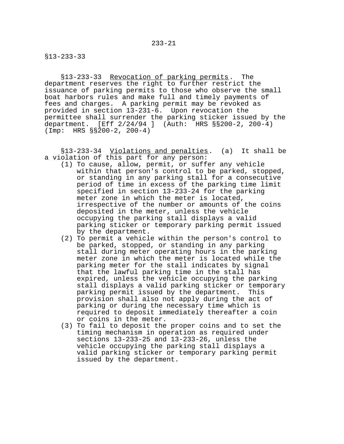<span id="page-140-0"></span>§13-233-33

§13-233-33 Revocation of parking permits. The department reserves the right to further restrict the issuance of parking permits to those who observe the small boat harbors rules and make full and timely payments of fees and charges. A parking permit may be revoked as provided in section 13-231-6. Upon revocation the permittee shall surrender the parking sticker issued by the department. [Eff 2/24/94 ] (Auth: HRS §§200-2, 200-4) (Imp: HRS §§200-2, 200-4)

§13-233-34 Violations and penalties. (a) It shall be a violation of this part for any person:

- (1) To cause, allow, permit, or suffer any vehicle within that person's control to be parked, stopped, or standing in any parking stall for a consecutive period of time in excess of the parking time limit specified in section 13-233-24 for the parking meter zone in which the meter is located, irrespective of the number or amounts of the coins deposited in the meter, unless the vehicle occupying the parking stall displays a valid parking sticker or temporary parking permit issued by the department.
- (2) To permit a vehicle within the person's control to be parked, stopped, or standing in any parking stall during meter operating hours in the parking meter zone in which the meter is located while the parking meter for the stall indicates by signal that the lawful parking time in the stall has expired, unless the vehicle occupying the parking stall displays a valid parking sticker or temporary parking permit issued by the department. This provision shall also not apply during the act of parking or during the necessary time which is required to deposit immediately thereafter a coin or coins in the meter.
- (3) To fail to deposit the proper coins and to set the timing mechanism in operation as required under sections 13-233-25 and 13-233-26, unless the vehicle occupying the parking stall displays a valid parking sticker or temporary parking permit issued by the department.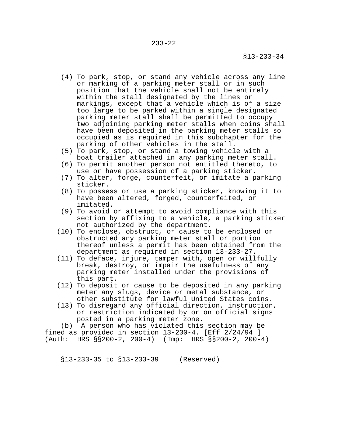- <span id="page-141-0"></span>(4) To park, stop, or stand any vehicle across any line or marking of a parking meter stall or in such position that the vehicle shall not be entirely within the stall designated by the lines or markings, except that a vehicle which is of a size too large to be parked within a single designated parking meter stall shall be permitted to occupy two adjoining parking meter stalls when coins shall have been deposited in the parking meter stalls so occupied as is required in this subchapter for the parking of other vehicles in the stall.
- (5) To park, stop, or stand a towing vehicle with a boat trailer attached in any parking meter stall.
- (6) To permit another person not entitled thereto, to use or have possession of a parking sticker.
- (7) To alter, forge, counterfeit, or imitate a parking sticker.
- (8) To possess or use a parking sticker, knowing it to have been altered, forged, counterfeited, or imitated.
- (9) To avoid or attempt to avoid compliance with this section by affixing to a vehicle, a parking sticker not authorized by the department.
- (10) To enclose, obstruct, or cause to be enclosed or obstructed any parking meter stall or portion thereof unless a permit has been obtained from the department as required in section 13-233-27.
- (11) To deface, injure, tamper with, open or willfully break, destroy, or impair the usefulness of any parking meter installed under the provisions of this part.
- (12) To deposit or cause to be deposited in any parking meter any slugs, device or metal substance, or other substitute for lawful United States coins.
- (13) To disregard any official direction, instruction, or restriction indicated by or on official signs posted in a parking meter zone.

(b) A person who has violated this section may be fined as provided in section 13-230-4. [Eff 2/24/94 ] (Auth: HRS §§200-2, 200-4) (Imp: HRS §§200-2, 200-4)

§13-233-35 to §13-233-39 (Reserved)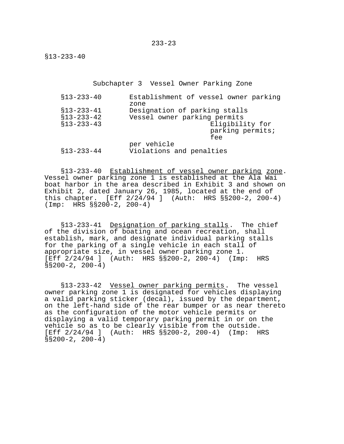233-23

<span id="page-142-0"></span>§13-233-40

Subchapter 3 Vessel Owner Parking Zone §13-233-40 Establishment of vessel owner parking zone §13-233-41 Designation of parking stalls §13-233-42 Vessel owner parking permits Eligibility for parking permits; fee per vehicle [§13-233-44 Violations and penalties](#page-143-0)

§13-233-40 Establishment of vessel owner parking zone. Vessel owner parking zone 1 is established at the Ala Wai boat harbor in the area described in Exhibit 3 and shown on Exhibit 2, dated January 26, 1985, located at the end of this chapter.  $[Eff 2/24/94]$  (Auth: HRS §§200-2, 200-4) (Imp: HRS §§200-2, 200-4)

§13-233-41 Designation of parking stalls. The chief of the division of boating and ocean recreation, shall establish, mark, and designate individual parking stalls for the parking of a single vehicle in each stall of appropriate size, in vessel owner parking zone 1. [Eff 2/24/94 ] (Auth: HRS §§200-2, 200-4) (Imp: HRS §§200-2, 200-4)

§13-233-42 Vessel owner parking permits. The vessel owner parking zone 1 is designated for vehicles displaying a valid parking sticker (decal), issued by the department, on the left-hand side of the rear bumper or as near thereto as the configuration of the motor vehicle permits or displaying a valid temporary parking permit in or on the vehicle so as to be clearly visible from the outside. [Eff 2/24/94 ] (Auth: HRS §§200-2, 200-4) (Imp: HRS §§200-2, 200-4)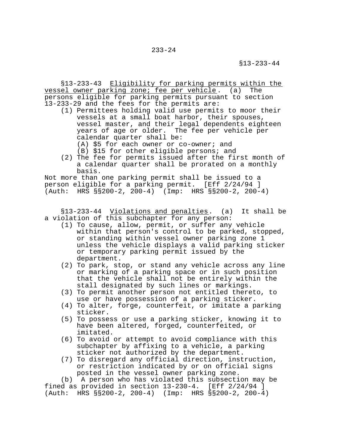<span id="page-143-0"></span>§13-233-43 Eligibility for parking permits within the vessel owner parking zone; fee per vehicle . (a) The persons eligible for parking permits pursuant to section 13-233-29 and the fees for the permits are:

- (1) Permittees holding valid use permits to moor their vessels at a small boat harbor, their spouses, vessel master, and their legal dependents eighteen years of age or older. The fee per vehicle per calendar quarter shall be: (A) \$5 for each owner or co-owner; and
- (B) \$15 for other eligible persons; and (2) The fee for permits issued after the first month of a calendar quarter shall be prorated on a monthly basis.

Not more than one parking permit shall be issued to a person eligible for a parking permit. [Eff 2/24/94 ] (Auth: HRS §§200-2, 200-4) (Imp: HRS §§200-2, 200-4)

§13-233-44 Violations and penalties. (a) It shall be a violation of this subchapter for any person:

- (1) To cause, allow, permit, or suffer any vehicle within that person's control to be parked, stopped, or standing within vessel owner parking zone 1 unless the vehicle displays a valid parking sticker or temporary parking permit issued by the department.
- (2) To park, stop, or stand any vehicle across any line or marking of a parking space or in such position that the vehicle shall not be entirely within the stall designated by such lines or markings.
- (3) To permit another person not entitled thereto, to use or have possession of a parking sticker.
- (4) To alter, forge, counterfeit, or imitate a parking sticker.
- (5) To possess or use a parking sticker, knowing it to have been altered, forged, counterfeited, or imitated.
- (6) To avoid or attempt to avoid compliance with this subchapter by affixing to a vehicle, a parking sticker not authorized by the department.
- (7) To disregard any official direction, instruction, or restriction indicated by or on official signs posted in the vessel owner parking zone.

(b) A person who has violated this subsection may be fined as provided in section 13-230-4. [Eff 2/24/94 ] (Auth: HRS §§200-2, 200-4) (Imp: HRS §§200-2, 200-4)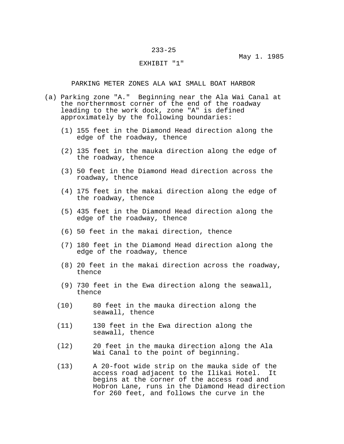#### EXHIBIT "1"

PARKING METER ZONES ALA WAI SMALL BOAT HARBOR

- (a) Parking zone "A." Beginning near the Ala Wai Canal at the northernmost corner of the end of the roadway leading to the work dock, zone "A" is defined approximately by the following boundaries:
	- (1) 155 feet in the Diamond Head direction along the edge of the roadway, thence
	- (2) 135 feet in the mauka direction along the edge of the roadway, thence
	- (3) 50 feet in the Diamond Head direction across the roadway, thence
	- (4) 175 feet in the makai direction along the edge of the roadway, thence
	- (5) 435 feet in the Diamond Head direction along the edge of the roadway, thence
	- (6) 50 feet in the makai direction, thence
	- (7) 180 feet in the Diamond Head direction along the edge of the roadway, thence
	- (8) 20 feet in the makai direction across the roadway, thence
	- (9) 730 feet in the Ewa direction along the seawall, thence
	- (10) 80 feet in the mauka direction along the seawall, thence
	- (11) 130 feet in the Ewa direction along the seawall, thence
	- (l2) 20 feet in the mauka direction along the Ala Wai Canal to the point of beginning.
	- (13) A 20-foot wide strip on the mauka side of the access road adjacent to the Ilikai Hotel. It begins at the corner of the access road and Hobron Lane, runs in the Diamond Head direction for 260 feet, and follows the curve in the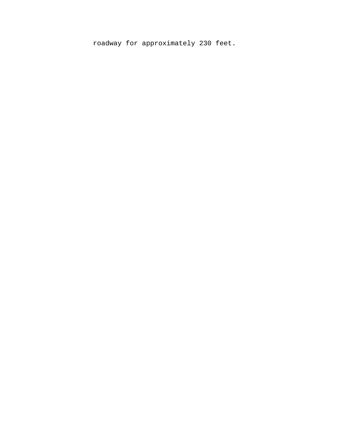roadway for approximately 230 feet.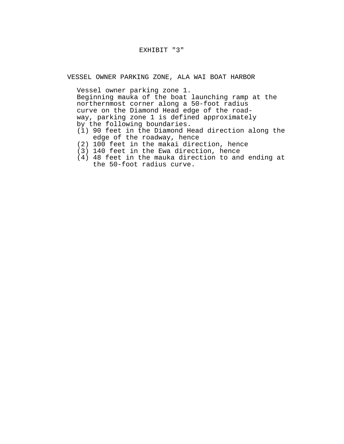# EXHIBIT "3"

VESSEL OWNER PARKING ZONE, ALA WAI BOAT HARBOR

Vessel owner parking zone 1. Beginning mauka of the boat launching ramp at the northernmost corner along a 50-foot radius curve on the Diamond Head edge of the roadway, parking zone 1 is defined approximately by the following boundaries.

- (1) 90 feet in the Diamond Head direction along the edge of the roadway, hence
- (2) 100 feet in the makai direction, hence
- (3) 140 feet in the Ewa direction, hence
- (4) 48 feet in the mauka direction to and ending at the 50-foot radius curve.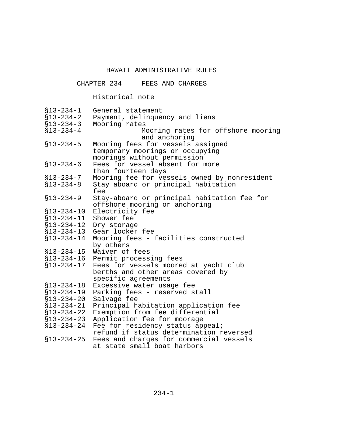# HAWAII ADMINISTRATIVE RULES

CHAPTER 234 FEES AND CHARGES

[Historical note](#page-148-0)

| $$13 - 234 - 1$  | General statement                                   |
|------------------|-----------------------------------------------------|
| $$13 - 234 - 2$  | Payment, delinquency and liens                      |
| $$13 - 234 - 3$  | Mooring rates                                       |
| $$13 - 234 - 4$  | Mooring rates for offshore mooring<br>and anchoring |
| $$13 - 234 - 5$  | Mooring fees for vessels assigned                   |
|                  | temporary moorings or occupying                     |
|                  | moorings without permission                         |
| $$13-234-6$      | Fees for vessel absent for more                     |
|                  | than fourteen days                                  |
| $$13-234-7$      | Mooring fee for vessels owned by nonresident        |
| $$13-234-8$      | Stay aboard or principal habitation                 |
|                  | fee                                                 |
| $$13-234-9$      | Stay-aboard or principal habitation fee for         |
|                  | offshore mooring or anchoring                       |
| $$13 - 234 - 10$ | Electricity fee                                     |
| $$13 - 234 - 11$ | Shower fee                                          |
| $$13 - 234 - 12$ | Dry storage                                         |
| $$13 - 234 - 13$ | Gear locker fee                                     |
| $$13-234-14$     | Mooring fees - facilities constructed               |
|                  | by others                                           |
| $$13 - 234 - 15$ | Waiver of fees                                      |
| $$13 - 234 - 16$ | Permit processing fees                              |
| $$13 - 234 - 17$ | Fees for vessels moored at yacht club               |
|                  | berths and other areas covered by                   |
|                  | specific agreements                                 |
| $$13 - 234 - 18$ | Excessive water usage fee                           |
| $$13 - 234 - 19$ | Parking fees - reserved stall                       |
| $$13 - 234 - 20$ | Salvage fee                                         |
| $$13 - 234 - 21$ | Principal habitation application fee                |
| $$13 - 234 - 22$ | Exemption from fee differential                     |
| $$13 - 234 - 23$ | Application fee for moorage                         |
| $$13 - 234 - 24$ | Fee for residency status appeal;                    |
|                  | refund if status determination reversed             |
| $$13 - 234 - 25$ | Fees and charges for commercial vessels             |
|                  | at state small boat harbors                         |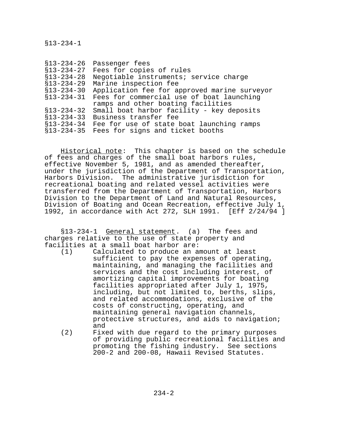<span id="page-148-0"></span>§13-234-1

| $$13-234-26$     | Passenger fees                               |
|------------------|----------------------------------------------|
| $$13-234-27$     | Fees for copies of rules                     |
| $$13 - 234 - 28$ | Negotiable instruments; service charge       |
| $$13-234-29$     | Marine inspection fee                        |
| $$13-234-30$     | Application fee for approved marine surveyor |
| $$13-234-31$     | Fees for commercial use of boat launching    |
|                  | ramps and other boating facilities           |
| $$13-234-32$     | Small boat harbor facility - key deposits    |
| $$13 - 234 - 33$ | Business transfer fee                        |
| $$13-234-34$     | Fee for use of state boat launching ramps    |
|                  | §13-234-35 Fees for signs and ticket booths  |

Historical note: This chapter is based on the schedule of fees and charges of the small boat harbors rules, effective November 5, 1981, and as amended thereafter, under the jurisdiction of the Department of Transportation, Harbors Division. The administrative jurisdiction for recreational boating and related vessel activities were transferred from the Department of Transportation, Harbors Division to the Department of Land and Natural Resources, Division of Boating and Ocean Recreation, effective July 1, 1992, in accordance with Act 272, SLH 1991. [Eff 2/24/94 ]

§13-234-1 General statement. (a) The fees and charges relative to the use of state property and facilities at a small boat harbor are:

- (1) Calculated to produce an amount at least sufficient to pay the expenses of operating, maintaining, and managing the facilities and services and the cost including interest, of amortizing capital improvements for boating facilities appropriated after July 1, 1975, including, but not limited to, berths, slips, and related accommodations, exclusive of the costs of constructing, operating, and maintaining general navigation channels, protective structures, and aids to navigation; and
	- (2) Fixed with due regard to the primary purposes of providing public recreational facilities and promoting the fishing industry. See sections 200-2 and 200-08, Hawaii Revised Statutes.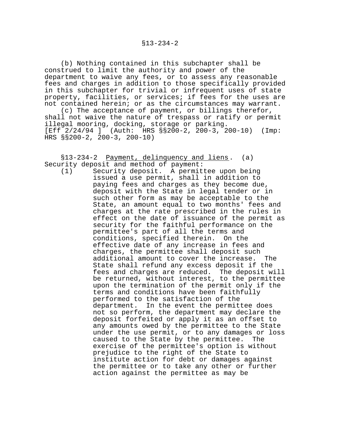<span id="page-149-0"></span>(b) Nothing contained in this subchapter shall be construed to limit the authority and power of the department to waive any fees, or to assess any reasonable fees and charges in addition to those specifically provided in this subchapter for trivial or infrequent uses of state property, facilities, or services; if fees for the uses are not contained herein; or as the circumstances may warrant.

(c) The acceptance of payment, or billings therefor, shall not waive the nature of trespass or ratify or permit illegal mooring, docking, storage or parking. [Eff 2/24/94 ] (Auth: HRS §§200-2, 200-3, 200-10) (Imp: HRS §§200-2, 200-3, 200-10)

§13-234-2 Payment, delinquency and liens. (a) Security deposit and method of payment:

(1) Security deposit. A permittee upon being issued a use permit, shall in addition to paying fees and charges as they become due, deposit with the State in legal tender or in such other form as may be acceptable to the State, an amount equal to two months' fees and charges at the rate prescribed in the rules in effect on the date of issuance of the permit as security for the faithful performance on the permittee's part of all the terms and conditions, specified therein. On the effective date of any increase in fees and charges, the permittee shall deposit such additional amount to cover the increase. The State shall refund any excess deposit if the fees and charges are reduced. The deposit will be returned, without interest, to the permittee upon the termination of the permit only if the terms and conditions have been faithfully performed to the satisfaction of the department. In the event the permittee does not so perform, the department may declare the deposit forfeited or apply it as an offset to any amounts owed by the permittee to the State under the use permit, or to any damages or loss caused to the State by the permittee. The exercise of the permittee's option is without prejudice to the right of the State to institute action for debt or damages against the permittee or to take any other or further action against the permittee as may be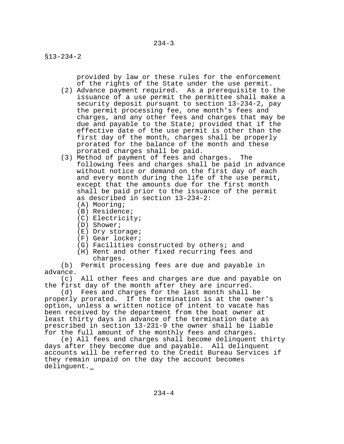§13-234-2

provided by law or these rules for the enforcement of the rights of the State under the use permit.

- (2) Advance payment required. As a prerequisite to the issuance of a use permit the permittee shall make a security deposit pursuant to section 13-234-2, pay the permit processing fee, one month's fees and charges, and any other fees and charges that may be due and payable to the State; provided that if the effective date of the use permit is other than the first day of the month, charges shall be properly prorated for the balance of the month and these prorated charges shall be paid.
- (3) Method of payment of fees and charges. The following fees and charges shall be paid in advance without notice or demand on the first day of each and every month during the life of the use permit, except that the amounts due for the first month shall be paid prior to the issuance of the permit as described in section 13-234-2:
	- (A) Mooring;
	- (B) Residence;
	- (C) Electricity;
	- (D) Shower;
	- (E) Dry storage;
	- (F) Gear locker;
	- (G) Facilities constructed by others; and
	- (H) Rent and other fixed recurring fees and charges.

(b) Permit processing fees are due and payable in advance.

(c) All other fees and charges are due and payable on the first day of the month after they are incurred.

(d) Fees and charges for the last month shall be properly prorated. If the termination is at the owner's option, unless a written notice of intent to vacate has been received by the department from the boat owner at least thirty days in advance of the termination date as prescribed in section 13-231-9 the owner shall be liable for the full amount of the monthly fees and charges.

(e) All fees and charges shall become delinquent thirty days after they become due and payable. All delinquent accounts will be referred to the Credit Bureau Services if they remain unpaid on the day the account becomes delinguent.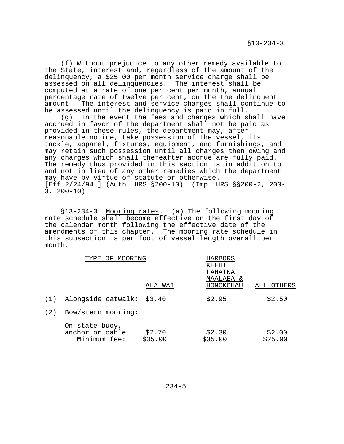<span id="page-151-0"></span>(f) Without prejudice to any other remedy available to the State, interest and, regardless of the amount of the delinquency, a \$25.00 per month service charge shall be assessed on all delinquencies. The interest shall be computed at a rate of one per cent per month, annual percentage rate of twelve per cent, on the the delinquent amount. The interest and service charges shall continue to be assessed until the delinquency is paid in full.

(g) In the event the fees and charges which shall have accrued in favor of the department shall not be paid as provided in these rules, the department may, after reasonable notice, take possession of the vessel, its tackle, apparel, fixtures, equipment, and furnishings, and may retain such possession until all charges then owing and any charges which shall thereafter accrue are fully paid. The remedy thus provided in this section is in addition to and not in lieu of any other remedies which the department may have by virtue of statute or otherwise. [Eff 2/24/94 ] (Auth HRS §200-10) (Imp HRS §§200-2, 200- 3, 200-10)

§13-234-3 Mooring rates. (a) The following mooring rate schedule shall become effective on the first day of the calendar month following the effective date of the amendments of this chapter. The mooring rate schedule in this subsection is per foot of vessel length overall per month.

|     | MOORING<br>TYPE<br>OF                              |                   | HARBORS<br><b>KEEHI</b><br>LAHAINA<br>MAALAEA & |                   |
|-----|----------------------------------------------------|-------------------|-------------------------------------------------|-------------------|
|     |                                                    | ALA WAI           | HONOKOHAU                                       | ALL OTHERS        |
| (1) | Alongside catwalk:                                 | \$3.40            | \$2.95                                          | \$2.50            |
| (2) | Bow/stern mooring:                                 |                   |                                                 |                   |
|     | On state buoy,<br>anchor or cable:<br>Minimum fee: | \$2.70<br>\$35.00 | \$2.30<br>\$35.00                               | \$2.00<br>\$25.00 |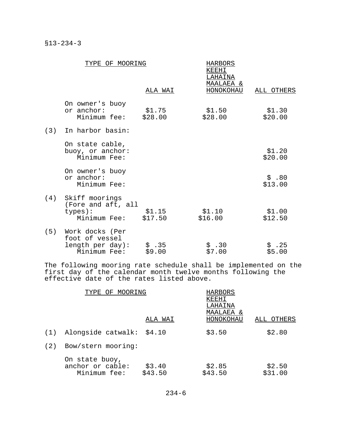|     | TYPE OF MOORING                                                           |                   | <b>HARBORS</b><br><b>KEEHI</b><br>LAHAINA<br>MAALAEA & |                   |
|-----|---------------------------------------------------------------------------|-------------------|--------------------------------------------------------|-------------------|
|     |                                                                           | ALA WAI           | HONOKOHAU                                              | ALL OTHERS        |
|     | On owner's buoy<br>or anchor:<br>Minimum fee:                             | \$1.75<br>\$28.00 | \$1.50<br>\$28.00                                      | \$1.30<br>\$20.00 |
| (3) | In harbor basin:                                                          |                   |                                                        |                   |
|     | On state cable,<br>buoy, or anchor:<br>Minimum Fee:                       |                   |                                                        | \$1.20<br>\$20.00 |
|     | On owner's buoy<br>or anchor:<br>Minimum Fee:                             |                   |                                                        | \$.80<br>\$13.00  |
| (4) | Skiff moorings<br>(Fore and aft, all<br>types):<br>Minimum Fee:           | \$1.15<br>\$17.50 | \$1.10<br>\$16.00                                      | \$1.00<br>\$12.50 |
|     | (5) Work docks (Per<br>foot of vessel<br>length per day):<br>Minimum Fee: | \$.35<br>\$9.00   | \$.30<br>\$7.00                                        | \$.25<br>\$5.00   |

The following mooring rate schedule shall be implemented on the first day of the calendar month twelve months following the effective date of the rates listed above.

|     | MOORING<br>TYPE<br>OF                              |                   | HARBORS<br>KEEHI<br>LAHAINA<br>MAALAEA & |                   |
|-----|----------------------------------------------------|-------------------|------------------------------------------|-------------------|
|     |                                                    | ALA WAI           | HONOKOHAU                                | ALL OTHERS        |
| (1) | Alongside catwalk:                                 | \$4.10            | \$3.50                                   | \$2.80            |
| (2) | Bow/stern mooring:                                 |                   |                                          |                   |
|     | On state buoy,<br>anchor or cable:<br>Minimum fee: | \$3.40<br>\$43.50 | \$2.85<br>\$43.50                        | \$2.50<br>\$31.00 |

234-6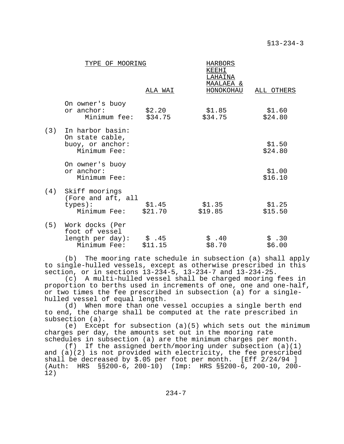|     | TYPE OF MOORING                                                         |                   | HARBORS<br>KEEHI<br>LAHAINA<br>MAALAEA & |                   |
|-----|-------------------------------------------------------------------------|-------------------|------------------------------------------|-------------------|
|     |                                                                         | ALA WAI           | <b>HONOKOHAU</b>                         | ALL OTHERS        |
|     | On owner's buoy<br>or anchor:<br>Minimum fee:                           | \$2.20<br>\$34.75 | \$1.85<br>\$34.75                        | \$1.60<br>\$24.80 |
| (3) | In harbor basin:<br>On state cable,<br>buoy, or anchor:<br>Minimum Fee: |                   |                                          | \$1.50<br>\$24.80 |
|     | On owner's buoy<br>or anchor:<br>Minimum Fee:                           |                   |                                          | \$1.00<br>\$16.10 |
| (4) | Skiff moorings<br>(Fore and aft, all<br>$types$ ):<br>Minimum Fee:      | \$1.45<br>\$21.70 | \$1.35<br>\$19.85                        | \$1.25<br>\$15.50 |
| (5) | Work docks (Per<br>foot of vessel<br>length per day):<br>Minimum Fee:   | \$.45<br>\$11.15  | \$.40<br>\$8.70                          | \$.30<br>\$6.00   |

(b) The mooring rate schedule in subsection (a) shall apply to single-hulled vessels, except as otherwise prescribed in this section, or in sections 13-234-5, 13-234-7 and 13-234-25.

(c) A multi-hulled vessel shall be charged mooring fees in proportion to berths used in increments of one, one and one-half, or two times the fee prescribed in subsection (a) for a singlehulled vessel of equal length.

(d) When more than one vessel occupies a single berth end to end, the charge shall be computed at the rate prescribed in subsection (a).

(e) Except for subsection  $(a)(5)$  which sets out the minimum charges per day, the amounts set out in the mooring rate schedules in subsection (a) are the minimum charges per month.

(f) If the assigned berth/mooring under subsection (a)(1) and (a)(2) is not provided with electricity, the fee prescribed shall be decreased by \$.05 per foot per month. [Eff 2/24/94 ] (Auth: HRS §§200-6, 200-10) (Imp: HRS §§200-6, 200-10, 200- 12)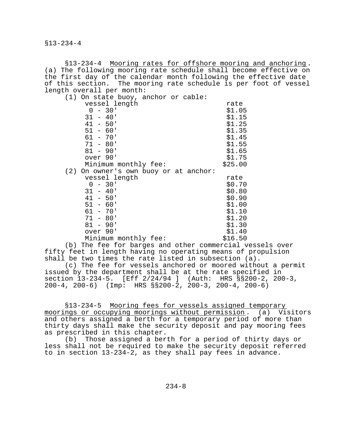<span id="page-154-0"></span>§13-234-4 Mooring rates for offshore mooring and anchoring . (a) The following mooring rate schedule shall become effective on the first day of the calendar month following the effective date of this section. The mooring rate schedule is per foot of vessel length overall per month:

| $(1)$ On state buoy, anchor or cable: |         |
|---------------------------------------|---------|
| vessel length                         | rate    |
| $0 - 30'$                             | \$1.05  |
| $31 - 40'$                            | \$1.15  |
| $41 - 50'$                            | \$1.25  |
| $51 - 60'$                            | \$1.35  |
| $61 - 70'$                            | \$1.45  |
| $71 - 80'$                            | \$1.55  |
| $81 - 90'$                            | \$1.65  |
| over 90'                              | \$1.75  |
| Minimum monthly fee:                  | \$25.00 |
|                                       |         |
| (2) On owner's own buoy or at anchor: |         |
| vessel length                         | rate    |
| $0 - 30'$                             | \$0.70  |
| $31 - 40'$                            | \$0.80  |
| $41 - 50'$                            | \$0.90  |
| $51 - 60'$                            | \$1.00  |
| $61 - 70'$                            | \$1.10  |
| $71 - 80'$                            | \$1.20  |
| $81 - 90'$                            | \$1.30  |
| over 90'                              | \$1.40  |
| Minimum monthly fee:                  | \$16.50 |
|                                       |         |

(b) The fee for barges and other commercial vessels over fifty feet in length having no operating means of propulsion shall be two times the rate listed in subsection (a).

(c) The fee for vessels anchored or moored without a permit issued by the department shall be at the rate specified in section 13-234-5. [Eff 2/24/94 ] (Auth: HRS §§200-2, 200-3, 200-4, 200-6) (Imp: HRS §§200-2, 200-3, 200-4, 200-6)

§13-234-5 Mooring fees for vessels assigned temporary moorings or occupying moorings without permission . (a) Visitors and others assigned a berth for a temporary period of more than thirty days shall make the security deposit and pay mooring fees as prescribed in this chapter.

(b) Those assigned a berth for a period of thirty days or less shall not be required to make the security deposit referred to in section 13-234-2, as they shall pay fees in advance.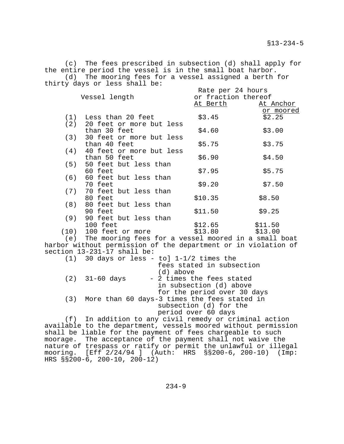(c) The fees prescribed in subsection (d) shall apply for the entire period the vessel is in the small boat harbor.

(d) The mooring fees for a vessel assigned a berth for thirty days or less shall be: Rate per 24 hours

|      | Vessel length                                | kate per 24 nours<br>or fraction thereof |                            |
|------|----------------------------------------------|------------------------------------------|----------------------------|
|      |                                              | At Berth                                 | At Anchor                  |
|      | (1) Less than 20 feet                        | \$3.45                                   | <u>or moored</u><br>\$2.25 |
|      | (2) 20 feet or more but less                 |                                          |                            |
|      | than 30 feet                                 | \$4.60                                   | \$3.00                     |
|      | (3) 30 feet or more but less                 |                                          |                            |
|      | than 40 feet                                 | \$5.75                                   | \$3.75                     |
|      | (4) 40 feet or more but less<br>than 50 feet | \$6.90                                   | \$4.50                     |
|      | (5) 50 feet but less than                    |                                          |                            |
|      | 60 feet                                      | \$7.95                                   | \$5.75                     |
|      | (6) 60 feet but less than                    |                                          |                            |
|      | 70 feet                                      | \$9.20                                   | \$7.50                     |
|      | (7) 70 feet but less than                    |                                          |                            |
|      | 80 feet                                      | \$10.35                                  | \$8.50                     |
|      | (8) 80 feet but less than                    |                                          |                            |
|      | 90 feet                                      | \$11.50                                  | \$9.25                     |
|      | (9) 90 feet but less than                    |                                          |                            |
|      | 100 feet                                     | \$12.65                                  | \$11.50                    |
| (10) | 100 feet or more                             | \$13.80                                  | \$13.00                    |

(e) The mooring fees for a vessel moored in a small boat harbor without permission of the department or in violation of section 13-231-17 shall be:

| $(1)$ 30 days or less - to] 1-1/2 times the      |
|--------------------------------------------------|
| fees stated in subsection                        |
| (d) above                                        |
| - 2 times the fees stated<br>$(2)$ 31-60 days    |
| in subsection (d) above                          |
| for the period over 30 days                      |
| (3) More than 60 days-3 times the fees stated in |
| subsection (d) for the                           |
| period over 60 days                              |
|                                                  |

(f) In addition to any civil remedy or criminal action available to the department, vessels moored without permission shall be liable for the payment of fees chargeable to such moorage. The acceptance of the payment shall not waive the nature of trespass or ratify or permit the unlawful or illegal mooring. [Eff 2/24/94 ] (Auth: HRS §§200-6, 200-10) (Imp: HRS §§200-6, 200-10, 200-12)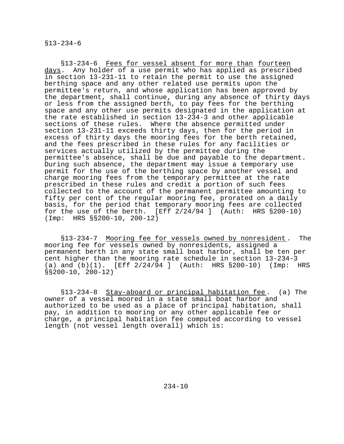<span id="page-156-0"></span>§13-234-6

§13-234-6 Fees for vessel absent for more than fourteen days. Any holder of a use permit who has applied as prescribed in section 13-231-11 to retain the permit to use the assigned berthing space and any other related use permits upon the permittee's return, and whose application has been approved by the department, shall continue, during any absence of thirty days or less from the assigned berth, to pay fees for the berthing space and any other use permits designated in the application at the rate established in section 13-234-3 and other applicable sections of these rules. Where the absence permitted under section 13-231-11 exceeds thirty days, then for the period in excess of thirty days the mooring fees for the berth retained, and the fees prescribed in these rules for any facilities or services actually utilized by the permittee during the permittee's absence, shall be due and payable to the department. During such absence, the department may issue a temporary use permit for the use of the berthing space by another vessel and charge mooring fees from the temporary permittee at the rate prescribed in these rules and credit a portion of such fees collected to the account of the permanent permittee amounting to fifty per cent of the regular mooring fee, prorated on a daily basis, for the period that temporary mooring fees are collected for the use of the berth. [Eff 2/24/94 ] (Auth: HRS §200-10) (Imp: HRS §§200-10, 200-12)

§13-234-7 Mooring fee for vessels owned by nonresident . The mooring fee for vessels owned by nonresidents, assigned a permanent berth in any state small boat harbor, shall be ten per cent higher than the mooring rate schedule in section 13-234-3 (a) and (b)(1). [Eff 2/24/94 ] (Auth: HRS §200-10) (Imp: HRS §§200-10, 200-12)

§13-234-8 Stay-aboard or principal habitation fee . (a) The owner of a vessel moored in a state small boat harbor and authorized to be used as a place of principal habitation, shall pay, in addition to mooring or any other applicable fee or charge, a principal habitation fee computed according to vessel length (not vessel length overall) which is:

 $234 - 10$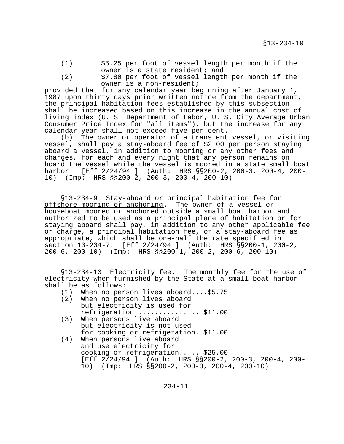- <span id="page-157-0"></span>(1) \$5.25 per foot of vessel length per month if the owner is a state resident; and
- (2) \$7.80 per foot of vessel length per month if the owner is a non-resident;

provided that for any calendar year beginning after January 1, 1987 upon thirty days prior written notice from the department, the principal habitation fees established by this subsection shall be increased based on this increase in the annual cost of living index (U. S. Department of Labor, U. S. City Average Urban Consumer Price Index for "all items"), but the increase for any calendar year shall not exceed five per cent.

(b) The owner or operator of a transient vessel, or visiting vessel, shall pay a stay-aboard fee of \$2.00 per person staying aboard a vessel, in addition to mooring or any other fees and charges, for each and every night that any person remains on board the vessel while the vessel is moored in a state small boat harbor. [Eff 2/24/94 ] (Auth: HRS §§200-2, 200-3, 200-4, 200- 10) (Imp: HRS §§200-2, 200-3, 200-4, 200-10)

§13-234-9 Stay-aboard or principal habitation fee for offshore mooring or anchoring. The owner of a vessel or houseboat moored or anchored outside a small boat harbor and authorized to be used as a principal place of habitation or for staying aboard shall pay, in addition to any other applicable fee or charge, a principal habitation fee, or a stay-aboard fee as appropriate, which shall be one-half the rate specified in section 13-234-7. [Eff 2/24/94 ] (Auth: HRS §§200-1, 200-2, 200-6, 200-10) (Imp: HRS §§200-1, 200-2, 200-6, 200-10)

§13-234-10 Electricity fee. The monthly fee for the use of electricity when furnished by the State at a small boat harbor shall be as follows:

- (1) When no person lives aboard....\$5.75
- (2) When no person lives aboard but electricity is used for refrigeration................... \$11.00
- (3) When persons live aboard but electricity is not used for cooking or refrigeration. \$11.00
- (4) When persons live aboard and use electricity for cooking or refrigeration..... \$25.00 [Eff 2/24/94 ] (Auth: HRS §§200-2, 200-3, 200-4, 200- 10) (Imp: HRS §§200-2, 200-3, 200-4, 200-10)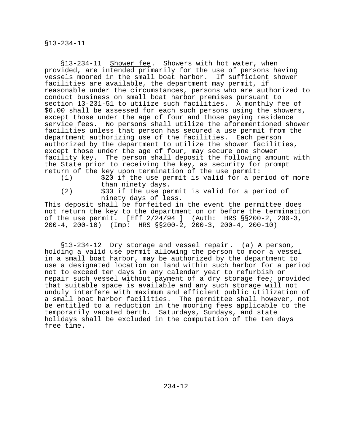<span id="page-158-0"></span>§13-234-11 Shower fee. Showers with hot water, when provided, are intended primarily for the use of persons having vessels moored in the small boat harbor. If sufficient shower facilities are available, the department may permit, if reasonable under the circumstances, persons who are authorized to conduct business on small boat harbor premises pursuant to section 13-231-51 to utilize such facilities. A monthly fee of \$6.00 shall be assessed for each such persons using the showers, except those under the age of four and those paying residence service fees. No persons shall utilize the aforementioned shower facilities unless that person has secured a use permit from the department authorizing use of the facilities. Each person authorized by the department to utilize the shower facilities, except those under the age of four, may secure one shower facility key. The person shall deposit the following amount with the State prior to receiving the key, as security for prompt return of the key upon termination of the use permit:

- (1) \$20 if the use permit is valid for a period of more than ninety days.
	- (2) \$30 if the use permit is valid for a period of ninety days of less.

This deposit shall be forfeited in the event the permittee does not return the key to the department on or before the termination of the use permit. [Eff 2/24/94 ] (Auth: HRS §§200-2, 200-3, 200-4, 200-10) (Imp: HRS §§200-2, 200-3, 200-4, 200-10)

§13-234-12 Dry storage and vessel repair. (a) A person, holding a valid use permit allowing the person to moor a vessel in a small boat harbor, may be authorized by the department to use a designated location on land within such harbor for a period not to exceed ten days in any calendar year to refurbish or repair such vessel without payment of a dry storage fee; provided that suitable space is available and any such storage will not unduly interfere with maximum and efficient public utilization of a small boat harbor facilities. The permittee shall however, not be entitled to a reduction in the mooring fees applicable to the temporarily vacated berth. Saturdays, Sundays, and state holidays shall be excluded in the computation of the ten days free time.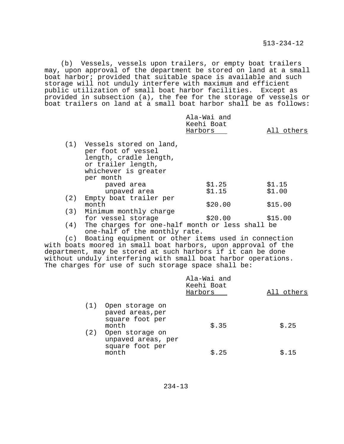(b) Vessels, vessels upon trailers, or empty boat trailers may, upon approval of the department be stored on land at a small boat harbor; provided that suitable space is available and such storage will not unduly interfere with maximum and efficient public utilization of small boat harbor facilities. Except as provided in subsection (a), the fee for the storage of vessels or boat trailers on land at a small boat harbor shall be as follows:

|       |                                                                                                                                        | Ala-Wai and<br>Keehi Boat<br>Harbors | All others |
|-------|----------------------------------------------------------------------------------------------------------------------------------------|--------------------------------------|------------|
|       | (1) Vessels stored on land,<br>per foot of vessel<br>length, cradle length,<br>or trailer length,<br>whichever is greater<br>per month |                                      |            |
|       | paved area                                                                                                                             | \$1.25                               | \$1.15     |
|       | unpaved area                                                                                                                           | \$1.15                               | \$1.00     |
| (2)   | Empty boat trailer per                                                                                                                 |                                      |            |
|       | month                                                                                                                                  | \$20.00                              | \$15.00    |
|       | (3) Minimum monthly charge                                                                                                             |                                      |            |
|       | for vessel storage                                                                                                                     | \$20.00                              | \$15.00    |
| ( A ) | The charges for one-half month or less shall be                                                                                        |                                      |            |

(4) The charges for one-half month or less shall be one-half of the monthly rate.

(c) Boating equipment or other items used in connection with boats moored in small boat harbors, upon approval of the department, may be stored at such harbors if it can be done without unduly interfering with small boat harbor operations. The charges for use of such storage space shall be:

|     |                                                                   | Ala-Wai and<br>Keehi Boat<br>Harbors | All others |
|-----|-------------------------------------------------------------------|--------------------------------------|------------|
| (1) | Open storage on<br>paved areas, per<br>square foot per            |                                      |            |
| (2) | month<br>Open storage on<br>unpaved areas, per<br>square foot per | \$.35                                | \$.25      |
|     | month                                                             | \$.25                                | S.15       |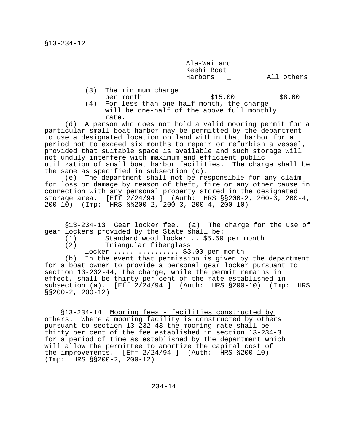Ala-Wai and Keehi Boat Harbors \_ All others

- <span id="page-160-0"></span>(3) The minimum charge per month  $$15.00$  \$8.00 (4) For less than one-half month, the charge
	- will be one-half of the above full monthly rate.

(d) A person who does not hold a valid mooring permit for a particular small boat harbor may be permitted by the department to use a designated location on land within that harbor for a period not to exceed six months to repair or refurbish a vessel, provided that suitable space is available and such storage will not unduly interfere with maximum and efficient public utilization of small boat harbor facilities. The charge shall be the same as specified in subsection (c).

(e) The department shall not be responsible for any claim for loss or damage by reason of theft, fire or any other cause in connection with any personal property stored in the designated storage area. [Eff 2/24/94 ] (Auth: HRS §§200-2, 200-3, 200-4, 200-10) (Imp: HRS §§200-2, 200-3, 200-4, 200-10)

§13-234-13 Gear locker fee. (a) The charge for the use of gear lockers provided by the State shall be:

- (1) Standard wood locker .. \$5.50 per month
- (2) Triangular fiberglass

locker .................. \$3.00 per month

(b) In the event that permission is given by the department for a boat owner to provide a personal gear locker pursuant to section 13-232-44, the charge, while the permit remains in effect, shall be thirty per cent of the rate established in subsection (a). [Eff 2/24/94 ] (Auth: HRS §200-10) (Imp: HRS §§200-2, 200-12)

§13-234-14 Mooring fees - facilities constructed by others. Where a mooring facility is constructed by others pursuant to section 13-232-43 the mooring rate shall be thirty per cent of the fee established in section 13-234-3 for a period of time as established by the department which will allow the permittee to amortize the capital cost of the improvements. [Eff 2/24/94 ] (Auth: HRS §200-10) (Imp: HRS §§200-2, 200-12)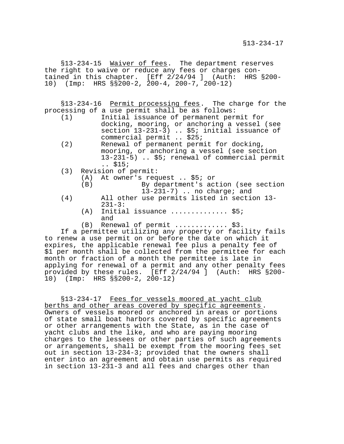<span id="page-161-0"></span>§13-234-15 Waiver of fees. The department reserves the right to waive or reduce any fees or charges contained in this chapter. [Eff 2/24/94 ] (Auth: HRS §200- 10) (Imp: HRS §§200-2, 200-4, 200-7, 200-12)

§13-234-16 Permit processing fees. The charge for the processing of a use permit shall be as follows:

- (1) Initial issuance of permanent permit for docking, mooring, or anchoring a vessel (see section 13-231-3) .. \$5; initial issuance of commercial permit .. \$25;
	- (2) Renewal of permanent permit for docking, mooring, or anchoring a vessel (see section 13-231-5) .. \$5; renewal of commercial permit .. \$15;
	- (3) Revision of permit:
		- (A) At owner's request .. \$5; or
			- (B) By department's action (see section 13-231-7) .. no charge; and
	- (4) All other use permits listed in section 13-  $231 - 3:$ 
		- (A) Initial issuance ............... \$5; and
		- (B) Renewal of permit .............. \$3.

If a permittee utilizing any property or facility fails to renew a use permit on or before the date on which it expires, the applicable renewal fee plus a penalty fee of \$1 per month shall be collected from the permittee for each month or fraction of a month the permittee is late in applying for renewal of a permit and any other penalty fees provided by these rules. [Eff 2/24/94 ] (Auth: HRS §200- 10) (Imp: HRS §§200-2, 200-12)

§13-234-17 <u>Fees for vessels moored at yacht club</u><br>berths and other areas covered by specific agreements. Owners of vessels moored or anchored in areas or portions of state small boat harbors covered by specific agreements or other arrangements with the State, as in the case of yacht clubs and the like, and who are paying mooring charges to the lessees or other parties of such agreements or arrangements, shall be exempt from the mooring fees set out in section 13-234-3; provided that the owners shall enter into an agreement and obtain use permits as required in section 13-231-3 and all fees and charges other than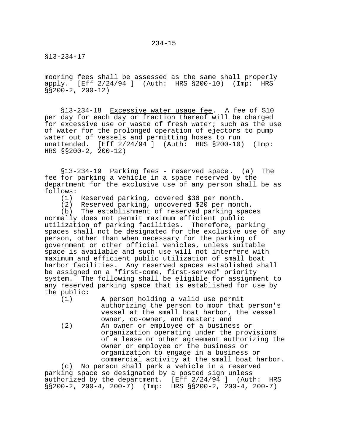<span id="page-162-0"></span>§13-234-17

mooring fees shall be assessed as the same shall properly apply. [Eff 2/24/94 ] (Auth: HRS §200-10) (Imp: HRS §§200-2, 200-12)

§13-234-18 Excessive water usage fee. A fee of \$10 per day for each day or fraction thereof will be charged for excessive use or waste of fresh water; such as the use of water for the prolonged operation of ejectors to pump water out of vessels and permitting hoses to run unattended. [Eff 2/24/94 ] (Auth: HRS §200-10) (Imp: HRS §§200-2, 200-12)

§13-234-19 Parking fees - reserved space. (a) The fee for parking a vehicle in a space reserved by the department for the exclusive use of any person shall be as follows:

- (1) Reserved parking, covered \$30 per month.
- (2) Reserved parking, uncovered \$20 per month.
- (b) The establishment of reserved parking spaces

normally does not permit maximum efficient public utilization of parking facilities. Therefore, parking spaces shall not be designated for the exclusive use of any person, other than when necessary for the parking of government or other official vehicles, unless suitable space is available and such use will not interfere with maximum and efficient public utilization of small boat harbor facilities. Any reserved spaces established shall be assigned on a "first-come, first-served" priority system. The following shall be eligible for assignment to any reserved parking space that is established for use by the public:

(1) A person holding a valid use permit authorizing the person to moor that person's vessel at the small boat harbor, the vessel owner, co-owner, and master; and (2) An owner or employee of a business or organization operating under the provisions of a lease or other agreement authorizing the owner or employee or the business or organization to engage in a business or commercial activity at the small boat harbor.

(c) No person shall park a vehicle in a reserved parking space so designated by a posted sign unless authorized by the department. [Eff 2/24/94 ] (Auth: HRS §§200-2, 200-4, 200-7) (Imp: HRS §§200-2, 200-4, 200-7)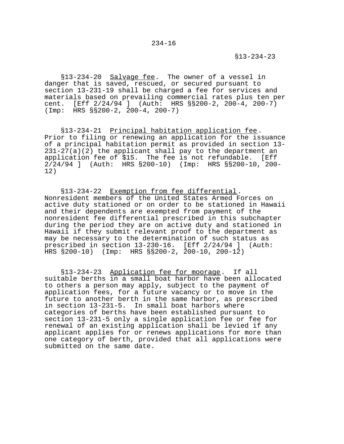<span id="page-163-0"></span>§13-234-20 Salvage fee. The owner of a vessel in danger that is saved, rescued, or secured pursuant to section 13-231-19 shall be charged a fee for services and materials based on prevailing commercial rates plus ten per cent. [Eff 2/24/94 ] (Auth: HRS §§200-2, 200-4, 200-7) (Imp: HRS §§200-2, 200-4, 200-7)

§13-234-21 Principal habitation application fee. Prior to filing or renewing an application for the issuance of a principal habitation permit as provided in section 13- 231-27(a)(2) the applicant shall pay to the department an application fee of \$15. The fee is not refundable. [Eff 2/24/94 ] (Auth: HRS §200-10) (Imp: HRS §§200-10, 200- 12)

§13-234-22 Exemption from fee differential.<br>Nonresident members of the United States Armed Forces on active duty stationed or on order to be stationed in Hawaii and their dependents are exempted from payment of the nonresident fee differential prescribed in this subchapter during the period they are on active duty and stationed in Hawaii if they submit relevant proof to the department as may be necessary to the determination of such status as prescribed in section 13-230-16. [Eff 2/24/94 ] (Auth: HRS §200-10) (Imp: HRS §§200-2, 200-10, 200-12)

§13-234-23 Application fee for moorage. If all suitable berths in a small boat harbor have been allocated to others a person may apply, subject to the payment of application fees, for a future vacancy or to move in the future to another berth in the same harbor, as prescribed in section 13-231-5. In small boat harbors where categories of berths have been established pursuant to section 13-231-5 only a single application fee or fee for renewal of an existing application shall be levied if any applicant applies for or renews applications for more than one category of berth, provided that all applications were submitted on the same date.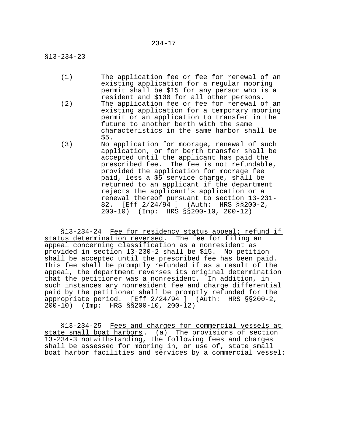<span id="page-164-0"></span>§13-234-23

- (1) The application fee or fee for renewal of an existing application for a regular mooring permit shall be \$15 for any person who is a resident and \$100 for all other persons.
- (2) The application fee or fee for renewal of an existing application for a temporary mooring permit or an application to transfer in the future to another berth with the same characteristics in the same harbor shall be \$5.
- (3) No application for moorage, renewal of such application, or for berth transfer shall be accepted until the applicant has paid the prescribed fee. The fee is not refundable, provided the application for moorage fee paid, less a \$5 service charge, shall be returned to an applicant if the department rejects the applicant's application or a renewal thereof pursuant to section 13-231- 82. [Eff 2/24/94 ] (Auth: HRS §§200-2, 200-10) (Imp: HRS §§200-10, 200-12)

§13-234-24 Fee for residency status appeal; refund if status determination reversed. The fee for filing an appeal concerning classification as a nonresident as provided in section 13-230-2 shall be \$15. No petition shall be accepted until the prescribed fee has been paid. This fee shall be promptly refunded if as a result of the appeal, the department reverses its original determination that the petitioner was a nonresident. In addition, in such instances any nonresident fee and charge differential paid by the petitioner shall be promptly refunded for the appropriate period. [Eff 2/24/94 ] (Auth: HRS §§200-2, 200-10) (Imp: HRS §§200-10, 200-12)

§13-234-25 Fees and charges for commercial vessels at state small boat harbors. (a) The provisions of section 13-234-3 notwithstanding, the following fees and charges shall be assessed for mooring in, or use of, state small boat harbor facilities and services by a commercial vessel: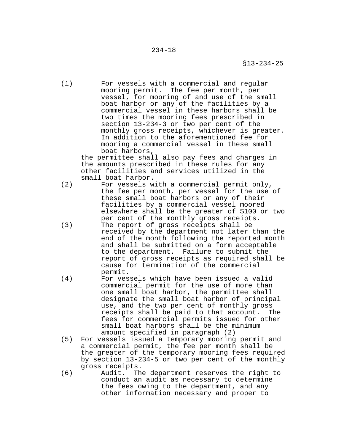(1) For vessels with a commercial and regular mooring permit. The fee per month, per vessel, for mooring of and use of the small boat harbor or any of the facilities by a commercial vessel in these harbors shall be two times the mooring fees prescribed in section 13-234-3 or two per cent of the monthly gross receipts, whichever is greater. In addition to the aforementioned fee for mooring a commercial vessel in these small boat harbors,

the permittee shall also pay fees and charges in the amounts prescribed in these rules for any other facilities and services utilized in the small boat harbor.

- (2) For vessels with a commercial permit only, the fee per month, per vessel for the use of these small boat harbors or any of their facilities by a commercial vessel moored elsewhere shall be the greater of \$100 or two per cent of the monthly gross receipts.
- (3) The report of gross receipts shall be received by the department not later than the end of the month following the reported month and shall be submitted on a form acceptable to the department. Failure to submit the report of gross receipts as required shall be cause for termination of the commercial permit.
- (4) For vessels which have been issued a valid commercial permit for the use of more than one small boat harbor, the permittee shall designate the small boat harbor of principal use, and the two per cent of monthly gross receipts shall be paid to that account. The fees for commercial permits issued for other small boat harbors shall be the minimum amount specified in paragraph (2)
- (5) For vessels issued a temporary mooring permit and a commercial permit, the fee per month shall be the greater of the temporary mooring fees required by section 13-234-5 or two per cent of the monthly gross receipts.
- (6) Audit. The department reserves the right to conduct an audit as necessary to determine the fees owing to the department, and any other information necessary and proper to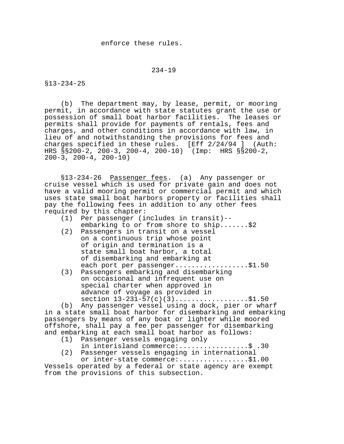## <span id="page-166-0"></span>§13-234-25

(b) The department may, by lease, permit, or mooring permit, in accordance with state statutes grant the use or possession of small boat harbor facilities. The leases or permits shall provide for payments of rentals, fees and charges, and other conditions in accordance with law, in lieu of and notwithstanding the provisions for fees and charges specified in these rules. [Eff 2/24/94 ] (Auth: HRS §§200-2, 200-3, 200-4, 200-10) (Imp: HRS §§200-2, 200-3, 200-4, 200-10)

§13-234-26 Passenger fees. (a) Any passenger or cruise vessel which is used for private gain and does not have a valid mooring permit or commercial permit and which uses state small boat harbors property or facilities shall pay the following fees in addition to any other fees required by this chapter:

- (1) Per passenger (includes in transit)- embarking to or from shore to ship.......\$2
- (2) Passengers in transit on a vessel on a continuous trip whose point of origin and termination is a state small boat harbor, a total of disembarking and embarking at each port per passenger...................\$1.50
- (3) Passengers embarking and disembarking on occasional and infrequent use on special charter when approved in advance of voyage as provided in section  $13-23\overline{1}-57(c)(3)$ .................\$1.50

(b) Any passenger vessel using a dock, pier or wharf in a state small boat harbor for disembarking and embarking passengers by means of any boat or lighter while moored offshore, shall pay a fee per passenger for disembarking and embarking at each small boat harbor as follows:

- (1) Passenger vessels engaging only
	- in interisland commerce:.................\$ .30
- (2) Passenger vessels engaging in international or inter-state commerce:.................\$1.00

Vessels operated by a federal or state agency are exempt from the provisions of this subsection.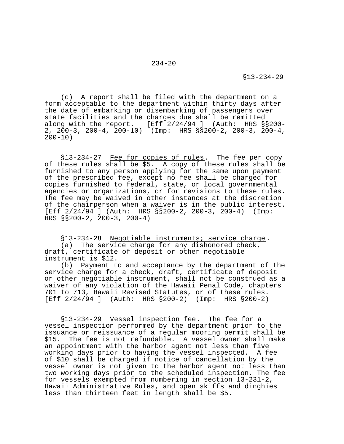<span id="page-167-0"></span>(c) A report shall be filed with the department on a form acceptable to the department within thirty days after the date of embarking or disembarking of passengers over state facilities and the charges due shall be remitted along with the report. [Eff<sup>2</sup>/24/94 ] (Auth: HRS §§200-2, 200-3, 200-4, 200-10) (Imp: HRS §§200-2, 200-3, 200-4, 200-10)

§13-234-27 Fee for copies of rules. The fee per copy of these rules shall be \$5. A copy of these rules shall be furnished to any person applying for the same upon payment of the prescribed fee, except no fee shall be charged for copies furnished to federal, state, or local governmental agencies or organizations, or for revisions to these rules. The fee may be waived in other instances at the discretion of the chairperson when a waiver is in the public interest. [Eff 2/24/94 ] (Auth: HRS §§200-2, 200-3, 200-4) (Imp: HRS §§200-2, 200-3, 200-4)

§13-234-28 Negotiable instruments; service charge . (a) The service charge for any dishonored check, draft, certificate of deposit or other negotiable instrument is \$12.

(b) Payment to and acceptance by the department of the service charge for a check, draft, certificate of deposit or other negotiable instrument, shall not be construed as a waiver of any violation of the Hawaii Penal Code, chapters 701 to 713, Hawaii Revised Statutes, or of these rules. [Eff 2/24/94 ] (Auth: HRS §200-2) (Imp: HRS §200-2)

§13-234-29 Vessel inspection fee. The fee for a vessel inspection performed by the department prior to the issuance or reissuance of a regular mooring permit shall be \$15. The fee is not refundable. A vessel owner shall make an appointment with the harbor agent not less than five working days prior to having the vessel inspected. A fee of \$10 shall be charged if notice of cancellation by the vessel owner is not given to the harbor agent not less than two working days prior to the scheduled inspection. The fee for vessels exempted from numbering in section 13-231-2, Hawaii Administrative Rules, and open skiffs and dinghies less than thirteen feet in length shall be \$5.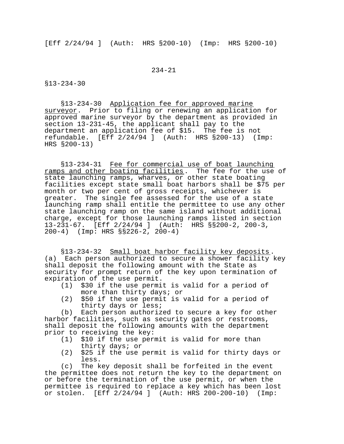<span id="page-168-0"></span>§13-234-30

§13-234-30 Application fee for approved marine surveyor. Prior to filing or renewing an application for approved marine surveyor by the department as provided in section 13-231-45, the applicant shall pay to the department an application fee of \$15. The fee is not refundable. [Eff 2/24/94 ] (Auth: HRS §200-13) (Imp: HRS §200-13)

§13-234-31 Fee for commercial use of boat launching ramps and other boating facilities. The fee for the use of state launching ramps, wharves, or other state boating facilities except state small boat harbors shall be \$75 per month or two per cent of gross receipts, whichever is greater. The single fee assessed for the use of a state launching ramp shall entitle the permittee to use any other state launching ramp on the same island without additional charge, except for those launching ramps listed in section 13-231-67. [Eff 2/24/94 ] (Auth: HRS §§200-2, 200-3, 200-4) (Imp: HRS §§226-2, 200-4)

§13-234-32 Small boat harbor facility key deposits . (a) Each person authorized to secure a shower facility key shall deposit the following amount with the State as security for prompt return of the key upon termination of expiration of the use permit.

- (1) \$30 if the use permit is valid for a period of more than thirty days; or
- (2) \$50 if the use permit is valid for a period of thirty days or less;

(b) Each person authorized to secure a key for other harbor facilities, such as security gates or restrooms, shall deposit the following amounts with the department prior to receiving the key:

- (1) \$10 if the use permit is valid for more than thirty days; or
- (2) \$25 if the use permit is valid for thirty days or less.

(c) The key deposit shall be forfeited in the event the permittee does not return the key to the department on or before the termination of the use permit, or when the permittee is required to replace a key which has been lost or stolen. [Eff 2/24/94 ] (Auth: HRS 200-200-10) (Imp: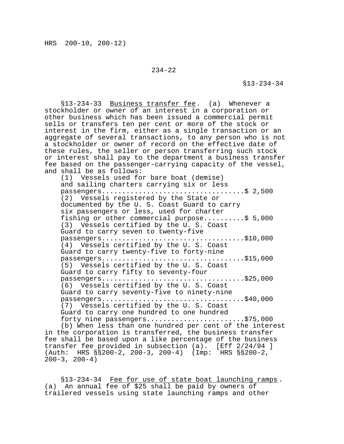#### §13-234-34

<span id="page-169-0"></span>§13-234-33 Business transfer fee. (a) Whenever a stockholder or owner of an interest in a corporation or other business which has been issued a commercial permit sells or transfers ten per cent or more of the stock or interest in the firm, either as a single transaction or an aggregate of several transactions, to any person who is not a stockholder or owner of record on the effective date of these rules, the seller or person transferring such stock or interest shall pay to the department a business transfer fee based on the passenger-carrying capacity of the vessel, and shall be as follows:

(1) Vessels used for bare boat (demise) and sailing charters carrying six or less passengers...................................\$ 2,500 (2) Vessels registered by the State or documented by the U. S. Coast Guard to carry six passengers or less, used for charter fishing or other commercial purpose..........\$ 5,000 (3) Vessels certified by the U. S. Coast Guard to carry seven to twenty-five passengers...................................\$10,000 (4) Vessels certified by the U. S. Coast Guard to carry twenty-five to forty-nine passengers...................................\$15,000 (5) Vessels certified by the U. S. Coast Guard to carry fifty to seventy-four passengers...................................\$25,000 (6) Vessels certified by the U. S. Coast Guard to carry seventy-five to ninety-nine passengers...................................\$40,000 (7) Vessels certified by the U. S. Coast Guard to carry one hundred to one hundred forty nine passengers........................\$75,000

(b) When less than one hundred per cent of the interest in the corporation is transferred, the business transfer fee shall be based upon a like percentage of the business transfer fee provided in subsection (a). [Eff 2/24/94 ] (Auth: HRS §§200-2, 200-3, 200-4) (Imp: HRS §§200-2,  $200-3, 200-4)$ 

§13-234-34 Fee for use of state boat launching ramps.<br>(a) An annual fee of \$25 shall be paid by owners of trailered vessels using state launching ramps and other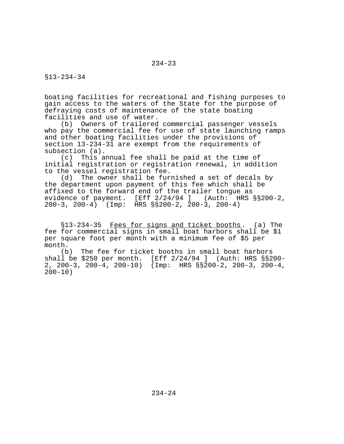<span id="page-170-0"></span>§13-234-34

boating facilities for recreational and fishing purposes to gain access to the waters of the State for the purpose of defraying costs of maintenance of the state boating facilities and use of water.

(b) Owners of trailered commercial passenger vessels who pay the commercial fee for use of state launching ramps and other boating facilities under the provisions of section 13-234-31 are exempt from the requirements of subsection (a).

(c) This annual fee shall be paid at the time of initial registration or registration renewal, in addition to the vessel registration fee.

(d) The owner shall be furnished a set of decals by the department upon payment of this fee which shall be affixed to the forward end of the trailer tongue as evidence of payment. [Eff 2/24/94 ] (Auth: HRS §§200-2, 200-3, 200-4) (Imp: HRS §§200-2, 200-3, 200-4)

§13-234-35 Fees for signs and ticket booths. (a) The fee for commercial signs in small boat harbors shall be \$1 per square foot per month with a minimum fee of \$5 per month.

(b) The fee for ticket booths in small boat harbors shall be \$250 per month. [Eff 2/24/94 ] (Auth: HRS §§200- 2, 200-3, 200-4, 200-10) (Imp: HRS §§200-2, 200-3, 200-4,  $200 - 10$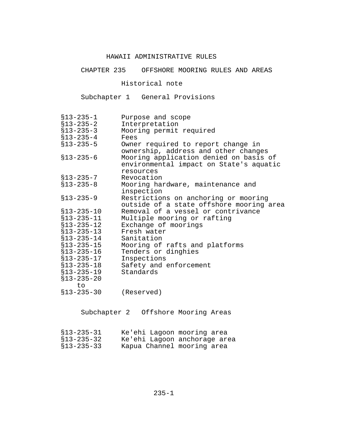# HAWAII ADMINISTRATIVE RULES

CHAPTER 235 OFFSHORE MOORING RULES AND AREAS

[Historical note](#page-172-0)

[Subchapter 1 General Provisions](#page-172-0)

| $$13 - 235 - 1$                      | Purpose and scope                                                                              |
|--------------------------------------|------------------------------------------------------------------------------------------------|
| $$13 - 235 - 2$                      | Interpretation                                                                                 |
| $$13 - 235 - 3$                      | Mooring permit required                                                                        |
| $$13-235-4$                          | Fees                                                                                           |
| $$13 - 235 - 5$                      | Owner required to report change in<br>ownership, address and other changes                     |
| $$13 - 235 - 6$                      | Mooring application denied on basis of<br>environmental impact on State's aquatic<br>resources |
| $$13-235-7$                          | Revocation                                                                                     |
| $$13 - 235 - 8$                      | Mooring hardware, maintenance and<br>inspection                                                |
| $$13-235-9$                          | Restrictions on anchoring or mooring<br>outside of a state offshore mooring area               |
| $$13 - 235 - 10$                     | Removal of a vessel or contrivance                                                             |
| $$13 - 235 - 11$                     | Multiple mooring or rafting                                                                    |
| $$13 - 235 - 12$                     | Exchange of moorings                                                                           |
| $$13 - 235 - 13$                     | Fresh water                                                                                    |
| $$13 - 235 - 14$                     | Sanitation                                                                                     |
| $$13 - 235 - 15$                     | Mooring of rafts and platforms                                                                 |
| $$13 - 235 - 16$                     | Tenders or dinghies                                                                            |
| $$13 - 235 - 17$                     | Inspections                                                                                    |
| $$13 - 235 - 18$                     | Safety and enforcement                                                                         |
| $$13 - 235 - 19$<br>$$13 - 235 - 20$ | Standards                                                                                      |
| to                                   |                                                                                                |
| $$13 - 235 - 30$                     | (Reserved)                                                                                     |

[Subchapter 2 Offshore Mooring Areas](#page-179-0)

| $$13 - 235 - 31$ | Ke'ehi Lagoon mooring area   |
|------------------|------------------------------|
| $$13 - 235 - 32$ | Ke'ehi Lagoon anchorage area |
| $$13 - 235 - 33$ | Kapua Channel mooring area   |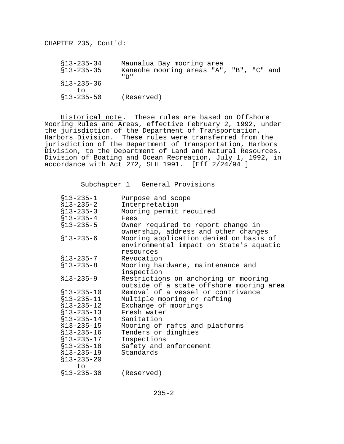<span id="page-172-0"></span>CHAPTER 235, Cont'd:

| $$13 - 235 - 34$       | Maunalua Bay mooring area                           |  |
|------------------------|-----------------------------------------------------|--|
| $$13 - 235 - 35$       | Kaneohe mooring areas "A", "B", "C" and<br>יי רד יי |  |
| $$13 - 235 - 36$<br>tο |                                                     |  |
| $$13 - 235 - 50$       | (Reserved)                                          |  |

Historical note. These rules are based on Offshore Mooring Rules and Areas, effective February 2, 1992, under the jurisdiction of the Department of Transportation, Harbors Division. These rules were transferred from the jurisdiction of the Department of Transportation, Harbors Division, to the Department of Land and Natural Resources. Division of Boating and Ocean Recreation, July 1, 1992, in accordance with Act 272, SLH 1991. [Eff 2/24/94 ]

Subchapter 1 General Provisions

| $$13 - 235 - 1$        | Purpose and scope                                                                              |
|------------------------|------------------------------------------------------------------------------------------------|
| $$13-235-2$            | Interpretation                                                                                 |
| $$13 - 235 - 3$        | Mooring permit required                                                                        |
| $$13-235-4$            | Fees                                                                                           |
| $$13 - 235 - 5$        | Owner required to report change in<br>ownership, address and other changes                     |
| $$13 - 235 - 6$        | Mooring application denied on basis of<br>environmental impact on State's aquatic<br>resources |
| $$13-235-7$            | Revocation                                                                                     |
| $$13 - 235 - 8$        | Mooring hardware, maintenance and<br>inspection                                                |
| $$13-235-9$            | Restrictions on anchoring or mooring<br>outside of a state offshore mooring area               |
| $$13 - 235 - 10$       | Removal of a vessel or contrivance                                                             |
| $$13-235-11$           | Multiple mooring or rafting                                                                    |
| $$13-235-12$           | Exchange of moorings                                                                           |
| $$13 - 235 - 13$       | Fresh water                                                                                    |
| $$13 - 235 - 14$       | Sanitation                                                                                     |
| $$13 - 235 - 15$       | Mooring of rafts and platforms                                                                 |
| $$13 - 235 - 16$       | Tenders or dinghies                                                                            |
| $$13-235-17$           | Inspections                                                                                    |
| $$13 - 235 - 18$       | Safety and enforcement                                                                         |
| $$13-235-19$           | Standards                                                                                      |
| $$13 - 235 - 20$<br>to |                                                                                                |
| $$13 - 235 - 30$       | (Reserved)                                                                                     |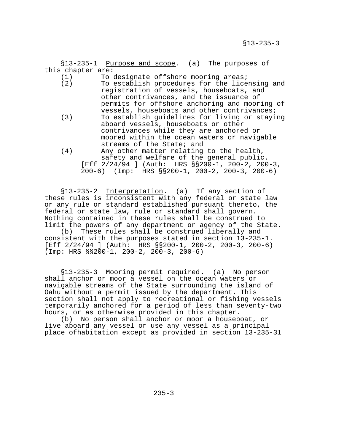<span id="page-173-0"></span>§13-235-1 Purpose and scope. (a) The purposes of this chapter are:

| (1) | To designate offshore mooring areas;             |
|-----|--------------------------------------------------|
| (2) | To establish procedures for the licensing and    |
|     | registration of vessels, houseboats, and         |
|     | other contrivances, and the issuance of          |
|     | permits for offshore anchoring and mooring of    |
|     | vessels, houseboats and other contrivances;      |
| (3) | To establish guidelines for living or staying    |
|     | aboard vessels, houseboats or other              |
|     | contrivances while they are anchored or          |
|     | moored within the ocean waters or navigable      |
|     | streams of the State; and                        |
| (4) | Any other matter relating to the health,         |
|     | safety and welfare of the general public.        |
|     | [Eff 2/24/94 ] (Auth: HRS §§200-1, 200-2, 200-3, |
|     | 200-6) (Imp: HRS §§200-1, 200-2, 200-3, 200-6)   |

§13-235-2 Interpretation. (a) If any section of these rules is inconsistent with any federal or state law or any rule or standard established pursuant thereto, the federal or state law, rule or standard shall govern. Nothing contained in these rules shall be construed to limit the powers of any department or agency of the State.

(b) These rules shall be construed liberally and consistent with the purposes stated in section 13-235-1. [Eff 2/24/94 ] (Auth: HRS §§200-1, 200-2, 200-3, 200-6) (Imp: HRS §§200-1, 200-2, 200-3, 200-6)

§13-235-3 Mooring permit required. (a) No person shall anchor or moor a vessel on the ocean waters or navigable streams of the State surrounding the island of Oahu without a permit issued by the department. This section shall not apply to recreational or fishing vessels temporarily anchored for a period of less than seventy-two hours, or as otherwise provided in this chapter.

(b) No person shall anchor or moor a houseboat, or live aboard any vessel or use any vessel as a principal place ofhabitation except as provided in section 13-235-31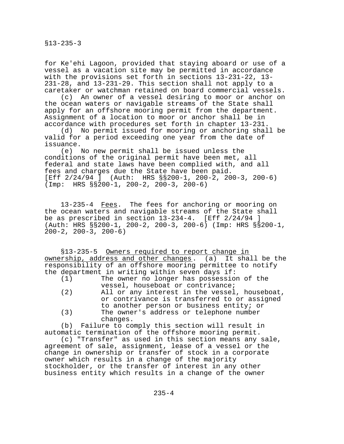<span id="page-174-0"></span>§13-235-3

for Ke'ehi Lagoon, provided that staying aboard or use of a vessel as a vacation site may be permitted in accordance with the provisions set forth in sections 13-231-22, 13- 231-28, and 13-231-29. This section shall not apply to a caretaker or watchman retained on board commercial vessels.

(c) An owner of a vessel desiring to moor or anchor on the ocean waters or navigable streams of the State shall apply for an offshore mooring permit from the department. Assignment of a location to moor or anchor shall be in accordance with procedures set forth in chapter 13-231.

(d) No permit issued for mooring or anchoring shall be valid for a period exceeding one year from the date of issuance.

(e) No new permit shall be issued unless the conditions of the original permit have been met, all federal and state laws have been complied with, and all fees and charges due the State have been paid. [Eff 2/24/94 ] (Auth: HRS §§200-1, 200-2, 200-3, 200-6) (Imp: HRS §§200-1, 200-2, 200-3, 200-6)

13-235-4 Fees. The fees for anchoring or mooring on the ocean waters and navigable streams of the State shall be as prescribed in section 13-234-4. [Eff 2/24/94 ] (Auth: HRS §§200-1, 200-2, 200-3, 200-6) (Imp: HRS §§200-1,  $200-2$ ,  $200-3$ ,  $200-6$ )

§13-235-5 Owners required to report change in ownership, address and other changes. (a) It shall be the responsibility of an offshore mooring permittee to notify the department in writing within seven days if:

| (1) | The owner no longer has possession of the     |
|-----|-----------------------------------------------|
|     | vessel, houseboat or contrivance;             |
| (2) | All or any interest in the vessel, houseboat, |
|     | or contrivance is transferred to or assigned  |
|     | to another person or business entity; or      |
| (3) | The owner's address or telephone number       |
|     | changes.                                      |
|     |                                               |

(b) Failure to comply this section will result in automatic termination of the offshore mooring permit.

(c) "Transfer" as used in this section means any sale, agreement of sale, assignment, lease of a vessel or the change in ownership or transfer of stock in a corporate owner which results in a change of the majority stockholder, or the transfer of interest in any other business entity which results in a change of the owner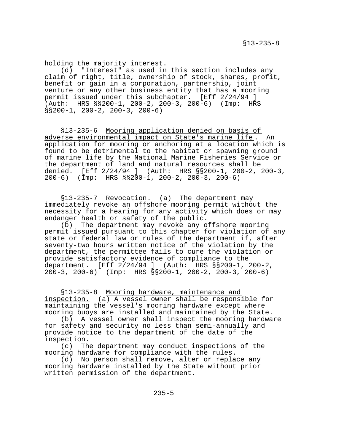§13-235-8

<span id="page-175-0"></span>holding the majority interest.

(d) "Interest" as used in this section includes any claim of right, title, ownership of stock, shares, profit, benefit or gain in a corporation, partnership, joint venture or any other business entity that has a mooring permit issued under this subchapter. [Eff 2/24/94 ] (Auth: HRS §§200-1, 200-2, 200-3, 200-6) (Imp: HRS §§200-1, 200-2, 200-3, 200-6)

§13-235-6 Mooring application denied on basis of adverse environmental impact on State's marine life . An application for mooring or anchoring at a location which is found to be detrimental to the habitat or spawning ground of marine life by the National Marine Fisheries Service or the department of land and natural resources shall be denied. [Eff 2/24/94 ] (Auth: HRS §§200-1, 200-2, 200-3, 200-6) (Imp: HRS §§200-1, 200-2, 200-3, 200-6)

§13-235-7 Revocation. (a) The department may immediately revoke an offshore mooring permit without the necessity for a hearing for any activity which does or may endanger health or safety of the public.

(b) The department may revoke any offshore mooring permit issued pursuant to this chapter for violation of any state or federal law or rules of the department if, after seventy-two hours written notice of the violation by the department, the permittee fails to cure the violation or provide satisfactory evidence of compliance to the department. [Eff 2/24/94 ] (Auth: HRS §§200-1, 200-2, 200-3, 200-6) (Imp: HRS §§200-1, 200-2, 200-3, 200-6)

§13-235-8 Mooring hardware, maintenance and inspection. (a) A vessel owner shall be responsible for maintaining the vessel's mooring hardware except where mooring buoys are installed and maintained by the State.

(b) A vessel owner shall inspect the mooring hardware for safety and security no less than semi-annually and provide notice to the department of the date of the inspection.

(c) The department may conduct inspections of the mooring hardware for compliance with the rules.

(d) No person shall remove, alter or replace any mooring hardware installed by the State without prior written permission of the department.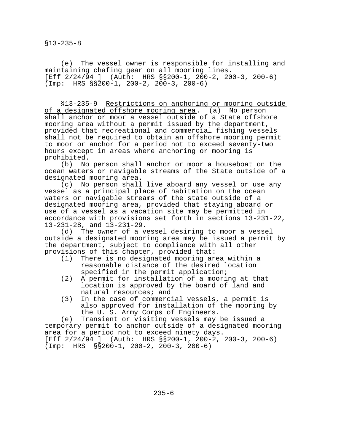<span id="page-176-0"></span>§13-235-8

(e) The vessel owner is responsible for installing and maintaining chafing gear on all mooring lines. [Eff 2/24/94 ] (Auth: HRS §§200-1, 200-2, 200-3, 200-6) (Imp: HRS §§200-1, 200-2, 200-3, 200-6)

§13-235-9 Restrictions on anchoring or mooring outside of a designated offshore mooring area. (a) No person shall anchor or moor a vessel outside of a State offshore mooring area without a permit issued by the department, provided that recreational and commercial fishing vessels shall not be required to obtain an offshore mooring permit to moor or anchor for a period not to exceed seventy-two hours except in areas where anchoring or mooring is prohibited.

(b) No person shall anchor or moor a houseboat on the ocean waters or navigable streams of the State outside of a designated mooring area.

(c) No person shall live aboard any vessel or use any vessel as a principal place of habitation on the ocean waters or navigable streams of the state outside of a designated mooring area, provided that staying aboard or use of a vessel as a vacation site may be permitted in accordance with provisions set forth in sections 13-231-22, 13-231-28, and 13-231-29.

(d) The owner of a vessel desiring to moor a vessel outside a designated mooring area may be issued a permit by the department, subject to compliance with all other provisions of this chapter, provided that:

- (1) There is no designated mooring area within a reasonable distance of the desired location specified in the permit application;
- (2) A permit for installation of a mooring at that location is approved by the board of land and natural resources; and
- (3) In the case of commercial vessels, a permit is also approved for installation of the mooring by the U. S. Army Corps of Engineers.

(e) Transient or visiting vessels may be issued a temporary permit to anchor outside of a designated mooring area for a period not to exceed ninety days. [Eff 2/24/94 ] (Auth: HRS §§200-1, 200-2, 200-3, 200-6) (Imp: HRS §§200-1, 200-2, 200-3, 200-6)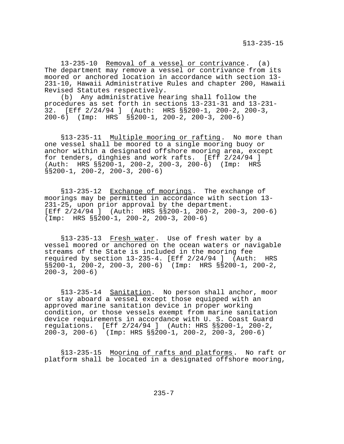<span id="page-177-0"></span>13-235-10 Removal of a vessel or contrivance. (a) The department may remove a vessel or contrivance from its moored or anchored location in accordance with section 13- 231-10, Hawaii Administrative Rules and chapter 200, Hawaii Revised Statutes respectively.

(b) Any administrative hearing shall follow the procedures as set forth in sections 13-231-31 and 13-231- 32. [Eff 2/24/94 ] (Auth: HRS §§200-1, 200-2, 200-3, 200-6) (Imp: HRS §§200-1, 200-2, 200-3, 200-6)

§13-235-11 Multiple mooring or rafting. No more than one vessel shall be moored to a single mooring buoy or anchor within a designated offshore mooring area, except for tenders, dinghies and work rafts. [Eff 2/24/94 ] (Auth: HRS §§200-1, 200-2, 200-3, 200-6) (Imp: HRS §§200-1, 200-2, 200-3, 200-6)

§13-235-12 Exchange of moorings. The exchange of moorings may be permitted in accordance with section 13- 231-25, upon prior approval by the department. [Eff 2/24/94 ] (Auth: HRS §§200-1, 200-2, 200-3, 200-6) (Imp: HRS §§200-1, 200-2, 200-3, 200-6)

§13-235-13 Fresh water. Use of fresh water by a vessel moored or anchored on the ocean waters or navigable streams of the State is included in the mooring fee required by section 13-235-4. [Eff 2/24/94 ] (Auth: HRS §§200-1, 200-2, 200-3, 200-6) (Imp: HRS §§200-1, 200-2,  $200-3, 200-6)$ 

§13-235-14 Sanitation. No person shall anchor, moor or stay aboard a vessel except those equipped with an approved marine sanitation device in proper working condition, or those vessels exempt from marine sanitation device requirements in accordance with U. S. Coast Guard regulations. [Eff 2/24/94 ] (Auth: HRS §§200-1, 200-2, 200-3, 200-6) (Imp: HRS §§200-1, 200-2, 200-3, 200-6)

§13-235-15 Mooring of rafts and platforms. No raft or platform shall be located in a designated offshore mooring,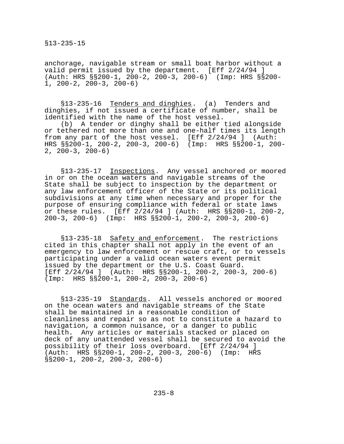<span id="page-178-0"></span>anchorage, navigable stream or small boat harbor without a valid permit issued by the department. [Eff 2/24/94 ] (Auth: HRS §§200-1, 200-2, 200-3, 200-6) (Imp: HRS §§200- 1, 200-2, 200-3, 200-6)

§13-235-16 Tenders and dinghies. (a) Tenders and dinghies, if not issued a certificate of number, shall be identified with the name of the host vessel.

(b) A tender or dinghy shall be either tied alongside or tethered not more than one and one-half times its length from any part of the host vessel. [Eff 2/24/94 ] (Auth: HRS §§200-1, 200-2, 200-3, 200-6) (Imp: HRS §§200-1, 200- 2, 200-3, 200-6)

§13-235-17 Inspections. Any vessel anchored or moored in or on the ocean waters and navigable streams of the State shall be subject to inspection by the department or any law enforcement officer of the State or its political subdivisions at any time when necessary and proper for the purpose of ensuring compliance with federal or state laws or these rules. [Eff 2/24/94 ] (Auth: HRS §§200-1, 200-2, 200-3, 200-6) (Imp: HRS §§200-1, 200-2, 200-3, 200-6)

§13-235-18 Safety and enforcement. The restrictions cited in this chapter shall not apply in the event of an emergency to law enforcement or rescue craft, or to vessels participating under a valid ocean waters event permit issued by the department or the U.S. Coast Guard. [Eff 2/24/94 ] (Auth: HRS §§200-1, 200-2, 200-3, 200-6) (Imp: HRS §§200-1, 200-2, 200-3, 200-6)

§13-235-19 Standards. All vessels anchored or moored on the ocean waters and navigable streams of the State shall be maintained in a reasonable condition of cleanliness and repair so as not to constitute a hazard to navigation, a common nuisance, or a danger to public health. Any articles or materials stacked or placed on deck of any unattended vessel shall be secured to avoid the possibility of their loss overboard. [Eff 2/24/94 ] (Auth: HRS §§200-1, 200-2, 200-3, 200-6) (Imp: HRS §§200-1, 200-2, 200-3, 200-6)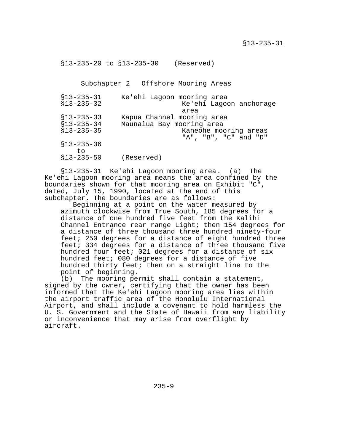<span id="page-179-0"></span>§13-235-20 to §13-235-30 (Reserved)

|                                                          | Subchapter 2 Offshore Mooring Areas                                                                       |  |
|----------------------------------------------------------|-----------------------------------------------------------------------------------------------------------|--|
| $$13 - 235 - 31$<br>$$13-235-32$                         | Ke'ehi Lagoon mooring area<br>Ke'ehi Lagoon anchorage<br>area                                             |  |
| $$13 - 235 - 33$<br>$$13 - 235 - 34$<br>$$13 - 235 - 35$ | Kapua Channel mooring area<br>Maunalua Bay mooring area<br>Kaneohe mooring areas<br>"A", "B", "C" and "D" |  |
| $$13 - 235 - 36$<br>to                                   |                                                                                                           |  |
| $$13 - 235 - 50$                                         | (Reserved)                                                                                                |  |

§13-235-31 Ke'ehi Lagoon mooring area. (a) The Ke'ehi Lagoon mooring area means the area confined by the boundaries shown for that mooring area on Exhibit "C", dated, July 15, 1990, located at the end of this subchapter. The boundaries are as follows:

Beginning at a point on the water measured by azimuth clockwise from True South, 185 degrees for a distance of one hundred five feet from the Kalihi Channel Entrance rear range Light; then 154 degrees for a distance of three thousand three hundred ninety-four feet; 250 degrees for a distance of eight hundred three feet; 334 degrees for a distance of three thousand five hundred four feet; 021 degrees for a distance of six hundred feet; 080 degrees for a distance of five hundred thirty feet; then on a straight line to the point of beginning.

(b) The mooring permit shall contain a statement, signed by the owner, certifying that the owner has been informed that the Ke'ehi Lagoon mooring area lies within the airport traffic area of the Honolulu International Airport, and shall include a covenant to hold harmless the U. S. Government and the State of Hawaii from any liability or inconvenience that may arise from overflight by aircraft.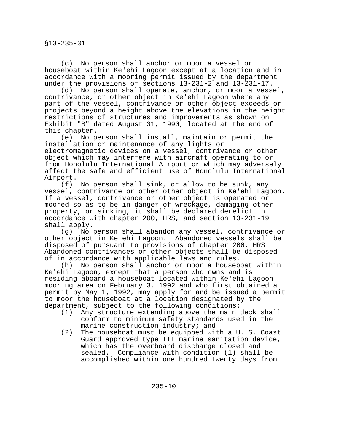(c) No person shall anchor or moor a vessel or houseboat within Ke'ehi Lagoon except at a location and in accordance with a mooring permit issued by the department under the provisions of sections 13-231-2 and 13-231-17.

(d) No person shall operate, anchor, or moor a vessel, contrivance, or other object in Ke'ehi Lagoon where any part of the vessel, contrivance or other object exceeds or projects beyond a height above the elevations in the height restrictions of structures and improvements as shown on Exhibit "B" dated August 31, 1990, located at the end of this chapter.

(e) No person shall install, maintain or permit the installation or maintenance of any lights or electromagnetic devices on a vessel, contrivance or other object which may interfere with aircraft operating to or from Honolulu International Airport or which may adversely affect the safe and efficient use of Honolulu International Airport.

(f) No person shall sink, or allow to be sunk, any vessel, contrivance or other other object in Ke'ehi Lagoon. If a vessel, contrivance or other object is operated or moored so as to be in danger of wreckage, damaging other property, or sinking, it shall be declared derelict in accordance with chapter 200, HRS, and section 13-231-19 shall apply.

(g) No person shall abandon any vessel, contrivance or other object in Ke'ehi Lagoon. Abandoned vessels shall be disposed of pursuant to provisions of chapter 200, HRS. Abandoned contrivances or other objects shall be disposed of in accordance with applicable laws and rules.

(h) No person shall anchor or moor a houseboat within Ke'ehi Lagoon, except that a person who owns and is residing aboard a houseboat located within Ke'ehi Lagoon mooring area on February 3, 1992 and who first obtained a permit by May 1, 1992, may apply for and be issued a permit to moor the houseboat at a location designated by the department, subject to the following conditions:

- (1) Any structure extending above the main deck shall conform to minimum safety standards used in the marine construction industry; and
- (2) The houseboat must be equipped with a U. S. Coast Guard approved type III marine sanitation device, which has the overboard discharge closed and sealed. Compliance with condition (1) shall be accomplished within one hundred twenty days from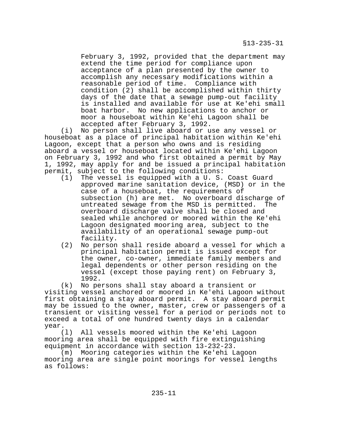February 3, 1992, provided that the department may extend the time period for compliance upon acceptance of a plan presented by the owner to accomplish any necessary modifications within a reasonable period of time. Compliance with condition (2) shall be accomplished within thirty days of the date that a sewage pump-out facility is installed and available for use at Ke'ehi small boat harbor. No new applications to anchor or moor a houseboat within Ke'ehi Lagoon shall be accepted after February 3, 1992.

(i) No person shall live aboard or use any vessel or houseboat as a place of principal habitation within Ke'ehi Lagoon, except that a person who owns and is residing aboard a vessel or houseboat located within Ke'ehi Lagoon on February 3, 1992 and who first obtained a permit by May 1, 1992, may apply for and be issued a principal habitation permit, subject to the following conditions:

- (1) The vessel is equipped with a U. S. Coast Guard approved marine sanitation device, (MSD) or in the case of a houseboat, the requirements of subsection (h) are met. No overboard discharge of untreated sewage from the MSD is permitted. The overboard discharge valve shall be closed and sealed while anchored or moored within the Ke'ehi Lagoon designated mooring area, subject to the availability of an operational sewage pump-out facility.
- (2) No person shall reside aboard a vessel for which a principal habitation permit is issued except for the owner, co-owner, immediate family members and legal dependents or other person residing on the vessel (except those paying rent) on February 3, 1992.

(k) No persons shall stay aboard a transient or visiting vessel anchored or moored in Ke'ehi Lagoon without first obtaining a stay aboard permit. A stay aboard permit may be issued to the owner, master, crew or passengers of a transient or visiting vessel for a period or periods not to exceed a total of one hundred twenty days in a calendar year.

(l) All vessels moored within the Ke'ehi Lagoon mooring area shall be equipped with fire extinguishing equipment in accordance with section 13-232-23.

(m) Mooring categories within the Ke'ehi Lagoon mooring area are single point moorings for vessel lengths as follows: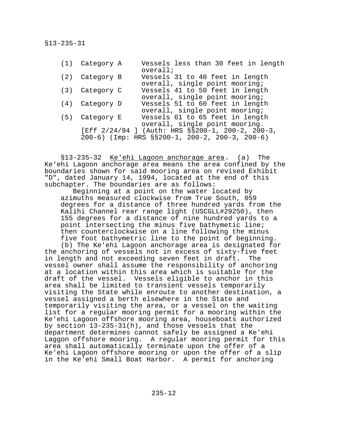| (1) | Category A       | Vessels less than 30 feet in length<br>overall;                                                            |
|-----|------------------|------------------------------------------------------------------------------------------------------------|
| (2) | Category B       | Vessels 31 to 40 feet in length<br>overall, single point mooring;                                          |
|     | $(3)$ Category C | Vessels 41 to 50 feet in length<br>overall, single point mooring;                                          |
| (4) | Category D       | Vessels 51 to 60 feet in length<br>overall, single point mooring;                                          |
| (5) | Category E       | Vessels 61 to 65 feet in length<br>overall, single point mooring.                                          |
|     |                  | [Eff 2/24/94 ] (Auth: HRS §§200-1, 200-2, 200-3,<br>200-6) (Imp: HRS $\S$ $\S$ 200-1, 200-2, 200-3, 200-6) |

§13-235-32 Ke'ehi Lagoon anchorage area. (a) The Ke'ehi Lagoon anchorage area means the area confined by the boundaries shown for said mooring area on revised Exhibit "D", dated January 14, 1994, located at the end of this subchapter. The boundaries are as follows:

Beginning at a point on the water located by azimuths measured clockwise from True South, 059 degrees for a distance of three hundred yards from the Kalihi Channel rear range light (USCGLL#29250), then 155 degrees for a distance of nine hundred yards to a point intersecting the minus five bathymetic line; then counterclockwise on a line following the minus five foot bathymetric line to the point of beginning.

(b) The Ke'ehi Lagoon anchorage area is designated for the anchoring of vessels not in excess of sixty-five feet in length and not exceeding seven feet in draft. The vessel owner shall assume the responsibility of anchoring at a location within this area which is suitable for the draft of the vessel. Vessels eligible to anchor in this area shall be limited to transient vessels temporarily visiting the State while enroute to another destination, a vessel assigned a berth elsewhere in the State and temporarily visiting the area, or a vessel on the waiting list for a regular mooring permit for a mooring within the Ke'ehi Lagoon offshore mooring area, houseboats authorized by section 13-235-31(h), and those vessels that the department determines cannot safely be assigned a Ke'ehi Laggon offshore mooring. A regular mooring permit for this area shall automatically terminate upon the offer of a Ke'ehi Lagoon offshore mooring or upon the offer of a slip in the Ke'ehi Small Boat Harbor. A permit for anchoring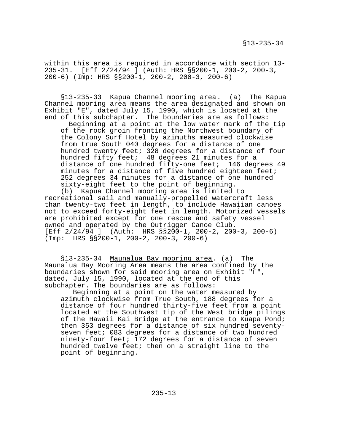within this area is required in accordance with section 13- 235-31. [Eff 2/24/94 ] (Auth: HRS §§200-1, 200-2, 200-3, 200-6) (Imp: HRS §§200-1, 200-2, 200-3, 200-6)

§13-235-33 Kapua Channel mooring area. (a) The Kapua Channel mooring area means the area designated and shown on Exhibit "E", dated July 15, 1990, which is located at the end of this subchapter. The boundaries are as follows:

Beginning at a point at the low water mark of the tip of the rock groin fronting the Northwest boundary of the Colony Surf Hotel by azimuths measured clockwise from true South 040 degrees for a distance of one hundred twenty feet; 328 degrees for a distance of four hundred fifty feet; 48 degrees 21 minutes for a distance of one hundred fifty-one feet; 146 degrees 49 minutes for a distance of five hundred eighteen feet; 252 degrees 34 minutes for a distance of one hundred sixty-eight feet to the point of beginning.

(b) Kapua Channel mooring area is limited to recreational sail and manually-propelled watercraft less than twenty-two feet in length, to include Hawaiian canoes not to exceed forty-eight feet in length. Motorized vessels are prohibited except for one rescue and safety vessel owned and operated by the Outrigger Canoe Club. [Eff 2/24/94 ] (Auth: HRS §§200-1, 200-2, 200-3, 200-6) (Imp: HRS §§200-1, 200-2, 200-3, 200-6)

§13-235-34 Maunalua Bay mooring area. (a) The Maunalua Bay Mooring Area means the area confined by the boundaries shown for said mooring area on Exhibit "F", dated, July 15, 1990, located at the end of this subchapter. The boundaries are as follows:

Beginning at a point on the water measured by azimuth clockwise from True South, 188 degrees for a distance of four hundred thirty-five feet from a point located at the Southwest tip of the West bridge pilings of the Hawaii Kai Bridge at the entrance to Kuapa Pond; then 353 degrees for a distance of six hundred seventyseven feet; 083 degrees for a distance of two hundred ninety-four feet; 172 degrees for a distance of seven hundred twelve feet; then on a straight line to the point of beginning.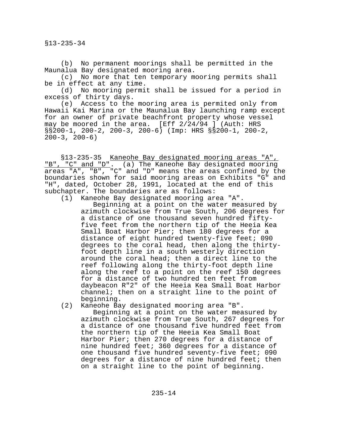§13-235-34

(b) No permanent moorings shall be permitted in the Maunalua Bay designated mooring area.

(c) No more that ten temporary mooring permits shall be in effect at any time.

(d) No mooring permit shall be issued for a period in excess of thirty days.

(e) Access to the mooring area is permited only from Hawaii Kai Marina or the Maunalua Bay launching ramp except for an owner of private beachfront property whose vessel may be moored in the area. [Eff 2/24/94 ] (Auth: HRS §§200-1, 200-2, 200-3, 200-6) (Imp: HRS §§200-1, 200-2,  $200-3$ ,  $200-6$ )

§13-235-35 Kaneohe Bay designated mooring areas "A", "B", "C" and "D". (a) The Kaneohe Bay designated mooring areas "A", "B", "C" and "D" means the areas confined by the boundaries shown for said mooring areas on Exhibits "G" and "H", dated, October 28, 1991, located at the end of this subchapter. The boundaries are as follows:

(1) Kaneohe Bay designated mooring area "A".

Beginning at a point on the water measured by azimuth clockwise from True South, 206 degrees for a distance of one thousand seven hundred fiftyfive feet from the northern tip of the Heeia Kea Small Boat Harbor Pier; then 180 degrees for a distance of eight hundred twenty-five feet; 090 degrees to the coral head, then along the thirtyfoot depth line in a south westerly direction around the coral head; then a direct line to the reef following along the thirty-foot depth line along the reef to a point on the reef 150 degrees for a distance of two hundred ten feet from daybeacon R"2" of the Heeia Kea Small Boat Harbor channel; then on a straight line to the point of beginning.

(2) Kaneohe Bay designated mooring area "B". Beginning at a point on the water measured by azimuth clockwise from True South, 267 degrees for a distance of one thousand five hundred feet from the northern tip of the Heeia Kea Small Boat Harbor Pier; then 270 degrees for a distance of nine hundred feet; 360 degrees for a distance of one thousand five hundred seventy-five feet; 090 degrees for a distance of nine hundred feet; then on a straight line to the point of beginning.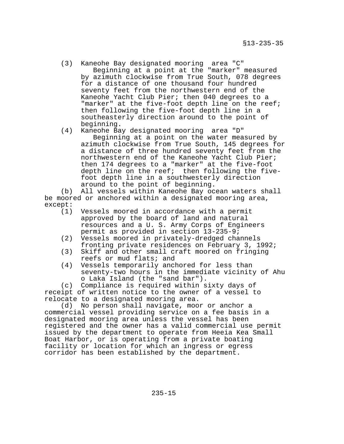- (3) Kaneohe Bay designated mooring area "C" Beginning at a point at the "marker" measured by azimuth clockwise from True South, 078 degrees for a distance of one thousand four hundred seventy feet from the northwestern end of the Kaneohe Yacht Club Pier; then 040 degrees to a "marker" at the five-foot depth line on the reef; then following the five-foot depth line in a southeasterly direction around to the point of beginning.
- (4) Kaneohe Bay designated mooring area "D" Beginning at a point on the water measured by azimuth clockwise from True South, 145 degrees for a distance of three hundred seventy feet from the northwestern end of the Kaneohe Yacht Club Pier; then 174 degrees to a "marker" at the five-foot depth line on the reef; then following the fivefoot depth line in a southwesterly direction around to the point of beginning.

(b) All vessels within Kaneohe Bay ocean waters shall be moored or anchored within a designated mooring area, except:

- (1) Vessels moored in accordance with a permit approved by the board of land and natural resources and a U. S. Army Corps of Engineers permit as provided in section 13-235-9;
- (2) Vessels moored in privately-dredged channels fronting private residences on February 3, 1992;
- (3) Skiff and other small craft moored on fringing reefs or mud flats; and
- (4) Vessels temporarily anchored for less than seventy-two hours in the immediate vicinity of Ahu o Laka Island (the "sand bar").

(c) Compliance is required within sixty days of receipt of written notice to the owner of a vessel to relocate to a designated mooring area.

(d) No person shall navigate, moor or anchor a commercial vessel providing service on a fee basis in a designated mooring area unless the vessel has been registered and the owner has a valid commercial use permit issued by the department to operate from Heeia Kea Small Boat Harbor, or is operating from a private boating facility or location for which an ingress or egress corridor has been established by the department.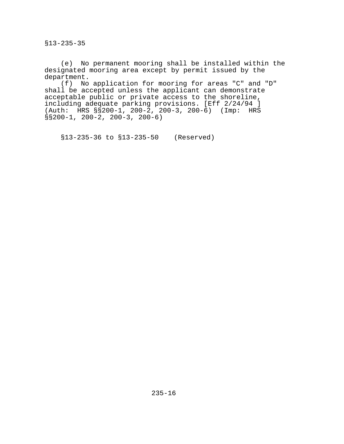§13-235-35

(e) No permanent mooring shall be installed within the designated mooring area except by permit issued by the department.

(f) No application for mooring for areas "C" and "D" shall be accepted unless the applicant can demonstrate acceptable public or private access to the shoreline, including adequate parking provisions. [Eff 2/24/94 ] (Auth: HRS §§200-1, 200-2, 200-3, 200-6) (Imp: HRS §§200-1, 200-2, 200-3, 200-6)

§13-235-36 to §13-235-50 (Reserved)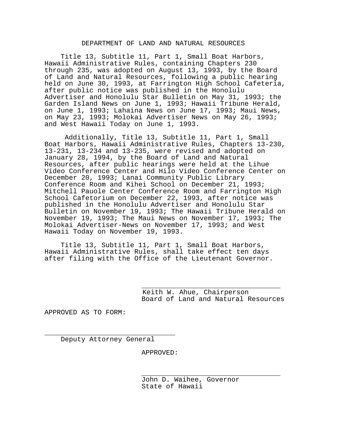## DEPARTMENT OF LAND AND NATURAL RESOURCES

Title 13, Subtitle 11, Part 1, Small Boat Harbors, Hawaii Administrative Rules, containing Chapters 230 through 235, was adopted on August 13, 1993, by the Board of Land and Natural Resources, following a public hearing held on June 30, 1993, at Farrington High School Cafeteria, after public notice was published in the Honolulu Advertiser and Honolulu Star Bulletin on May 31, 1993; the Garden Island News on June 1, 1993; Hawaii Tribune Herald, on June 1, 1993; Lahaina News on June 17, 1993; Maui News, on May 23, 1993; Molokai Advertiser News on May 26, 1993; and West Hawaii Today on June 1, 1993.

Additionally, Title 13, Subtitle 11, Part 1, Small Boat Harbors, Hawaii Administrative Rules, Chapters 13-230, 13-231, 13-234 and 13-235, were revised and adopted on January 28, 1994, by the Board of Land and Natural Resources, after public hearings were held at the Lihue Video Conference Center and Hilo Video Conference Center on December 20, 1993; Lanai Community Public Library Conference Room and Kihei School on December 21, 1993; Mitchell Pauole Center Conference Room and Farrington High School Cafetorium on December 22, 1993, after notice was published in the Honolulu Advertiser and Honolulu Star Bulletin on November 19, 1993; The Hawaii Tribune Herald on November 19, 1993; The Maui News on November 17, 1993; The Molokai Advertiser-News on November 17, 1993; and West Hawaii Today on November 19, 1993.

Title 13, Subtitle 11, Part 1, Small Boat Harbors, Hawaii Administrative Rules, shall take effect ten days after filing with the Office of the Lieutenant Governor.

> \_\_\_\_\_\_\_\_\_\_\_\_\_\_\_\_\_\_\_\_\_\_\_\_\_\_\_\_\_\_\_\_\_\_ Keith W. Ahue, Chairperson Board of Land and Natural Resources

\_\_\_\_\_\_\_\_\_\_\_\_\_\_\_\_\_\_\_\_\_\_\_\_\_\_\_\_\_\_\_\_\_\_

APPROVED AS TO FORM:

Deputy Attorney General

APPROVED:

John D. Waihee, Governor State of Hawaii